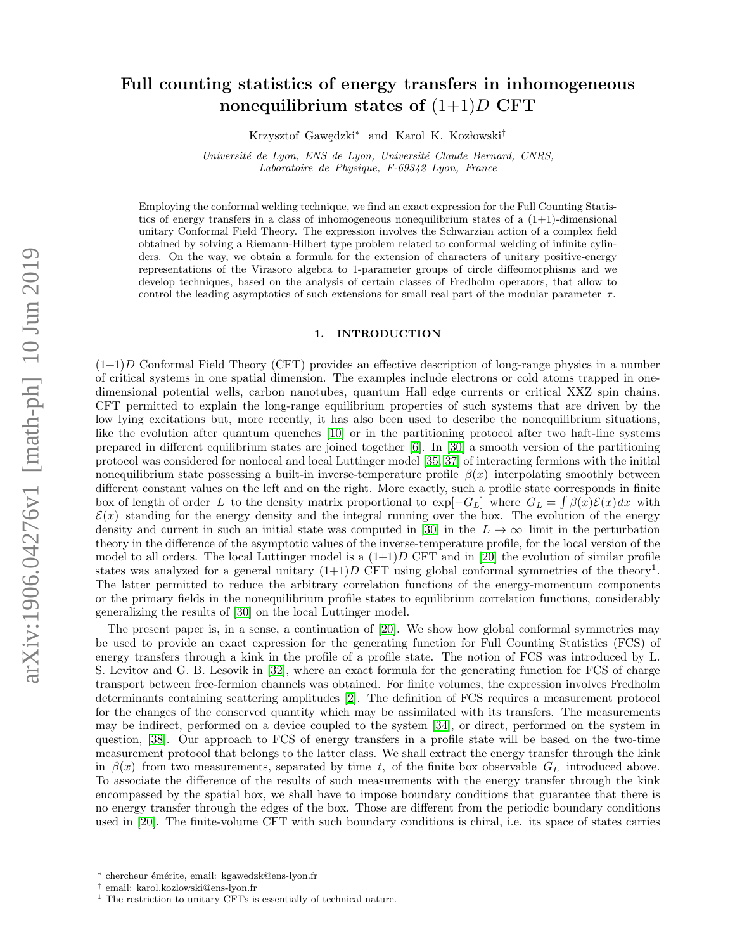# Full counting statistics of energy transfers in inhomogeneous nonequilibrium states of  $(1+1)D$  CFT

Krzysztof Gawedzki<sup>\*</sup> and Karol K. Kozłowski<sup>†</sup>

Université de Lyon, ENS de Lyon, Université Claude Bernard, CNRS, Laboratoire de Physique, F-69342 Lyon, France

Employing the conformal welding technique, we find an exact expression for the Full Counting Statistics of energy transfers in a class of inhomogeneous nonequilibrium states of a  $(1+1)$ -dimensional unitary Conformal Field Theory. The expression involves the Schwarzian action of a complex field obtained by solving a Riemann-Hilbert type problem related to conformal welding of infinite cylinders. On the way, we obtain a formula for the extension of characters of unitary positive-energy representations of the Virasoro algebra to 1-parameter groups of circle diffeomorphisms and we develop techniques, based on the analysis of certain classes of Fredholm operators, that allow to control the leading asymptotics of such extensions for small real part of the modular parameter  $\tau$ .

## 1. INTRODUCTION

 $(1+1)D$  Conformal Field Theory (CFT) provides an effective description of long-range physics in a number of critical systems in one spatial dimension. The examples include electrons or cold atoms trapped in onedimensional potential wells, carbon nanotubes, quantum Hall edge currents or critical XXZ spin chains. CFT permitted to explain the long-range equilibrium properties of such systems that are driven by the low lying excitations but, more recently, it has also been used to describe the nonequilibrium situations, like the evolution after quantum quenches [\[10\]](#page-58-0) or in the partitioning protocol after two haft-line systems prepared in different equilibrium states are joined together [\[6\]](#page-58-1). In [\[30\]](#page-58-2) a smooth version of the partitioning protocol was considered for nonlocal and local Luttinger model [\[35,](#page-58-3) [37\]](#page-59-0) of interacting fermions with the initial nonequilibrium state possessing a built-in inverse-temperature profile  $\beta(x)$  interpolating smoothly between different constant values on the left and on the right. More exactly, such a profile state corresponds in finite box of length of order L to the density matrix proportional to  $\exp[-G_L]$  where  $G_L = \int \beta(x)\mathcal{E}(x)dx$  with  $\mathcal{E}(x)$  standing for the energy density and the integral running over the box. The evolution of the energy density and current in such an initial state was computed in [\[30\]](#page-58-2) in the  $L \to \infty$  limit in the perturbation theory in the difference of the asymptotic values of the inverse-temperature profile, for the local version of the model to all orders. The local Luttinger model is a  $(1+1)D$  CFT and in [\[20\]](#page-58-4) the evolution of similar profile states was analyzed for a general unitary  $(1+1)D$  CFT using global conformal symmetries of the theory<sup>1</sup>. The latter permitted to reduce the arbitrary correlation functions of the energy-momentum components or the primary fields in the nonequilibrium profile states to equilibrium correlation functions, considerably generalizing the results of [\[30\]](#page-58-2) on the local Luttinger model.

The present paper is, in a sense, a continuation of [\[20\]](#page-58-4). We show how global conformal symmetries may be used to provide an exact expression for the generating function for Full Counting Statistics (FCS) of energy transfers through a kink in the profile of a profile state. The notion of FCS was introduced by L. S. Levitov and G. B. Lesovik in [\[32\]](#page-58-5), where an exact formula for the generating function for FCS of charge transport between free-fermion channels was obtained. For finite volumes, the expression involves Fredholm determinants containing scattering amplitudes [\[2\]](#page-58-6). The definition of FCS requires a measurement protocol for the changes of the conserved quantity which may be assimilated with its transfers. The measurements may be indirect, performed on a device coupled to the system [\[34\]](#page-58-7), or direct, performed on the system in question, [\[38\]](#page-59-1). Our approach to FCS of energy transfers in a profile state will be based on the two-time measurement protocol that belongs to the latter class. We shall extract the energy transfer through the kink in  $\beta(x)$  from two measurements, separated by time t, of the finite box observable  $G_L$  introduced above. To associate the difference of the results of such measurements with the energy transfer through the kink encompassed by the spatial box, we shall have to impose boundary conditions that guarantee that there is no energy transfer through the edges of the box. Those are different from the periodic boundary conditions used in [\[20\]](#page-58-4). The finite-volume CFT with such boundary conditions is chiral, i.e. its space of states carries

<sup>∗</sup> chercheur ´em´erite, email: kgawedzk@ens-lyon.fr

<sup>†</sup> email: karol.kozlowski@ens-lyon.fr

 $^{\rm 1}$  The restriction to unitary CFTs is essentially of technical nature.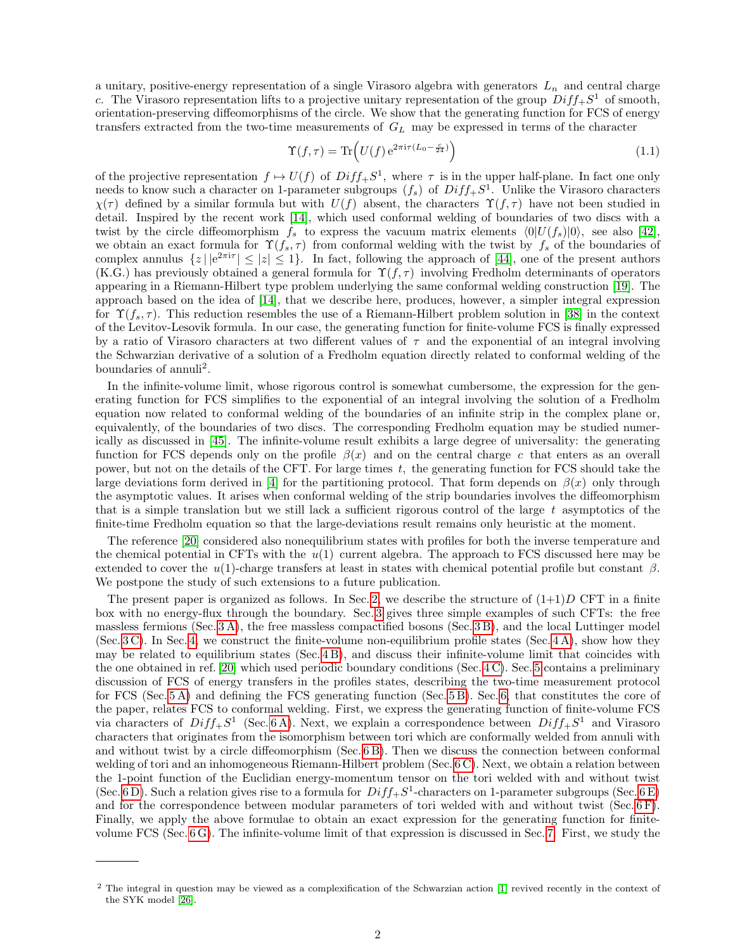a unitary, positive-energy representation of a single Virasoro algebra with generators  $L_n$  and central charge c. The Virasoro representation lifts to a projective unitary representation of the group  $Diff_{+}S^{1}$  of smooth, orientation-preserving diffeomorphisms of the circle. We show that the generating function for FCS of energy transfers extracted from the two-time measurements of  $G_L$  may be expressed in terms of the character

$$
\Upsilon(f,\tau) = \text{Tr}\left(U(f) e^{2\pi i \tau (L_0 - \frac{c}{24})}\right)
$$
\n(1.1)

of the projective representation  $f \mapsto U(f)$  of  $Diff_+S^1$ , where  $\tau$  is in the upper half-plane. In fact one only needs to know such a character on 1-parameter subgroups  $(f_s)$  of  $Diff_+S^1$ . Unlike the Virasoro characters  $\chi(\tau)$  defined by a similar formula but with  $U(f)$  absent, the characters  $\Upsilon(f, \tau)$  have not been studied in detail. Inspired by the recent work [\[14\]](#page-58-8), which used conformal welding of boundaries of two discs with a twist by the circle diffeomorphism  $f_s$  to express the vacuum matrix elements  $\langle 0|U(f_s)|0\rangle$ , see also [\[42\]](#page-59-2), we obtain an exact formula for  $\Upsilon(f_s, \tau)$  from conformal welding with the twist by  $f_s$  of the boundaries of complex annulus  $\{z \mid |e^{2\pi i \tau}| \leq |z| \leq 1\}$ . In fact, following the approach of [\[44\]](#page-59-3), one of the present authors (K.G.) has previously obtained a general formula for  $\Upsilon(f,\tau)$  involving Fredholm determinants of operators appearing in a Riemann-Hilbert type problem underlying the same conformal welding construction [\[19\]](#page-58-9). The approach based on the idea of [\[14\]](#page-58-8), that we describe here, produces, however, a simpler integral expression for  $\Upsilon(f_s, \tau)$ . This reduction resembles the use of a Riemann-Hilbert problem solution in [\[38\]](#page-59-1) in the context of the Levitov-Lesovik formula. In our case, the generating function for finite-volume FCS is finally expressed by a ratio of Virasoro characters at two different values of  $\tau$  and the exponential of an integral involving the Schwarzian derivative of a solution of a Fredholm equation directly related to conformal welding of the boundaries of annuli<sup>2</sup>.

In the infinite-volume limit, whose rigorous control is somewhat cumbersome, the expression for the generating function for FCS simplifies to the exponential of an integral involving the solution of a Fredholm equation now related to conformal welding of the boundaries of an infinite strip in the complex plane or, equivalently, of the boundaries of two discs. The corresponding Fredholm equation may be studied numerically as discussed in [\[45\]](#page-59-4). The infinite-volume result exhibits a large degree of universality: the generating function for FCS depends only on the profile  $\beta(x)$  and on the central charge c that enters as an overall power, but not on the details of the CFT. For large times  $t$ , the generating function for FCS should take the large deviations form derived in [\[4\]](#page-58-10) for the partitioning protocol. That form depends on  $\beta(x)$  only through the asymptotic values. It arises when conformal welding of the strip boundaries involves the diffeomorphism that is a simple translation but we still lack a sufficient rigorous control of the large  $t$  asymptotics of the finite-time Fredholm equation so that the large-deviations result remains only heuristic at the moment.

The reference [\[20\]](#page-58-4) considered also nonequilibrium states with profiles for both the inverse temperature and the chemical potential in CFTs with the  $u(1)$  current algebra. The approach to FCS discussed here may be extended to cover the  $u(1)$ -charge transfers at least in states with chemical potential profile but constant  $\beta$ . We postpone the study of such extensions to a future publication.

The present paper is organized as follows. In Sec. [2,](#page-2-0) we describe the structure of  $(1+1)D$  CFT in a finite box with no energy-flux through the boundary. Sec. [3](#page-4-0) gives three simple examples of such CFTs: the free massless fermions (Sec. [3 A\)](#page-4-1), the free massless compactified bosons (Sec. [3 B\)](#page-5-0), and the local Luttinger model (Sec. [3 C\)](#page-6-0). In Sec. [4,](#page-6-1) we construct the finite-volume non-equilibrium profile states (Sec. [4 A\)](#page-7-0), show how they may be related to equilibrium states (Sec. [4 B\)](#page-7-1), and discuss their infinite-volume limit that coincides with the one obtained in ref. [\[20\]](#page-58-4) which used periodic boundary conditions (Sec. [4 C\)](#page-9-0). Sec. [5](#page-11-0) contains a preliminary discussion of FCS of energy transfers in the profiles states, describing the two-time measurement protocol for FCS (Sec. [5 A\)](#page-11-1) and defining the FCS generating function (Sec. [5 B\)](#page-12-0). Sec. [6,](#page-13-0) that constitutes the core of the paper, relates FCS to conformal welding. First, we express the generating function of finite-volume FCS via characters of  $Diff_+S^1$  (Sec. 6A). Next, we explain a correspondence between  $Diff_+S^1$  and Virasoro characters that originates from the isomorphism between tori which are conformally welded from annuli with and without twist by a circle diffeomorphism (Sec. [6 B\)](#page-14-0). Then we discuss the connection between conformal welding of tori and an inhomogeneous Riemann-Hilbert problem (Sec. [6 C\)](#page-15-0). Next, we obtain a relation between the 1-point function of the Euclidian energy-momentum tensor on the tori welded with and without twist (Sec. 6D). Such a relation gives rise to a formula for  $Diff_+S^1$ -characters on 1-parameter subgroups (Sec. 6E) and for the correspondence between modular parameters of tori welded with and without twist (Sec. [6 F\)](#page-21-0). Finally, we apply the above formulae to obtain an exact expression for the generating function for finitevolume FCS (Sec. [6 G\)](#page-22-0). The infinite-volume limit of that expression is discussed in Sec. [7.](#page-23-0) First, we study the

<sup>&</sup>lt;sup>2</sup> The integral in question may be viewed as a complexification of the Schwarzian action [\[1\]](#page-58-11) revived recently in the context of the SYK model [\[26\]](#page-58-12).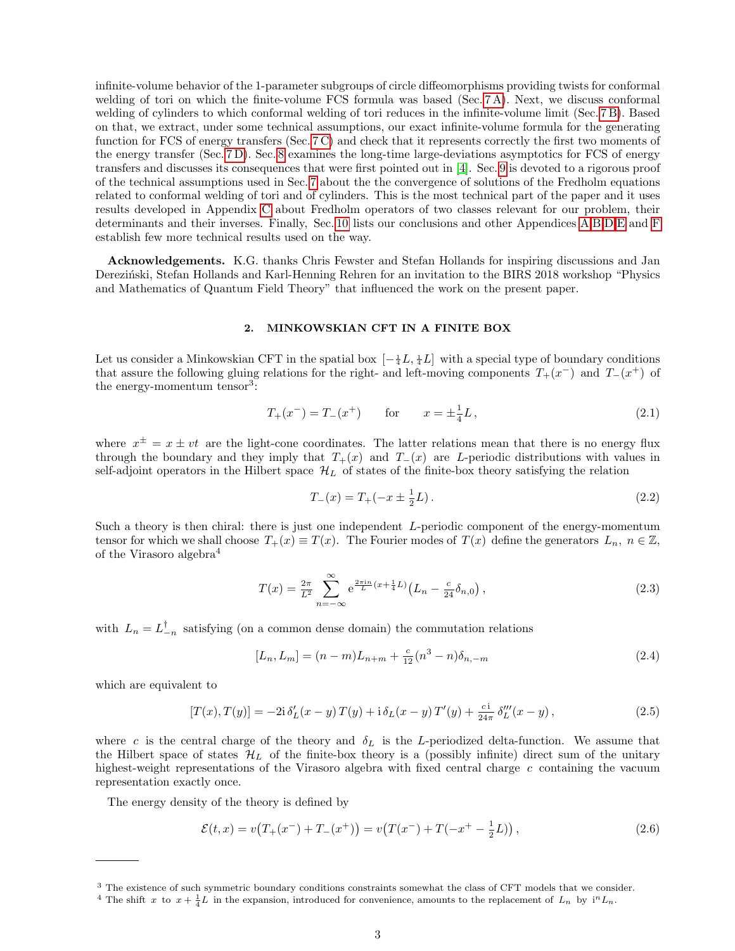infinite-volume behavior of the 1-parameter subgroups of circle diffeomorphisms providing twists for conformal welding of tori on which the finite-volume FCS formula was based (Sec. [7 A\)](#page-23-1). Next, we discuss conformal welding of cylinders to which conformal welding of tori reduces in the infinite-volume limit (Sec. [7 B\)](#page-26-0). Based on that, we extract, under some technical assumptions, our exact infinite-volume formula for the generating function for FCS of energy transfers (Sec. [7 C\)](#page-28-0) and check that it represents correctly the first two moments of the energy transfer (Sec. [7 D\)](#page-29-0). Sec. [8](#page-31-0) examines the long-time large-deviations asymptotics for FCS of energy transfers and discusses its consequences that were first pointed out in [\[4\]](#page-58-10). Sec. [9](#page-32-0) is devoted to a rigorous proof of the technical assumptions used in Sec. [7](#page-23-0) about the the convergence of solutions of the Fredholm equations related to conformal welding of tori and of cylinders. This is the most technical part of the paper and it uses results developed in Appendix [C](#page-45-0) about Fredholm operators of two classes relevant for our problem, their determinants and their inverses. Finally, Sec. [10](#page-44-0) lists our conclusions and other Appendices [A,](#page-44-1)[B,](#page-45-1)[D,](#page-52-0)[E](#page-54-0) and [F](#page-57-0) establish few more technical results used on the way.

Acknowledgements. K.G. thanks Chris Fewster and Stefan Hollands for inspiring discussions and Jan Derezinski, Stefan Hollands and Karl-Henning Rehren for an invitation to the BIRS 2018 workshop "Physics" and Mathematics of Quantum Field Theory" that influenced the work on the present paper.

## <span id="page-2-0"></span>2. MINKOWSKIAN CFT IN A FINITE BOX

Let us consider a Minkowskian CFT in the spatial box  $[-\frac{1}{4}L, \frac{1}{4}L]$  with a special type of boundary conditions that assure the following gluing relations for the right- and left-moving components  $T_{+}(x^{-})$  and  $T_{-}(x^{+})$  of the energy-momentum tensor<sup>3</sup>:

<span id="page-2-4"></span>
$$
T_{+}(x^{-}) = T_{-}(x^{+}) \qquad \text{for} \qquad x = \pm \frac{1}{4}L, \tag{2.1}
$$

where  $x^{\pm} = x \pm vt$  are the light-cone coordinates. The latter relations mean that there is no energy flux through the boundary and they imply that  $T_+(x)$  and  $T_-(x)$  are L-periodic distributions with values in self-adjoint operators in the Hilbert space  $\mathcal{H}_L$  of states of the finite-box theory satisfying the relation

<span id="page-2-3"></span>
$$
T_{-}(x) = T_{+}(-x \pm \frac{1}{2}L). \tag{2.2}
$$

Such a theory is then chiral: there is just one independent L-periodic component of the energy-momentum tensor for which we shall choose  $T_+(x) \equiv T(x)$ . The Fourier modes of  $T(x)$  define the generators  $L_n$ ,  $n \in \mathbb{Z}$ , of the Virasoro algebra<sup>4</sup>

<span id="page-2-6"></span>
$$
T(x) = \frac{2\pi}{L^2} \sum_{n = -\infty}^{\infty} e^{\frac{2\pi i n}{L} (x + \frac{1}{4}L)} \left( L_n - \frac{c}{24} \delta_{n,0} \right),
$$
 (2.3)

with  $L_n = L_{-n}^{\dagger}$  satisfying (on a common dense domain) the commutation relations

<span id="page-2-1"></span>
$$
[L_n, L_m] = (n-m)L_{n+m} + \frac{c}{12}(n^3 - n)\delta_{n,-m}
$$
\n(2.4)

which are equivalent to

<span id="page-2-2"></span>
$$
[T(x), T(y)] = -2i \delta_L'(x - y) T(y) + i \delta_L(x - y) T'(y) + \frac{c i}{24\pi} \delta_L'''(x - y), \qquad (2.5)
$$

where c is the central charge of the theory and  $\delta_L$  is the L-periodized delta-function. We assume that the Hilbert space of states  $\mathcal{H}_L$  of the finite-box theory is a (possibly infinite) direct sum of the unitary highest-weight representations of the Virasoro algebra with fixed central charge  $c$  containing the vacuum representation exactly once.

The energy density of the theory is defined by

<span id="page-2-5"></span>
$$
\mathcal{E}(t,x) = v\big(T_+(x^-) + T_-(x^+)\big) = v\big(T(x^-) + T(-x^+ - \frac{1}{2}L)\big)\,,\tag{2.6}
$$

<sup>&</sup>lt;sup>3</sup> The existence of such symmetric boundary conditions constraints somewhat the class of CFT models that we consider.

<sup>&</sup>lt;sup>4</sup> The shift x to  $x + \frac{1}{4}L$  in the expansion, introduced for convenience, amounts to the replacement of  $L_n$  by  $i^n L_n$ .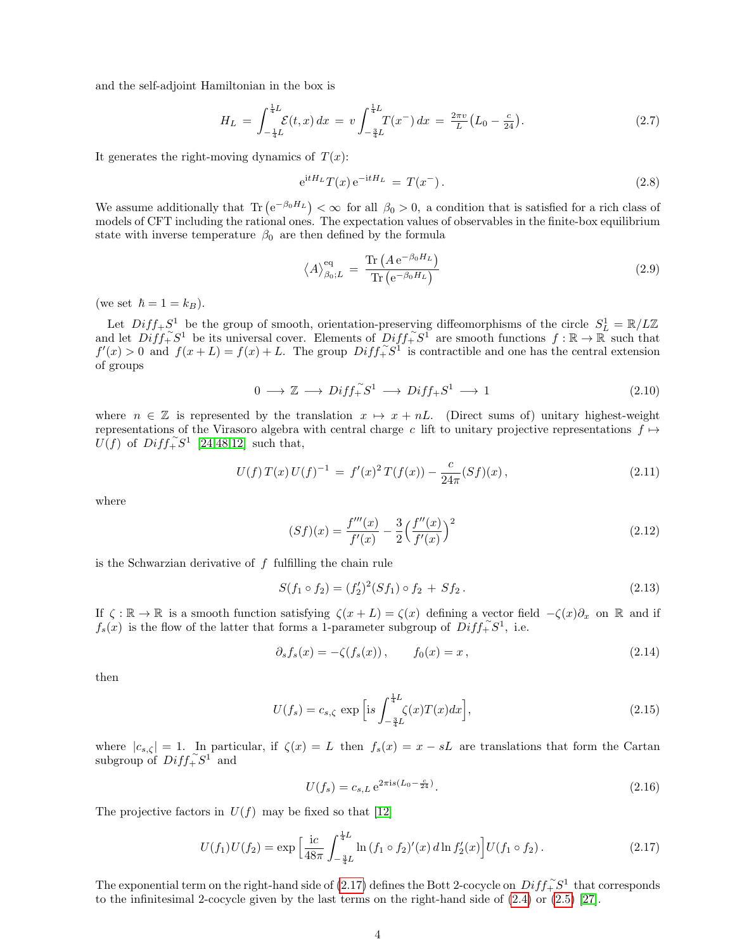and the self-adjoint Hamiltonian in the box is

<span id="page-3-3"></span>
$$
H_L = \int_{-\frac{1}{4}L}^{\frac{1}{4}L} \mathcal{E}(t, x) dx = v \int_{-\frac{3}{4}L}^{\frac{1}{4}L} T(x^-) dx = \frac{2\pi v}{L} (L_0 - \frac{c}{24}). \tag{2.7}
$$

It generates the right-moving dynamics of  $T(x)$ :

<span id="page-3-2"></span>
$$
e^{itH_L}T(x)e^{-itH_L} = T(x^-).
$$
\n(2.8)

We assume additionally that  $\text{Tr} \left( e^{-\beta_0 H_L} \right) < \infty$  for all  $\beta_0 > 0$ , a condition that is satisfied for a rich class of models of CFT including the rational ones. The expectation values of observables in the finite-box equilibrium state with inverse temperature  $\beta_0$  are then defined by the formula

$$
\langle A \rangle_{\beta_0;L}^{\text{eq}} = \frac{\text{Tr}\left(A e^{-\beta_0 H_L}\right)}{\text{Tr}\left(e^{-\beta_0 H_L}\right)}\tag{2.9}
$$

(we set  $\hbar = 1 = k_B$ ).

Let  $Diff_+S^1$  be the group of smooth, orientation-preserving diffeomorphisms of the circle  $S^1_L = \mathbb{R}/L\mathbb{Z}$ and let  $Diff^{\sim}_+S^1$  be its universal cover. Elements of  $Diff^{\sim}_+S^1$  are smooth functions  $f : \mathbb{R} \to \mathbb{R}$  such that  $f'(x) > 0$  and  $f(x+L) = f(x) + L$ . The group  $Diff_{+}^{\sim} S^{1}$  is contractible and one has the central extension of groups

$$
0 \longrightarrow \mathbb{Z} \longrightarrow Diff_{+}^{\sim} S^{1} \longrightarrow Diff_{+}S^{1} \longrightarrow 1
$$
\n
$$
(2.10)
$$

where  $n \in \mathbb{Z}$  is represented by the translation  $x \mapsto x + nL$ . (Direct sums of) unitary highest-weight representations of the Virasoro algebra with central charge c lift to unitary projective representations  $f \mapsto$  $\overline{U}(f)$  of  $\overline{Diff_+^\sim}S^1$  [\[24](#page-58-13)[,48,](#page-59-5)[12\]](#page-58-14) such that,

<span id="page-3-1"></span>
$$
U(f) T(x) U(f)^{-1} = f'(x)^2 T(f(x)) - \frac{c}{24\pi} (Sf)(x), \qquad (2.11)
$$

where

<span id="page-3-6"></span>
$$
(Sf)(x) = \frac{f'''(x)}{f'(x)} - \frac{3}{2} \left( \frac{f''(x)}{f'(x)} \right)^2
$$
\n(2.12)

is the Schwarzian derivative of  $f$  fulfilling the chain rule

<span id="page-3-7"></span>
$$
S(f_1 \circ f_2) = (f'_2)^2 (Sf_1) \circ f_2 + Sf_2.
$$
\n(2.13)

If  $\zeta : \mathbb{R} \to \mathbb{R}$  is a smooth function satisfying  $\zeta(x+L) = \zeta(x)$  defining a vector field  $-\zeta(x)\partial_x$  on  $\mathbb{R}$  and if  $f_s(x)$  is the flow of the latter that forms a 1-parameter subgroup of  $Diff_{+}^{s}S^1$ , i.e.

$$
\partial_s f_s(x) = -\zeta(f_s(x)), \qquad f_0(x) = x, \tag{2.14}
$$

then

<span id="page-3-4"></span>
$$
U(f_s) = c_{s,\zeta} \exp\left[ \mathrm{i} s \int_{-\frac{3}{4}L}^{\frac{1}{4}L} \zeta(x) T(x) dx \right],\tag{2.15}
$$

where  $|c_{s,\zeta}| = 1$ . In particular, if  $\zeta(x) = L$  then  $f_s(x) = x - sL$  are translations that form the Cartan subgroup of  $Diff_{+}^{\sim}S^{1}$  and

<span id="page-3-5"></span>
$$
U(f_s) = c_{s,L} e^{2\pi i s (L_0 - \frac{c}{24})}.
$$
\n(2.16)

The projective factors in  $U(f)$  may be fixed so that [\[12\]](#page-58-14)

<span id="page-3-0"></span>
$$
U(f_1)U(f_2) = \exp\left[\frac{\mathrm{i}c}{48\pi} \int_{-\frac{3}{4}L}^{\frac{1}{4}L} \ln\left(f_1 \circ f_2\right)'(x) \, d\ln f_2'(x)\right] U(f_1 \circ f_2). \tag{2.17}
$$

The exponential term on the right-hand side of [\(2.17\)](#page-3-0) defines the Bott 2-cocycle on  $Diff_{+}^{\sim}S^1$  that corresponds to the infinitesimal 2-cocycle given by the last terms on the right-hand side of [\(2.4\)](#page-2-1) or [\(2.5\)](#page-2-2) [\[27\]](#page-58-15).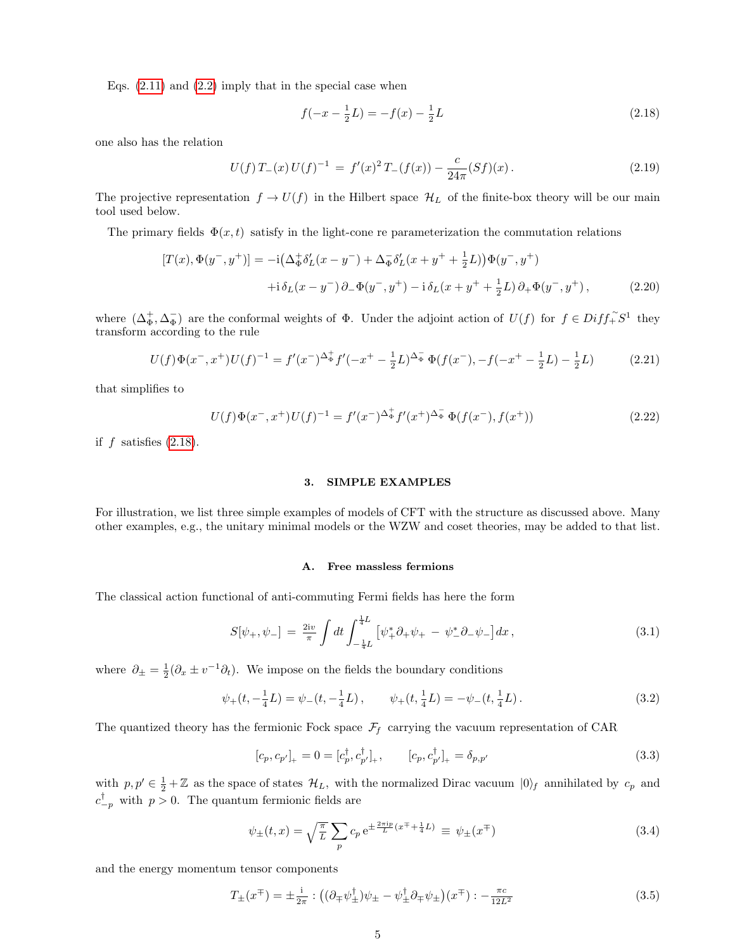Eqs.  $(2.11)$  and  $(2.2)$  imply that in the special case when

<span id="page-4-2"></span>
$$
f(-x - \frac{1}{2}L) = -f(x) - \frac{1}{2}L\tag{2.18}
$$

one also has the relation

<span id="page-4-5"></span>
$$
U(f) T_{-}(x) U(f)^{-1} = f'(x)^{2} T_{-}(f(x)) - \frac{c}{24\pi} (Sf)(x).
$$
 (2.19)

The projective representation  $f \to U(f)$  in the Hilbert space  $\mathcal{H}_L$  of the finite-box theory will be our main tool used below.

The primary fields  $\Phi(x, t)$  satisfy in the light-cone re parameterization the commutation relations

$$
[T(x), \Phi(y^-, y^+)] = -i(\Delta_{\Phi}^+ \delta_L'(x - y^-) + \Delta_{\Phi}^- \delta_L'(x + y^+ + \frac{1}{2}L))\Phi(y^-, y^+)
$$
  
 
$$
+i\delta_L(x - y^-) \partial_- \Phi(y^-, y^+) - i\delta_L(x + y^+ + \frac{1}{2}L) \partial_+ \Phi(y^-, y^+), \qquad (2.20)
$$

where  $(\Delta_{\Phi}^+, \Delta_{\Phi}^-)$  are the conformal weights of  $\Phi$ . Under the adjoint action of  $U(f)$  for  $f \in Diff^{\sim}_+S^1$  they transform according to the rule

$$
U(f)\Phi(x^-,x^+)U(f)^{-1} = f'(x^-)^{\Delta_{\Phi}^+}f'(-x^+-\frac{1}{2}L)^{\Delta_{\Phi}^-}\Phi(f(x^-),-f(-x^+-\frac{1}{2}L)-\frac{1}{2}L)
$$
 (2.21)

that simplifies to

<span id="page-4-6"></span>
$$
U(f)\Phi(x^-,x^+)U(f)^{-1} = f'(x^-)^{\Delta_{\Phi}^+}f'(x^+)^{\Delta_{\Phi}^-}\Phi(f(x^-),f(x^+))\tag{2.22}
$$

if  $f$  satisfies  $(2.18)$ .

## <span id="page-4-0"></span>3. SIMPLE EXAMPLES

For illustration, we list three simple examples of models of CFT with the structure as discussed above. Many other examples, e.g., the unitary minimal models or the WZW and coset theories, may be added to that list.

#### <span id="page-4-1"></span>A. Free massless fermions

The classical action functional of anti-commuting Fermi fields has here the form

$$
S[\psi_+,\psi_-] = \frac{2i\upsilon}{\pi} \int dt \int_{-\frac{1}{4}L}^{\frac{1}{4}L} \left[ \psi_+^* \partial_+ \psi_+ - \psi_-^* \partial_- \psi_- \right] dx \,, \tag{3.1}
$$

where  $\partial_{\pm} = \frac{1}{2}(\partial_x \pm v^{-1}\partial_t)$ . We impose on the fields the boundary conditions

$$
\psi_{+}(t, -\frac{1}{4}L) = \psi_{-}(t, -\frac{1}{4}L), \qquad \psi_{+}(t, \frac{1}{4}L) = -\psi_{-}(t, \frac{1}{4}L). \tag{3.2}
$$

The quantized theory has the fermionic Fock space  $\mathcal{F}_f$  carrying the vacuum representation of CAR

$$
[c_p, c_{p'}]_+ = 0 = [c_p^{\dagger}, c_{p'}^{\dagger}]_+, \qquad [c_p, c_{p'}^{\dagger}]_+ = \delta_{p, p'}
$$
\n(3.3)

with  $p, p' \in \frac{1}{2} + \mathbb{Z}$  as the space of states  $\mathcal{H}_L$ , with the normalized Dirac vacuum  $|0\rangle_f$  annihilated by  $c_p$  and  $c_{-p}^{\dagger}$  with  $p > 0$ . The quantum fermionic fields are

<span id="page-4-4"></span>
$$
\psi_{\pm}(t,x) = \sqrt{\frac{\pi}{L}} \sum_{p} c_p e^{\pm \frac{2\pi i p}{L} (x^{\mp} + \frac{1}{4}L)} \equiv \psi_{\pm}(x^{\mp})
$$
\n(3.4)

and the energy momentum tensor components

<span id="page-4-3"></span>
$$
T_{\pm}(x^{\mp}) = \pm \frac{\mathrm{i}}{2\pi} : ((\partial_{\mp}\psi_{\pm}^{\dagger})\psi_{\pm} - \psi_{\pm}^{\dagger}\partial_{\mp}\psi_{\pm})(x^{\mp}) : -\frac{\pi c}{12L^2}
$$
(3.5)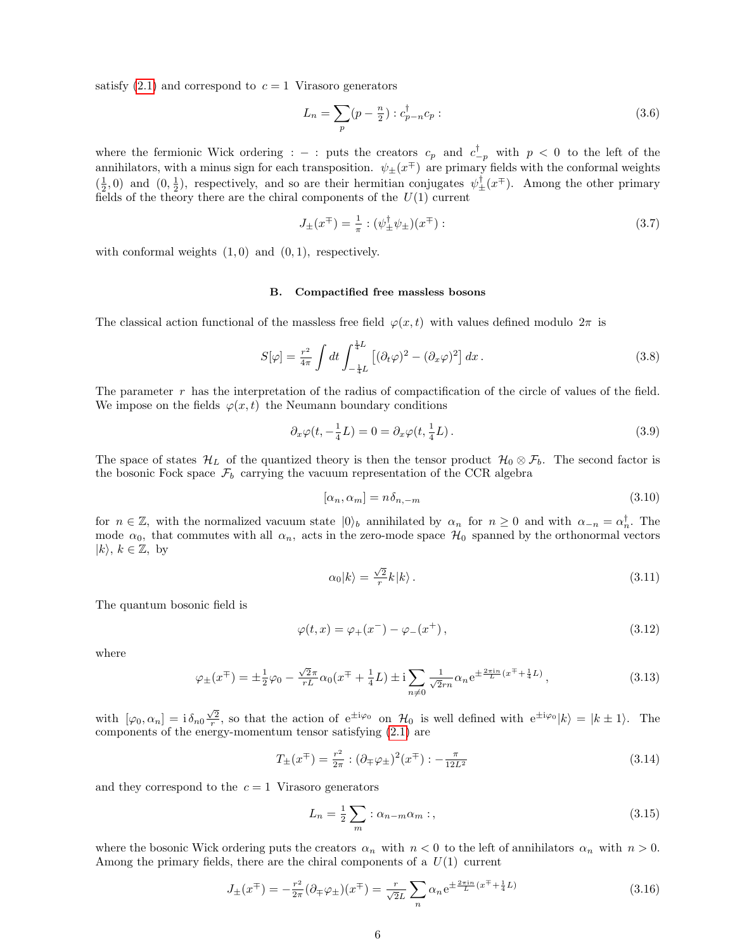satisfy  $(2.1)$  and correspond to  $c = 1$  Virasoro generators

$$
L_n = \sum_p (p - \frac{n}{2}) : c_{p-n}^{\dagger} c_p : \tag{3.6}
$$

where the fermionic Wick ordering :  $-$  : puts the creators  $c_p$  and  $c_{-p}^{\dagger}$  with  $p < 0$  to the left of the annihilators, with a minus sign for each transposition.  $\psi_{\pm}(x^{\mp})$  are primary fields with the conformal weights  $(\frac{1}{2},0)$  and  $(0,\frac{1}{2})$ , respectively, and so are their hermitian conjugates  $\psi_{\pm}^{\dagger}(x^{\mp})$ . Among the other primary fields of the theory there are the chiral components of the  $U(1)$  current

<span id="page-5-1"></span>
$$
J_{\pm}(x^{\mp}) = \frac{1}{\pi} : (\psi_{\pm}^{\dagger} \psi_{\pm})(x^{\mp}) : \tag{3.7}
$$

with conformal weights  $(1, 0)$  and  $(0, 1)$ , respectively.

#### <span id="page-5-0"></span>B. Compactified free massless bosons

The classical action functional of the massless free field  $\varphi(x, t)$  with values defined modulo  $2\pi$  is

$$
S[\varphi] = \frac{r^2}{4\pi} \int dt \int_{-\frac{1}{4}L}^{\frac{1}{4}L} \left[ (\partial_t \varphi)^2 - (\partial_x \varphi)^2 \right] dx.
$$
 (3.8)

The parameter r has the interpretation of the radius of compactification of the circle of values of the field. We impose on the fields  $\varphi(x, t)$  the Neumann boundary conditions

<span id="page-5-5"></span>
$$
\partial_x \varphi(t, -\frac{1}{4}L) = 0 = \partial_x \varphi(t, \frac{1}{4}L). \tag{3.9}
$$

The space of states  $\mathcal{H}_L$  of the quantized theory is then the tensor product  $\mathcal{H}_0 \otimes \mathcal{F}_b$ . The second factor is the bosonic Fock space  $\mathcal{F}_b$  carrying the vacuum representation of the CCR algebra

<span id="page-5-4"></span>
$$
[\alpha_n, \alpha_m] = n \delta_{n,-m} \tag{3.10}
$$

for  $n \in \mathbb{Z}$ , with the normalized vacuum state  $|0\rangle_b$  annihilated by  $\alpha_n$  for  $n \geq 0$  and with  $\alpha_{-n} = \alpha_n^{\dagger}$ . The mode  $\alpha_0$ , that commutes with all  $\alpha_n$ , acts in the zero-mode space  $\mathcal{H}_0$  spanned by the orthonormal vectors  $|k\rangle, k \in \mathbb{Z}$ , by

$$
\alpha_0|k\rangle = \frac{\sqrt{2}}{r}k|k\rangle.
$$
\n(3.11)

The quantum bosonic field is

$$
\varphi(t, x) = \varphi_{+}(x^{-}) - \varphi_{-}(x^{+}), \qquad (3.12)
$$

where

$$
\varphi_{\pm}(x^{\mp}) = \pm \frac{1}{2}\varphi_0 - \frac{\sqrt{2}\pi}{rL}\alpha_0(x^{\mp} + \frac{1}{4}L) \pm i \sum_{n \neq 0} \frac{1}{\sqrt{2}rn}\alpha_n e^{\pm \frac{2\pi i n}{L}(x^{\mp} + \frac{1}{4}L)}, \qquad (3.13)
$$

with  $[\varphi_0, \alpha_n] = i \delta_{n0} \frac{\sqrt{2}}{r}$ , so that the action of  $e^{\pm i\varphi_0}$  on  $\mathcal{H}_0$  is well defined with  $e^{\pm i\varphi_0} |k\rangle = |k \pm 1\rangle$ . The components of the energy-momentum tensor satisfying [\(2.1\)](#page-2-4) are

<span id="page-5-3"></span>
$$
T_{\pm}(x^{\mp}) = \frac{r^2}{2\pi} : (\partial_{\mp}\varphi_{\pm})^2(x^{\mp}) : -\frac{\pi}{12L^2}
$$
\n(3.14)

and they correspond to the  $c = 1$  Virasoro generators

$$
L_n = \frac{1}{2} \sum_m : \alpha_{n-m} \alpha_m : , \qquad (3.15)
$$

where the bosonic Wick ordering puts the creators  $\alpha_n$  with  $n < 0$  to the left of annihilators  $\alpha_n$  with  $n > 0$ . Among the primary fields, there are the chiral components of a  $U(1)$  current

<span id="page-5-2"></span>
$$
J_{\pm}(x^{\mp}) = -\frac{r^2}{2\pi}(\partial_{\mp}\varphi_{\pm})(x^{\mp}) = \frac{r}{\sqrt{2}L} \sum_{n} \alpha_n e^{\pm \frac{2\pi i n}{L}(x^{\mp} + \frac{1}{4}L)}
$$
(3.16)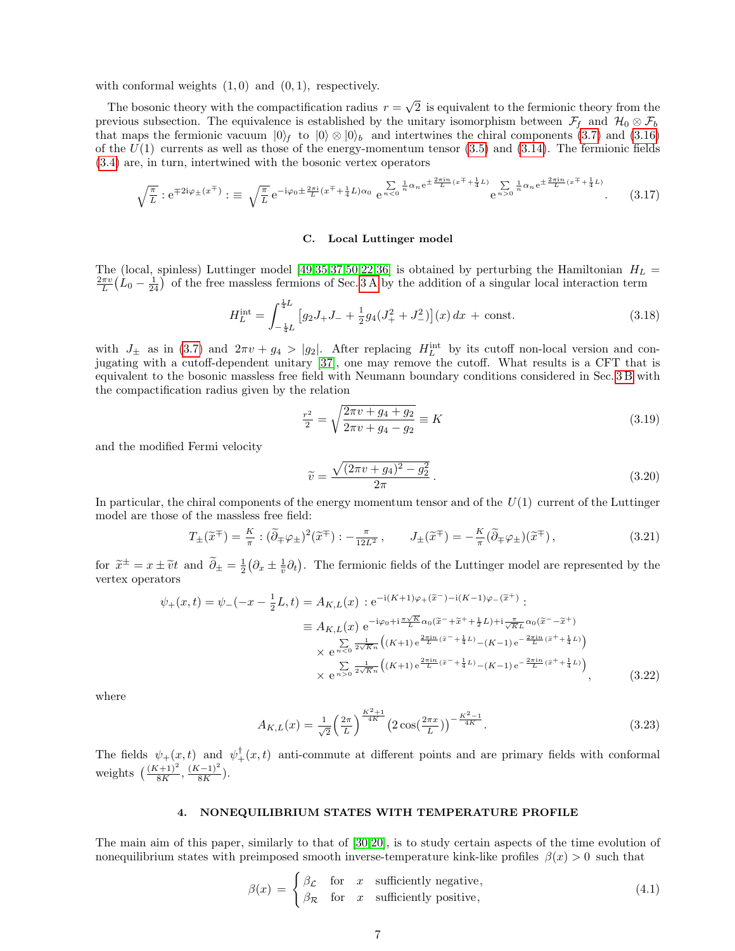with conformal weights  $(1, 0)$  and  $(0, 1)$ , respectively.

The bosonic theory with the compactification radius  $r =$ √ 2 is equivalent to the fermionic theory from the previous subsection. The equivalence is established by the unitary isomorphism between  $\mathcal{F}_f$  and  $\mathcal{H}_0 \otimes \mathcal{F}_b$ that maps the fermionic vacuum  $|0\rangle_f$  to  $|0\rangle \otimes |0\rangle_b$  and intertwines the chiral components [\(3.7\)](#page-5-1) and [\(3.16\)](#page-5-2) of the  $U(1)$  currents as well as those of the energy-momentum tensor [\(3.5\)](#page-4-3) and [\(3.14\)](#page-5-3). The fermionic fields [\(3.4\)](#page-4-4) are, in turn, intertwined with the bosonic vertex operators

$$
\sqrt{\frac{\pi}{L}} : e^{\mp 2i\varphi_{\pm}(x^{\mp})} : \equiv \sqrt{\frac{\pi}{L}} e^{-i\varphi_0 \pm \frac{2\pi i}{L}(x^{\mp} + \frac{1}{4}L)\alpha_0} e^{\frac{\sum_{n \leq 0} \frac{1}{n} \alpha_n e^{\pm \frac{2\pi i n}{L}(x^{\mp} + \frac{1}{4}L)}}{e^{n \geq 0}} e^{\frac{1}{n} \alpha_n e^{\pm \frac{2\pi i n}{L}(x^{\mp} + \frac{1}{4}L)}}.
$$
(3.17)

## <span id="page-6-0"></span>C. Local Luttinger model

The (local, spinless) Luttinger model [\[49,](#page-59-6)[35,](#page-58-3)[37](#page-59-0)[,50,](#page-59-7)[22,](#page-58-16)[36\]](#page-58-17) is obtained by perturbing the Hamiltonian  $H_L$  =  $\frac{2\pi v}{L}(L_0 - \frac{1}{24})$  of the free massless fermions of Sec. [3 A](#page-4-1) by the addition of a singular local interaction term

$$
H_L^{\text{int}} = \int_{-\frac{1}{4}L}^{\frac{1}{4}L} \left[ g_2 J_+ J_- + \frac{1}{2} g_4 (J_+^2 + J_-^2) \right] (x) \, dx \, + \text{ const.} \tag{3.18}
$$

with  $J_{\pm}$  as in [\(3.7\)](#page-5-1) and  $2\pi v + g_4 > |g_2|$ . After replacing  $H_L^{\text{int}}$  by its cutoff non-local version and conjugating with a cutoff-dependent unitary [\[37\]](#page-59-0), one may remove the cutoff. What results is a CFT that is equivalent to the bosonic massless free field with Neumann boundary conditions considered in Sec. [3 B](#page-5-0) with the compactification radius given by the relation

$$
\frac{r^2}{2} = \sqrt{\frac{2\pi v + g_4 + g_2}{2\pi v + g_4 - g_2}} \equiv K \tag{3.19}
$$

and the modified Fermi velocity

$$
\widetilde{v} = \frac{\sqrt{(2\pi v + g_4)^2 - g_2^2}}{2\pi} \,. \tag{3.20}
$$

In particular, the chiral components of the energy momentum tensor and of the  $U(1)$  current of the Luttinger model are those of the massless free field:

$$
T_{\pm}(\widetilde{x}^{\mp}) = \frac{K}{\pi} : (\widetilde{\partial}_{\mp}\varphi_{\pm})^2(\widetilde{x}^{\mp}) : -\frac{\pi}{12L^2}, \qquad J_{\pm}(\widetilde{x}^{\mp}) = -\frac{K}{\pi}(\widetilde{\partial}_{\mp}\varphi_{\pm})(\widetilde{x}^{\mp}), \tag{3.21}
$$

for  $\tilde{x}^{\pm} = x \pm \tilde{v}t$  and  $\tilde{\partial}_{\pm} = \frac{1}{2} (\partial_x \pm \frac{1}{\tilde{v}} \partial_t)$ . The fermionic fields of the Luttinger model are represented by the vertex operators vertex operators

$$
\psi_{+}(x,t) = \psi_{-}(-x - \frac{1}{2}L,t) = A_{K,L}(x) : e^{-i(K+1)\varphi_{+}(\tilde{x}^{-}) - i(K-1)\varphi_{-}(\tilde{x}^{+})} : \n\equiv A_{K,L}(x) e^{-i\varphi_{0} + i\frac{\pi\sqrt{K}}{L}\alpha_{0}(\tilde{x}^{-} + \tilde{x}^{+} + \frac{1}{2}L) + i\frac{\pi}{\sqrt{K}L}\alpha_{0}(\tilde{x}^{-} - \tilde{x}^{+})} \n\times e^{\frac{\sum_{n=0}^{\infty} \frac{1}{2\sqrt{K}n} \left( (K+1) e^{\frac{2\pi in}{L}(\tilde{x}^{-} + \frac{1}{4}L)} - (K-1) e^{-\frac{2\pi in}{L}(\tilde{x}^{+} + \frac{1}{4}L)} \right)} \n\times e^{\frac{\sum_{n=0}^{\infty} \frac{1}{2\sqrt{K}n} \left( (K+1) e^{\frac{2\pi in}{L}(\tilde{x}^{-} + \frac{1}{4}L)} - (K-1) e^{-\frac{2\pi in}{L}(\tilde{x}^{+} + \frac{1}{4}L)} \right)},
$$
\n(3.22)

where

$$
A_{K,L}(x) = \frac{1}{\sqrt{2}} \left(\frac{2\pi}{L}\right)^{\frac{K^2+1}{4K}} \left(2\cos(\frac{2\pi x}{L})\right)^{-\frac{K^2-1}{4K}}.\tag{3.23}
$$

The fields  $\psi_+(x,t)$  and  $\psi_+^{\dagger}(x,t)$  anti-commute at different points and are primary fields with conformal weights  $\left(\frac{(K+1)^2}{8K}, \frac{(K-1)^2}{8K}\right)$  $\frac{(-1)}{8K}$ ).

## <span id="page-6-1"></span>4. NONEQUILIBRIUM STATES WITH TEMPERATURE PROFILE

The main aim of this paper, similarly to that of [\[30](#page-58-2)[,20\]](#page-58-4), is to study certain aspects of the time evolution of nonequilibrium states with preimposed smooth inverse-temperature kink-like profiles  $\beta(x) > 0$  such that

<span id="page-6-2"></span>
$$
\beta(x) = \begin{cases} \beta_{\mathcal{L}} & \text{for } x \text{ sufficiently negative,} \\ \beta_{\mathcal{R}} & \text{for } x \text{ sufficiently positive,} \end{cases}
$$
\n(4.1)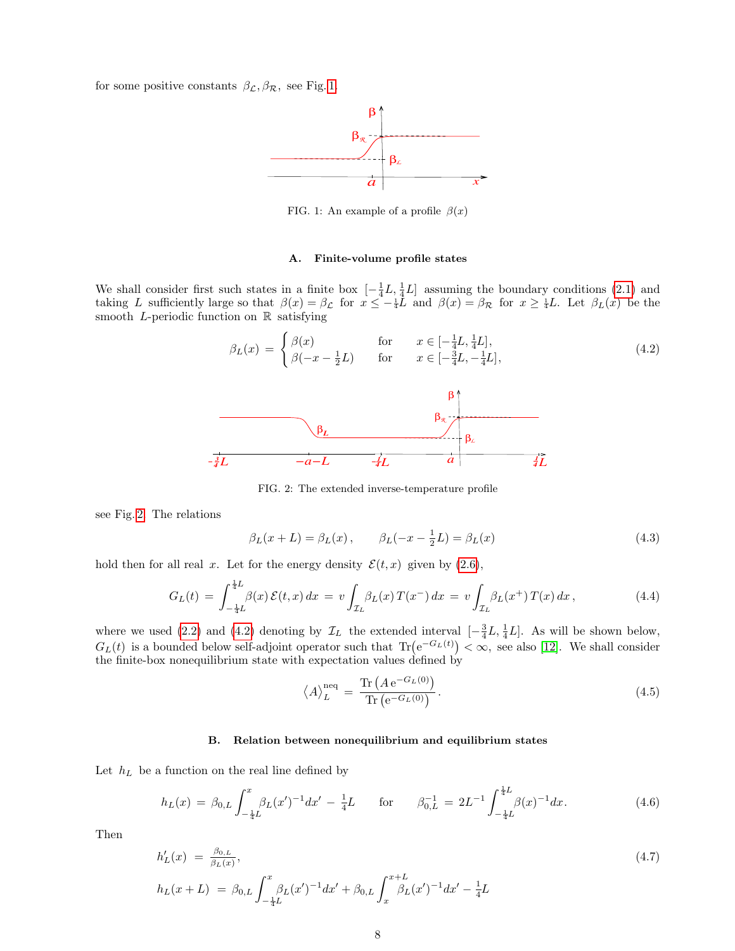for some positive constants  $\beta_{\mathcal{L}}, \beta_{\mathcal{R}}$ , see Fig. [1.](#page-7-2)



<span id="page-7-2"></span>FIG. 1: An example of a profile  $\beta(x)$ 

#### <span id="page-7-0"></span>A. Finite-volume profile states

We shall consider first such states in a finite box  $[-\frac{1}{4}L, \frac{1}{4}L]$  assuming the boundary conditions [\(2.1\)](#page-2-4) and taking L sufficiently large so that  $\beta(x) = \beta_{\mathcal{L}}$  for  $x \leq -\frac{1}{4}L$  and  $\beta(x) = \beta_{\mathcal{R}}$  for  $x \geq \frac{1}{4}L$ . Let  $\beta_{L}(x)$  be the smooth L-periodic function on  $\mathbb R$  satisfying

<span id="page-7-4"></span><sup>β</sup>L(x) = ( β(x) for x ∈ [− 1 4 L, <sup>1</sup> 4 L], β(−x − 1 2 L) for x ∈ [− 3 4 L, − 1 4 L], (4.2) *<sup>3</sup>L −a−L <sup>1</sup>L a <sup>1</sup>L* β β*L* β β *4 4 4 L R*

<span id="page-7-3"></span>FIG. 2: The extended inverse-temperature profile

see Fig. [2.](#page-7-3) The relations

<span id="page-7-7"></span>
$$
\beta_L(x+L) = \beta_L(x), \qquad \beta_L(-x - \frac{1}{2}L) = \beta_L(x)
$$
\n(4.3)

hold then for all real x. Let for the energy density  $\mathcal{E}(t,x)$  given by [\(2.6\)](#page-2-5),

<span id="page-7-5"></span>
$$
G_L(t) = \int_{-\frac{1}{4}L}^{\frac{1}{4}L} \beta(x) \, \mathcal{E}(t,x) \, dx = v \int_{\mathcal{I}_L} \beta_L(x) \, T(x^-) \, dx = v \int_{\mathcal{I}_L} \beta_L(x^+) \, T(x) \, dx \,, \tag{4.4}
$$

where we used [\(2.2\)](#page-2-3) and [\(4.2\)](#page-7-4) denoting by  $\mathcal{I}_L$  the extended interval  $\left[-\frac{3}{4}L, \frac{1}{4}L\right]$ . As will be shown below,  $G_L(t)$  is a bounded below self-adjoint operator such that  $\text{Tr}(\mathrm{e}^{-G_L(t)}) < \infty$ , see also [\[12\]](#page-58-14). We shall consider the finite-box nonequilibrium state with expectation values defined by

<span id="page-7-6"></span>
$$
\langle A \rangle_L^{\text{neq}} = \frac{\text{Tr}\left(A e^{-G_L(0)}\right)}{\text{Tr}\left(e^{-G_L(0)}\right)}.
$$
\n(4.5)

#### <span id="page-7-1"></span>B. Relation between nonequilibrium and equilibrium states

Let  $h_L$  be a function on the real line defined by

$$
h_L(x) = \beta_{0,L} \int_{-\frac{1}{4}L}^{x} \beta_L(x')^{-1} dx' - \frac{1}{4}L \quad \text{for} \quad \beta_{0,L}^{-1} = 2L^{-1} \int_{-\frac{1}{4}L}^{\frac{1}{4}L} \beta(x)^{-1} dx. \tag{4.6}
$$

Then

<span id="page-7-8"></span>
$$
h'_{L}(x) = \frac{\beta_{0,L}}{\beta_{L}(x)},
$$
  
\n
$$
h_{L}(x+L) = \beta_{0,L} \int_{-\frac{1}{4}L}^x \beta_{L}(x')^{-1} dx' + \beta_{0,L} \int_x^{x+L} \beta_{L}(x')^{-1} dx' - \frac{1}{4}L
$$
\n(4.7)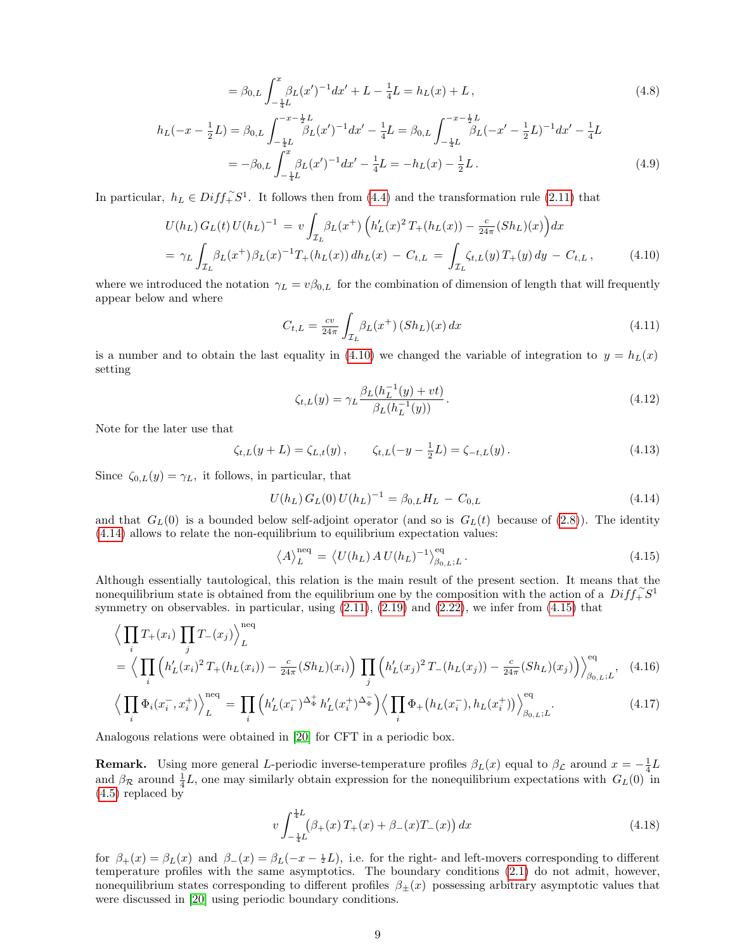$$
= \beta_{0,L} \int_{-\frac{1}{4}L}^x \beta_L(x')^{-1} dx' + L - \frac{1}{4}L = h_L(x) + L,
$$
\n(4.8)

$$
h_L(-x - \frac{1}{2}L) = \beta_{0,L} \int_{-\frac{1}{4}L}^{-x - \frac{1}{2}L} \beta_L(x')^{-1} dx' - \frac{1}{4}L = \beta_{0,L} \int_{-\frac{1}{4}L}^{-x - \frac{1}{2}L} \beta_L(-x' - \frac{1}{2}L)^{-1} dx' - \frac{1}{4}L
$$
  
=  $-\beta_{0,L} \int_{-\frac{1}{4}L}^x \beta_L(x')^{-1} dx' - \frac{1}{4}L = -h_L(x) - \frac{1}{2}L.$  (4.9)

In particular,  $h_L \in Diff_+^{\sim} S^1$ . It follows then from [\(4.4\)](#page-7-5) and the transformation rule [\(2.11\)](#page-3-1) that

<span id="page-8-0"></span>
$$
U(h_L) G_L(t) U(h_L)^{-1} = v \int_{\mathcal{I}_L} \beta_L(x^+) \left( h'_L(x)^2 T_+(h_L(x)) - \frac{c}{24\pi} (Sh_L)(x) \right) dx
$$
  
=  $\gamma_L \int_{\mathcal{I}_L} \beta_L(x^+) \beta_L(x)^{-1} T_+(h_L(x)) dh_L(x) - C_{t,L} = \int_{\mathcal{I}_L} \zeta_{t,L}(y) T_+(y) dy - C_{t,L},$  (4.10)

where we introduced the notation  $\gamma_L = v\beta_{0,L}$  for the combination of dimension of length that will frequently appear below and where

<span id="page-8-5"></span>
$$
C_{t,L} = \frac{cv}{24\pi} \int_{\mathcal{I}_L} \beta_L(x^+) \, (Sh_L)(x) \, dx \tag{4.11}
$$

is a number and to obtain the last equality in [\(4.10\)](#page-8-0) we changed the variable of integration to  $y = h<sub>L</sub>(x)$ setting

<span id="page-8-6"></span>
$$
\zeta_{t,L}(y) = \gamma_L \frac{\beta_L (h_L^{-1}(y) + vt)}{\beta_L (h_L^{-1}(y))}.
$$
\n(4.12)

Note for the later use that

<span id="page-8-4"></span>
$$
\zeta_{t,L}(y+L) = \zeta_{L,t}(y), \qquad \zeta_{t,L}(-y - \frac{1}{2}L) = \zeta_{-t,L}(y). \tag{4.13}
$$

Since  $\zeta_{0,L}(y) = \gamma_L$ , it follows, in particular, that

<span id="page-8-1"></span>
$$
U(h_L) G_L(0) U(h_L)^{-1} = \beta_{0,L} H_L - C_{0,L}
$$
\n(4.14)

and that  $G_L(0)$  is a bounded below self-adjoint operator (and so is  $G_L(t)$  because of [\(2.8\)](#page-3-2)). The identity [\(4.14\)](#page-8-1) allows to relate the non-equilibrium to equilibrium expectation values:

<span id="page-8-2"></span>
$$
\left\langle A \right\rangle_L^{\text{neq}} = \left\langle U(h_L) A U(h_L)^{-1} \right\rangle_{\beta_{0,L};L}^{\text{eq}}.
$$
\n(4.15)

Although essentially tautological, this relation is the main result of the present section. It means that the nonequilibrium state is obtained from the equilibrium one by the composition with the action of a  $Diff_{+}^{*}S^{1}$ symmetry on observables. in particular, using  $(2.11)$ ,  $(2.19)$  and  $(2.22)$ , we infer from  $(4.15)$  that

<span id="page-8-3"></span>
$$
\left\langle \prod_{i} T_{+}(x_{i}) \prod_{j} T_{-}(x_{j}) \right\rangle_{L}^{\text{neq}}
$$
\n
$$
= \left\langle \prod_{i} \left( h_{L}'(x_{i})^{2} T_{+}(h_{L}(x_{i})) - \frac{c}{24\pi} (Sh_{L})(x_{i}) \right) \prod_{j} \left( h_{L}'(x_{j})^{2} T_{-}(h_{L}(x_{j})) - \frac{c}{24\pi} (Sh_{L})(x_{j}) \right) \right\rangle_{\beta_{0,L};L}^{\text{eq}}, \quad (4.16)
$$
\n
$$
\left\langle \prod_{i} \Phi_{L}(x_{i}) + \lambda \prod_{i} \prod_{j} \left( h_{L}'(x_{i})^{2} \prod_{j} \Phi_{L}(x_{j})^{2} \prod_{j} \Phi_{L}(x_{j}) + \lambda \sum_{i} \lambda \prod_{j} \Phi_{L}(x_{i})^{2} \prod_{j} \Phi_{L}(x_{j})^{2} \right\rangle_{\text{eq}}^{\text{eq}}, \quad (4.17)
$$

$$
\left\langle \prod_{i} \Phi_{i}(x_{i}^{-}, x_{i}^{+}) \right\rangle_{L}^{\text{neq}} = \prod_{i} \left( h_{L}'(x_{i}^{-})^{\Delta_{\Phi}^{+}} h_{L}'(x_{i}^{+})^{\Delta_{\Phi}^{-}} \right) \left\langle \prod_{i} \Phi_{+}(h_{L}(x_{i}^{-}), h_{L}(x_{i}^{+})) \right\rangle_{\beta_{0, L}; L}^{\text{eq}}.
$$
\n(4.17)

Analogous relations were obtained in [\[20\]](#page-58-4) for CFT in a periodic box.

**Remark.** Using more general L-periodic inverse-temperature profiles  $\beta_L(x)$  equal to  $\beta_{\mathcal{L}}$  around  $x = -\frac{1}{4}L$ and  $\beta_{\mathcal{R}}$  around  $\frac{1}{4}L$ , one may similarly obtain expression for the nonequilibrium expectations with  $G_L(0)$  in [\(4.5\)](#page-7-6) replaced by

$$
v \int_{-\frac{1}{4}L}^{\frac{1}{4}L} (\beta_+(x) T_+(x) + \beta_-(x) T_-(x)) dx \tag{4.18}
$$

for  $\beta_+(x) = \beta_L(x)$  and  $\beta_-(x) = \beta_L(-x - \frac{1}{2}L)$ , i.e. for the right- and left-movers corresponding to different temperature profiles with the same asymptotics. The boundary conditions [\(2.1\)](#page-2-4) do not admit, however, nonequilibrium states corresponding to different profiles  $\beta_{+}(x)$  possessing arbitrary asymptotic values that were discussed in [\[20\]](#page-58-4) using periodic boundary conditions.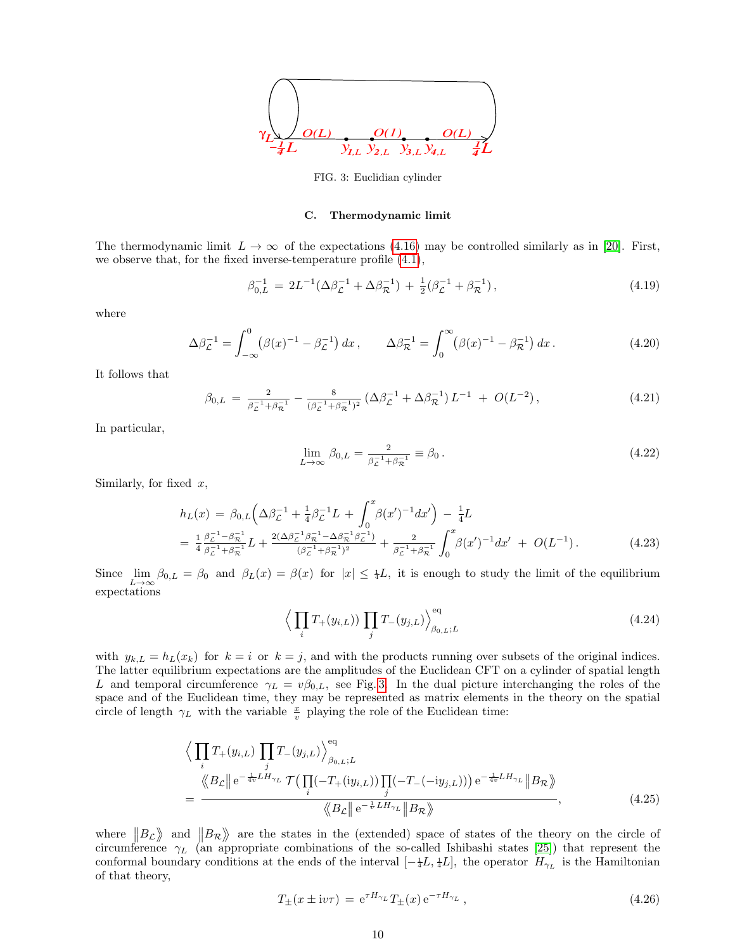

<span id="page-9-1"></span>FIG. 3: Euclidian cylinder

#### <span id="page-9-0"></span>C. Thermodynamic limit

The thermodynamic limit  $L \to \infty$  of the expectations [\(4.16\)](#page-8-3) may be controlled similarly as in [\[20\]](#page-58-4). First, we observe that, for the fixed inverse-temperature profile [\(4.1\)](#page-6-2),

$$
\beta_{0,L}^{-1} = 2L^{-1}(\Delta \beta_{\mathcal{L}}^{-1} + \Delta \beta_{\mathcal{R}}^{-1}) + \frac{1}{2}(\beta_{\mathcal{L}}^{-1} + \beta_{\mathcal{R}}^{-1}), \qquad (4.19)
$$

where

$$
\Delta \beta_{\mathcal{L}}^{-1} = \int_{-\infty}^{0} (\beta(x)^{-1} - \beta_{\mathcal{L}}^{-1}) dx, \qquad \Delta \beta_{\mathcal{R}}^{-1} = \int_{0}^{\infty} (\beta(x)^{-1} - \beta_{\mathcal{R}}^{-1}) dx.
$$
 (4.20)

It follows that

<span id="page-9-5"></span>
$$
\beta_{0,L} = \frac{2}{\beta_{\mathcal{L}}^{-1} + \beta_{\mathcal{R}}^{-1}} - \frac{8}{(\beta_{\mathcal{L}}^{-1} + \beta_{\mathcal{R}}^{-1})^2} \left( \Delta \beta_{\mathcal{L}}^{-1} + \Delta \beta_{\mathcal{R}}^{-1} \right) L^{-1} + O(L^{-2}), \tag{4.21}
$$

In particular,

<span id="page-9-3"></span>
$$
\lim_{L \to \infty} \beta_{0,L} = \frac{2}{\beta_{\mathcal{L}}^{-1} + \beta_{\mathcal{R}}^{-1}} \equiv \beta_0 \,. \tag{4.22}
$$

Similarly, for fixed  $x$ ,

<span id="page-9-4"></span>
$$
h_L(x) = \beta_{0,L} \left( \Delta \beta_L^{-1} + \frac{1}{4} \beta_L^{-1} L + \int_0^x \beta(x')^{-1} dx' \right) - \frac{1}{4} L
$$
  
= 
$$
\frac{1}{4} \frac{\beta_L^{-1} - \beta_R^{-1}}{\beta_L^{-1} + \beta_R^{-1}} L + \frac{2(\Delta \beta_L^{-1} \beta_R^{-1} - \Delta \beta_R^{-1} \beta_L^{-1})}{(\beta_L^{-1} + \beta_R^{-1})^2} + \frac{2}{\beta_L^{-1} + \beta_R^{-1}} \int_0^x \beta(x')^{-1} dx' + O(L^{-1}).
$$
 (4.23)

Since  $\lim_{L\to\infty} \beta_{0,L} = \beta_0$  and  $\beta_L(x) = \beta(x)$  for  $|x| \leq \frac{1}{4}L$ , it is enough to study the limit of the equilibrium expectations

$$
\left\langle \prod_{i} T_{+}(y_{i,L}) \right\rangle \prod_{j} T_{-}(y_{j,L}) \right\rangle_{\beta_{0,L};L}^{\text{eq}} \tag{4.24}
$$

with  $y_{k,L} = h_L(x_k)$  for  $k = i$  or  $k = j$ , and with the products running over subsets of the original indices. The latter equilibrium expectations are the amplitudes of the Euclidean CFT on a cylinder of spatial length L and temporal circumference  $\gamma_L = v\beta_{0,L}$ , see Fig. [3.](#page-9-1) In the dual picture interchanging the roles of the space and of the Euclidean time, they may be represented as matrix elements in the theory on the spatial circle of length  $\gamma_L$  with the variable  $\frac{x}{v}$  playing the role of the Euclidean time:

<span id="page-9-2"></span>
$$
\left\langle \prod_{i} T_{+}(y_{i,L}) \prod_{j} T_{-}(y_{j,L}) \right\rangle_{\beta_{0,L};L}^{\text{eq}} \n= \frac{\left\langle B_{\mathcal{L}} \right| e^{-\frac{1}{4v} L H_{\gamma_L}} \mathcal{T}(\prod_{i}(-T_{+}(iy_{i,L})) \prod_{j}(-T_{-}(-iy_{j,L}))) e^{-\frac{1}{4v} L H_{\gamma_L}} \|B_{\mathcal{R}} \right\rangle}{\left\langle B_{\mathcal{L}} \right| e^{-\frac{1}{v} L H_{\gamma_L}} \|B_{\mathcal{R}} \right\rangle},
$$
\n(4.25)

where  $||B_{\mathcal{L}}||$  and  $||B_{\mathcal{R}}||$  are the states in the (extended) space of states of the theory on the circle of circumference  $\gamma_L$  (an appropriate combinations of the so-called Ishibashi states [\[25\]](#page-58-18)) that represent the conformal boundary conditions at the ends of the interval  $[-\frac{1}{4}L, \frac{1}{4}L]$ , the operator  $H_{\gamma_L}$  is the Hamiltonian of that theory,

$$
T_{\pm}(x \pm i v \tau) = e^{\tau H_{\gamma_L}} T_{\pm}(x) e^{-\tau H_{\gamma_L}}, \qquad (4.26)
$$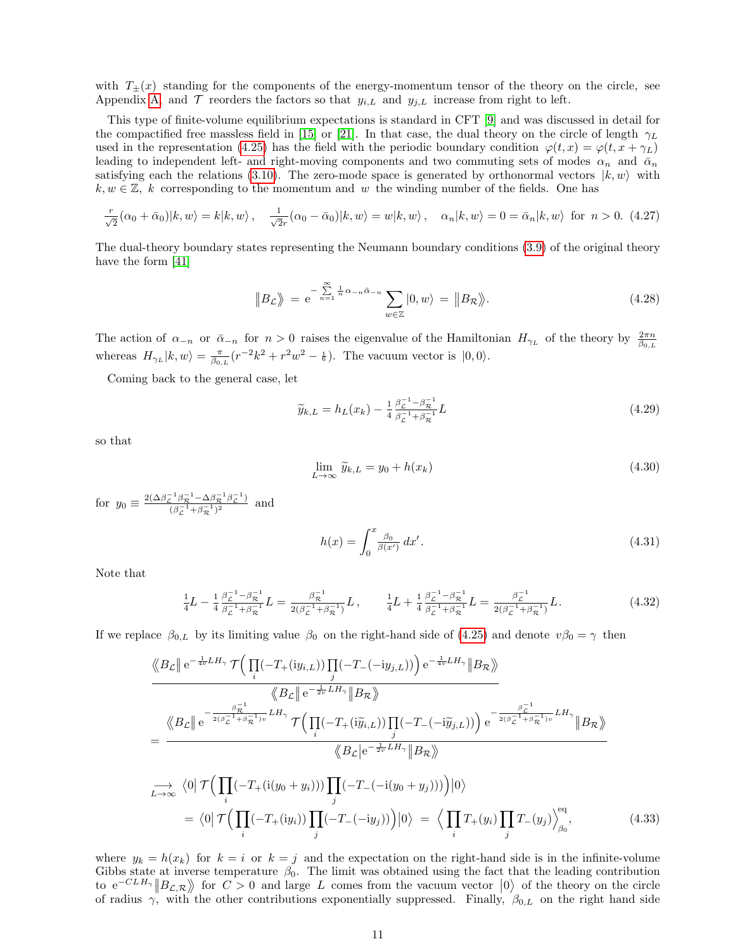with  $T_{\pm}(x)$  standing for the components of the energy-momentum tensor of the theory on the circle, see Appendix [A,](#page-44-1) and  $\mathcal T$  reorders the factors so that  $y_{i,L}$  and  $y_{j,L}$  increase from right to left.

This type of finite-volume equilibrium expectations is standard in CFT [\[9\]](#page-58-19) and was discussed in detail for the compactified free massless field in [\[15\]](#page-58-20) or [\[21\]](#page-58-21). In that case, the dual theory on the circle of length  $\gamma_L$ used in the representation [\(4.25\)](#page-9-2) has the field with the periodic boundary condition  $\varphi(t, x) = \varphi(t, x + \gamma_L)$ leading to independent left- and right-moving components and two commuting sets of modes  $\alpha_n$  and  $\bar{\alpha}_n$ satisfying each the relations [\(3.10\)](#page-5-4). The zero-mode space is generated by orthonormal vectors  $|k, w\rangle$  with  $k, w \in \mathbb{Z}$ , k corresponding to the momentum and w the winding number of the fields. One has

$$
\frac{r}{\sqrt{2}}(\alpha_0 + \bar{\alpha}_0)|k, w\rangle = k|k, w\rangle, \quad \frac{1}{\sqrt{2}r}(\alpha_0 - \bar{\alpha}_0)|k, w\rangle = w|k, w\rangle, \quad \alpha_n|k, w\rangle = 0 = \bar{\alpha}_n|k, w\rangle \text{ for } n > 0. \tag{4.27}
$$

The dual-theory boundary states representing the Neumann boundary conditions [\(3.9\)](#page-5-5) of the original theory have the form [\[41\]](#page-59-8)

$$
\|B_{\mathcal{L}}\rangle = e^{-\sum_{n=1}^{\infty} \frac{1}{n}\alpha_{-n}\bar{\alpha}_{-n}} \sum_{w \in \mathbb{Z}} |0, w\rangle = \|B_{\mathcal{R}}\rangle. \tag{4.28}
$$

The action of  $\alpha_{-n}$  or  $\bar{\alpha}_{-n}$  for  $n > 0$  raises the eigenvalue of the Hamiltonian  $H_{\gamma_L}$  of the theory by  $\frac{2\pi n}{\beta_{0,L}}$ whereas  $H_{\gamma_L}|k, w\rangle = \frac{\pi}{\beta_{0,L}}(r^{-2}k^2 + r^2w^2 - \frac{1}{6})$ . The vacuum vector is  $|0, 0\rangle$ .

Coming back to the general case, let

$$
\widetilde{y}_{k,L} = h_L(x_k) - \frac{1}{4} \frac{\beta_L^{-1} - \beta_R^{-1}}{\beta_L^{-1} + \beta_R^{-1}} L \tag{4.29}
$$

so that

$$
\lim_{L \to \infty} \widetilde{y}_{k,L} = y_0 + h(x_k)
$$
\n(4.30)

for  $y_0 \equiv \frac{2(\Delta \beta_{\cal L}^{-1} \beta_{\cal R}^{-1} - \Delta \beta_{\cal R}^{-1} \beta_{\cal L}^{-1})}{(\beta_{\cal R}^{-1} + \beta_{\cal R}^{-1})^2}$  $\frac{\left(\beta_{\mathcal{R}}^{\beta}-\Delta\beta_{\mathcal{R}}\right)\rho_{\mathcal{L}}}{\left(\beta_{\mathcal{L}}^{-1}+\beta_{\mathcal{R}}^{-1}\right)^2}$  and

<span id="page-10-0"></span>
$$
h(x) = \int_0^x \frac{\beta_0}{\beta(x')} \, dx'.\tag{4.31}
$$

Note that

$$
\frac{1}{4}L - \frac{1}{4}\frac{\beta_{\mathcal{L}}^{-1} - \beta_{\mathcal{R}}^{-1}}{\beta_{\mathcal{L}}^{-1} + \beta_{\mathcal{R}}^{-1}}L = \frac{\beta_{\mathcal{R}}^{-1}}{2(\beta_{\mathcal{L}}^{-1} + \beta_{\mathcal{R}}^{-1})}L, \qquad \frac{1}{4}L + \frac{1}{4}\frac{\beta_{\mathcal{L}}^{-1} - \beta_{\mathcal{R}}^{-1}}{\beta_{\mathcal{L}}^{-1} + \beta_{\mathcal{R}}^{-1}}L = \frac{\beta_{\mathcal{L}}^{-1}}{2(\beta_{\mathcal{L}}^{-1} + \beta_{\mathcal{R}}^{-1})}L. \tag{4.32}
$$

If we replace  $\beta_{0,L}$  by its limiting value  $\beta_0$  on the right-hand side of [\(4.25\)](#page-9-2) and denote  $v\beta_0 = \gamma$  then

$$
\frac{\langle\!\langle B_{\mathcal{L}}\rangle\!\rangle e^{-\frac{1}{4v}LH_{\gamma}}\mathcal{T}\Big(\prod_{i}(-T_{+}(iy_{i,L}))\prod_{j}(-T_{-}(-iy_{j,L}))\Big)e^{-\frac{1}{4v}LH_{\gamma}}\|B_{\mathcal{R}}\rangle\!\rangle}{\langle\!\langle B_{\mathcal{L}}\rangle\!\rangle e^{-\frac{\beta_{\mathcal{L}}^{-1}}{2(\beta_{\mathcal{L}}^{-1}+\beta_{\mathcal{R}}^{-1})v}LH_{\gamma}}\mathcal{T}\Big(\prod_{i}(-T_{+}(i\widetilde{y}_{i,L}))\prod_{j}(-T_{-}(-i\widetilde{y}_{j,L}))\Big)e^{-\frac{\beta_{\mathcal{L}}^{-1}}{2(\beta_{\mathcal{L}}^{-1}+\beta_{\mathcal{R}}^{-1})v}LH_{\gamma}}\|B_{\mathcal{R}}\rangle\!\rangle}
$$
\n
$$
=\frac{\langle\!\langle B_{\mathcal{L}}\rangle\!\rangle e^{-\frac{\beta_{\mathcal{L}}^{-1}}{2(\beta_{\mathcal{L}}^{-1}+\beta_{\mathcal{R}}^{-1})v}LH_{\gamma}}\|\langle B_{\mathcal{L}}\rangle\!\rangle e^{-\frac{\beta_{\mathcal{L}}^{-1}}{2(\beta_{\mathcal{L}}^{-1}+\beta_{\mathcal{R}}^{-1})v}LH_{\gamma}}\|B_{\mathcal{R}}\rangle\!\rangle}{\langle\!\langle B_{\mathcal{L}}\rangle e^{-\frac{1}{2v}LH_{\gamma}}\|B_{\mathcal{R}}\rangle\!\rangle}
$$
\n
$$
=\langle 0|\mathcal{T}\Big(\prod_{i}(-T_{+}(i(y_{0}+y_{i})))\prod_{j}(-T_{-}(-i(y_{0}+y_{j})))\Big)|0\rangle = \langle \prod_{i}T_{+}(y_{i})\prod_{j}T_{-}(y_{j})\rangle_{\beta_{0}}^{eq},\tag{4.33}
$$

where  $y_k = h(x_k)$  for  $k = i$  or  $k = j$  and the expectation on the right-hand side is in the infinite-volume Gibbs state at inverse temperature  $\beta_0$ . The limit was obtained using the fact that the leading contribution to  $e^{-CLH_{\gamma}}||B_{\mathcal{L},\mathcal{R}}\rangle$  for  $C>0$  and large L comes from the vacuum vector  $|0\rangle$  of the theory on the circle of radius  $\gamma$ , with the other contributions exponentially suppressed. Finally,  $\beta_{0,L}$  on the right hand side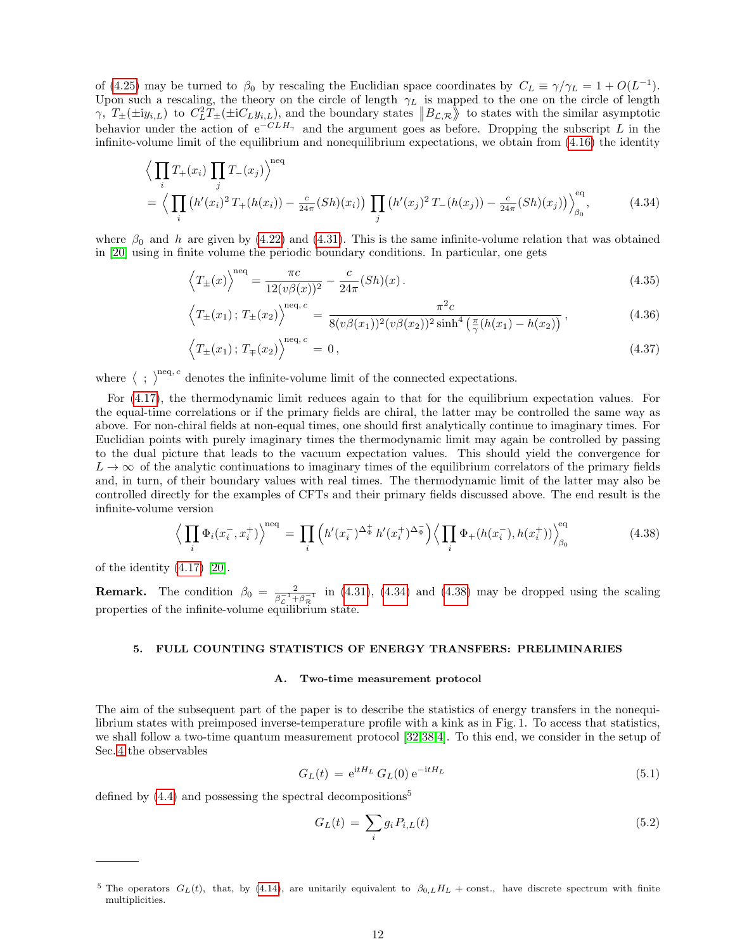of [\(4.25\)](#page-9-2) may be turned to  $\beta_0$  by rescaling the Euclidian space coordinates by  $C_L \equiv \gamma/\gamma_L = 1 + O(L^{-1})$ . Upon such a rescaling, the theory on the circle of length  $\gamma_L$  is mapped to the one on the circle of length  $\gamma$ ,  $T_{\pm}(\pm i y_{i,L})$  to  $C_L^2 T_{\pm}(\pm i C_L y_{i,L})$ , and the boundary states  $||B_{\mathcal{L},\mathcal{R}}||$  to states with the similar asymptotic behavior under the action of  $e^{-CLH_{\gamma}}$  and the argument goes as before. Dropping the subscript L in the infinite-volume limit of the equilibrium and nonequilibrium expectations, we obtain from [\(4.16\)](#page-8-3) the identity

<span id="page-11-2"></span>
$$
\left\langle \prod_{i} T_{+}(x_{i}) \prod_{j} T_{-}(x_{j}) \right\rangle^{\text{neq}} = \left\langle \prod_{i} \left( h'(x_{i})^{2} T_{+}(h(x_{i})) - \frac{c}{24\pi} (Sh)(x_{i}) \right) \prod_{j} \left( h'(x_{j})^{2} T_{-}(h(x_{j})) - \frac{c}{24\pi} (Sh)(x_{j}) \right) \right\rangle_{\beta_{0}}^{\text{eq}}, \tag{4.34}
$$

where  $\beta_0$  and h are given by [\(4.22\)](#page-9-3) and [\(4.31\)](#page-10-0). This is the same infinite-volume relation that was obtained in [\[20\]](#page-58-4) using in finite volume the periodic boundary conditions. In particular, one gets

<span id="page-11-4"></span>
$$
\left\langle T_{\pm}(x) \right\rangle^{\text{neq}} = \frac{\pi c}{12(v\beta(x))^2} - \frac{c}{24\pi} (Sh)(x) \,. \tag{4.35}
$$

$$
\left\langle T_{\pm}(x_1); T_{\pm}(x_2) \right\rangle^{\text{neq}, c} = \frac{\pi^2 c}{8(v\beta(x_1))^2 (v\beta(x_2))^2 \sinh^4\left(\frac{\pi}{\gamma}(h(x_1) - h(x_2))\right)},\tag{4.36}
$$

$$
\left\langle T_{\pm}(x_1); T_{\mp}(x_2) \right\rangle^{neq,c} = 0, \qquad (4.37)
$$

where  $\langle \cdot \rangle^{\text{neq}, c}$  denotes the infinite-volume limit of the connected expectations.

For [\(4.17\)](#page-8-3), the thermodynamic limit reduces again to that for the equilibrium expectation values. For the equal-time correlations or if the primary fields are chiral, the latter may be controlled the same way as above. For non-chiral fields at non-equal times, one should first analytically continue to imaginary times. For Euclidian points with purely imaginary times the thermodynamic limit may again be controlled by passing to the dual picture that leads to the vacuum expectation values. This should yield the convergence for  $L \to \infty$  of the analytic continuations to imaginary times of the equilibrium correlators of the primary fields and, in turn, of their boundary values with real times. The thermodynamic limit of the latter may also be controlled directly for the examples of CFTs and their primary fields discussed above. The end result is the infinite-volume version

<span id="page-11-3"></span>
$$
\left\langle \prod_{i} \Phi_{i}(x_{i}^{-}, x_{i}^{+}) \right\rangle^{\text{neq}} = \prod_{i} \left( h'(x_{i}^{-})^{\Delta_{\Phi}^{+}} h'(x_{i}^{+})^{\Delta_{\Phi}^{-}} \right) \left\langle \prod_{i} \Phi_{+}(h(x_{i}^{-}), h(x_{i}^{+})) \right\rangle_{\beta_{0}}^{\text{eq}} \tag{4.38}
$$

of the identity [\(4.17\)](#page-8-3) [\[20\]](#page-58-4).

**Remark.** The condition  $\beta_0 = \frac{2}{\beta^{-1} + 1}$  $\frac{2}{\beta_c^{-1} + \beta_{\mathcal{R}}^{-1}}$  in [\(4.31\)](#page-10-0), [\(4.34\)](#page-11-2) and [\(4.38\)](#page-11-3) may be dropped using the scaling properties of the infinite-volume equilibrium state.

## <span id="page-11-0"></span>5. FULL COUNTING STATISTICS OF ENERGY TRANSFERS: PRELIMINARIES

## <span id="page-11-1"></span>A. Two-time measurement protocol

The aim of the subsequent part of the paper is to describe the statistics of energy transfers in the nonequilibrium states with preimposed inverse-temperature profile with a kink as in Fig. 1. To access that statistics, we shall follow a two-time quantum measurement protocol [\[32,](#page-58-5)[38,](#page-59-1)[4\]](#page-58-10). To this end, we consider in the setup of Sec. [4](#page-6-1) the observables

$$
G_L(t) = e^{itH_L} G_L(0) e^{-itH_L}
$$
\n(5.1)

defined by  $(4.4)$  and possessing the spectral decompositions<sup>5</sup>

$$
G_L(t) = \sum_i g_i P_{i,L}(t) \tag{5.2}
$$

<sup>&</sup>lt;sup>5</sup> The operators  $G_L(t)$ , that, by [\(4.14\)](#page-8-1), are unitarily equivalent to  $\beta_{0,L}H_L$  + const., have discrete spectrum with finite multiplicities.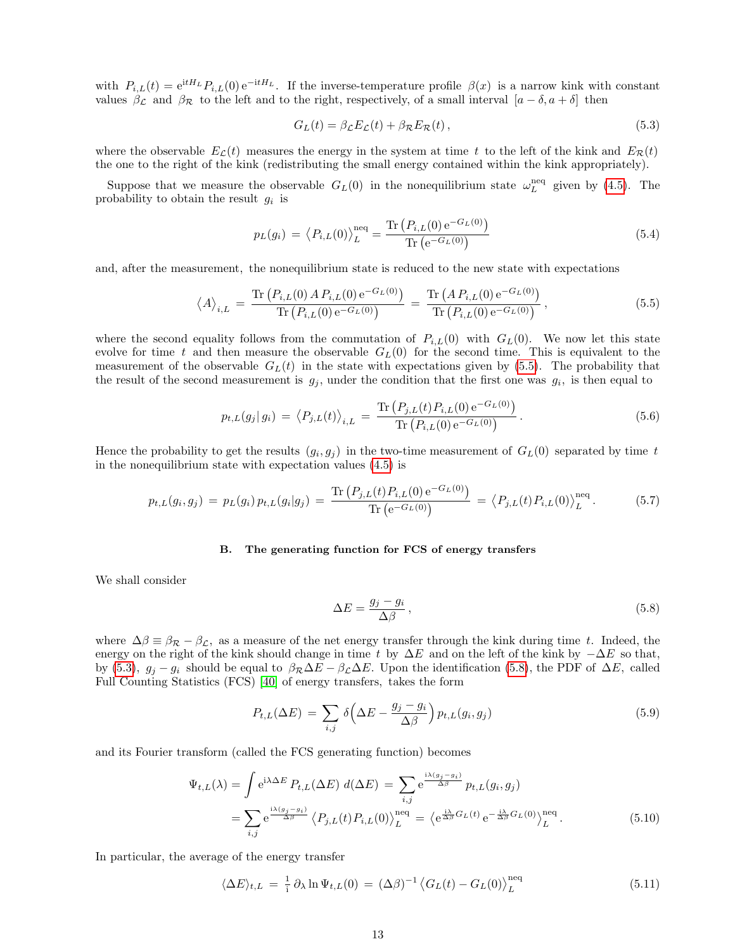with  $P_{i,L}(t) = e^{itH_L} P_{i,L}(0) e^{-itH_L}$ . If the inverse-temperature profile  $\beta(x)$  is a narrow kink with constant values  $\beta_{\mathcal{L}}$  and  $\beta_{\mathcal{R}}$  to the left and to the right, respectively, of a small interval  $[a - \delta, a + \delta]$  then

<span id="page-12-2"></span>
$$
G_L(t) = \beta_{\mathcal{L}} E_{\mathcal{L}}(t) + \beta_{\mathcal{R}} E_{\mathcal{R}}(t), \qquad (5.3)
$$

where the observable  $E_{\mathcal{L}}(t)$  measures the energy in the system at time t to the left of the kink and  $E_{\mathcal{R}}(t)$ the one to the right of the kink (redistributing the small energy contained within the kink appropriately).

Suppose that we measure the observable  $G_L(0)$  in the nonequilibrium state  $\omega_L^{\text{neq}}$  given by [\(4.5\)](#page-7-6). The probability to obtain the result  $g_i$  is

$$
p_L(g_i) = \langle P_{i,L}(0) \rangle_L^{\text{neq}} = \frac{\text{Tr}\left(P_{i,L}(0) e^{-G_L(0)}\right)}{\text{Tr}\left(e^{-G_L(0)}\right)} \tag{5.4}
$$

and, after the measurement, the nonequilibrium state is reduced to the new state with expectations

<span id="page-12-1"></span>
$$
\langle A \rangle_{i,L} = \frac{\text{Tr}\left(P_{i,L}(0) A P_{i,L}(0) e^{-G_L(0)}\right)}{\text{Tr}\left(P_{i,L}(0) e^{-G_L(0)}\right)} = \frac{\text{Tr}\left(A P_{i,L}(0) e^{-G_L(0)}\right)}{\text{Tr}\left(P_{i,L}(0) e^{-G_L(0)}\right)},\tag{5.5}
$$

where the second equality follows from the commutation of  $P_{i,L}(0)$  with  $G_L(0)$ . We now let this state evolve for time t and then measure the observable  $G_L(0)$  for the second time. This is equivalent to the measurement of the observable  $G_L(t)$  in the state with expectations given by [\(5.5\)](#page-12-1). The probability that the result of the second measurement is  $g_j$ , under the condition that the first one was  $g_i$ , is then equal to

$$
p_{t,L}(g_j|g_i) = \left\langle P_{j,L}(t) \right\rangle_{i,L} = \frac{\text{Tr}\left(P_{j,L}(t)P_{i,L}(0) e^{-G_L(0)}\right)}{\text{Tr}\left(P_{i,L}(0) e^{-G_L(0)}\right)}.
$$
\n(5.6)

Hence the probability to get the results  $(g_i, g_j)$  in the two-time measurement of  $G_L(0)$  separated by time t in the nonequilibrium state with expectation values [\(4.5\)](#page-7-6) is

$$
p_{t,L}(g_i, g_j) = p_L(g_i) p_{t,L}(g_i|g_j) = \frac{\text{Tr}(P_{j,L}(t) P_{i,L}(0) e^{-G_L(0)})}{\text{Tr}(e^{-G_L(0)})} = \langle P_{j,L}(t) P_{i,L}(0) \rangle_L^{\text{neq}}.
$$
 (5.7)

#### <span id="page-12-0"></span>B. The generating function for FCS of energy transfers

We shall consider

<span id="page-12-3"></span>
$$
\Delta E = \frac{g_j - g_i}{\Delta \beta} \,,\tag{5.8}
$$

where  $\Delta\beta \equiv \beta_R - \beta_{\mathcal{L}}$ , as a measure of the net energy transfer through the kink during time t. Indeed, the energy on the right of the kink should change in time t by  $\Delta E$  and on the left of the kink by  $-\Delta E$  so that, by [\(5.3\)](#page-12-2),  $g_j - g_i$  should be equal to  $\beta_R \Delta E - \beta_L \Delta E$ . Upon the identification [\(5.8\)](#page-12-3), the PDF of  $\Delta E$ , called Full Counting Statistics (FCS) [\[40\]](#page-59-9) of energy transfers, takes the form

$$
P_{t,L}(\Delta E) = \sum_{i,j} \delta \left( \Delta E - \frac{g_j - g_i}{\Delta \beta} \right) p_{t,L}(g_i, g_j) \tag{5.9}
$$

and its Fourier transform (called the FCS generating function) becomes

<span id="page-12-4"></span>
$$
\Psi_{t,L}(\lambda) = \int e^{i\lambda \Delta E} P_{t,L}(\Delta E) d(\Delta E) = \sum_{i,j} e^{\frac{i\lambda (g_j - g_i)}{\Delta \beta}} p_{t,L}(g_i, g_j)
$$
  
= 
$$
\sum_{i,j} e^{\frac{i\lambda (g_j - g_i)}{\Delta \beta}} \langle P_{j,L}(t) P_{i,L}(0) \rangle_L^{\text{neq}} = \langle e^{\frac{i\lambda}{\Delta \beta} G_L(t)} e^{-\frac{i\lambda}{\Delta \beta} G_L(0)} \rangle_L^{\text{neq}}.
$$
 (5.10)

In particular, the average of the energy transfer

<span id="page-12-5"></span>
$$
\langle \Delta E \rangle_{t,L} = \frac{1}{i} \partial_{\lambda} \ln \Psi_{t,L}(0) = (\Delta \beta)^{-1} \langle G_L(t) - G_L(0) \rangle_L^{\text{neq}} \tag{5.11}
$$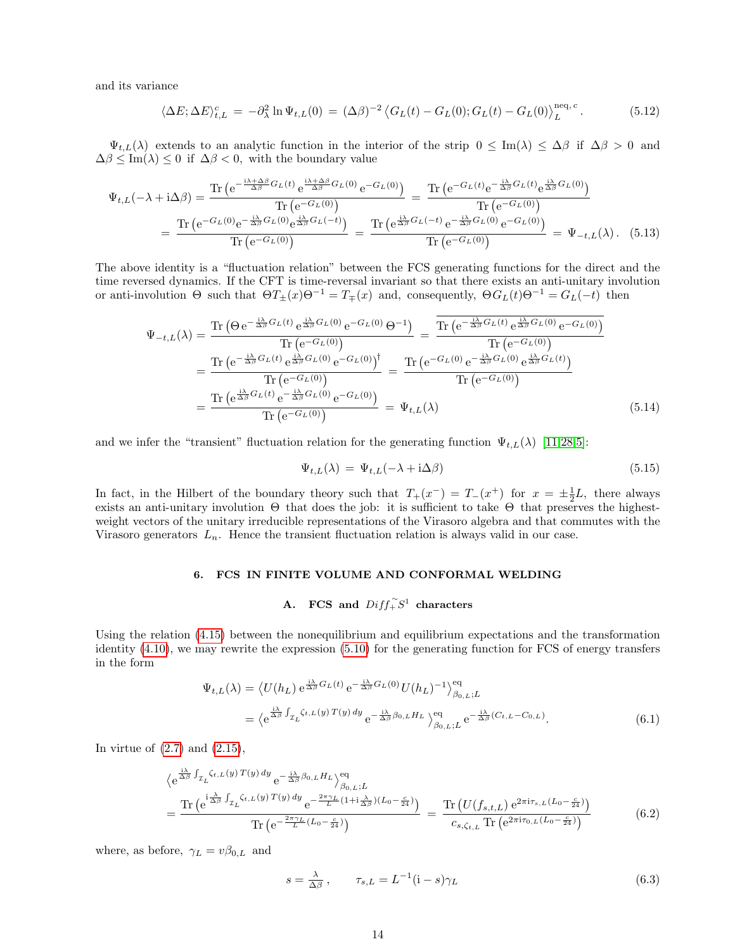and its variance

<span id="page-13-3"></span>
$$
\langle \Delta E; \Delta E \rangle_{t,L}^c = -\partial_\lambda^2 \ln \Psi_{t,L}(0) = (\Delta \beta)^{-2} \langle G_L(t) - G_L(0); G_L(t) - G_L(0) \rangle_L^{\text{neq},c}.
$$
 (5.12)

 $\Psi_{t,L}(\lambda)$  extends to an analytic function in the interior of the strip  $0 \leq \text{Im}(\lambda) \leq \Delta \beta$  if  $\Delta \beta > 0$  and  $\Delta\beta \leq \text{Im}(\lambda) \leq 0$  if  $\Delta\beta < 0$ , with the boundary value

$$
\Psi_{t,L}(-\lambda + i\Delta\beta) = \frac{\text{Tr}\left(e^{-\frac{i\lambda + \Delta\beta}{\Delta\beta}G_L(t)}e^{\frac{i\lambda + \Delta\beta}{\Delta\beta}G_L(0)}e^{-G_L(0)}\right)}{\text{Tr}\left(e^{-G_L(0)}\right)} = \frac{\text{Tr}\left(e^{-G_L(t)}e^{-\frac{i\lambda}{\Delta\beta}G_L(t)}e^{\frac{i\lambda}{\Delta\beta}G_L(0)}\right)}{\text{Tr}\left(e^{-G_L(0)}\right)} = \frac{\text{Tr}\left(e^{-G_L(t)}e^{-\frac{i\lambda}{\Delta\beta}G_L(t)}e^{\frac{i\lambda}{\Delta\beta}G_L(0)}\right)}{\text{Tr}\left(e^{-G_L(0)}\right)} = \frac{\text{Tr}\left(e^{\frac{i\lambda}{\Delta\beta}G_L(-t)}e^{-\frac{i\lambda}{\Delta\beta}G_L(0)}e^{-G_L(0)}\right)}{\text{Tr}\left(e^{-G_L(0)}\right)} = \Psi_{-t,L}(\lambda). \quad (5.13)
$$

The above identity is a "fluctuation relation" between the FCS generating functions for the direct and the time reversed dynamics. If the CFT is time-reversal invariant so that there exists an anti-unitary involution or anti-involution  $\Theta$  such that  $\Theta T_{\pm}(x)\Theta^{-1} = T_{\mp}(x)$  and, consequently,  $\Theta G_L(t)\Theta^{-1} = G_L(-t)$  then

$$
\Psi_{-t,L}(\lambda) = \frac{\text{Tr}\left(\Theta e^{-\frac{i\lambda}{\Delta\beta}G_L(t)} e^{\frac{i\lambda}{\Delta\beta}G_L(0)} e^{-G_L(0)} \Theta^{-1}\right)}{\text{Tr}\left(e^{-G_L(0)}\right)} = \frac{\text{Tr}\left(e^{-\frac{i\lambda}{\Delta\beta}G_L(t)} e^{\frac{i\lambda}{\Delta\beta}G_L(0)} e^{-G_L(0)} \right)}{\text{Tr}\left(e^{-G_L(0)}\right)} = \frac{\text{Tr}\left(e^{-\frac{i\lambda}{\Delta\beta}G_L(t)} e^{\frac{i\lambda}{\Delta\beta}G_L(0)} e^{-G_L(0)} \right)}{\text{Tr}\left(e^{-G_L(0)}\right)} = \frac{\text{Tr}\left(e^{-G_L(0)} e^{-\frac{i\lambda}{\Delta\beta}G_L(0)} e^{\frac{i\lambda}{\Delta\beta}G_L(t)} \right)}{\text{Tr}\left(e^{-G_L(0)}\right)} = \frac{\text{Tr}\left(e^{-G_L(0)} e^{-\frac{i\lambda}{\Delta\beta}G_L(0)} e^{\frac{i\lambda}{\Delta\beta}G_L(t)} \right)}{\text{Tr}\left(e^{-G_L(0)}\right)} = \Psi_{t,L}(\lambda) \tag{5.14}
$$

and we infer the "transient" fluctuation relation for the generating function  $\Psi_{t,L}(\lambda)$  [\[11](#page-58-22)[,28](#page-58-23)[,5\]](#page-58-24):

<span id="page-13-4"></span>
$$
\Psi_{t,L}(\lambda) = \Psi_{t,L}(-\lambda + i\Delta\beta) \tag{5.15}
$$

In fact, in the Hilbert of the boundary theory such that  $T_+(x^-) = T_-(x^+)$  for  $x = \pm \frac{1}{2}L$ , there always exists an anti-unitary involution  $\Theta$  that does the job: it is sufficient to take  $\Theta$  that preserves the highestweight vectors of the unitary irreducible representations of the Virasoro algebra and that commutes with the Virasoro generators  $L_n$ . Hence the transient fluctuation relation is always valid in our case.

## <span id="page-13-0"></span>6. FCS IN FINITE VOLUME AND CONFORMAL WELDING

## <span id="page-13-1"></span>A. FCS and  $Diff_{+}^{\sim}S^{1}$  characters

Using the relation [\(4.15\)](#page-8-2) between the nonequilibrium and equilibrium expectations and the transformation identity [\(4.10\)](#page-8-0), we may rewrite the expression [\(5.10\)](#page-12-4) for the generating function for FCS of energy transfers in the form

<span id="page-13-2"></span>
$$
\Psi_{t,L}(\lambda) = \langle U(h_L) e^{\frac{i\lambda}{\Delta \beta} G_L(t)} e^{-\frac{i\lambda}{\Delta \beta} G_L(0)} U(h_L)^{-1} \rangle_{\beta_{0,L};L}^{\text{eq}} \n= \langle e^{\frac{i\lambda}{\Delta \beta} \int_{\mathcal{I}_L} \zeta_{t,L}(y) T(y) dy} e^{-\frac{i\lambda}{\Delta \beta} \beta_{0,L} H_L} \rangle_{\beta_{0,L};L}^{\text{eq}} e^{-\frac{i\lambda}{\Delta \beta} (C_{t,L} - C_{0,L})}.
$$
\n(6.1)

In virtue of  $(2.7)$  and  $(2.15)$ ,

$$
\langle e^{\frac{i\lambda}{\Delta\beta}\int_{\mathcal{I}_L}\zeta_{t,L}(y) T(y) dy} e^{-\frac{i\lambda}{\Delta\beta}\beta_{0,L}H_L} \rangle_{\beta_{0,L};L}^{\text{eq}}
$$
\n
$$
= \frac{\text{Tr}\left(e^{i\frac{\lambda}{\Delta\beta}\int_{\mathcal{I}_L}\zeta_{t,L}(y) T(y) dy} e^{-\frac{2\pi\gamma_L}{L}(1+i\frac{\lambda}{\Delta\beta})(L_0-\frac{c}{24})}\right)}{\text{Tr}\left(e^{-\frac{2\pi\gamma_L}{L}(L_0-\frac{c}{24})}\right)} = \frac{\text{Tr}\left(U(f_{s,t,L}) e^{2\pi i \tau_{s,L}(L_0-\frac{c}{24})}\right)}{c_{s,\zeta_{t,L}} \text{Tr}\left(e^{2\pi i \tau_{0,L}(L_0-\frac{c}{24})}\right)} \tag{6.2}
$$

where, as before,  $\gamma_L = v\beta_{0,L}$  and

$$
s = \frac{\lambda}{\Delta \beta}, \qquad \tau_{s,L} = L^{-1}(\mathbf{i} - s)\gamma_L \tag{6.3}
$$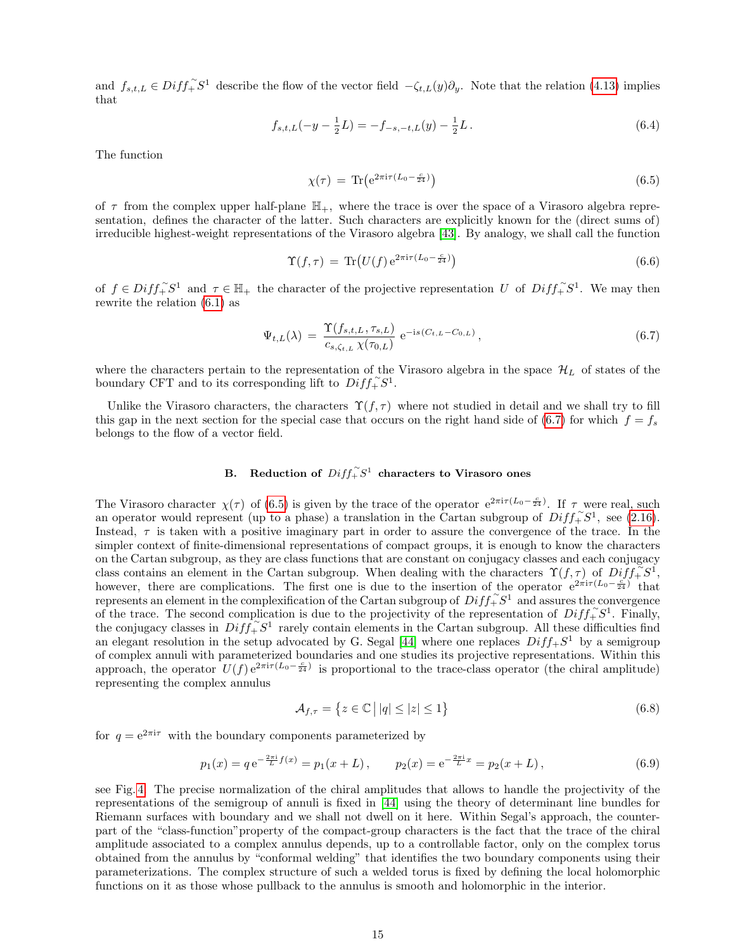and  $f_{s,t,L} \in Diff^{\sim}_+ S^1$  describe the flow of the vector field  $-\zeta_{t,L}(y)\partial_y$ . Note that the relation [\(4.13\)](#page-8-4) implies that

<span id="page-14-4"></span>
$$
f_{s,t,L}(-y - \frac{1}{2}L) = -f_{-s,-t,L}(y) - \frac{1}{2}L.
$$
\n(6.4)

The function

<span id="page-14-2"></span>
$$
\chi(\tau) = \text{Tr}(e^{2\pi i \tau (L_0 - \frac{c}{24})})
$$
\n(6.5)

of  $\tau$  from the complex upper half-plane  $\mathbb{H}_+$ , where the trace is over the space of a Virasoro algebra representation, defines the character of the latter. Such characters are explicitly known for the (direct sums of) irreducible highest-weight representations of the Virasoro algebra [\[43\]](#page-59-10). By analogy, we shall call the function

<span id="page-14-3"></span>
$$
\Upsilon(f,\tau) = \text{Tr}\left(U(f) e^{2\pi i \tau (L_0 - \frac{c}{24})}\right)
$$
\n(6.6)

of  $f \in Diff_{+}^{\infty}S^{1}$  and  $\tau \in \mathbb{H}_{+}$  the character of the projective representation U of  $Diff_{+}^{\infty}S^{1}$ . We may then rewrite the relation [\(6.1\)](#page-13-2) as

<span id="page-14-1"></span>
$$
\Psi_{t,L}(\lambda) = \frac{\Upsilon(f_{s,t,L}, \tau_{s,L})}{c_{s,\zeta_{t,L}} \chi(\tau_{0,L})} e^{-is(C_{t,L} - C_{0,L})}, \qquad (6.7)
$$

where the characters pertain to the representation of the Virasoro algebra in the space  $\mathcal{H}_L$  of states of the boundary CFT and to its corresponding lift to  $Diff_{+}^{\sim}S^1$ .

Unlike the Virasoro characters, the characters  $\Upsilon(f, \tau)$  where not studied in detail and we shall try to fill this gap in the next section for the special case that occurs on the right hand side of [\(6.7\)](#page-14-1) for which  $f = f_s$ belongs to the flow of a vector field.

## <span id="page-14-0"></span>B. Reduction of  $Diff^{\sim}_+S^1$  characters to Virasoro ones

The Virasoro character  $\chi(\tau)$  of [\(6.5\)](#page-14-2) is given by the trace of the operator  $e^{2\pi i \tau (L_0 - \frac{c}{24})}$ . If  $\tau$  were real, such an operator would represent (up to a phase) a translation in the Cartan subgroup of  $Diff_{+}^{*}S^{1}$ , see [\(2.16\)](#page-3-5). Instead,  $\tau$  is taken with a positive imaginary part in order to assure the convergence of the trace. In the simpler context of finite-dimensional representations of compact groups, it is enough to know the characters on the Cartan subgroup, as they are class functions that are constant on conjugacy classes and each conjugacy class contains an element in the Cartan subgroup. When dealing with the characters  $\Upsilon(f,\tau)$  of  $Diff_{+}^{\sim}S^{1}$ , however, there are complications. The first one is due to the insertion of the operator  $e^{2\pi i \tau (L_0 - \frac{c}{24})}$  that represents an element in the complexification of the Cartan subgroup of  $Diff_{+}^{-}S^{1}$  and assures the convergence of the trace. The second complication is due to the projectivity of the representation of  $Diff_{+}^{\sim}S^{1}$ . Finally, the conjugacy classes in  $Diff_{+}^{\sim}S^{1}$  rarely contain elements in the Cartan subgroup. All these difficulties find an elegant resolution in the setup advocated by G. Segal [\[44\]](#page-59-3) where one replaces  $Diff_+S^1$  by a semigroup of complex annuli with parameterized boundaries and one studies its projective representations. Within this approach, the operator  $U(f) e^{2\pi i \tau (L_0 - \frac{c}{24})}$  is proportional to the trace-class operator (the chiral amplitude) representing the complex annulus

$$
\mathcal{A}_{f,\tau} = \left\{ z \in \mathbb{C} \, \middle| \, |q| \le |z| \le 1 \right\} \tag{6.8}
$$

for  $q = e^{2\pi i \tau}$  with the boundary components parameterized by

$$
p_1(x) = q e^{-\frac{2\pi i}{L}f(x)} = p_1(x+L), \qquad p_2(x) = e^{-\frac{2\pi i}{L}x} = p_2(x+L), \tag{6.9}
$$

see Fig. [4.](#page-15-1) The precise normalization of the chiral amplitudes that allows to handle the projectivity of the representations of the semigroup of annuli is fixed in [\[44\]](#page-59-3) using the theory of determinant line bundles for Riemann surfaces with boundary and we shall not dwell on it here. Within Segal's approach, the counterpart of the "class-function"property of the compact-group characters is the fact that the trace of the chiral amplitude associated to a complex annulus depends, up to a controllable factor, only on the complex torus obtained from the annulus by "conformal welding" that identifies the two boundary components using their parameterizations. The complex structure of such a welded torus is fixed by defining the local holomorphic functions on it as those whose pullback to the annulus is smooth and holomorphic in the interior.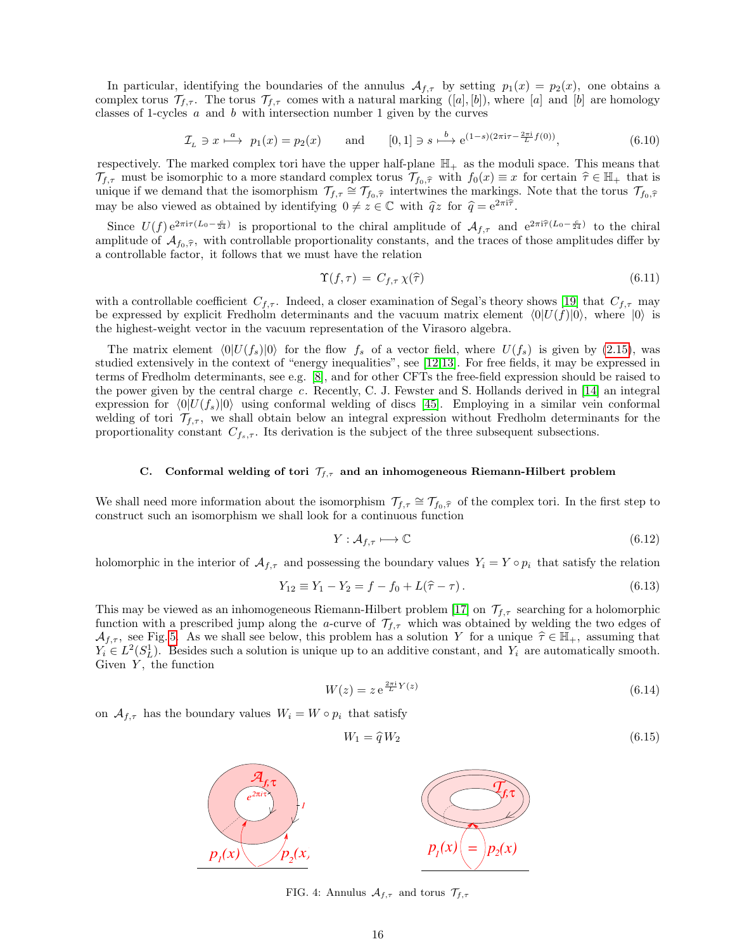In particular, identifying the boundaries of the annulus  $\mathcal{A}_{f,\tau}$  by setting  $p_1(x) = p_2(x)$ , one obtains a complex torus  $\mathcal{T}_{f,\tau}$ . The torus  $\mathcal{T}_{f,\tau}$  comes with a natural marking  $([a],[b])$ , where  $[a]$  and  $[b]$  are homology classes of 1-cycles  $\alpha$  and  $\beta$  with intersection number 1 given by the curves

<span id="page-15-4"></span>
$$
\mathcal{I}_L \ni x \stackrel{a}{\longmapsto} p_1(x) = p_2(x) \qquad \text{and} \qquad [0,1] \ni s \stackrel{b}{\longmapsto} e^{(1-s)(2\pi i \tau - \frac{2\pi i}{L} f(0))},\tag{6.10}
$$

respectively. The marked complex tori have the upper half-plane  $\mathbb{H}_+$  as the moduli space. This means that  $\mathcal{T}_{f,\tau}$  must be isomorphic to a more standard complex torus  $\mathcal{T}_{f_0,\hat{\tau}}$  with  $f_0(x) \equiv x$  for certain  $\hat{\tau} \in \mathbb{H}_+$  that is unique if we demand that the isomorphism  $\mathcal{T}_{f,\tau} \cong \mathcal{T}_{f_0,\hat{\tau}}$  intertwines the markings. Note that the torus  $\mathcal{T}_{f_0,\hat{\tau}}$ may be also viewed as obtained by identifying  $0 \neq z \in \mathbb{C}$  with  $\hat{q}z$  for  $\hat{q} = e^{2\pi i \hat{\tau}}$ .

Since  $U(f) e^{2\pi i \tau (L_0 - \frac{c}{24})}$  is proportional to the chiral amplitude of  $\mathcal{A}_{f,\tau}$  and  $e^{2\pi i \hat{\tau} (L_0 - \frac{c}{24})}$  to the chiral amplitude of  $\mathcal{A}_{f_0,\hat{\tau}}$ , with controllable proportionality constants, and the traces of those amplitudes differ by a controllable factor, it follows that we must have the relation

$$
\Upsilon(f,\tau) = C_{f,\tau} \chi(\hat{\tau}) \tag{6.11}
$$

with a controllable coefficient  $C_{f,\tau}$ . Indeed, a closer examination of Segal's theory shows [\[19\]](#page-58-9) that  $C_{f,\tau}$  may be expressed by explicit Fredholm determinants and the vacuum matrix element  $\langle 0|U(f)|0\rangle$ , where  $|0\rangle$  is the highest-weight vector in the vacuum representation of the Virasoro algebra.

The matrix element  $\langle 0|U(f_s)|0\rangle$  for the flow  $f_s$  of a vector field, where  $U(f_s)$  is given by [\(2.15\)](#page-3-4), was studied extensively in the context of "energy inequalities", see [\[12,](#page-58-14)[13\]](#page-58-25). For free fields, it may be expressed in terms of Fredholm determinants, see e.g. [\[8\]](#page-58-26), and for other CFTs the free-field expression should be raised to the power given by the central charge c. Recently, C. J. Fewster and S. Hollands derived in  $[14]$  an integral expression for  $\langle 0|U(f_s)|0\rangle$  using conformal welding of discs [\[45\]](#page-59-4). Employing in a similar vein conformal welding of tori  $\mathcal{T}_{f,\tau}$ , we shall obtain below an integral expression without Fredholm determinants for the proportionality constant  $C_{f_s,\tau}$ . Its derivation is the subject of the three subsequent subsections.

### <span id="page-15-0"></span>C. Conformal welding of tori  $\mathcal{T}_{f,\tau}$  and an inhomogeneous Riemann-Hilbert problem

We shall need more information about the isomorphism  $\mathcal{T}_{f,\tau} \cong \mathcal{T}_{f_0,\hat{\tau}}$  of the complex tori. In the first step to construct such an isomorphism we shall look for a continuous function

$$
Y: \mathcal{A}_{f,\tau} \longmapsto \mathbb{C} \tag{6.12}
$$

holomorphic in the interior of  $\mathcal{A}_{f,\tau}$  and possessing the boundary values  $Y_i = Y \circ p_i$  that satisfy the relation

<span id="page-15-2"></span>
$$
Y_{12} \equiv Y_1 - Y_2 = f - f_0 + L(\hat{\tau} - \tau). \tag{6.13}
$$

This may be viewed as an inhomogeneous Riemann-Hilbert problem [\[17\]](#page-58-27) on  $\mathcal{T}_{f,\tau}$  searching for a holomorphic function with a prescribed jump along the a-curve of  $\mathcal{T}_{f,\tau}$  which was obtained by welding the two edges of  $\mathcal{A}_{f,\tau}$ , see Fig. [5.](#page-16-0) As we shall see below, this problem has a solution Y for a unique  $\hat{\tau} \in \mathbb{H}_{+}$ , assuming that  $Y_i \in L^2(S^1_L)$ . Besides such a solution is unique up to an additive constant, and  $Y_i$  are automatically smooth. Given  $Y$ , the function

<span id="page-15-3"></span>
$$
W(z) = z e^{\frac{2\pi i}{L}Y(z)}\tag{6.14}
$$

on  $\mathcal{A}_{f,\tau}$  has the boundary values  $W_i = W \circ p_i$  that satisfy

<span id="page-15-5"></span>
$$
W_1 = \hat{q}W_2 \tag{6.15}
$$



<span id="page-15-1"></span>FIG. 4: Annulus  $\mathcal{A}_{f,\tau}$  and torus  $\mathcal{T}_{f,\tau}$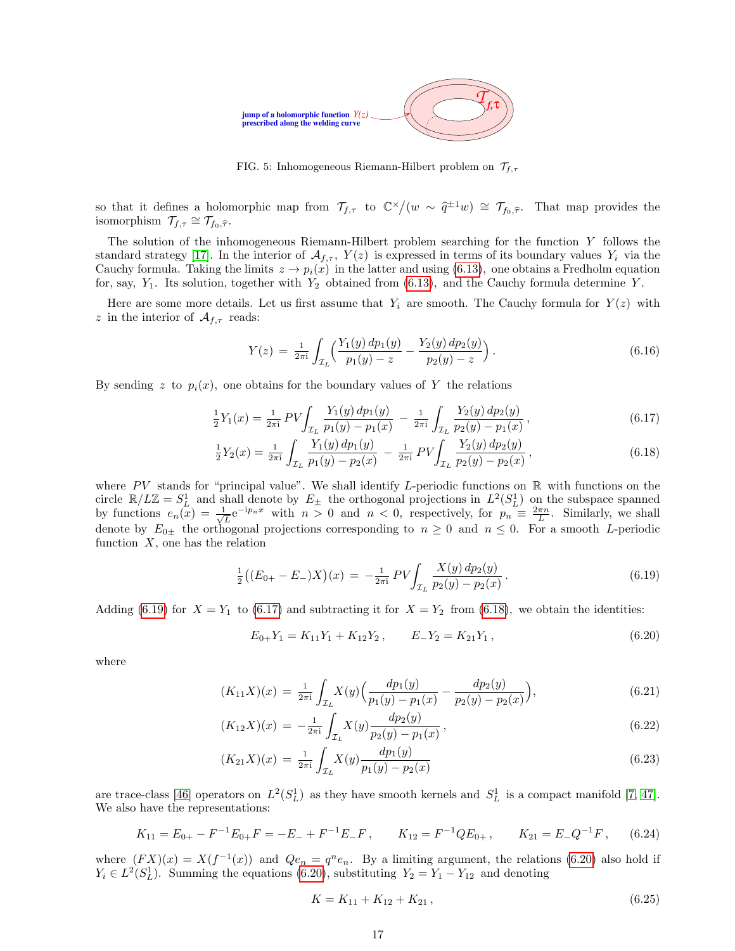

<span id="page-16-0"></span>FIG. 5: Inhomogeneous Riemann-Hilbert problem on  $\mathcal{T}_{f,\tau}$ 

so that it defines a holomorphic map from  $\mathcal{T}_{f,\tau}$  to  $\mathbb{C}^{\times}/(w \sim \hat{q}^{\pi})$ That map provides the isomorphism  $\mathcal{T}_{f,\tau} \cong \mathcal{T}_{f_0,\widehat{\tau}}$ .

The solution of the inhomogeneous Riemann-Hilbert problem searching for the function Y follows the standard strategy [\[17\]](#page-58-27). In the interior of  $\mathcal{A}_{f,\tau}$ ,  $Y(z)$  is expressed in terms of its boundary values  $Y_i$  via the Cauchy formula. Taking the limits  $z \to p_i(x)$  in the latter and using [\(6.13\)](#page-15-2), one obtains a Fredholm equation for, say,  $Y_1$ . Its solution, together with  $Y_2$  obtained from [\(6.13\)](#page-15-2), and the Cauchy formula determine Y.

Here are some more details. Let us first assume that  $Y_i$  are smooth. The Cauchy formula for  $Y(z)$  with z in the interior of  $\mathcal{A}_{f,\tau}$  reads:

$$
Y(z) = \frac{1}{2\pi i} \int_{\mathcal{I}_L} \left( \frac{Y_1(y) dp_1(y)}{p_1(y) - z} - \frac{Y_2(y) dp_2(y)}{p_2(y) - z} \right).
$$
 (6.16)

By sending z to  $p_i(x)$ , one obtains for the boundary values of Y the relations

<span id="page-16-2"></span>
$$
\frac{1}{2}Y_1(x) = \frac{1}{2\pi i} PV \int_{\mathcal{I}_L} \frac{Y_1(y) dp_1(y)}{p_1(y) - p_1(x)} - \frac{1}{2\pi i} \int_{\mathcal{I}_L} \frac{Y_2(y) dp_2(y)}{p_2(y) - p_1(x)},
$$
\n(6.17)

$$
\frac{1}{2}Y_2(x) = \frac{1}{2\pi i} \int_{\mathcal{I}_L} \frac{Y_1(y) dp_1(y)}{p_1(y) - p_2(x)} - \frac{1}{2\pi i} PV \int_{\mathcal{I}_L} \frac{Y_2(y) dp_2(y)}{p_2(y) - p_2(x)},
$$
\n(6.18)

where PV stands for "principal value". We shall identify L-periodic functions on  $\mathbb R$  with functions on the circle  $\mathbb{R}/L\mathbb{Z} = S^1_L$  and shall denote by  $E_{\pm}$  the orthogonal projections in  $L^2(S^1_L)$  on the subspace spanned by functions  $e_n(x) = \frac{1}{\sqrt{2}}$  $\overline{L}e^{-ip_nx}$  with  $n>0$  and  $n<0$ , respectively, for  $p_n \equiv \frac{2\pi n}{L}$ . Similarly, we shall denote by  $E_{0\pm}$  the orthogonal projections corresponding to  $n \geq 0$  and  $n \leq 0$ . For a smooth L-periodic function  $X$ , one has the relation

<span id="page-16-1"></span>
$$
\frac{1}{2} \left( (E_{0+} - E_{-}) X \right)(x) = -\frac{1}{2\pi i} PV \int_{\mathcal{I}_L} \frac{X(y) \, dp_2(y)}{p_2(y) - p_2(x)} \,. \tag{6.19}
$$

Adding [\(6.19\)](#page-16-1) for  $X = Y_1$  to [\(6.17\)](#page-16-2) and subtracting it for  $X = Y_2$  from [\(6.18\)](#page-16-2), we obtain the identities:

<span id="page-16-3"></span>
$$
E_{0+}Y_1 = K_{11}Y_1 + K_{12}Y_2, \qquad E_{-}Y_2 = K_{21}Y_1, \qquad (6.20)
$$

where

<span id="page-16-4"></span>
$$
(K_{11}X)(x) = \frac{1}{2\pi i} \int_{\mathcal{I}_L} X(y) \Big( \frac{dp_1(y)}{p_1(y) - p_1(x)} - \frac{dp_2(y)}{p_2(y) - p_2(x)} \Big), \tag{6.21}
$$

$$
(K_{12}X)(x) = -\frac{1}{2\pi i} \int_{\mathcal{I}_L} X(y) \frac{dp_2(y)}{p_2(y) - p_1(x)},
$$
\n(6.22)

$$
(K_{21}X)(x) = \frac{1}{2\pi i} \int_{\mathcal{I}_L} X(y) \frac{dp_1(y)}{p_1(y) - p_2(x)}\tag{6.23}
$$

are trace-class [\[46\]](#page-59-11) operators on  $L^2(S_L^1)$  as they have smooth kernels and  $S_L^1$  is a compact manifold [\[7,](#page-58-28) [47\]](#page-59-12). We also have the representations:

<span id="page-16-5"></span>
$$
K_{11} = E_{0+} - F^{-1}E_{0+}F = -E_- + F^{-1}E_-F
$$
,  $K_{12} = F^{-1}QE_{0+}$ ,  $K_{21} = E_-Q^{-1}F$ , (6.24)

where  $(FX)(x) = X(f^{-1}(x))$  and  $Qe_n = q^n e_n$ . By a limiting argument, the relations [\(6.20\)](#page-16-3) also hold if  $Y_i \in L^2(S_L^1)$ . Summing the equations [\(6.20\)](#page-16-3), substituting  $Y_2 = Y_1 - Y_{12}$  and denoting

$$
K = K_{11} + K_{12} + K_{21}, \t\t(6.25)
$$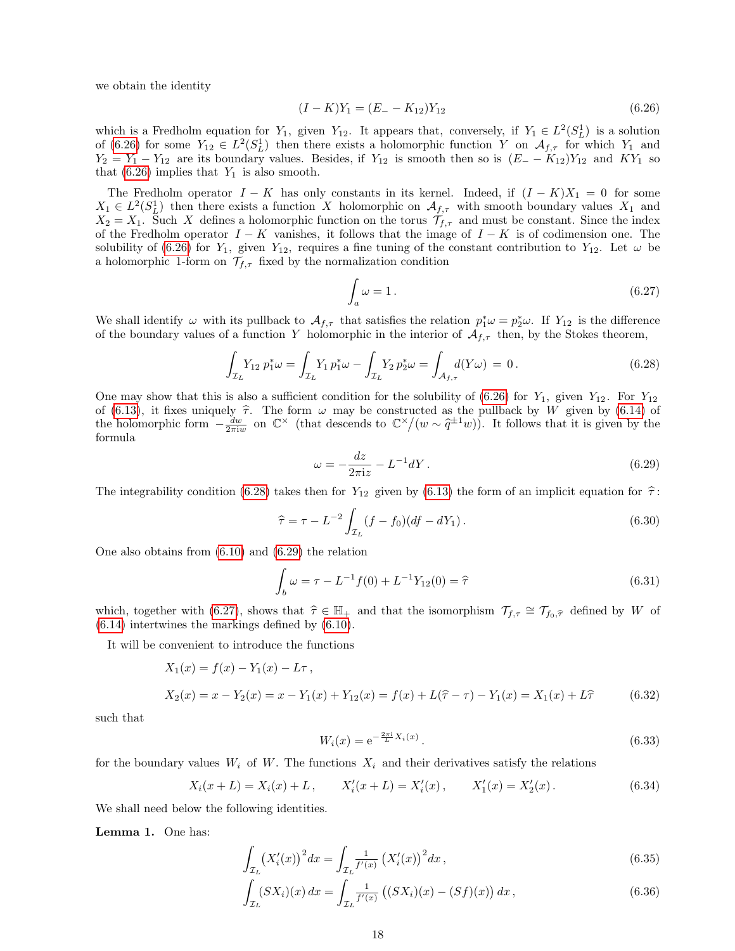we obtain the identity

<span id="page-17-0"></span>
$$
(I - K)Y_1 = (E_- - K_{12})Y_{12}
$$
\n
$$
(6.26)
$$

which is a Fredholm equation for  $Y_1$ , given  $Y_{12}$ . It appears that, conversely, if  $Y_1 \in L^2(S^1_L)$  is a solution of [\(6.26\)](#page-17-0) for some  $Y_{12} \in L^2(S_L^1)$  then there exists a holomorphic function Y on  $\mathcal{A}_{f,\tau}$  for which Y<sub>1</sub> and  $Y_2 = Y_1 - Y_{12}$  are its boundary values. Besides, if  $Y_{12}$  is smooth then so is  $(E_ - - K_{12})Y_{12}$  and  $KY_1$  so that  $(6.26)$  implies that  $Y_1$  is also smooth.

The Fredholm operator  $I - K$  has only constants in its kernel. Indeed, if  $(I - K)X_1 = 0$  for some  $X_1 \in L^2(S^1_L)$  then there exists a function X holomorphic on  $\mathcal{A}_{f,\tau}$  with smooth boundary values  $X_1$  and  $X_2 = X_1$ . Such X defines a holomorphic function on the torus  $\mathcal{T}_{f,\tau}$  and must be constant. Since the index of the Fredholm operator  $I - K$  vanishes, it follows that the image of  $I - K$  is of codimension one. The solubility of [\(6.26\)](#page-17-0) for  $Y_1$ , given  $Y_{12}$ , requires a fine tuning of the constant contribution to  $Y_{12}$ . Let  $\omega$  be a holomorphic 1-form on  $\mathcal{T}_{f,\tau}$  fixed by the normalization condition

<span id="page-17-3"></span>
$$
\int_{a} \omega = 1. \tag{6.27}
$$

We shall identify  $\omega$  with its pullback to  $\mathcal{A}_{f,\tau}$  that satisfies the relation  $p_1^*\omega = p_2^*\omega$ . If  $Y_{12}$  is the difference of the boundary values of a function Y holomorphic in the interior of  $\mathcal{A}_{f,\tau}$  then, by the Stokes theorem,

<span id="page-17-1"></span>
$$
\int_{\mathcal{I}_L} Y_{12} \, p_1^* \omega = \int_{\mathcal{I}_L} Y_1 \, p_1^* \omega - \int_{\mathcal{I}_L} Y_2 \, p_2^* \omega = \int_{\mathcal{A}_{f,\tau}} d(Y \omega) = 0. \tag{6.28}
$$

One may show that this is also a sufficient condition for the solubility of [\(6.26\)](#page-17-0) for  $Y_1$ , given  $Y_{12}$ . For  $Y_{12}$ of [\(6.13\)](#page-15-2), it fixes uniquely  $\hat{\tau}$ . The form  $\omega$  may be constructed as the pullback by W given by [\(6.14\)](#page-15-3) of<br>the holomorphic form  $-\frac{dw}{2\pi i w}$  on  $\mathbb{C}^{\times}$  (that descends to  $\mathbb{C}^{\times}/(w \sim \hat{q}^{\pm 1}w)$ ). It follow formula

<span id="page-17-2"></span>
$$
\omega = -\frac{dz}{2\pi i z} - L^{-1} dY. \tag{6.29}
$$

The integrability condition [\(6.28\)](#page-17-1) takes then for  $Y_{12}$  given by [\(6.13\)](#page-15-2) the form of an implicit equation for  $\hat{\tau}$ :

$$
\hat{\tau} = \tau - L^{-2} \int_{\mathcal{I}_L} (f - f_0)(df - dY_1).
$$
\n(6.30)

One also obtains from [\(6.10\)](#page-15-4) and [\(6.29\)](#page-17-2) the relation

$$
\int_{b} \omega = \tau - L^{-1} f(0) + L^{-1} Y_{12}(0) = \hat{\tau}
$$
\n(6.31)

which, together with [\(6.27\)](#page-17-3), shows that  $\hat{\tau} \in \mathbb{H}_+$  and that the isomorphism  $\mathcal{T}_{f,\tau} \cong \mathcal{T}_{f_0,\hat{\tau}}$  defined by W of [\(6.14\)](#page-15-3) intertwines the markings defined by [\(6.10\)](#page-15-4).

It will be convenient to introduce the functions

$$
X_1(x) = f(x) - Y_1(x) - L\tau,
$$
  
\n
$$
X_2(x) = x - Y_2(x) = x - Y_1(x) + Y_{12}(x) = f(x) + L(\hat{\tau} - \tau) - Y_1(x) = X_1(x) + L\hat{\tau}
$$
\n(6.32)

such that

$$
W_i(x) = e^{-\frac{2\pi i}{L}X_i(x)}.
$$
\n(6.33)

for the boundary values  $W_i$  of W. The functions  $X_i$  and their derivatives satisfy the relations

<span id="page-17-5"></span>
$$
X_i(x+L) = X_i(x) + L, \qquad X'_i(x+L) = X'_i(x), \qquad X'_1(x) = X'_2(x). \tag{6.34}
$$

We shall need below the following identities.

Lemma 1. One has:

<span id="page-17-4"></span>
$$
\int_{\mathcal{I}_L} \left( X_i'(x) \right)^2 dx = \int_{\mathcal{I}_L} \frac{1}{f'(x)} \left( X_i'(x) \right)^2 dx \,, \tag{6.35}
$$

$$
\int_{\mathcal{I}_L} (SX_i)(x) \, dx = \int_{\mathcal{I}_L} \frac{1}{f'(x)} \left( (SX_i)(x) - (Sf)(x) \right) dx \,, \tag{6.36}
$$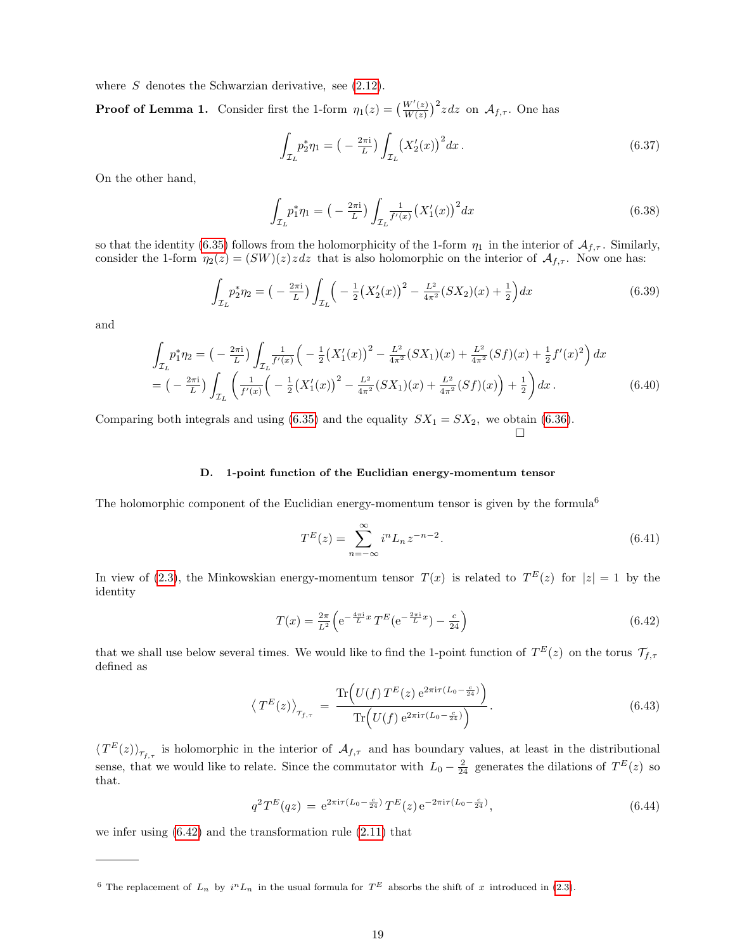where  $S$  denotes the Schwarzian derivative, see  $(2.12)$ .

**Proof of Lemma 1.** Consider first the 1-form  $\eta_1(z) = \left(\frac{W'(z)}{W(z)}\right)^{z}$  $\frac{W'(z)}{W(z)}$ <sup>2</sup> zdz on  $\mathcal{A}_{f,\tau}$ . One has

$$
\int_{\mathcal{I}_L} p_2^* \eta_1 = \left( -\frac{2\pi i}{L} \right) \int_{\mathcal{I}_L} \left( X_2'(x) \right)^2 dx \,. \tag{6.37}
$$

On the other hand,

$$
\int_{\mathcal{I}_L} p_1^* \eta_1 = \left( -\frac{2\pi i}{L} \right) \int_{\mathcal{I}_L} \frac{1}{f'(x)} \left( X_1'(x) \right)^2 dx \tag{6.38}
$$

so that the identity [\(6.35\)](#page-17-4) follows from the holomorphicity of the 1-form  $\eta_1$  in the interior of  $\mathcal{A}_{f,\tau}$ . Similarly, consider the 1-form  $\eta_2(z) = (SW)(z)z dz$  that is also holomorphic on the interior of  $\mathcal{A}_{f,\tau}$ . Now one has:

$$
\int_{\mathcal{I}_L} p_2^* \eta_2 = \left( -\frac{2\pi i}{L} \right) \int_{\mathcal{I}_L} \left( -\frac{1}{2} \left( X_2'(x) \right)^2 - \frac{L^2}{4\pi^2} (SX_2)(x) + \frac{1}{2} \right) dx \tag{6.39}
$$

and

$$
\int_{\mathcal{I}_L} p_1^* \eta_2 = \left( -\frac{2\pi i}{L} \right) \int_{\mathcal{I}_L} \frac{1}{f'(x)} \left( -\frac{1}{2} \left( X_1'(x) \right)^2 - \frac{L^2}{4\pi^2} (SX_1)(x) + \frac{L^2}{4\pi^2} (Sf)(x) + \frac{1}{2} f'(x)^2 \right) dx
$$
\n
$$
= \left( -\frac{2\pi i}{L} \right) \int_{\mathcal{I}_L} \left( \frac{1}{f'(x)} \left( -\frac{1}{2} \left( X_1'(x) \right)^2 - \frac{L^2}{4\pi^2} (SX_1)(x) + \frac{L^2}{4\pi^2} (Sf)(x) \right) + \frac{1}{2} \right) dx. \tag{6.40}
$$

Comparing both integrals and using [\(6.35\)](#page-17-4) and the equality  $SX_1 = SX_2$ , we obtain [\(6.36\)](#page-17-4).  $\Box$ 

## <span id="page-18-0"></span>D. 1-point function of the Euclidian energy-momentum tensor

The holomorphic component of the Euclidian energy-momentum tensor is given by the formula<sup>6</sup>

$$
T^{E}(z) = \sum_{n=-\infty}^{\infty} i^{n} L_{n} z^{-n-2}.
$$
\n(6.41)

In view of [\(2.3\)](#page-2-6), the Minkowskian energy-momentum tensor  $T(x)$  is related to  $T^{E}(z)$  for  $|z|=1$  by the identity

<span id="page-18-1"></span>
$$
T(x) = \frac{2\pi}{L^2} \left( e^{-\frac{4\pi i}{L}x} T^E (e^{-\frac{2\pi i}{L}x}) - \frac{c}{24} \right)
$$
 (6.42)

that we shall use below several times. We would like to find the 1-point function of  $T^{E}(z)$  on the torus  $\mathcal{T}_{f,\tau}$ defined as

$$
\left\langle T^{E}(z)\right\rangle_{\tau_{f,\tau}} = \frac{\text{Tr}\left(U(f) \, T^{E}(z) \, e^{2\pi i \tau (L_0 - \frac{c}{24})}\right)}{\text{Tr}\left(U(f) \, e^{2\pi i \tau (L_0 - \frac{c}{24})}\right)}.\tag{6.43}
$$

 $\langle T^{E}(z)\rangle_{\tau_{f,\tau}}$  is holomorphic in the interior of  $\mathcal{A}_{f,\tau}$  and has boundary values, at least in the distributional sense, that we would like to relate. Since the commutator with  $L_0 - \frac{2}{24}$  generates the dilations of  $T<sup>E</sup>(z)$  so that.

$$
q^{2}T^{E}(qz) = e^{2\pi i\tau(L_{0} - \frac{c}{24})}T^{E}(z)e^{-2\pi i\tau(L_{0} - \frac{c}{24})},
$$
\n(6.44)

we infer using  $(6.42)$  and the transformation rule  $(2.11)$  that

<sup>&</sup>lt;sup>6</sup> The replacement of  $L_n$  by  $i^n L_n$  in the usual formula for  $T^E$  absorbs the shift of x introduced in [\(2.3\)](#page-2-6).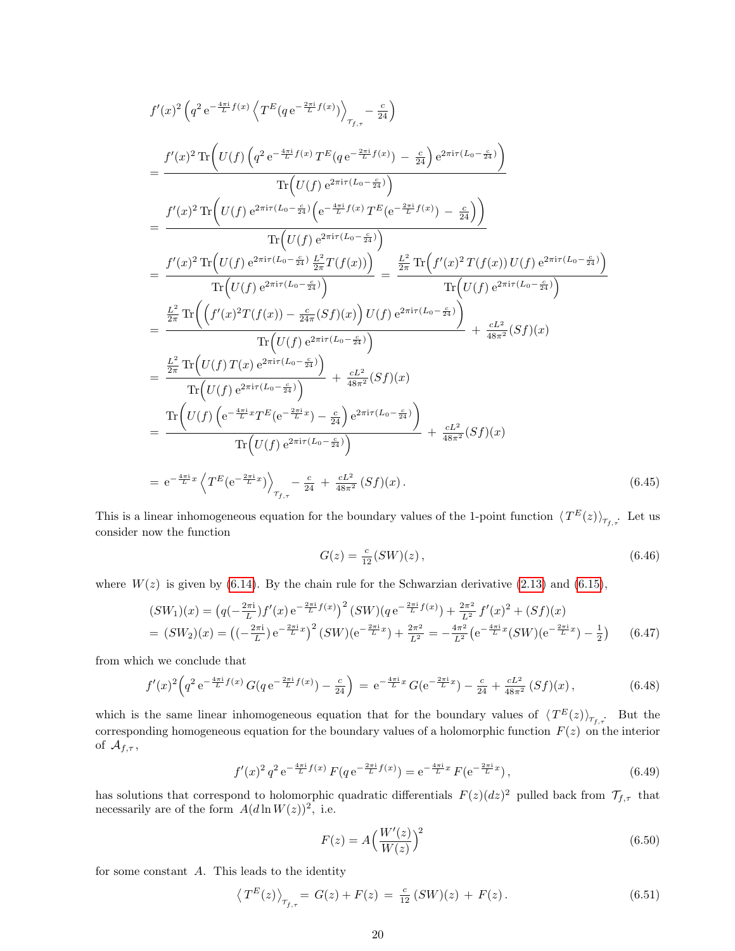$$
f'(x)^{2} (q^{2} e^{-\frac{4\pi i}{L}f(x)} \left\langle T^{E} (q e^{-\frac{2\pi i}{L}f(x)}) \right\rangle_{\tau_{f,\tau}} - \frac{c}{24} \right)
$$
\n
$$
= \frac{f'(x)^{2} \operatorname{Tr} \left( U(f) \left( q^{2} e^{-\frac{4\pi i}{L}f(x)} T^{E} (q e^{-\frac{2\pi i}{L}f(x)}) - \frac{c}{24} \right) e^{2\pi i \tau (L_{0} - \frac{c}{24})} \right)}{\operatorname{Tr} \left( U(f) e^{2\pi i \tau (L_{0} - \frac{c}{24})} \right)}
$$
\n
$$
= \frac{f'(x)^{2} \operatorname{Tr} \left( U(f) e^{2\pi i \tau (L_{0} - \frac{c}{24})} \left( e^{-\frac{4\pi i}{L}f(x)} T^{E} (e^{-\frac{2\pi i}{L}f(x)}) - \frac{c}{24} \right) \right)}{\operatorname{Tr} \left( U(f) e^{2\pi i \tau (L_{0} - \frac{c}{24})} \right)}
$$
\n
$$
= \frac{f'(x)^{2} \operatorname{Tr} \left( U(f) e^{2\pi i \tau (L_{0} - \frac{c}{24})} \frac{L^{2}}{2\pi} T(f(x)) \right)}{\operatorname{Tr} \left( U(f) e^{2\pi i \tau (L_{0} - \frac{c}{24})} \right)} = \frac{\frac{L^{2}}{2\pi} \operatorname{Tr} \left( f'(x)^{2} T(f(x)) U(f) e^{2\pi i \tau (L_{0} - \frac{c}{24})} \right)}{\operatorname{Tr} \left( U(f) e^{2\pi i \tau (L_{0} - \frac{c}{24})} \right)} + \frac{cL^{2}}{48\pi^{2}} (Sf)(x)
$$
\n
$$
= \frac{\frac{L^{2}}{2\pi} \operatorname{Tr} \left( U(f) T(x) e^{2\pi i \tau (L_{0} - \frac{c}{24})} \right)}{\operatorname{Tr} \left( U(f) e^{2\pi i \tau (L_{0} - \frac{c}{24})} \right)} + \frac{cL^{2}}{48\pi^{2}} (Sf)(x)
$$
\n
$$
= \frac{\frac{L^{2}}{2\pi
$$

This is a linear inhomogeneous equation for the boundary values of the 1-point function  $\langle T^{E}(z)\rangle_{\tau_{f,\tau}}$ . Let us consider now the function

$$
G(z) = \frac{c}{12}(SW)(z),\tag{6.46}
$$

where  $W(z)$  is given by [\(6.14\)](#page-15-3). By the chain rule for the Schwarzian derivative [\(2.13\)](#page-3-7) and [\(6.15\)](#page-15-5),

<span id="page-19-1"></span>
$$
(SW_1)(x) = (q(-\frac{2\pi i}{L})f'(x)e^{-\frac{2\pi i}{L}f(x)})^2 (SW)(q e^{-\frac{2\pi i}{L}f(x)}) + \frac{2\pi^2}{L^2}f'(x)^2 + (Sf)(x)
$$
  
=  $(SW_2)(x) = ((-\frac{2\pi i}{L})e^{-\frac{2\pi i}{L}x})^2 (SW)(e^{-\frac{2\pi i}{L}x}) + \frac{2\pi^2}{L^2} = -\frac{4\pi^2}{L^2}(e^{-\frac{4\pi i}{L}x}(SW)(e^{-\frac{2\pi i}{L}x}) - \frac{1}{2})$  (6.47)

from which we conclude that

$$
f'(x)^2 \left( q^2 e^{-\frac{4\pi i}{L} f(x)} G(q e^{-\frac{2\pi i}{L} f(x)}) - \frac{c}{24} \right) = e^{-\frac{4\pi i}{L} x} G(e^{-\frac{2\pi i}{L} x}) - \frac{c}{24} + \frac{cL^2}{48\pi^2} (Sf)(x), \tag{6.48}
$$

which is the same linear inhomogeneous equation that for the boundary values of  $\langle T^{E}(z)\rangle_{\tau_{f,\tau}}$ . But the corresponding homogeneous equation for the boundary values of a holomorphic function  $F(z)$  on the interior of  $\mathcal{A}_{f,\tau}$ ,

$$
f'(x)^2 q^2 e^{-\frac{4\pi i}{L}f(x)} F(q e^{-\frac{2\pi i}{L}f(x)}) = e^{-\frac{4\pi i}{L}x} F(e^{-\frac{2\pi i}{L}x}),
$$
\n(6.49)

has solutions that correspond to holomorphic quadratic differentials  $F(z)(dz)^2$  pulled back from  $\mathcal{T}_{f,\tau}$  that necessarily are of the form  $A(d \ln W(z))^2$ , i.e.

<span id="page-19-0"></span>
$$
F(z) = A \left(\frac{W'(z)}{W(z)}\right)^2 \tag{6.50}
$$

for some constant A. This leads to the identity

$$
\left\langle T^{E}(z)\right\rangle_{\tau_{f,\tau}} = G(z) + F(z) = \frac{c}{12} \left(SW\right)(z) + F(z). \tag{6.51}
$$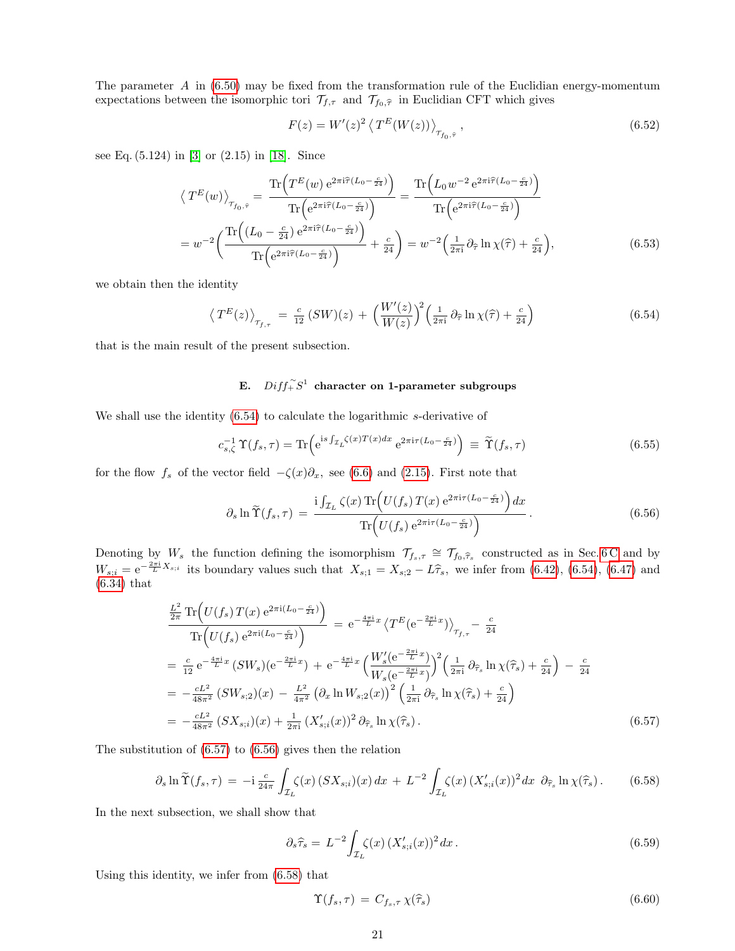The parameter  $A$  in [\(6.50\)](#page-19-0) may be fixed from the transformation rule of the Euclidian energy-momentum expectations between the isomorphic tori  $\mathcal{T}_{f,\tau}$  and  $\mathcal{T}_{f_0,\hat{\tau}}$  in Euclidian CFT which gives

$$
F(z) = W'(z)^2 \left\langle T^E(W(z)) \right\rangle_{\tau_{f_0, \hat{\tau}}}, \qquad (6.52)
$$

see Eq. (5.124) in [\[3\]](#page-58-29) or (2.15) in [\[18\]](#page-58-30). Since

$$
\langle T^{E}(w) \rangle_{\tau_{f_0, \hat{\tau}}} = \frac{\text{Tr}\left(T^{E}(w) e^{2\pi i \hat{\tau}(L_0 - \frac{c}{24})}\right)}{\text{Tr}\left(e^{2\pi i \hat{\tau}(L_0 - \frac{c}{24})}\right)} = \frac{\text{Tr}\left(L_0 w^{-2} e^{2\pi i \hat{\tau}(L_0 - \frac{c}{24})}\right)}{\text{Tr}\left(e^{2\pi i \hat{\tau}(L_0 - \frac{c}{24})}\right)}
$$

$$
= w^{-2} \left(\frac{\text{Tr}\left((L_0 - \frac{c}{24}) e^{2\pi i \hat{\tau}(L_0 - \frac{c}{24})}\right)}{\text{Tr}\left(e^{2\pi i \hat{\tau}(L_0 - \frac{c}{24})}\right)} + \frac{c}{24}\right) = w^{-2} \left(\frac{1}{2\pi i} \partial_{\hat{\tau}} \ln \chi(\hat{\tau}) + \frac{c}{24}\right),\tag{6.53}
$$

we obtain then the identity

<span id="page-20-1"></span>
$$
\left\langle T^{E}(z)\right\rangle_{\tau_{f,\tau}} = \frac{c}{12} \left(SW\right)(z) + \left(\frac{W'(z)}{W(z)}\right)^{2} \left(\frac{1}{2\pi i} \partial_{\widehat{\tau}} \ln \chi(\widehat{\tau}) + \frac{c}{24}\right)
$$
(6.54)

that is the main result of the present subsection.

## <span id="page-20-0"></span>E.  $Diff_{+}^{\sim}S^{1}$  character on 1-parameter subgroups

We shall use the identity  $(6.54)$  to calculate the logarithmic s-derivative of

$$
c_{s,\zeta}^{-1} \Upsilon(f_s, \tau) = \text{Tr} \left( e^{i s \int_{\mathcal{I}_L} \zeta(x) T(x) dx} e^{2\pi i \tau (L_0 - \frac{c}{24})} \right) \equiv \widetilde{\Upsilon}(f_s, \tau) \tag{6.55}
$$

for the flow  $f_s$  of the vector field  $-\zeta(x)\partial_x$ , see [\(6.6\)](#page-14-3) and [\(2.15\)](#page-3-4). First note that

<span id="page-20-3"></span>
$$
\partial_s \ln \widetilde{\Upsilon}(f_s, \tau) = \frac{\mathrm{i} \int_{\mathcal{I}_L} \zeta(x) \operatorname{Tr} \left( U(f_s) \, T(x) \, \mathrm{e}^{2\pi \mathrm{i} \tau (L_0 - \frac{c}{24})} \right) dx}{\operatorname{Tr} \left( U(f_s) \, \mathrm{e}^{2\pi \mathrm{i} \tau (L_0 - \frac{c}{24})} \right)} \,. \tag{6.56}
$$

Denoting by  $W_s$  the function defining the isomorphism  $\mathcal{T}_{f_s,\tau} \cong \mathcal{T}_{f_0,\widehat{\tau}_s}$  constructed as in Sec. [6 C](#page-15-0) and by  $W_{s;i} = e^{-\frac{2\pi i}{L}X_{s;i}}$  its boundary values such that  $X_{s;1} = X_{s;2} - L\hat{\tau}_s$ , we infer from [\(6.42\)](#page-18-1), [\(6.54\)](#page-20-1), [\(6.47\)](#page-19-1) and (6.34) that [\(6.34\)](#page-17-5) that

<span id="page-20-2"></span>
$$
\frac{\frac{L^2}{2\pi} \text{Tr}\Big(U(f_s) T(x) e^{2\pi i (L_0 - \frac{c}{24})}\Big)}{\text{Tr}\Big(U(f_s) e^{2\pi i (L_0 - \frac{c}{24})}\Big)} = e^{-\frac{4\pi i}{L}x} \left\langle T^E(e^{-\frac{2\pi i}{L}x}) \right\rangle_{\mathcal{T}_{f,\tau}} - \frac{c}{24}
$$
\n
$$
= \frac{c}{12} e^{-\frac{4\pi i}{L}x} \left(SW_s\right) (e^{-\frac{2\pi i}{L}x}) + e^{-\frac{4\pi i}{L}x} \left(\frac{W_s'(e^{-\frac{2\pi i}{L}x})}{W_s(e^{-\frac{2\pi i}{L}x})}\right)^2 \left(\frac{1}{2\pi i} \partial_{\widehat{\tau}_s} \ln \chi(\widehat{\tau}_s) + \frac{c}{24}\right) - \frac{c}{24}
$$
\n
$$
= -\frac{cL^2}{48\pi^2} \left(SW_{s,2}\right)(x) - \frac{L^2}{4\pi^2} \left(\partial_x \ln W_{s,2}(x)\right)^2 \left(\frac{1}{2\pi i} \partial_{\widehat{\tau}_s} \ln \chi(\widehat{\tau}_s) + \frac{c}{24}\right)
$$
\n
$$
= -\frac{cL^2}{48\pi^2} \left(SX_{s,i}\right)(x) + \frac{1}{2\pi i} \left(X_{s,i}'(x)\right)^2 \partial_{\widehat{\tau}_s} \ln \chi(\widehat{\tau}_s) \,. \tag{6.57}
$$

The substitution of [\(6.57\)](#page-20-2) to [\(6.56\)](#page-20-3) gives then the relation

<span id="page-20-4"></span>
$$
\partial_s \ln \widetilde{\Upsilon}(f_s, \tau) = -i \frac{c}{24\pi} \int_{\mathcal{I}_L} \zeta(x) \left( S X_{s;i} \right)(x) \, dx + L^{-2} \int_{\mathcal{I}_L} \zeta(x) \left( X'_{s;i}(x) \right)^2 dx \, \partial_{\widehat{\tau}_s} \ln \chi(\widehat{\tau}_s) \, . \tag{6.58}
$$

In the next subsection, we shall show that

<span id="page-20-5"></span>
$$
\partial_s \widehat{\tau}_s = L^{-2} \int_{\mathcal{I}_L} \zeta(x) \left( X'_{s;i}(x) \right)^2 dx. \tag{6.59}
$$

Using this identity, we infer from [\(6.58\)](#page-20-4) that

$$
\Upsilon(f_s, \tau) = C_{f_s, \tau} \chi(\hat{\tau}_s) \tag{6.60}
$$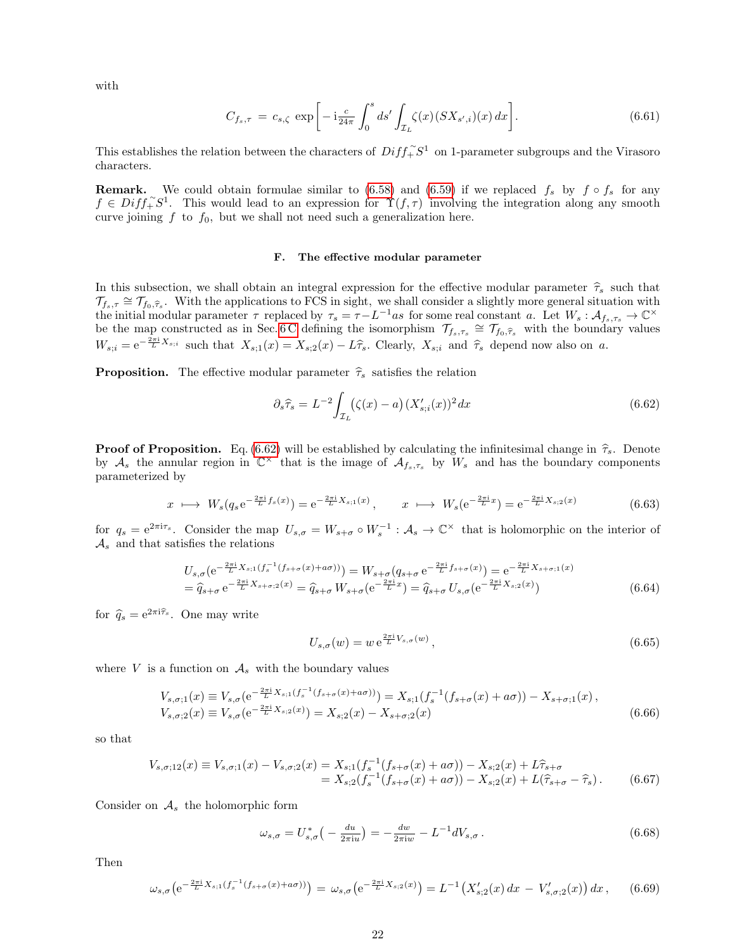with

$$
C_{f_s,\tau} = c_{s,\zeta} \exp\bigg[-i\frac{c}{24\pi} \int_0^s ds' \int_{\mathcal{I}_L} \zeta(x) (SX_{s',i})(x) \, dx\bigg]. \tag{6.61}
$$

This establishes the relation between the characters of  $Diff_{+}^{\sim}S^{1}$  on 1-parameter subgroups and the Virasoro characters.

**Remark.** We could obtain formulae similar to [\(6.58\)](#page-20-4) and [\(6.59\)](#page-20-5) if we replaced  $f_s$  by  $f \circ f_s$  for any  $f \in Diff^{\sim}_+ S^1$ . This would lead to an expression for  $\Upsilon(f, \tau)$  involving the integration along any smooth curve joining  $f$  to  $f_0$ , but we shall not need such a generalization here.

## <span id="page-21-0"></span>F. The effective modular parameter

In this subsection, we shall obtain an integral expression for the effective modular parameter  $\hat{\tau}_s$  such that  $\mathcal{T}_{f_s,\tau} \cong \mathcal{T}_{f_0,\widehat{\tau}_s}$ . With the applications to FCS in sight, we shall consider a slightly more general situation with the initial modular parameter  $\tau$  replaced by  $\tau_s = \tau - L^{-1}as$  for some real constant a. Let  $W_s : \mathcal{A}_{f_s, \tau_s} \to \mathbb{C}^\times$ be the map constructed as in Sec. [6 C](#page-15-0) defining the isomorphism  $\mathcal{T}_{f_s,\tau_s} \cong \mathcal{T}_{f_0,\widehat{\tau}_s}$  with the boundary values  $W_{s;i} = e^{-\frac{2\pi i}{L}X_{s;i}}$  such that  $X_{s;1}(x) = X_{s;2}(x) - L\hat{\tau}_s$ . Clearly,  $X_{s;i}$  and  $\hat{\tau}_s$  depend now also on a.

**Proposition.** The effective modular parameter  $\hat{\tau}_s$  satisfies the relation

<span id="page-21-1"></span>
$$
\partial_s \widehat{\tau}_s = L^{-2} \int_{\mathcal{I}_L} (\zeta(x) - a) \left( X'_{s;i}(x) \right)^2 dx \tag{6.62}
$$

**Proof of Proposition.** Eq. [\(6.62\)](#page-21-1) will be established by calculating the infinitesimal change in  $\hat{\tau}_s$ . Denote by  $\mathcal{A}_s$  the annular region in  $\mathbb{C}^{\times}$  that is the image of  $\mathcal{A}_{f_s,\tau_s}$  by  $W_s$  and has the bo parameterized by

$$
x \longmapsto W_s(q_s e^{-\frac{2\pi i}{L}f_s(x)}) = e^{-\frac{2\pi i}{L}X_{s;1}(x)}, \qquad x \longmapsto W_s(e^{-\frac{2\pi i}{L}x}) = e^{-\frac{2\pi i}{L}X_{s;2}(x)}
$$
(6.63)

for  $q_s = e^{2\pi i \tau_s}$ . Consider the map  $U_{s,\sigma} = W_{s+\sigma} \circ W_s^{-1} : \mathcal{A}_s \to \mathbb{C}^\times$  that is holomorphic on the interior of  $\mathcal{A}_s$  and that satisfies the relations

<span id="page-21-2"></span>
$$
U_{s,\sigma}(e^{-\frac{2\pi i}{L}X_{s;1}(f_s^{-1}(f_{s+\sigma}(x)+a\sigma)))}) = W_{s+\sigma}(q_{s+\sigma}e^{-\frac{2\pi i}{L}f_{s+\sigma}(x)}) = e^{-\frac{2\pi i}{L}X_{s+\sigma;1}(x)}
$$
  
=  $\widehat{q}_{s+\sigma}e^{-\frac{2\pi i}{L}X_{s+\sigma;2}(x)} = \widehat{q}_{s+\sigma}W_{s+\sigma}(e^{-\frac{2\pi i}{L}x}) = \widehat{q}_{s+\sigma}U_{s,\sigma}(e^{-\frac{2\pi i}{L}X_{s;2}(x)})$  (6.64)

for  $\hat{q}_s = e^{2\pi i \hat{\tau}_s}$ . One may write

$$
U_{s,\sigma}(w) = w e^{\frac{2\pi i}{L}V_{s,\sigma}(w)},\tag{6.65}
$$

where V is a function on  $\mathcal{A}_s$  with the boundary values

$$
V_{s,\sigma;1}(x) \equiv V_{s,\sigma}(e^{-\frac{2\pi i}{L}X_{s;1}(f_s^{-1}(f_{s+\sigma}(x)+a\sigma)))} = X_{s;1}(f_s^{-1}(f_{s+\sigma}(x)+a\sigma)) - X_{s+\sigma;1}(x),
$$
  
\n
$$
V_{s,\sigma;2}(x) \equiv V_{s,\sigma}(e^{-\frac{2\pi i}{L}X_{s;2}(x)}) = X_{s;2}(x) - X_{s+\sigma;2}(x)
$$
\n(6.66)

so that

$$
V_{s,\sigma;12}(x) \equiv V_{s,\sigma;1}(x) - V_{s,\sigma;2}(x) = X_{s;1}(f_s^{-1}(f_{s+\sigma}(x) + a\sigma)) - X_{s;2}(x) + L\widehat{\tau}_{s+\sigma}
$$
  
=  $X_{s;2}(f_s^{-1}(f_{s+\sigma}(x) + a\sigma)) - X_{s;2}(x) + L(\widehat{\tau}_{s+\sigma} - \widehat{\tau}_s).$  (6.67)

Consider on  $A<sub>s</sub>$  the holomorphic form

$$
\omega_{s,\sigma} = U_{s,\sigma}^* \left( -\frac{du}{2\pi i u} \right) = -\frac{dw}{2\pi i w} - L^{-1} dV_{s,\sigma} \,. \tag{6.68}
$$

Then

$$
\omega_{s,\sigma}\left(e^{-\frac{2\pi i}{L}X_{s;1}(f_s^{-1}(f_{s+\sigma}(x)+a\sigma))}\right) = \omega_{s,\sigma}\left(e^{-\frac{2\pi i}{L}X_{s;2}(x)}\right) = L^{-1}\left(X'_{s;2}(x)\,dx\,-\,V'_{s,\sigma;2}(x)\right)dx\,,\tag{6.69}
$$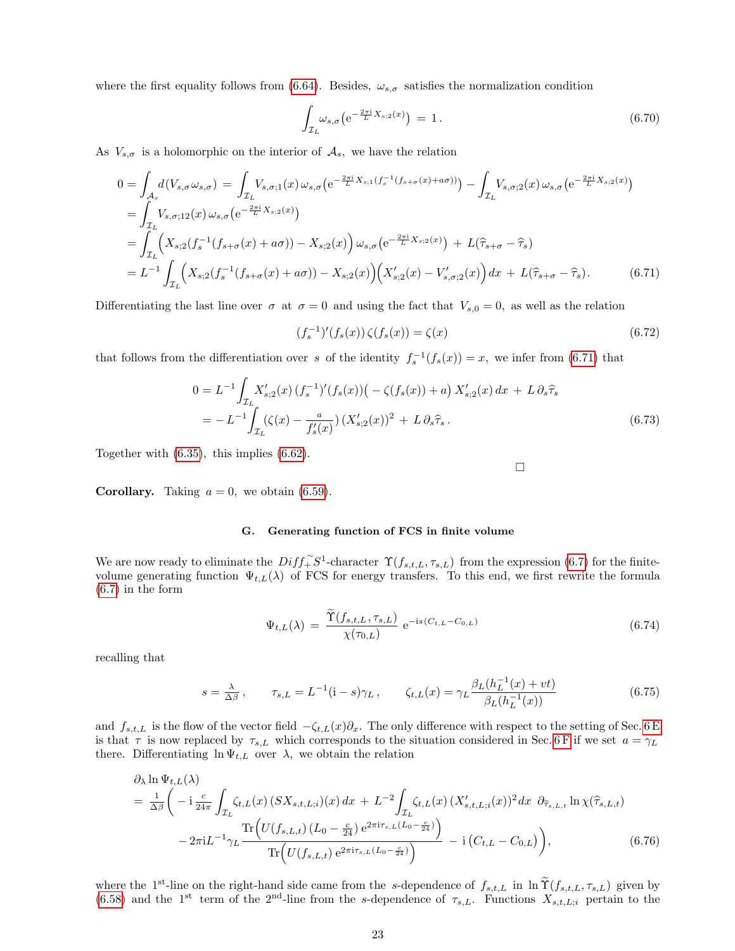where the first equality follows from [\(6.64\)](#page-21-2). Besides,  $\omega_{s,\sigma}$  satisfies the normalization condition

$$
\int_{\mathcal{I}_L} \omega_{s,\sigma} \left( e^{-\frac{2\pi i}{L} X_{s;2}(x)} \right) = 1. \tag{6.70}
$$

As  $V_{s,\sigma}$  is a holomorphic on the interior of  $\mathcal{A}_s$ , we have the relation

<span id="page-22-1"></span>
$$
0 = \int_{\mathcal{A}_{s}} d(V_{s,\sigma}\omega_{s,\sigma}) = \int_{\mathcal{I}_{L}} V_{s,\sigma;1}(x)\,\omega_{s,\sigma} \left(e^{-\frac{2\pi i}{L}X_{s;1}(f_{s}^{-1}(f_{s+\sigma}(x)+a\sigma))}\right) - \int_{\mathcal{I}_{L}} V_{s,\sigma;2}(x)\,\omega_{s,\sigma} \left(e^{-\frac{2\pi i}{L}X_{s;2}(x)}\right)
$$
  
\n
$$
= \int_{\mathcal{I}_{L}} V_{s,\sigma;12}(x)\,\omega_{s,\sigma} \left(e^{-\frac{2\pi i}{L}X_{s;2}(x)}\right)
$$
  
\n
$$
= \int_{\mathcal{I}_{L}} \left(X_{s;2}(f_{s}^{-1}(f_{s+\sigma}(x)+a\sigma)) - X_{s;2}(x)\right)\omega_{s,\sigma} \left(e^{-\frac{2\pi i}{L}X_{s;2}(x)}\right) + L(\hat{\tau}_{s+\sigma} - \hat{\tau}_{s})
$$
  
\n
$$
= L^{-1} \int_{\mathcal{I}_{L}} \left(X_{s;2}(f_{s}^{-1}(f_{s+\sigma}(x)+a\sigma)) - X_{s;2}(x)\right) \left(X'_{s;2}(x) - V'_{s,\sigma;2}(x)\right) dx + L(\hat{\tau}_{s+\sigma} - \hat{\tau}_{s}). \tag{6.71}
$$

Differentiating the last line over  $\sigma$  at  $\sigma = 0$  and using the fact that  $V_{s,0} = 0$ , as well as the relation

$$
(f_s^{-1})'(f_s(x))\zeta(f_s(x)) = \zeta(x) \tag{6.72}
$$

 $\Box$ 

that follows from the differentiation over s of the identity  $f_s^{-1}(f_s(x)) = x$ , we infer from [\(6.71\)](#page-22-1) that

$$
0 = L^{-1} \int_{\mathcal{I}_L} X'_{s,2}(x) \left( f_s^{-1} \right)' (f_s(x)) \left( - \zeta(f_s(x)) + a \right) X'_{s,2}(x) \, dx + L \, \partial_s \widehat{\tau}_s
$$
\n
$$
= -L^{-1} \int_{\mathcal{I}_L} (\zeta(x) - \frac{a}{f'_s(x)}) \left( X'_{s,2}(x) \right)^2 + L \, \partial_s \widehat{\tau}_s \,. \tag{6.73}
$$

Together with [\(6.35\)](#page-17-4), this implies [\(6.62\)](#page-21-1).

**Corollary.** Taking  $a = 0$ , we obtain [\(6.59\)](#page-20-5).

#### <span id="page-22-0"></span>G. Generating function of FCS in finite volume

We are now ready to eliminate the  $Diff_{+}^{\sim}S^{1}$ -character  $\Upsilon(f_{s,t,L}, \tau_{s,L})$  from the expression [\(6.7\)](#page-14-1) for the finitevolume generating function  $\Psi_{t,L}(\lambda)$  of FCS for energy transfers. To this end, we first rewrite the formula [\(6.7\)](#page-14-1) in the form

$$
\Psi_{t,L}(\lambda) = \frac{\hat{\Upsilon}(f_{s,t,L}, \tau_{s,L})}{\chi(\tau_{0,L})} e^{-is(C_{t,L} - C_{0,L})}
$$
(6.74)

recalling that

$$
s = \frac{\lambda}{\Delta \beta}, \qquad \tau_{s,L} = L^{-1} (i - s) \gamma_L, \qquad \zeta_{t,L}(x) = \gamma_L \frac{\beta_L (h_L^{-1}(x) + vt)}{\beta_L (h_L^{-1}(x))}
$$
(6.75)

and  $f_{s,t,L}$  is the flow of the vector field  $-\zeta_{t,L}(x)\partial_x$ . The only difference with respect to the setting of Sec. [6 E](#page-20-0) is that  $\tau$  is now replaced by  $\tau_{s,L}$  which corresponds to the situation considered in Sec. [6 F](#page-21-0) if we set  $a = \gamma_L$ there. Differentiating  $\ln \Psi_{t,L}$  over  $\lambda$ , we obtain the relation

<span id="page-22-2"></span>
$$
\partial_{\lambda} \ln \Psi_{t,L}(\lambda) = \frac{1}{\Delta \beta} \left( -i \frac{c}{24\pi} \int_{\mathcal{I}_{L}} \zeta_{t,L}(x) \left( SX_{s,t,L;i} \right)(x) dx + L^{-2} \int_{\mathcal{I}_{L}} \zeta_{t,L}(x) \left( X'_{s,t,L;i}(x) \right)^{2} dx \ \partial_{\widehat{\tau}_{s,L,t}} \ln \chi(\widehat{\tau}_{s,L,t}) - 2\pi i L^{-1} \gamma_{L} \frac{\text{Tr} \left( U(f_{s,L,t}) \left( L_{0} - \frac{c}{24} \right) e^{2\pi i \tau_{s,L}(L_{0} - \frac{c}{24})} \right)}{\text{Tr} \left( U(f_{s,L,t}) e^{2\pi i \tau_{s,L}(L_{0} - \frac{c}{24})} \right)} - i \left( C_{t,L} - C_{0,L} \right) \right), \tag{6.76}
$$

where the 1<sup>st</sup>-line on the right-hand side came from the s-dependence of  $f_{s,t,L}$  in  $\ln \widetilde{\Upsilon}(f_{s,t,L}, \tau_{s,L})$  given by [\(6.58\)](#page-20-4) and the 1<sup>st</sup> term of the 2<sup>nd</sup>-line from the s-dependence of  $\tau_{s,L}$ . Functions  $X_{s,t,L;i}$  pe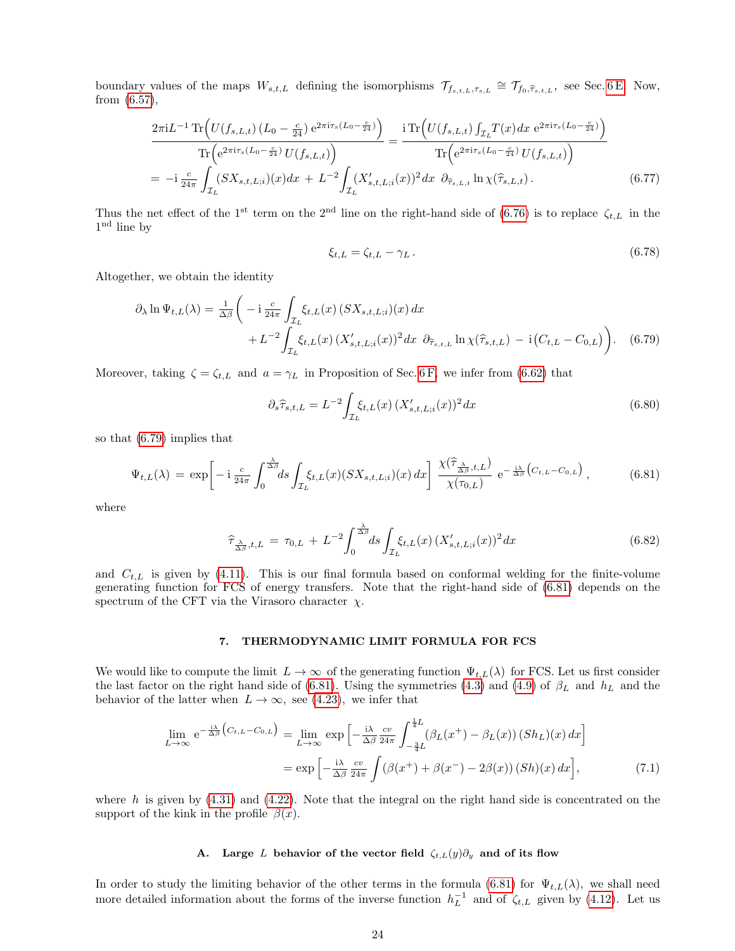boundary values of the maps  $W_{s,t,L}$  defining the isomorphisms  $\mathcal{T}_{f_{s,t,L},\tau_{s,L}} \cong \mathcal{T}_{f_0,\widehat{\tau}_{s,t,L}}$ , see Sec. [6 E.](#page-20-0) Now, from [\(6.57\)](#page-20-2),

$$
\frac{2\pi i L^{-1} \operatorname{Tr} \left( U(f_{s,L,t}) \left( L_0 - \frac{c}{24} \right) e^{2\pi i \tau_s (L_0 - \frac{c}{24})} \right)}{\operatorname{Tr} \left( e^{2\pi i \tau_s (L_0 - \frac{c}{24})} U(f_{s,L,t}) \right)} = \frac{i \operatorname{Tr} \left( U(f_{s,L,t}) \int_{\mathcal{I}_L} T(x) dx \ e^{2\pi i \tau_s (L_0 - \frac{c}{24})} \right)}{\operatorname{Tr} \left( e^{2\pi i \tau_s (L_0 - \frac{c}{24})} U(f_{s,L,t}) \right)}
$$
\n
$$
= -i \frac{c}{24\pi} \int_{\mathcal{I}_L} (SX_{s,t,L,i})(x) dx + L^{-2} \int_{\mathcal{I}_L} (X'_{s,t,L,i}(x))^2 dx \ \partial_{\widehat{\tau}_{s,L,t}} \ln \chi(\widehat{\tau}_{s,L,t}). \tag{6.77}
$$

Thus the net effect of the 1<sup>st</sup> term on the 2<sup>nd</sup> line on the right-hand side of [\(6.76\)](#page-22-2) is to replace  $\zeta_{t,L}$  in the 1 nd line by

<span id="page-23-4"></span>
$$
\xi_{t,L} = \zeta_{t,L} - \gamma_L. \tag{6.78}
$$

Altogether, we obtain the identity

<span id="page-23-2"></span>
$$
\partial_{\lambda} \ln \Psi_{t,L}(\lambda) = \frac{1}{\Delta \beta} \left( -i \frac{c}{24\pi} \int_{\mathcal{I}_L} \xi_{t,L}(x) \left( S X_{s,t,L;i} \right)(x) dx + L^{-2} \int_{\mathcal{I}_L} \xi_{t,L}(x) \left( X'_{s,t,L;i}(x) \right)^2 dx \ \partial_{\widehat{\tau}_{s,t,L}} \ln \chi(\widehat{\tau}_{s,t,L}) - i \left( C_{t,L} - C_{0,L} \right) \right). \tag{6.79}
$$

Moreover, taking  $\zeta = \zeta_{t,L}$  and  $a = \gamma_L$  in Proposition of Sec. [6 F,](#page-21-0) we infer from [\(6.62\)](#page-21-1) that

$$
\partial_s \hat{\tau}_{s,t,L} = L^{-2} \int_{\mathcal{I}_L} \xi_{t,L}(x) \left( X'_{s,t,L,i}(x) \right)^2 dx \tag{6.80}
$$

so that [\(6.79\)](#page-23-2) implies that

<span id="page-23-3"></span>
$$
\Psi_{t,L}(\lambda) = \exp\bigg[-i\frac{c}{24\pi} \int_0^{\frac{\lambda}{\Delta\beta}} ds \int_{\mathcal{I}_L} \xi_{t,L}(x) (SX_{s,t,L;i})(x) dx\bigg] \frac{\chi(\widehat{\tau}_{\frac{\lambda}{\Delta\beta},t,L})}{\chi(\tau_{0,L})} e^{-\frac{i\lambda}{\Delta\beta} (C_{t,L}-C_{0,L})}, \tag{6.81}
$$

where

<span id="page-23-5"></span>
$$
\widehat{\tau}_{\frac{\lambda}{\Delta\beta},t,L} = \tau_{0,L} + L^{-2} \int_0^{\frac{\lambda}{\Delta\beta}} ds \int_{\mathcal{I}_L} \xi_{t,L}(x) \left( X'_{s,t,L;i}(x) \right)^2 dx \tag{6.82}
$$

and  $C_{t,L}$  is given by [\(4.11\)](#page-8-5). This is our final formula based on conformal welding for the finite-volume generating function for FCS of energy transfers. Note that the right-hand side of [\(6.81\)](#page-23-3) depends on the spectrum of the CFT via the Virasoro character  $\chi$ .

## <span id="page-23-0"></span>7. THERMODYNAMIC LIMIT FORMULA FOR FCS

We would like to compute the limit  $L \to \infty$  of the generating function  $\Psi_{t,L}(\lambda)$  for FCS. Let us first consider the last factor on the right hand side of [\(6.81\)](#page-23-3). Using the symmetries [\(4.3\)](#page-7-7) and [\(4.9\)](#page-7-8) of  $\beta_L$  and  $h_L$  and the behavior of the latter when  $L \to \infty$ , see [\(4.23\)](#page-9-4), we infer that

<span id="page-23-6"></span>
$$
\lim_{L \to \infty} e^{-\frac{i\lambda}{\Delta \beta} \left( C_{t,L} - C_{0,L} \right)} = \lim_{L \to \infty} \exp \left[ -\frac{i\lambda}{\Delta \beta} \frac{cv}{24\pi} \int_{-\frac{3}{4}L}^{\frac{1}{4}L} (\beta_L(x^+) - \beta_L(x)) \left( Sh_L \right)(x) dx \right]
$$
\n
$$
= \exp \left[ -\frac{i\lambda}{\Delta \beta} \frac{cv}{24\pi} \int (\beta(x^+) + \beta(x^-) - 2\beta(x)) \left( Sh \right)(x) dx \right], \tag{7.1}
$$

where h is given by  $(4.31)$  and  $(4.22)$ . Note that the integral on the right hand side is concentrated on the support of the kink in the profile  $\beta(x)$ .

## <span id="page-23-1"></span>A. Large L behavior of the vector field  $\zeta_{t,L}(y)\partial_y$  and of its flow

In order to study the limiting behavior of the other terms in the formula [\(6.81\)](#page-23-3) for  $\Psi_{t,L}(\lambda)$ , we shall need more detailed information about the forms of the inverse function  $h_L^{-1}$  and of  $\zeta_{t,L}$  given by [\(4.12\)](#page-8-6). Let us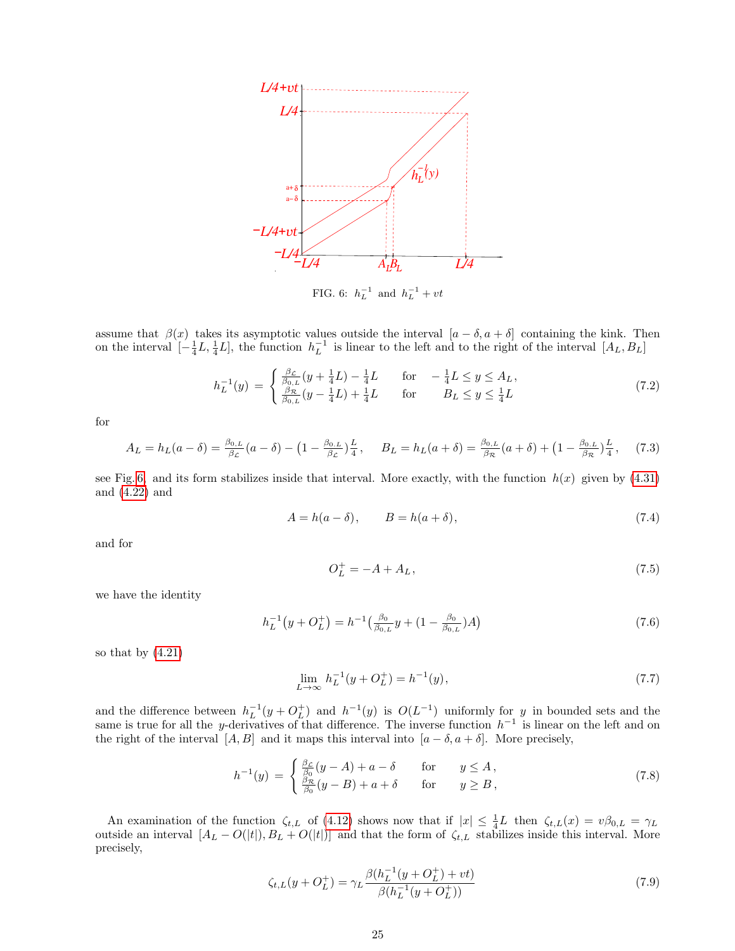

assume that  $\beta(x)$  takes its asymptotic values outside the interval  $[a - \delta, a + \delta]$  containing the kink. Then on the interval  $\left[-\frac{1}{4}L,\frac{1}{4}L\right]$ , the function  $h_L^{-1}$  is linear to the left and to the right of the interval  $[A_L,B_L]$ 

<span id="page-24-0"></span>
$$
h_L^{-1}(y) = \begin{cases} \frac{\beta_{\mathcal{L}}}{\beta_{0,L}}(y + \frac{1}{4}L) - \frac{1}{4}L & \text{for} \quad -\frac{1}{4}L \le y \le A_L, \\ \frac{\beta_{\mathcal{R}}}{\beta_{0,L}}(y - \frac{1}{4}L) + \frac{1}{4}L & \text{for} \quad B_L \le y \le \frac{1}{4}L \end{cases}
$$
(7.2)

for

$$
A_L = h_L(a - \delta) = \frac{\beta_{0,L}}{\beta_{\mathcal{L}}}(a - \delta) - \left(1 - \frac{\beta_{0,L}}{\beta_{\mathcal{L}}}\right)\frac{L}{4}, \quad B_L = h_L(a + \delta) = \frac{\beta_{0,L}}{\beta_{\mathcal{R}}}(a + \delta) + \left(1 - \frac{\beta_{0,L}}{\beta_{\mathcal{R}}}\right)\frac{L}{4},\tag{7.3}
$$

see Fig. [6,](#page-24-0) and its form stabilizes inside that interval. More exactly, with the function  $h(x)$  given by [\(4.31\)](#page-10-0) and [\(4.22\)](#page-9-3) and

$$
A = h(a - \delta), \qquad B = h(a + \delta), \tag{7.4}
$$

and for

<span id="page-24-1"></span>
$$
O_L^+ = -A + A_L, \t\t(7.5)
$$

we have the identity

$$
h_L^{-1}(y + O_L^+) = h^{-1}\left(\frac{\beta_0}{\beta_{0,L}}y + (1 - \frac{\beta_0}{\beta_{0,L}})A\right)
$$
\n(7.6)

so that by  $(4.21)$ 

$$
\lim_{L \to \infty} h_L^{-1}(y + O_L^+) = h^{-1}(y),\tag{7.7}
$$

and the difference between  $h_L^{-1}(y + O_L^+)$  and  $h^{-1}(y)$  is  $O(L^{-1})$  uniformly for y in bounded sets and the same is true for all the y-derivatives of that difference. The inverse function  $h^{-1}$  is linear on the left and on the right of the interval  $[A, B]$  and it maps this interval into  $[a - \delta, a + \delta]$ . More precisely,

$$
h^{-1}(y) = \begin{cases} \frac{\beta_{\mathcal{L}}}{\beta_0}(y - A) + a - \delta & \text{for} \quad y \le A, \\ \frac{\beta_{\mathcal{R}}}{\beta_0}(y - B) + a + \delta & \text{for} \quad y \ge B, \end{cases}
$$
(7.8)

An examination of the function  $\zeta_{t,L}$  of [\(4.12\)](#page-8-6) shows now that if  $|x| \leq \frac{1}{4}L$  then  $\zeta_{t,L}(x) = v\beta_{0,L} = \gamma_L$ outside an interval  $[A_L - O(|t|), B_L + O(|t|)]$  and that the form of  $\zeta_{t,L}$  stabilizes inside this interval. More precisely,

$$
\zeta_{t,L}(y+O_L^+) = \gamma_L \frac{\beta(h_L^{-1}(y+O_L^+) + vt)}{\beta(h_L^{-1}(y+O_L^+))}
$$
\n(7.9)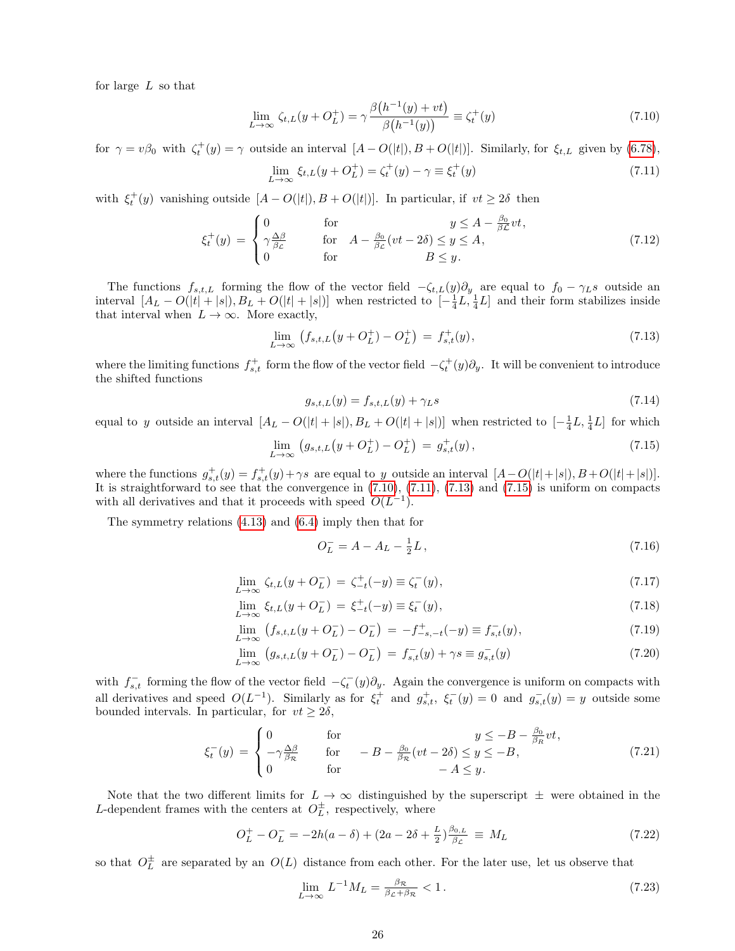for large L so that

<span id="page-25-0"></span>
$$
\lim_{L \to \infty} \zeta_{t,L}(y + O_L^+) = \gamma \frac{\beta(h^{-1}(y) + vt)}{\beta(h^{-1}(y))} \equiv \zeta_t^+(y)
$$
\n(7.10)

for  $\gamma = v\beta_0$  with  $\zeta_t^+(y) = \gamma$  outside an interval  $[A - O(|t|), B + O(|t|)]$ . Similarly, for  $\xi_{t,L}$  given by [\(6.78\)](#page-23-4),

<span id="page-25-1"></span>
$$
\lim_{L \to \infty} \xi_{t,L}(y + O_L^+) = \zeta_t^+(y) - \gamma \equiv \xi_t^+(y) \tag{7.11}
$$

with  $\xi_t^+(y)$  vanishing outside  $[A - O(|t|), B + O(|t|)].$  In particular, if  $vt \geq 2\delta$  then

<span id="page-25-7"></span>
$$
\xi_t^+(y) = \begin{cases}\n0 & \text{for} & y \le A - \frac{\beta_0}{\beta \mathcal{L}} vt, \\
\gamma \frac{\Delta \beta}{\beta \mathcal{L}} & \text{for} & A - \frac{\beta_0}{\beta \mathcal{L}} (vt - 2\delta) \le y \le A, \\
0 & \text{for} & B \le y.\n\end{cases}
$$
\n(7.12)

The functions  $f_{s,t,L}$  forming the flow of the vector field  $-\zeta_{t,L}(y)\partial_y$  are equal to  $f_0 - \gamma_L s$  outside an interval  $[A_L - O(|t| + |s|), B_L + O(|t| + |s|)]$  when restricted to  $\left[-\frac{1}{4}L, \frac{1}{4}L\right]$  and their form stabilizes inside that interval when  $L \to \infty$ . More exactly,

<span id="page-25-2"></span>
$$
\lim_{L \to \infty} (f_{s,t,L}(y + O_L^+) - O_L^+) = f_{s,t}^+(y), \tag{7.13}
$$

where the limiting functions  $f_{s,t}^+$  form the flow of the vector field  $-\zeta_t^+(y)\partial_y$ . It will be convenient to introduce the shifted functions

<span id="page-25-4"></span>
$$
g_{s,t,L}(y) = f_{s,t,L}(y) + \gamma_L s \tag{7.14}
$$

equal to y outside an interval  $[A_L - O(|t| + |s|), B_L + O(|t| + |s|)]$  when restricted to  $[-\frac{1}{4}L, \frac{1}{4}L]$  for which

<span id="page-25-3"></span>
$$
\lim_{L \to \infty} (g_{s,t,L}(y + O_L^+) - O_L^+) = g_{s,t}^+(y), \tag{7.15}
$$

where the functions  $g_{s,t}^+(y) = f_{s,t}^+(y) + \gamma s$  are equal to y outside an interval  $[A-O(|t|+|s|), B+O(|t|+|s|)].$ It is straightforward to see that the convergence in [\(7.10\)](#page-25-0), [\(7.11\)](#page-25-1), [\(7.13\)](#page-25-2) and [\(7.15\)](#page-25-3) is uniform on compacts with all derivatives and that it proceeds with speed  $O(L^{-1})$ .

The symmetry relations [\(4.13\)](#page-8-4) and [\(6.4\)](#page-14-4) imply then that for

<span id="page-25-5"></span>
$$
O_L^- = A - A_L - \frac{1}{2}L, \tag{7.16}
$$

<span id="page-25-6"></span>
$$
\lim_{L \to \infty} \zeta_{t,L}(y + O_L^-) = \zeta_{-t}^+(-y) \equiv \zeta_t^-(y),\tag{7.17}
$$

$$
\lim_{L \to \infty} \xi_{t,L}(y + O_L^-) = \xi_{-t}^+(-y) \equiv \xi_t^-(y),\tag{7.18}
$$

$$
\lim_{L \to \infty} (f_{s,t,L}(y + O_L^-) - O_L^-) = -f_{-s,-t}^+(-y) \equiv f_{s,t}^-(y), \tag{7.19}
$$

$$
\lim_{L \to \infty} (g_{s,t,L}(y + O_L^-) - O_L^-) = f_{s,t}^-(y) + \gamma s \equiv g_{s,t}^-(y)
$$
\n(7.20)

with  $f_{s,t}^-$  forming the flow of the vector field  $-\zeta_t^-(y)\partial_y$ . Again the convergence is uniform on compacts with all derivatives and speed  $O(L^{-1})$ . Similarly as for  $\xi_t^+$  and  $g_{s,t}^+$ ,  $\xi_t^-(y) = 0$  and  $g_{s,t}^-(y) = y$  outside some bounded intervals. In particular, for  $vt \geq 2\delta$ ,

<span id="page-25-8"></span>
$$
\xi_t^-(y) = \begin{cases}\n0 & \text{for} & y \le -B - \frac{\beta_0}{\beta_R} vt, \\
-\gamma \frac{\Delta \beta}{\beta_R} & \text{for} & -B - \frac{\beta_0}{\beta_R} (vt - 2\delta) \le y \le -B, \\
0 & \text{for} & -A \le y.\n\end{cases}
$$
\n(7.21)

Note that the two different limits for  $L \to \infty$  distinguished by the superscript  $\pm$  were obtained in the L-dependent frames with the centers at  $O_L^{\pm}$ , respectively, where

<span id="page-25-9"></span>
$$
O_L^+ - O_L^- = -2h(a - \delta) + (2a - 2\delta + \frac{L}{2})\frac{\beta_{0,L}}{\beta_{\mathcal{L}}} \equiv M_L \tag{7.22}
$$

so that  $O_L^{\pm}$  are separated by an  $O(L)$  distance from each other. For the later use, let us observe that

<span id="page-25-10"></span>
$$
\lim_{L \to \infty} L^{-1} M_L = \frac{\beta \kappa}{\beta_{\mathcal{L}} + \beta_{\mathcal{R}}} < 1. \tag{7.23}
$$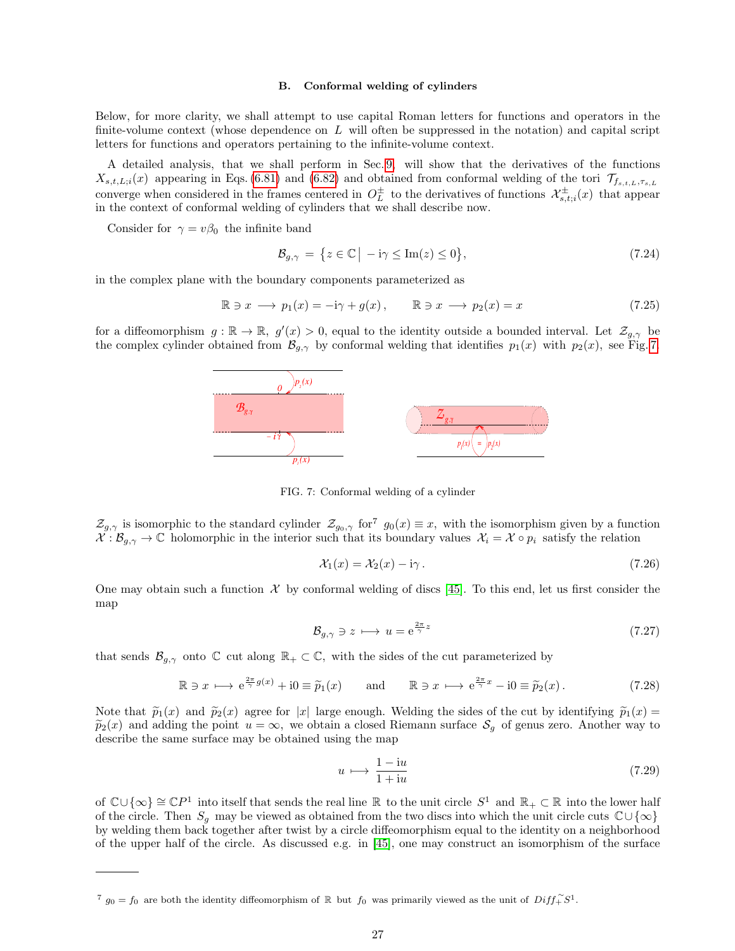## <span id="page-26-0"></span>B. Conformal welding of cylinders

Below, for more clarity, we shall attempt to use capital Roman letters for functions and operators in the finite-volume context (whose dependence on  $L$  will often be suppressed in the notation) and capital script letters for functions and operators pertaining to the infinite-volume context.

A detailed analysis, that we shall perform in Sec. [9,](#page-32-0) will show that the derivatives of the functions  $X_{s,t,L,i}(x)$  appearing in Eqs. [\(6.81\)](#page-23-3) and [\(6.82\)](#page-23-5) and obtained from conformal welding of the tori  $\mathcal{T}_{f_{s,t,L},\tau_{s,L}}$ converge when considered in the frames centered in  $O_L^{\pm}$  to the derivatives of functions  $\mathcal{X}_{s,t;i}^{\pm}(x)$  that appear in the context of conformal welding of cylinders that we shall describe now.

Consider for  $\gamma = v\beta_0$  the infinite band

$$
\mathcal{B}_{g,\gamma} = \{ z \in \mathbb{C} \mid -i\gamma \le \text{Im}(z) \le 0 \},\tag{7.24}
$$

in the complex plane with the boundary components parameterized as

<span id="page-26-4"></span>
$$
\mathbb{R} \ni x \longrightarrow p_1(x) = -i\gamma + g(x), \qquad \mathbb{R} \ni x \longrightarrow p_2(x) = x \tag{7.25}
$$

for a diffeomorphism  $g : \mathbb{R} \to \mathbb{R}$ ,  $g'(x) > 0$ , equal to the identity outside a bounded interval. Let  $\mathcal{Z}_{g,\gamma}$  be the complex cylinder obtained from  $\mathcal{B}_{q,\gamma}$  by conformal welding that identifies  $p_1(x)$  with  $p_2(x)$ , see Fig. [7.](#page-26-1)



<span id="page-26-1"></span>FIG. 7: Conformal welding of a cylinder

 $\mathcal{Z}_{g,\gamma}$  is isomorphic to the standard cylinder  $\mathcal{Z}_{g_0,\gamma}$  for<sup>7</sup>  $g_0(x) \equiv x$ , with the isomorphism given by a function  $\mathcal{X}: \mathcal{B}_{g,\gamma} \to \mathbb{C}$  holomorphic in the interior such that its boundary values  $\mathcal{X}_i = \mathcal{X} \circ p_i$  satisfy the relation

<span id="page-26-3"></span>
$$
\mathcal{X}_1(x) = \mathcal{X}_2(x) - i\gamma \,. \tag{7.26}
$$

One may obtain such a function  $\mathcal X$  by conformal welding of discs [\[45\]](#page-59-4). To this end, let us first consider the map

$$
\mathcal{B}_{g,\gamma} \ni z \longmapsto u = e^{\frac{2\pi}{\gamma}z} \tag{7.27}
$$

that sends  $\mathcal{B}_{g,\gamma}$  onto  $\mathbb C$  cut along  $\mathbb R_+ \subset \mathbb C$ , with the sides of the cut parameterized by

$$
\mathbb{R} \ni x \longmapsto e^{\frac{2\pi}{\gamma}g(x)} + i0 \equiv \widetilde{p}_1(x) \quad \text{and} \quad \mathbb{R} \ni x \longmapsto e^{\frac{2\pi}{\gamma}x} - i0 \equiv \widetilde{p}_2(x). \tag{7.28}
$$

Note that  $\tilde{p}_1(x)$  and  $\tilde{p}_2(x)$  agree for |x| large enough. Welding the sides of the cut by identifying  $\tilde{p}_1(x)$  =  $\tilde{p}_2(x)$  and adding the point  $u = \infty$ , we obtain a closed Riemann surface  $\mathcal{S}_g$  of genus zero. Another way to describe the same surface may be obtained using the map

<span id="page-26-2"></span>
$$
u \mapsto \frac{1 - iu}{1 + iu} \tag{7.29}
$$

of  $\mathbb{C}\cup\{\infty\} \cong \mathbb{C}P^1$  into itself that sends the real line R to the unit circle  $S^1$  and  $\mathbb{R}_+ \subset \mathbb{R}$  into the lower half of the circle. Then  $S_g$  may be viewed as obtained from the two discs into which the unit circle cuts  $\mathbb{C}\cup\{\infty\}$ by welding them back together after twist by a circle diffeomorphism equal to the identity on a neighborhood of the upper half of the circle. As discussed e.g. in [\[45\]](#page-59-4), one may construct an isomorphism of the surface

<sup>&</sup>lt;sup>7</sup>  $g_0 = f_0$  are both the identity diffeomorphism of R but  $f_0$  was primarily viewed as the unit of  $Diff_+^{\sim}S^1$ .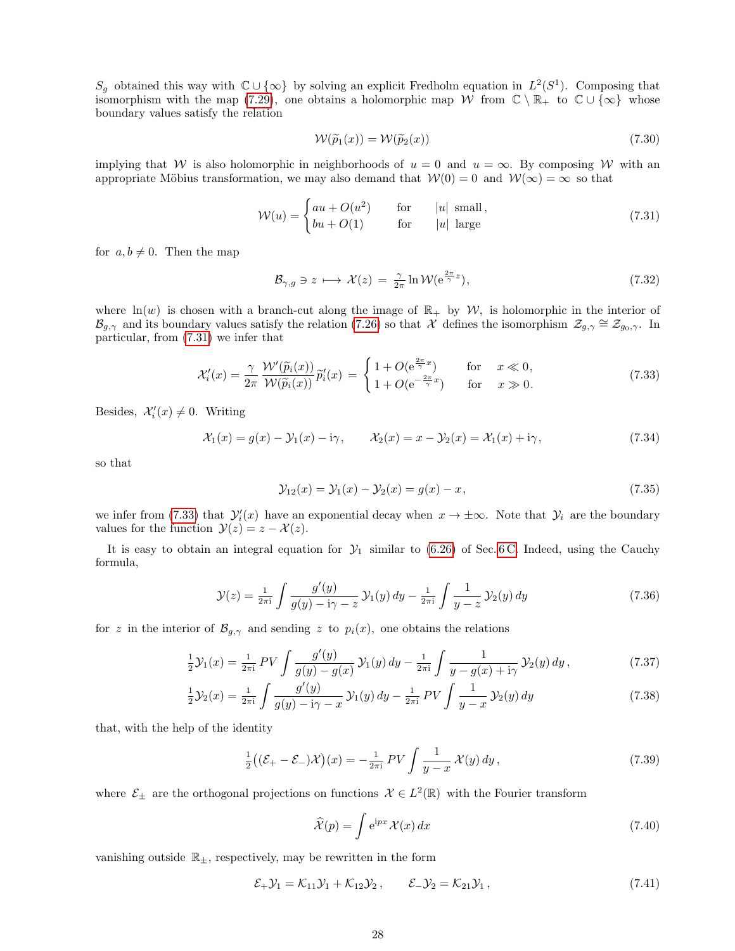$S_g$  obtained this way with  $\mathbb{C}\cup\{\infty\}$  by solving an explicit Fredholm equation in  $L^2(S^1)$ . Composing that isomorphism with the map [\(7.29\)](#page-26-2), one obtains a holomorphic map W from  $\mathbb{C} \setminus \mathbb{R}_+$  to  $\mathbb{C} \cup \{\infty\}$  whose boundary values satisfy the relation

<span id="page-27-5"></span>
$$
W(\widetilde{p}_1(x)) = W(\widetilde{p}_2(x))
$$
\n(7.30)

implying that W is also holomorphic in neighborhoods of  $u = 0$  and  $u = \infty$ . By composing W with an appropriate Möbius transformation, we may also demand that  $W(0) = 0$  and  $W(\infty) = \infty$  so that

<span id="page-27-0"></span>
$$
\mathcal{W}(u) = \begin{cases} au + O(u^2) & \text{for} \quad |u| \text{ small,} \\ bu + O(1) & \text{for} \quad |u| \text{ large} \end{cases}
$$
(7.31)

for  $a, b \neq 0$ . Then the map

$$
\mathcal{B}_{\gamma,g} \ni z \longmapsto \mathcal{X}(z) = \frac{\gamma}{2\pi} \ln \mathcal{W}(e^{\frac{2\pi}{\gamma}z}),\tag{7.32}
$$

where ln(w) is chosen with a branch-cut along the image of  $\mathbb{R}_+$  by W, is holomorphic in the interior of  $\mathcal{B}_{g,\gamma}$  and its boundary values satisfy the relation [\(7.26\)](#page-26-3) so that  $\mathcal{X}$  defines the isomorphism  $\mathcal{Z}_{g,\gamma} \cong \mathcal{Z}_{g_0,\gamma}$ . In particular, from [\(7.31\)](#page-27-0) we infer that

<span id="page-27-1"></span>
$$
\mathcal{X}'_i(x) = \frac{\gamma}{2\pi} \frac{\mathcal{W}'(\tilde{p}_i(x))}{\mathcal{W}(\tilde{p}_i(x))} \tilde{p}'_i(x) = \begin{cases} 1 + O(e^{\frac{2\pi}{\gamma}x}) & \text{for } x \ll 0, \\ 1 + O(e^{-\frac{2\pi}{\gamma}x}) & \text{for } x \gg 0. \end{cases}
$$
(7.33)

Besides,  $\mathcal{X}'_i(x) \neq 0$ . Writing

<span id="page-27-3"></span>
$$
\mathcal{X}_1(x) = g(x) - \mathcal{Y}_1(x) - i\gamma, \qquad \mathcal{X}_2(x) = x - \mathcal{Y}_2(x) = \mathcal{X}_1(x) + i\gamma,
$$
\n(7.34)

so that

$$
\mathcal{Y}_{12}(x) = \mathcal{Y}_1(x) - \mathcal{Y}_2(x) = g(x) - x,\tag{7.35}
$$

we infer from [\(7.33\)](#page-27-1) that  $\mathcal{Y}'_i(x)$  have an exponential decay when  $x \to \pm \infty$ . Note that  $\mathcal{Y}_i$  are the boundary values for the function  $\mathcal{Y}(z) = z - \mathcal{X}(z)$ .

It is easy to obtain an integral equation for  $\mathcal{Y}_1$  similar to [\(6.26\)](#page-17-0) of Sec. [6 C.](#page-15-0) Indeed, using the Cauchy formula,

$$
\mathcal{Y}(z) = \frac{1}{2\pi i} \int \frac{g'(y)}{g(y) - i\gamma - z} \, \mathcal{Y}_1(y) \, dy - \frac{1}{2\pi i} \int \frac{1}{y - z} \, \mathcal{Y}_2(y) \, dy \tag{7.36}
$$

for z in the interior of  $\mathcal{B}_{q,\gamma}$  and sending z to  $p_i(x)$ , one obtains the relations

<span id="page-27-6"></span>
$$
\frac{1}{2}\mathcal{Y}_1(x) = \frac{1}{2\pi i} \, PV \int \frac{g'(y)}{g(y) - g(x)} \, \mathcal{Y}_1(y) \, dy - \frac{1}{2\pi i} \int \frac{1}{y - g(x) + i\gamma} \, \mathcal{Y}_2(y) \, dy \,, \tag{7.37}
$$

$$
\frac{1}{2}\mathcal{Y}_2(x) = \frac{1}{2\pi i} \int \frac{g'(y)}{g(y) - i\gamma - x} \mathcal{Y}_1(y) \, dy - \frac{1}{2\pi i} \, PV \int \frac{1}{y - x} \mathcal{Y}_2(y) \, dy \tag{7.38}
$$

that, with the help of the identity

$$
\frac{1}{2}\left((\mathcal{E}_{+}-\mathcal{E}_{-})\mathcal{X}\right)(x)=-\frac{1}{2\pi i}PV\int\frac{1}{y-x}\mathcal{X}(y)\,dy\,,\tag{7.39}
$$

where  $\mathcal{E}_{\pm}$  are the orthogonal projections on functions  $\mathcal{X} \in L^2(\mathbb{R})$  with the Fourier transform

<span id="page-27-4"></span>
$$
\widehat{\mathcal{X}}(p) = \int e^{ipx} \mathcal{X}(x) dx \tag{7.40}
$$

vanishing outside  $\mathbb{R}_{\pm}$ , respectively, may be rewritten in the form

<span id="page-27-2"></span>
$$
\mathcal{E}_+ \mathcal{Y}_1 = \mathcal{K}_{11} \mathcal{Y}_1 + \mathcal{K}_{12} \mathcal{Y}_2, \qquad \mathcal{E}_- \mathcal{Y}_2 = \mathcal{K}_{21} \mathcal{Y}_1, \tag{7.41}
$$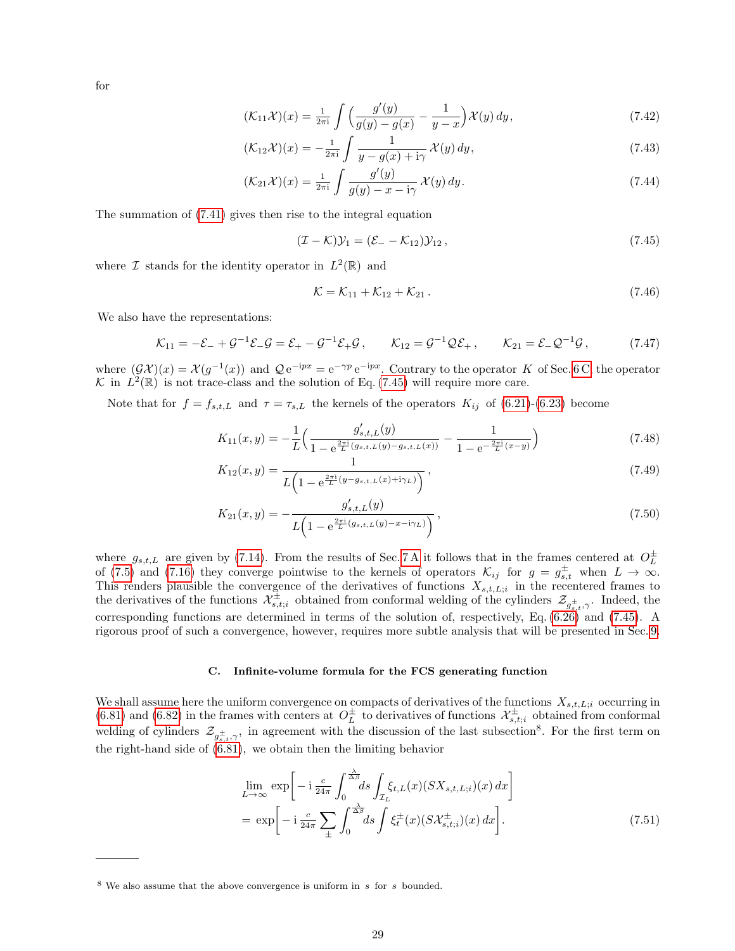for

<span id="page-28-5"></span>
$$
(\mathcal{K}_{11}\mathcal{X})(x) = \frac{1}{2\pi i} \int \left( \frac{g'(y)}{g(y) - g(x)} - \frac{1}{y - x} \right) \mathcal{X}(y) \, dy,\tag{7.42}
$$

$$
(\mathcal{K}_{12}\mathcal{X})(x) = -\frac{1}{2\pi i} \int \frac{1}{y - g(x) + i\gamma} \mathcal{X}(y) dy,
$$
\n(7.43)

$$
(\mathcal{K}_{21}\mathcal{X})(x) = \frac{1}{2\pi i} \int \frac{g'(y)}{g(y) - x - i\gamma} \mathcal{X}(y) dy.
$$
\n
$$
(7.44)
$$

The summation of [\(7.41\)](#page-27-2) gives then rise to the integral equation

<span id="page-28-1"></span>
$$
(\mathcal{I} - \mathcal{K})\mathcal{Y}_1 = (\mathcal{E}_- - \mathcal{K}_{12})\mathcal{Y}_{12},\tag{7.45}
$$

where  $\mathcal I$  stands for the identity operator in  $L^2(\mathbb{R})$  and

<span id="page-28-3"></span>
$$
\mathcal{K} = \mathcal{K}_{11} + \mathcal{K}_{12} + \mathcal{K}_{21} \,. \tag{7.46}
$$

We also have the representations:

<span id="page-28-4"></span>
$$
\mathcal{K}_{11} = -\mathcal{E}_{-} + \mathcal{G}^{-1}\mathcal{E}_{-}\mathcal{G} = \mathcal{E}_{+} - \mathcal{G}^{-1}\mathcal{E}_{+}\mathcal{G}, \qquad \mathcal{K}_{12} = \mathcal{G}^{-1}\mathcal{Q}\mathcal{E}_{+}, \qquad \mathcal{K}_{21} = \mathcal{E}_{-}\mathcal{Q}^{-1}\mathcal{G}, \tag{7.47}
$$

where  $(\mathcal{G}\mathcal{X})(x) = \mathcal{X}(g^{-1}(x))$  and  $\mathcal{Q}e^{-ipx} = e^{-\gamma p}e^{-ipx}$ . Contrary to the operator K of Sec. [6 C,](#page-15-0) the operator K in  $L^2(\mathbb{R})$  is not trace-class and the solution of Eq. [\(7.45\)](#page-28-1) will require more care.

Note that for  $f = f_{s,t,L}$  and  $\tau = \tau_{s,L}$  the kernels of the operators  $K_{ij}$  of [\(6.21\)](#page-16-4)-[\(6.23\)](#page-16-4) become

$$
K_{11}(x,y) = -\frac{1}{L} \left( \frac{g_{s,t,L}'(y)}{1 - e^{\frac{2\pi i}{L}(g_{s,t,L}(y) - g_{s,t,L}(x))}} - \frac{1}{1 - e^{-\frac{2\pi i}{L}(x-y)}} \right)
$$
(7.48)

$$
K_{12}(x,y) = \frac{1}{L\left(1 - e^{\frac{2\pi i}{L}(y - g_{s,t,L}(x) + i\gamma_L)}\right)},
$$
\n(7.49)

$$
K_{21}(x,y) = -\frac{g'_{s,t,L}(y)}{L\left(1 - e^{\frac{2\pi i}{L}(g_{s,t,L}(y) - x - i\gamma_L)}\right)},
$$
\n(7.50)

where  $g_{s,t,L}$  are given by [\(7.14\)](#page-25-4). From the results of Sec. [7 A](#page-23-1) it follows that in the frames centered at  $O_L^{\pm}$ of [\(7.5\)](#page-24-1) and [\(7.16\)](#page-25-5) they converge pointwise to the kernels of operators  $\mathcal{K}_{ij}$  for  $g = g_{s,t}^{\pm}$  when  $L \to \infty$ . This renders plausible the convergence of the derivatives of functions  $X_{s,t,L,i}$  in the recentered frames to the derivatives of the functions  $\mathcal{X}_{s,t,i}^{\pm}$  obtained from conformal welding of the cylinders  $\mathcal{Z}_{g_{s,t}^{\pm},\gamma}$ . Indeed, the corresponding functions are determined in terms of the solution of, respectively, Eq. [\(6.26\)](#page-17-0) and [\(7.45\)](#page-28-1). A rigorous proof of such a convergence, however, requires more subtle analysis that will be presented in Sec. [9.](#page-32-0)

#### <span id="page-28-0"></span>C. Infinite-volume formula for the FCS generating function

We shall assume here the uniform convergence on compacts of derivatives of the functions  $X_{s,t,L;i}$  occurring in [\(6.81\)](#page-23-3) and [\(6.82\)](#page-23-5) in the frames with centers at  $O_L^{\pm}$  to derivatives of functions  $\mathcal{X}_{s,t;i}^{\pm}$  obtained from conformal welding of cylinders  $\mathcal{Z}_{g_{s,t}^{\pm},\gamma}$ , in agreement with the discussion of the last subsection<sup>8</sup>. For the first term on the right-hand side of [\(6.81\)](#page-23-3), we obtain then the limiting behavior

<span id="page-28-2"></span>
$$
\lim_{L \to \infty} \exp \left[ -i \frac{c}{24\pi} \int_0^{\frac{\lambda}{\Delta \beta}} ds \int_{\mathcal{I}_L} \xi_{t,L}(x) (SX_{s,t,L;i})(x) dx \right]
$$
\n
$$
= \exp \left[ -i \frac{c}{24\pi} \sum_{\pm} \int_0^{\frac{\lambda}{\Delta \beta}} ds \int \xi_t^{\pm}(x) (SX_{s,t;i}^{\pm})(x) dx \right]. \tag{7.51}
$$

 $8$  We also assume that the above convergence is uniform in s for s bounded.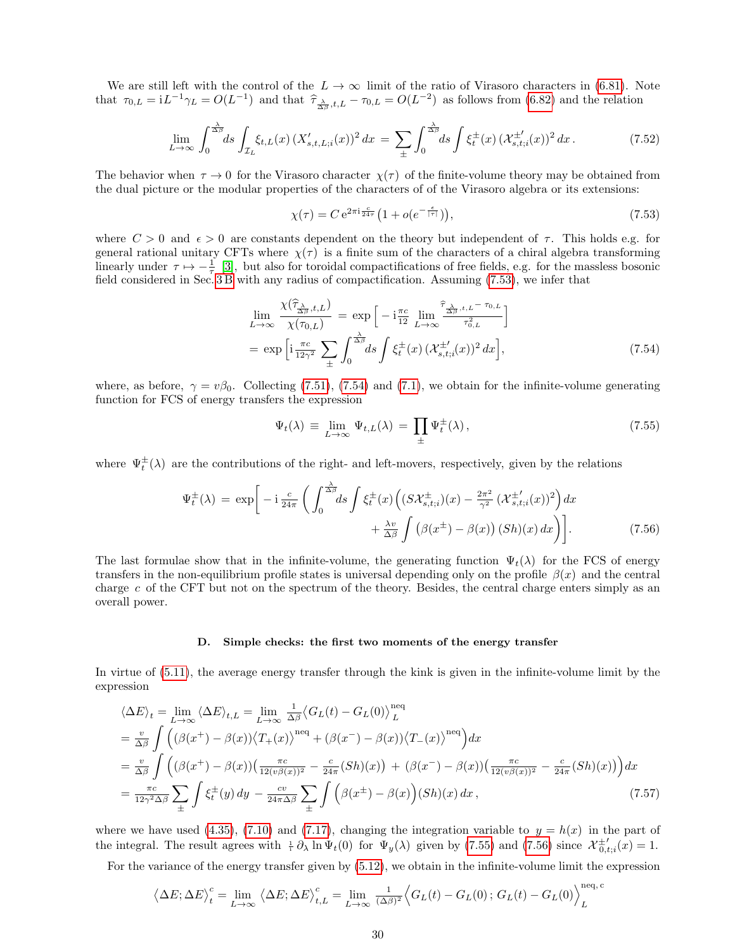We are still left with the control of the  $L \to \infty$  limit of the ratio of Virasoro characters in [\(6.81\)](#page-23-3). Note that  $\tau_{0,L} = iL^{-1}\gamma_L = O(L^{-1})$  and that  $\hat{\tau}_{\frac{\lambda}{\Delta\beta},t,L} - \tau_{0,L} = O(L^{-2})$  as follows from [\(6.82\)](#page-23-5) and the relation

$$
\lim_{L \to \infty} \int_0^{\frac{\lambda}{\Delta \beta}} ds \int_{\mathcal{I}_L} \xi_{t,L}(x) \left( X'_{s,t,L,i}(x) \right)^2 dx = \sum_{\pm} \int_0^{\frac{\lambda}{\Delta \beta}} ds \int \xi_t^{\pm}(x) \left( \mathcal{X}_{s,t,i}^{\pm'}(x) \right)^2 dx. \tag{7.52}
$$

The behavior when  $\tau \to 0$  for the Virasoro character  $\chi(\tau)$  of the finite-volume theory may be obtained from the dual picture or the modular properties of the characters of of the Virasoro algebra or its extensions:

<span id="page-29-1"></span>
$$
\chi(\tau) = C e^{2\pi i \frac{c}{24\tau}} \left( 1 + o(e^{-\frac{\epsilon}{|\tau|}}) \right),\tag{7.53}
$$

where  $C > 0$  and  $\epsilon > 0$  are constants dependent on the theory but independent of  $\tau$ . This holds e.g. for general rational unitary CFTs where  $\chi(\tau)$  is a finite sum of the characters of a chiral algebra transforming linearly under  $\tau \mapsto -\frac{1}{\tau}$  [\[3\]](#page-58-29), but also for toroidal compactifications of free fields, e.g. for the massless bosonic field considered in Sec. [3 B](#page-5-0) with any radius of compactification. Assuming [\(7.53\)](#page-29-1), we infer that

<span id="page-29-2"></span>
$$
\lim_{L \to \infty} \frac{\chi(\widehat{\tau}_{\frac{\lambda}{\Delta \beta},t,L})}{\chi(\tau_{0,L})} = \exp\left[-i\frac{\pi c}{12} \lim_{L \to \infty} \frac{\widehat{\tau}_{\frac{\lambda}{\Delta \beta},t,L} - \tau_{0,L}}{\tau_{0,L}^2}\right]
$$
\n
$$
= \exp\left[i\frac{\pi c}{12\gamma^2} \sum_{\pm} \int_0^{\frac{\lambda}{\Delta \beta}} ds \int \xi_t^{\pm}(x) \left(\mathcal{X}_{s,t;i}^{\pm'}(x)\right)^2 dx\right],\tag{7.54}
$$

where, as before,  $\gamma = v\beta_0$ . Collecting [\(7.51\)](#page-28-2), [\(7.54\)](#page-29-2) and [\(7.1\)](#page-23-6), we obtain for the infinite-volume generating function for FCS of energy transfers the expression

<span id="page-29-3"></span>
$$
\Psi_t(\lambda) \equiv \lim_{L \to \infty} \Psi_{t,L}(\lambda) = \prod_{\pm} \Psi_t^{\pm}(\lambda), \qquad (7.55)
$$

where  $\Psi_t^{\pm}(\lambda)$  are the contributions of the right- and left-movers, respectively, given by the relations

<span id="page-29-4"></span>
$$
\Psi_t^{\pm}(\lambda) = \exp\bigg[-i\frac{c}{24\pi} \left( \int_0^{\frac{\lambda}{\Delta \beta}} ds \int \xi_t^{\pm}(x) \left( (S \mathcal{X}_{s,t;i}^{\pm})(x) - \frac{2\pi^2}{\gamma^2} \left( \mathcal{X}_{s,t;i}^{\pm}(x) \right)^2 \right) dx + \frac{\lambda v}{\Delta \beta} \int \left( \beta(x^{\pm}) - \beta(x) \right) (Sh)(x) dx \bigg) \bigg].
$$
\n(7.56)

The last formulae show that in the infinite-volume, the generating function  $\Psi_t(\lambda)$  for the FCS of energy transfers in the non-equilibrium profile states is universal depending only on the profile  $\beta(x)$  and the central charge  $c$  of the CFT but not on the spectrum of the theory. Besides, the central charge enters simply as an overall power.

#### <span id="page-29-0"></span>D. Simple checks: the first two moments of the energy transfer

In virtue of [\(5.11\)](#page-12-5), the average energy transfer through the kink is given in the infinite-volume limit by the expression

$$
\langle \Delta E \rangle_t = \lim_{L \to \infty} \langle \Delta E \rangle_{t,L} = \lim_{L \to \infty} \frac{1}{\Delta \beta} \langle G_L(t) - G_L(0) \rangle_L^{\text{neq}} \n= \frac{v}{\Delta \beta} \int \left( (\beta(x^+) - \beta(x)) \langle T_+(x) \rangle^{\text{neq}} + (\beta(x^-) - \beta(x)) \langle T_-(x) \rangle^{\text{neq}} \right) dx \n= \frac{v}{\Delta \beta} \int \left( (\beta(x^+) - \beta(x)) \left( \frac{\pi c}{12(v\beta(x))^2} - \frac{c}{24\pi} (Sh)(x) \right) + (\beta(x^-) - \beta(x)) \left( \frac{\pi c}{12(v\beta(x))^2} - \frac{c}{24\pi} (Sh)(x) \right) \right) dx \n= \frac{\pi c}{12\gamma^2 \Delta \beta} \sum_{\pm} \int \xi_t^{\pm}(y) dy - \frac{cv}{24\pi \Delta \beta} \sum_{\pm} \int \Big( \beta(x^+) - \beta(x) \Big) (Sh)(x) dx , \tag{7.57}
$$

where we have used [\(4.35\)](#page-11-4), [\(7.10\)](#page-25-0) and [\(7.17\)](#page-25-6), changing the integration variable to  $y = h(x)$  in the part of the integral. The result agrees with  $\frac{1}{2}\partial_\lambda \ln \Psi_t(0)$  for  $\Psi_y(\lambda)$  given by [\(7.55\)](#page-29-3) and [\(7.56\)](#page-29-4) since  $\mathcal{X}^{\pm \prime}_{0,t,i}(x) = 1$ .

For the variance of the energy transfer given by [\(5.12\)](#page-13-3), we obtain in the infinite-volume limit the expression

$$
\left\langle \Delta E; \Delta E \right\rangle_t^c = \lim_{L \to \infty} \left\langle \Delta E; \Delta E \right\rangle_{t,L}^c = \lim_{L \to \infty} \frac{1}{(\Delta \beta)^2} \left\langle G_L(t) - G_L(0); G_L(t) - G_L(0) \right\rangle_L^{\text{neq, c}}
$$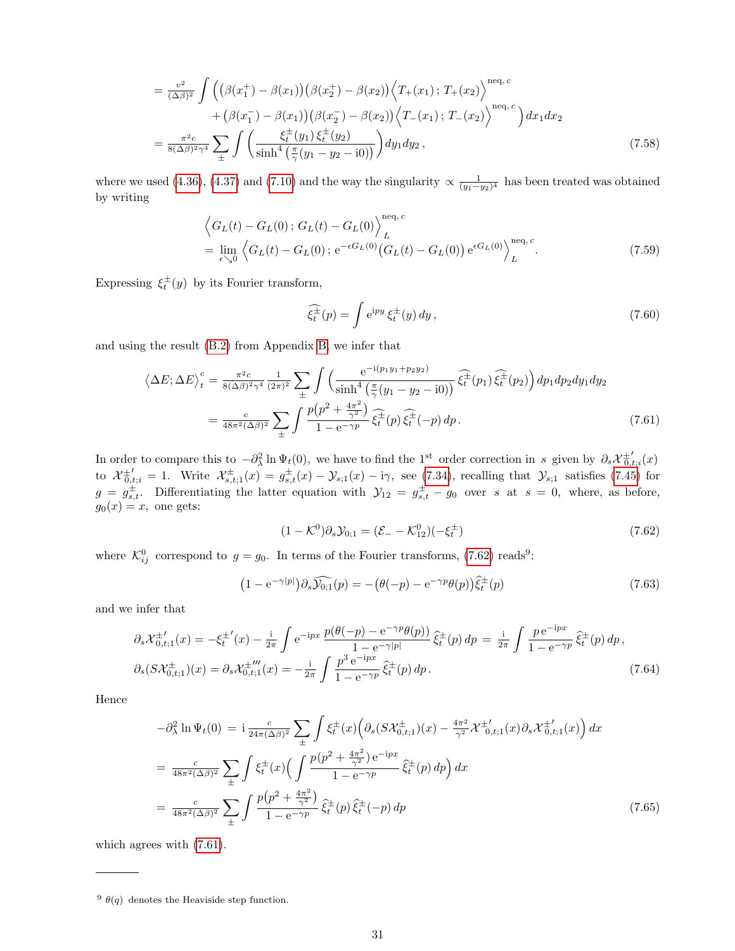$$
= \frac{v^2}{(\Delta \beta)^2} \int \left( (\beta(x_1^+) - \beta(x_1))(\beta(x_2^+) - \beta(x_2)) \left\langle T_+(x_1); T_+(x_2) \right\rangle^{neq, c} + (\beta(x_1^-) - \beta(x_1))(\beta(x_2^-) - \beta(x_2)) \left\langle T_-(x_1); T_-(x_2) \right\rangle^{neq, c} \right) dx_1 dx_2
$$
  

$$
= \frac{\pi^2 c}{8(\Delta \beta)^2 \gamma^4} \sum_{\pm} \int \left( \frac{\xi_t^{\pm}(y_1) \xi_t^{\pm}(y_2)}{\sinh^4\left(\frac{\pi}{\gamma}(y_1 - y_2 - i0)\right)} \right) dy_1 dy_2 , \qquad (7.58)
$$

where we used [\(4.36\)](#page-11-4), [\(4.37\)](#page-11-4) and [\(7.10\)](#page-25-0) and the way the singularity  $\propto \frac{1}{(y_1-y_2)^4}$  has been treated was obtained by writing

$$
\left\langle G_L(t) - G_L(0); G_L(t) - G_L(0) \right\rangle_L^{\text{neq}, c}
$$
  
=  $\lim_{\epsilon \searrow 0} \left\langle G_L(t) - G_L(0); e^{-\epsilon G_L(0)} (G_L(t) - G_L(0)) e^{\epsilon G_L(0)} \right\rangle_L^{\text{neq}, c}.$  (7.59)

Expressing  $\xi_t^{\pm}(y)$  by its Fourier transform,

$$
\widehat{\xi_t^{\pm}}(p) = \int e^{ipy} \, \xi_t^{\pm}(y) \, dy \,, \tag{7.60}
$$

and using the result [\(B.2\)](#page-45-2) from Appendix [B,](#page-45-1) we infer that

<span id="page-30-1"></span>
$$
\langle \Delta E; \Delta E \rangle_t^c = \frac{\pi^2 c}{8(\Delta \beta)^2 \gamma^4} \frac{1}{(2\pi)^2} \sum_{\pm} \int \left( \frac{e^{-i(p_1 y_1 + p_2 y_2)}}{\sinh^4 \left( \frac{\pi}{\gamma} (y_1 - y_2 - i0) \right)} \widehat{\xi_t^{\pm}}(p_1) \widehat{\xi_t^{\pm}}(p_2) \right) dp_1 dp_2 dy_1 dy_2
$$
  

$$
= \frac{c}{48\pi^2 (\Delta \beta)^2} \sum_{\pm} \int \frac{p(p^2 + \frac{4\pi^2}{\gamma^2})}{1 - e^{-\gamma p}} \widehat{\xi_t^{\pm}}(p) \widehat{\xi_t^{\pm}}(-p) dp. \tag{7.61}
$$

In order to compare this to  $-\partial_\lambda^2 \ln \Psi_t(0)$ , we have to find the 1<sup>st</sup> order correction in s given by  $\partial_s \mathcal{X}_{0,t;i}^{\pm'}(x)$ to  $\mathcal{X}_{0,t;i}^{\pm'}=1$ . Write  $\mathcal{X}_{s,t;1}^{\pm}(x)=g_{s,t}^{\pm}(x)-\mathcal{Y}_{s;1}(x)-i\gamma$ , see [\(7.34\)](#page-27-3), recalling that  $\mathcal{Y}_{s;1}$  satisfies [\(7.45\)](#page-28-1) for  $g = g_{s,t}^{\pm}$ . Differentiating the latter equation with  $\mathcal{Y}_{12} = g_{s,t}^{\pm} - g_0$  over s at  $s = 0$ , where, as before,  $g_0(x) = x$ , one gets:

<span id="page-30-0"></span>
$$
(1 - \mathcal{K}^0)\partial_s \mathcal{Y}_{0;1} = (\mathcal{E}_- - \mathcal{K}^0_{12})(-\xi_t^{\pm})
$$
\n(7.62)

where  $\mathcal{K}_{ij}^0$  correspond to  $g = g_0$ . In terms of the Fourier transforms, [\(7.62\)](#page-30-0) reads<sup>9</sup>:

$$
(1 - e^{-\gamma|p|}) \partial_s \widehat{\mathcal{Y}_{0,1}}(p) = -(\theta(-p) - e^{-\gamma p} \theta(p)) \widehat{\xi}_t^{\pm}(p)
$$
\n(7.63)

and we infer that

$$
\partial_s \mathcal{X}_{0,t;1}^{\pm\prime}(x) = -\xi_t^{\pm\prime}(x) - \frac{i}{2\pi} \int e^{-ipx} \frac{p(\theta(-p) - e^{-\gamma p}\theta(p))}{1 - e^{-\gamma |p|}} \hat{\xi}_t^{\pm}(p) dp = \frac{i}{2\pi} \int \frac{p e^{-ipx}}{1 - e^{-\gamma p}} \hat{\xi}_t^{\pm}(p) dp,
$$
  

$$
\partial_s (S \mathcal{X}_{0,t;1}^{\pm})(x) = \partial_s \mathcal{X}_{0,t;1}^{\pm\prime\prime\prime}(x) = -\frac{i}{2\pi} \int \frac{p^3 e^{-ipx}}{1 - e^{-\gamma p}} \hat{\xi}_t^{\pm}(p) dp.
$$
 (7.64)

Hence

$$
-\partial_{\lambda}^{2} \ln \Psi_{t}(0) = i \frac{c}{24\pi (\Delta \beta)^{2}} \sum_{\pm} \int \xi_{t}^{\pm}(x) \Big( \partial_{s} (S \mathcal{X}_{0,t;1}^{\pm})(x) - \frac{4\pi^{2}}{\gamma^{2}} \mathcal{X}_{0,t;1}^{\pm}(x) \partial_{s} \mathcal{X}_{0,t;1}^{\pm}(x) \Big) dx
$$
  
\n
$$
= \frac{c}{48\pi^{2} (\Delta \beta)^{2}} \sum_{\pm} \int \xi_{t}^{\pm}(x) \Big( \int \frac{p(p^{2} + \frac{4\pi^{2}}{\gamma^{2}}) e^{-ipx}}{1 - e^{-\gamma p}} \hat{\xi}_{t}^{\pm}(p) dp \Big) dx
$$
  
\n
$$
= \frac{c}{48\pi^{2} (\Delta \beta)^{2}} \sum_{\pm} \int \frac{p(p^{2} + \frac{4\pi^{2}}{\gamma^{2}})}{1 - e^{-\gamma p}} \hat{\xi}_{t}^{\pm}(p) \hat{\xi}_{t}^{\pm}(-p) dp
$$
(7.65)

which agrees with [\(7.61\)](#page-30-1).

<sup>&</sup>lt;sup>9</sup>  $\theta(q)$  denotes the Heaviside step function.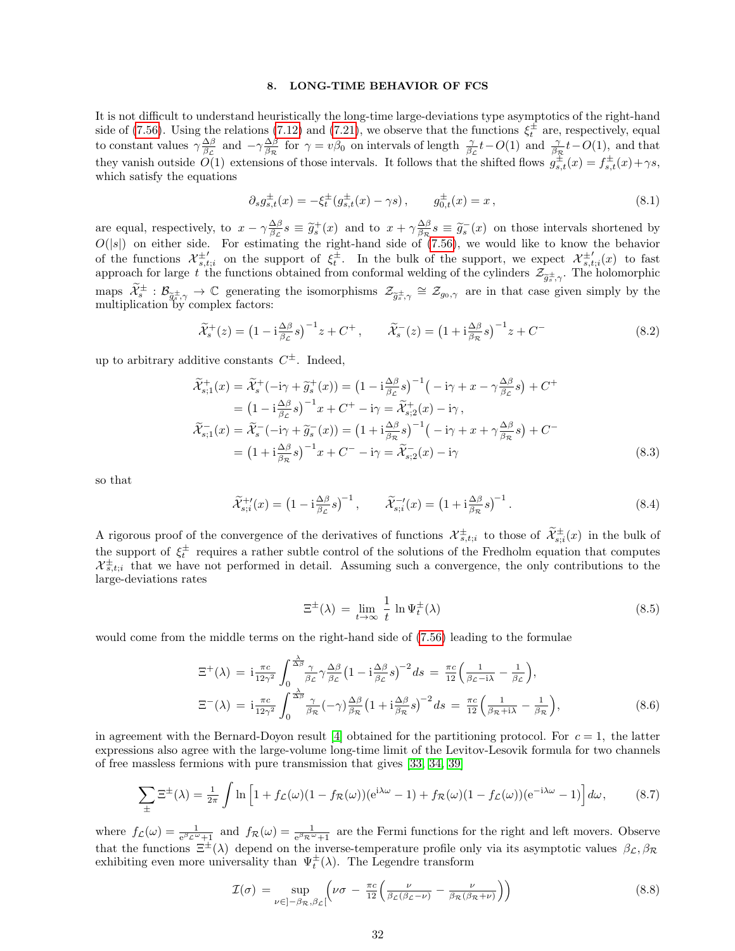## <span id="page-31-0"></span>8. LONG-TIME BEHAVIOR OF FCS

It is not difficult to understand heuristically the long-time large-deviations type asymptotics of the right-hand side of [\(7.56\)](#page-29-4). Using the relations [\(7.12\)](#page-25-7) and [\(7.21\)](#page-25-8), we observe that the functions  $\xi_t^{\pm}$  are, respectively, equal to constant values  $\gamma \frac{\Delta \beta}{\beta_{\mathcal{L}}}$  and  $-\gamma \frac{\Delta \beta}{\beta_{\mathcal{R}}}$  for  $\gamma = v\beta_0$  on intervals of length  $\frac{\gamma}{\beta_{\mathcal{L}}}t - O(1)$  and  $\frac{\gamma}{\beta_{\mathcal{R}}}t - O(1)$ , and that they vanish outside  $\tilde{O}(1)$  extensions of those intervals. It follows that the shifted flows  $g_{s,t}^{\pm}(x) = f_{s,t}^{\pm}(x) + \gamma s$ , which satisfy the equations

$$
\partial_s g_{s,t}^{\pm}(x) = -\xi_t^{\pm} (g_{s,t}^{\pm}(x) - \gamma s), \qquad g_{0,t}^{\pm}(x) = x, \tag{8.1}
$$

are equal, respectively, to  $x - \gamma \frac{\Delta \beta}{\beta c} s \equiv \tilde{g}_s^+(x)$  and to  $x + \gamma \frac{\Delta \beta}{\beta c} s \equiv \tilde{g}_s^-(x)$  on those intervals shortened by  $O(|s|)$  on either side. For estimating the right-hand side of [\(7.56\)](#page-29-4), we would like to know the behavior of the functions  $\mathcal{X}_{s,t;i}^{\pm'}$  on the support of  $\xi_t^{\pm}$ . In the bulk of the support, we expect  $\mathcal{X}_{s,t;i}^{\pm'}(x)$  to fast approach for large t the functions obtained from conformal welding of the cylinders  $\mathcal{Z}_{\tilde{g}_s^{\pm},\gamma}$ . The holomorphic maps  $\widetilde{\mathcal{X}}_{s}^{\pm}$ :  $\mathcal{B}_{\widetilde{g}_{s}^{\pm},\gamma} \to \mathbb{C}$  generating the isomorphisms  $\mathcal{Z}_{\widetilde{g}_{s}^{\pm},\gamma} \cong \mathcal{Z}_{g_{0},\gamma}$  are in that case given simply by the multiplication by complex factors: multiplication by complex factors:

$$
\widetilde{\mathcal{X}}_{s}^{+}(z) = \left(1 - i\frac{\Delta\beta}{\beta_{c}}s\right)^{-1}z + C^{+}, \qquad \widetilde{\mathcal{X}}_{s}^{-}(z) = \left(1 + i\frac{\Delta\beta}{\beta_{\mathcal{R}}}s\right)^{-1}z + C^{-}
$$
\n(8.2)

up to arbitrary additive constants  $C^{\pm}$ . Indeed,

$$
\widetilde{\mathcal{X}}_{s;1}^{+}(x) = \widetilde{\mathcal{X}}_{s}^{+}(-i\gamma + \widetilde{g}_{s}^{+}(x)) = \left(1 - i\frac{\Delta\beta}{\beta_{\mathcal{L}}}s\right)^{-1}\left(-i\gamma + x - \gamma\frac{\Delta\beta}{\beta_{\mathcal{L}}}s\right) + C^{+}
$$
\n
$$
= \left(1 - i\frac{\Delta\beta}{\beta_{\mathcal{L}}}s\right)^{-1}x + C^{+} - i\gamma = \widetilde{\mathcal{X}}_{s;2}^{+}(x) - i\gamma,
$$
\n
$$
\widetilde{\mathcal{X}}_{s;1}^{-}(x) = \widetilde{\mathcal{X}}_{s}^{-}(-i\gamma + \widetilde{g}_{s}^{-}(x)) = \left(1 + i\frac{\Delta\beta}{\beta_{\mathcal{R}}}s\right)^{-1}\left(-i\gamma + x + \gamma\frac{\Delta\beta}{\beta_{\mathcal{R}}}s\right) + C^{-}
$$
\n
$$
= \left(1 + i\frac{\Delta\beta}{\beta_{\mathcal{R}}}s\right)^{-1}x + C^{-} - i\gamma = \widetilde{\mathcal{X}}_{s;2}^{-}(x) - i\gamma
$$
\n(8.3)

so that

$$
\widetilde{\mathcal{X}}_{s;i}^{+ \prime}(x) = \left(1 - \mathrm{i} \frac{\Delta \beta}{\beta \mathcal{L}} s\right)^{-1}, \qquad \widetilde{\mathcal{X}}_{s;i}^{- \prime}(x) = \left(1 + \mathrm{i} \frac{\Delta \beta}{\beta \mathcal{R}} s\right)^{-1}.
$$
\n(8.4)

A rigorous proof of the convergence of the derivatives of functions  $\mathcal{X}_{s,t,i}^{\pm}$  to those of  $\widetilde{\mathcal{X}}_{s,i}^{\pm}(x)$  in the bulk of the support of  $\xi_t^{\pm}$  requires a rather subtle control of the solutions of the Fredholm equation that computes  $\mathcal{X}_{s,t;i}^{\pm}$  that we have not performed in detail. Assuming such a convergence, the only contributions to the large-deviations rates

$$
\Xi^{\pm}(\lambda) = \lim_{t \to \infty} \frac{1}{t} \ln \Psi_t^{\pm}(\lambda)
$$
\n(8.5)

would come from the middle terms on the right-hand side of [\(7.56\)](#page-29-4) leading to the formulae

$$
\begin{split} \Xi^{+}(\lambda) &= \mathbf{i} \frac{\pi c}{12\gamma^{2}} \int_{0}^{\frac{\lambda}{\Delta\beta}} \frac{\gamma}{\beta_{\mathcal{L}}} \gamma \frac{\Delta\beta}{\beta_{\mathcal{L}}} \left(1 - \mathbf{i} \frac{\Delta\beta}{\beta_{\mathcal{L}}} s\right)^{-2} ds = \frac{\pi c}{12} \left(\frac{1}{\beta_{\mathcal{L}} - \mathbf{i}\lambda} - \frac{1}{\beta_{\mathcal{L}}}\right), \\ \Xi^{-}(\lambda) &= \mathbf{i} \frac{\pi c}{12\gamma^{2}} \int_{0}^{\frac{\lambda}{\Delta\beta}} \frac{\gamma}{\beta_{\mathcal{R}}} (-\gamma) \frac{\Delta\beta}{\beta_{\mathcal{R}}} \left(1 + \mathbf{i} \frac{\Delta\beta}{\beta_{\mathcal{R}}} s\right)^{-2} ds = \frac{\pi c}{12} \left(\frac{1}{\beta_{\mathcal{R}} + \mathbf{i}\lambda} - \frac{1}{\beta_{\mathcal{R}}}\right), \end{split} \tag{8.6}
$$

in agreement with the Bernard-Doyon result [\[4\]](#page-58-10) obtained for the partitioning protocol. For  $c = 1$ , the latter expressions also agree with the large-volume long-time limit of the Levitov-Lesovik formula for two channels of free massless fermions with pure transmission that gives [\[33,](#page-58-31) [34,](#page-58-7) [39\]](#page-59-13)

$$
\sum_{\pm} \Xi^{\pm}(\lambda) = \frac{1}{2\pi} \int \ln \left[ 1 + f_{\mathcal{L}}(\omega)(1 - f_{\mathcal{R}}(\omega)) (e^{i\lambda \omega} - 1) + f_{\mathcal{R}}(\omega)(1 - f_{\mathcal{L}}(\omega)) (e^{-i\lambda \omega} - 1) \right] d\omega, \tag{8.7}
$$

where  $f_{\mathcal{L}}(\omega) = \frac{1}{e^{\beta_{\mathcal{L}}\omega}+1}$  and  $f_{\mathcal{R}}(\omega) = \frac{1}{e^{\beta_{\mathcal{R}}\omega}+1}$  are the Fermi functions for the right and left movers. Observe that the functions  $\Xi^{\pm}(\lambda)$  depend on the inverse-temperature profile only via its asymptotic values  $\beta_{\mathcal{L}}, \beta_{\mathcal{R}}$ exhibiting even more universality than  $\Psi_t^{\pm}(\lambda)$ . The Legendre transform

$$
\mathcal{I}(\sigma) = \sup_{\nu \in ]-\beta_{\mathcal{R}}, \beta_{\mathcal{L}}[} \left( \nu \sigma - \frac{\pi c}{12} \left( \frac{\nu}{\beta_{\mathcal{L}}(\beta_{\mathcal{L}} - \nu)} - \frac{\nu}{\beta_{\mathcal{R}}(\beta_{\mathcal{R}} + \nu)} \right) \right)
$$
(8.8)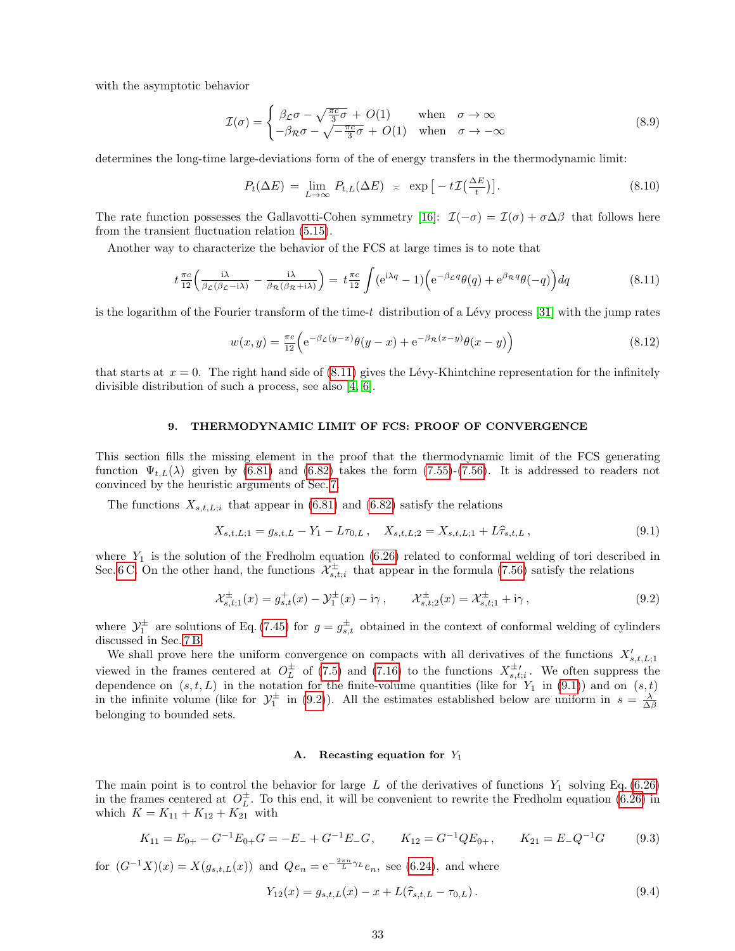with the asymptotic behavior

$$
\mathcal{I}(\sigma) = \begin{cases} \beta_{\mathcal{L}}\sigma - \sqrt{\frac{\pi c}{3}}\sigma + O(1) & \text{when } \sigma \to \infty \\ -\beta_{\mathcal{R}}\sigma - \sqrt{-\frac{\pi c}{3}}\sigma + O(1) & \text{when } \sigma \to -\infty \end{cases}
$$
(8.9)

determines the long-time large-deviations form of the of energy transfers in the thermodynamic limit:

$$
P_t(\Delta E) = \lim_{L \to \infty} P_{t,L}(\Delta E) \approx \exp\left[-t\mathcal{I}\left(\frac{\Delta E}{t}\right)\right]. \tag{8.10}
$$

The rate function possesses the Gallavotti-Cohen symmetry [\[16\]](#page-58-32):  $\mathcal{I}(-\sigma) = \mathcal{I}(\sigma) + \sigma \Delta \beta$  that follows here from the transient fluctuation relation [\(5.15\)](#page-13-4).

Another way to characterize the behavior of the FCS at large times is to note that

<span id="page-32-1"></span>
$$
t \frac{\pi c}{12} \left( \frac{i\lambda}{\beta_{\mathcal{L}}(\beta_{\mathcal{L}} - i\lambda)} - \frac{i\lambda}{\beta_{\mathcal{R}}(\beta_{\mathcal{R}} + i\lambda)} \right) = t \frac{\pi c}{12} \int (e^{i\lambda q} - 1) \left( e^{-\beta_{\mathcal{L}}q} \theta(q) + e^{\beta_{\mathcal{R}}q} \theta(-q) \right) dq \tag{8.11}
$$

is the logarithm of the Fourier transform of the time-t distribution of a Lévy process [\[31\]](#page-58-33) with the jump rates

$$
w(x,y) = \frac{\pi c}{12} \left( e^{-\beta \mathcal{L}(y-x)} \theta(y-x) + e^{-\beta \mathcal{R}(x-y)} \theta(x-y) \right)
$$
(8.12)

that starts at  $x = 0$ . The right hand side of [\(8.11\)](#page-32-1) gives the Lévy-Khintchine representation for the infinitely divisible distribution of such a process, see also [\[4,](#page-58-10) [6\]](#page-58-1).

## <span id="page-32-0"></span>9. THERMODYNAMIC LIMIT OF FCS: PROOF OF CONVERGENCE

This section fills the missing element in the proof that the thermodynamic limit of the FCS generating function  $\Psi_{t,L}(\lambda)$  given by [\(6.81\)](#page-23-3) and [\(6.82\)](#page-23-5) takes the form [\(7.55\)](#page-29-3)-[\(7.56\)](#page-29-4). It is addressed to readers not convinced by the heuristic arguments of Sec. [7.](#page-23-0)

The functions  $X_{s,t,L,i}$  that appear in [\(6.81\)](#page-23-3) and [\(6.82\)](#page-23-5) satisfy the relations

<span id="page-32-2"></span>
$$
X_{s,t,L;1} = g_{s,t,L} - Y_1 - L\tau_{0,L}, \quad X_{s,t,L;2} = X_{s,t,L;1} + L\hat{\tau}_{s,t,L}, \tag{9.1}
$$

where  $Y_1$  is the solution of the Fredholm equation [\(6.26\)](#page-17-0) related to conformal welding of tori described in Sec. [6 C.](#page-15-0) On the other hand, the functions  $\mathcal{X}_{s,t;i}^{\pm}$  that appear in the formula [\(7.56\)](#page-29-4) satisfy the relations

<span id="page-32-3"></span>
$$
\mathcal{X}_{s,t;1}^{\pm}(x) = g_{s,t}^+(x) - \mathcal{Y}_1^{\pm}(x) - i\gamma, \qquad \mathcal{X}_{s,t;2}^{\pm}(x) = \mathcal{X}_{s,t;1}^{\pm} + i\gamma,
$$
\n(9.2)

where  $\mathcal{Y}_1^{\pm}$  are solutions of Eq. [\(7.45\)](#page-28-1) for  $g = g_{s,t}^{\pm}$  obtained in the context of conformal welding of cylinders discussed in Sec. [7 B.](#page-26-0)

We shall prove here the uniform convergence on compacts with all derivatives of the functions  $X'_{s,t,L,1}$ viewed in the frames centered at  $O_L^{\pm}$  of [\(7.5\)](#page-24-1) and [\(7.16\)](#page-25-5) to the functions  $X_{s,t;i}^{\pm}$ . We often suppress the dependence on  $(s, t, L)$  in the notation for the finite-volume quantities (like for  $Y_1$  in  $(9.1)$ ) and on  $(s, t)$ in the infinite volume (like for  $\mathcal{Y}_1^{\pm}$  in [\(9.2\)](#page-32-3)). All the estimates established below are uniform in  $s = \frac{\lambda}{\Delta \beta}$ belonging to bounded sets.

#### <span id="page-32-6"></span>A. Recasting equation for  $Y_1$

The main point is to control the behavior for large L of the derivatives of functions  $Y_1$  solving Eq. [\(6.26\)](#page-17-0) in the frames centered at  $O_L^{\pm}$ . To this end, it will be convenient to rewrite the Fredholm equation [\(6.26\)](#page-17-0) in which  $K = K_{11} + K_{12} + K_{21}$  with

<span id="page-32-4"></span>
$$
K_{11} = E_{0+} - G^{-1}E_{0+}G = -E_{-} + G^{-1}E_{-}G, \qquad K_{12} = G^{-1}QE_{0+}, \qquad K_{21} = E_{-}Q^{-1}G \tag{9.3}
$$

for  $(G^{-1}X)(x) = X(g_{s,t,L}(x))$  and  $Qe_n = e^{-\frac{2\pi n}{L}\gamma_L}e_n$ , see [\(6.24\)](#page-16-5), and where

<span id="page-32-5"></span>
$$
Y_{12}(x) = g_{s,t,L}(x) - x + L(\hat{\tau}_{s,t,L} - \tau_{0,L}).
$$
\n(9.4)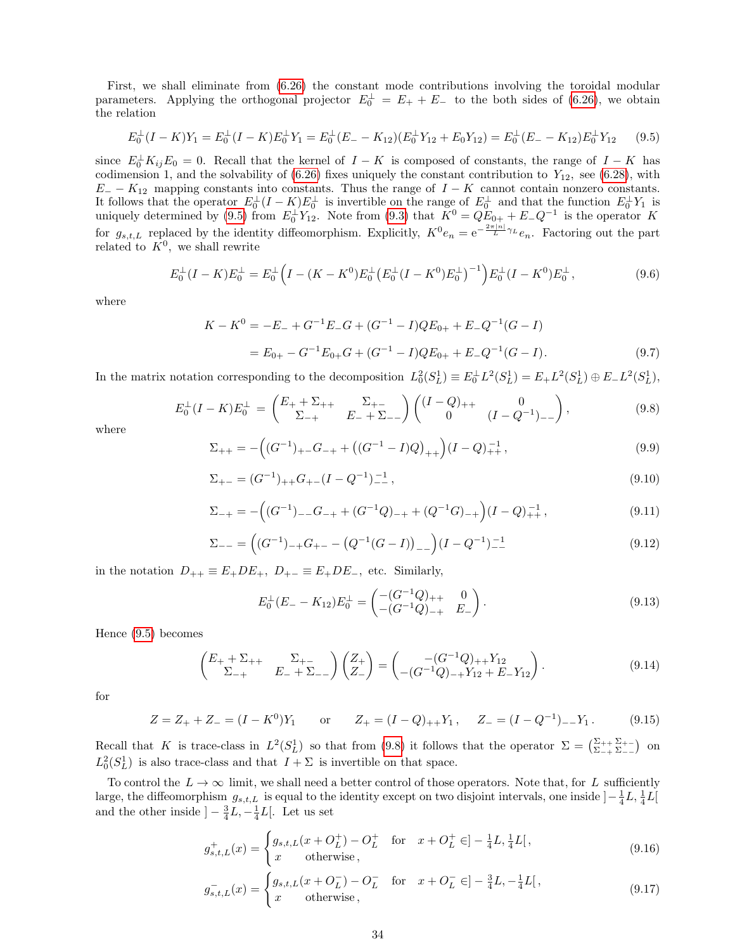First, we shall eliminate from [\(6.26\)](#page-17-0) the constant mode contributions involving the toroidal modular parameters. Applying the orthogonal projector  $E_0^{\perp} = E_+ + E_-$  to the both sides of [\(6.26\)](#page-17-0), we obtain the relation

<span id="page-33-0"></span>
$$
E_0^{\perp}(I - K)Y_1 = E_0^{\perp}(I - K)E_0^{\perp}Y_1 = E_0^{\perp}(E_- - K_{12})(E_0^{\perp}Y_{12} + E_0Y_{12}) = E_0^{\perp}(E_- - K_{12})E_0^{\perp}Y_{12}
$$
(9.5)

since  $E_0^{\perp} K_{ij} E_0 = 0$ . Recall that the kernel of  $I - K$  is composed of constants, the range of  $I - K$  has codimension 1, and the solvability of  $(6.26)$  fixes uniquely the constant contribution to  $Y_{12}$ , see  $(6.28)$ , with  $E_$  −  $K_{12}$  mapping constants into constants. Thus the range of  $I - K$  cannot contain nonzero constants. It follows that the operator  $E_0^{\perp}(I-K)E_0^{\perp}$  is invertible on the range of  $E_0^{\perp}$  and that the function  $E_0^{\perp}Y_1$  is uniquely determined by [\(9.5\)](#page-33-0) from  $E_0^{\perp} Y_{12}$ . Note from [\(9.3\)](#page-32-4) that  $K^0 = QE_{0+} + E_-Q^{-1}$  is the operator K for  $g_{s,t,L}$  replaced by the identity diffeomorphism. Explicitly,  $K^0e_n = e^{-\frac{2\pi|n|}{L}\gamma_L}e_n$ . Factoring out the part related to  $K^0$ , we shall rewrite

$$
E_0^{\perp}(I - K)E_0^{\perp} = E_0^{\perp}\left(I - (K - K^0)E_0^{\perp}(E_0^{\perp}(I - K^0)E_0^{\perp})^{-1}\right)E_0^{\perp}(I - K^0)E_0^{\perp},\tag{9.6}
$$

where

$$
K - K^{0} = -E_{-} + G^{-1}E_{-}G + (G^{-1} - I)QE_{0+} + E_{-}Q^{-1}(G - I)
$$
  
=  $E_{0+} - G^{-1}E_{0+}G + (G^{-1} - I)QE_{0+} + E_{-}Q^{-1}(G - I).$  (9.7)

In the matrix notation corresponding to the decomposition  $L_0^2(S_L^1) \equiv E_0^{\perp} L^2(S_L^1) = E_+ L^2(S_L^1) \oplus E_- L^2(S_L^1)$ ,

<span id="page-33-1"></span>
$$
E_0^{\perp}(I - K)E_0^{\perp} = \begin{pmatrix} E_+ + \Sigma_{++} & \Sigma_{+-} \\ \Sigma_{-+} & E_- + \Sigma_{--} \end{pmatrix} \begin{pmatrix} (I - Q)_{++} & 0 \\ 0 & (I - Q^{-1})_{--} \end{pmatrix},
$$
(9.8)

where

<span id="page-33-3"></span>
$$
\Sigma_{++} = -\left( (G^{-1})_{+-} G_{-+} + \left( (G^{-1} - I) Q \right)_{++} \right) (I - Q)_{++}^{-1},\tag{9.9}
$$

$$
\Sigma_{+-} = (G^{-1})_{++} G_{+-} (I - Q^{-1})_{--}^{-1}, \tag{9.10}
$$

$$
\Sigma_{-+} = -\left( (G^{-1})_{--}G_{-+} + (G^{-1}Q)_{-+} + (Q^{-1}G)_{-+} \right) (I - Q)_{++}^{-1}, \tag{9.11}
$$

$$
\Sigma_{--} = ((G^{-1})_{-+}G_{+-} - (Q^{-1}(G - I))_{--}) (I - Q^{-1})_{--}^{-1}
$$
\n(9.12)

in the notation  $D_{++} \equiv E_+DE_+$ ,  $D_{+-} \equiv E_+DE_-$ , etc. Similarly,

$$
E_0^{\perp}(E_- - K_{12})E_0^{\perp} = \begin{pmatrix} -(G^{-1}Q)_{++} & 0\\ -(G^{-1}Q)_{-+} & E_- \end{pmatrix}.
$$
\n(9.13)

Hence [\(9.5\)](#page-33-0) becomes

<span id="page-33-2"></span>
$$
\begin{pmatrix} E_+ + \Sigma_{++} & \Sigma_{+-} \\ \Sigma_{-+} & E_- + \Sigma_{--} \end{pmatrix} \begin{pmatrix} Z_+ \\ Z_- \end{pmatrix} = \begin{pmatrix} -(G^{-1}Q)_{++}Y_{12} \\ -(G^{-1}Q)_{-+}Y_{12} + E_-Y_{12} \end{pmatrix}.
$$
 (9.14)

for

<span id="page-33-5"></span>
$$
Z = Z_+ + Z_- = (I - K^0)Y_1 \qquad \text{or} \qquad Z_+ = (I - Q)_{++}Y_1, \qquad Z_- = (I - Q^{-1})_{--}Y_1. \tag{9.15}
$$

Recall that K is trace-class in  $L^2(S_L^1)$  so that from [\(9.8\)](#page-33-1) it follows that the operator  $\Sigma = \begin{pmatrix} \Sigma_{++} \Sigma_{+-} \\ \Sigma_{-+} \Sigma_{--} \end{pmatrix}$  on  $L_0^2(S_L^1)$  is also trace-class and that  $I + \Sigma$  is invertible on that space.

To control the  $L \to \infty$  limit, we shall need a better control of those operators. Note that, for L sufficiently large, the diffeomorphism  $g_{s,t,L}$  is equal to the identity except on two disjoint intervals, one inside  $]-\frac{1}{4}L, \frac{1}{4}L[$ and the other inside  $]-\frac{3}{4}L, -\frac{1}{4}L[$ . Let us set

<span id="page-33-4"></span>
$$
g_{s,t,L}^{+}(x) = \begin{cases} g_{s,t,L}(x + O_L^+) - O_L^+ & \text{for } x + O_L^+ \in ]-\frac{1}{4}L, \frac{1}{4}L[,\\ x & \text{otherwise,} \end{cases}
$$
(9.16)

$$
g_{s,t,L}^{-}(x) = \begin{cases} g_{s,t,L}(x + O_{L}^{-}) - O_{L}^{-} & \text{for } x + O_{L}^{-} \in ]-\frac{3}{4}L, -\frac{1}{4}L[, \\ x & \text{otherwise}, \end{cases}
$$
(9.17)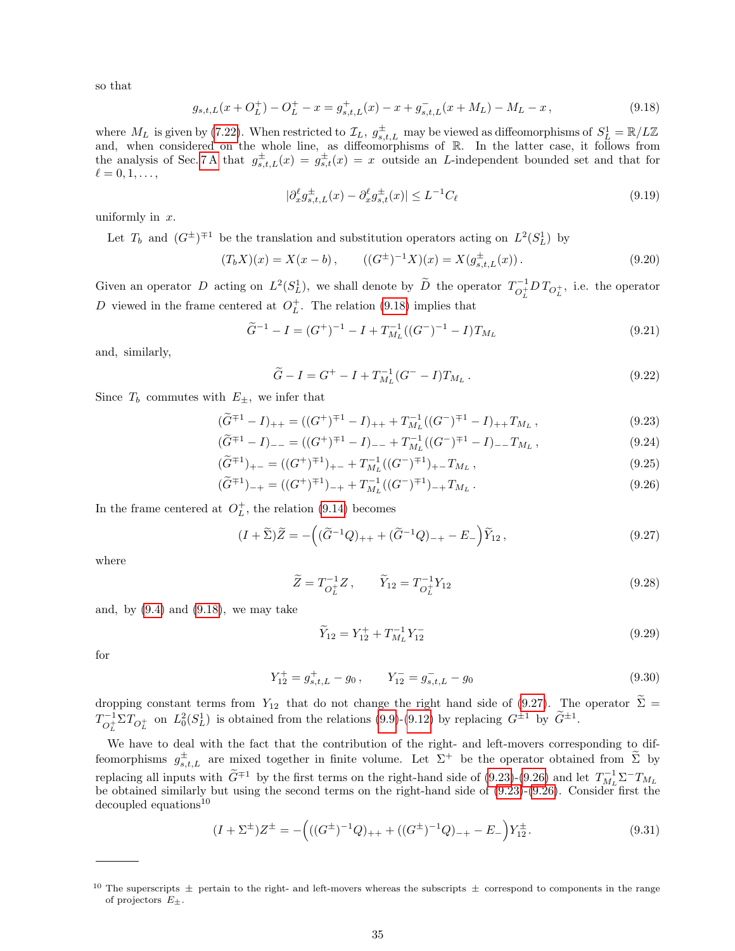so that

<span id="page-34-0"></span>
$$
g_{s,t,L}(x+O_L^+) - O_L^+ - x = g_{s,t,L}^+(x) - x + g_{s,t,L}^-(x+M_L) - M_L - x,
$$
\n
$$
(9.18)
$$

where  $M_L$  is given by [\(7.22\)](#page-25-9). When restricted to  $\mathcal{I}_L$ ,  $g_{s,t,L}^{\pm}$  may be viewed as diffeomorphisms of  $S_L^1 = \mathbb{R}/L\mathbb{Z}$ and, when considered on the whole line, as diffeomorphisms of R. In the latter case, it follows from the analysis of Sec. [7 A](#page-23-1) that  $g_{s,t,L}^{\pm}(x) = g_{s,t}^{\pm}(x) = x$  outside an L-independent bounded set and that for  $\ell = 0, 1, \ldots,$ 

<span id="page-34-4"></span>
$$
|\partial_x^{\ell} g_{s,t,L}^{\pm}(x) - \partial_x^{\ell} g_{s,t}^{\pm}(x)| \le L^{-1} C_{\ell}
$$
\n(9.19)

uniformly in  $x$ .

Let  $T_b$  and  $(G^{\pm})^{\mp 1}$  be the translation and substitution operators acting on  $L^2(S^1_L)$  by

$$
(T_b X)(x) = X(x - b), \qquad ((G^{\pm})^{-1} X)(x) = X(g_{s,t,L}^{\pm}(x)). \tag{9.20}
$$

Given an operator D acting on  $L^2(S_L^1)$ , we shall denote by  $\widetilde{D}$  the operator  $T_{O_L^+}^{-1}$  $\int_{O_L^+}^{-1} D T_{O_L^+}$ , i.e. the operator D viewed in the frame centered at  $O_L^+$ . The relation [\(9.18\)](#page-34-0) implies that

$$
\widetilde{G}^{-1} - I = (G^+)^{-1} - I + T_{M_L}^{-1}((G^-)^{-1} - I)T_{M_L}
$$
\n(9.21)

and, similarly,

$$
\widetilde{G} - I = G^+ - I + T_{M_L}^{-1} (G^- - I) T_{M_L} . \qquad (9.22)
$$

Since  $T_b$  commutes with  $E_{\pm}$ , we infer that

<span id="page-34-2"></span>
$$
(\widetilde{G}^{\mp 1} - I)_{++} = ((G^+)^{\mp 1} - I)_{++} + T_{M_L}^{-1}((G^-)^{\mp 1} - I)_{++} T_{M_L},
$$
\n
$$
\widetilde{G}^{\mp 1} - I_{\pm} = ((G^+)^{\mp 1} - I)_{++} + T_{M_L}^{-1}((G^-)^{\mp 1} - I)_{++} + T_{M_L},
$$
\n(9.23)

$$
(\widetilde{G}^{\mp 1} - I)_{--} = ((G^+)^{\mp 1} - I)_{--} + T_{M_L}^{-1}((G^-)^{\mp 1} - I)_{--} T_{M_L},
$$
\n
$$
(\widetilde{G}^{\mp 1})_{--} = ((G^+)^{\mp 1})_{--} + T_{-1}^{-1}((G^-)^{\mp 1})_{--} T_{M_L},
$$
\n(9.24)

$$
(\widetilde{G}^{\mp 1})_{+-} = ((G^+)^{\mp 1})_{+-} + T_{M_L}^{-1}((G^-)^{\mp 1})_{+-} T_{M_L},
$$
\n(9.25)

$$
(\widetilde{G}^{\mp 1})_{-+} = ((G^+)^{\mp 1})_{-+} + T_{M_L}^{-1}((G^-)^{\mp 1})_{-+}T_{M_L}.
$$
\n(9.26)

In the frame centered at  $O_L^+$ , the relation [\(9.14\)](#page-33-2) becomes

<span id="page-34-1"></span>
$$
(I + \tilde{\Sigma})\tilde{Z} = -\left((\tilde{G}^{-1}Q)_{++} + (\tilde{G}^{-1}Q)_{-+} - E_{-}\right)\tilde{Y}_{12},\tag{9.27}
$$

where

<span id="page-34-5"></span>
$$
\widetilde{Z} = T_{O_L^+}^{-1} Z \,, \qquad \widetilde{Y}_{12} = T_{O_L^+}^{-1} Y_{12} \tag{9.28}
$$

and, by  $(9.4)$  and  $(9.18)$ , we may take

$$
\widetilde{Y}_{12} = Y_{12}^+ + T_{M_L}^{-1} Y_{12}^- \tag{9.29}
$$

for

$$
Y_{12}^{+} = g_{s,t,L}^{+} - g_0, \qquad Y_{12}^{-} = g_{s,t,L}^{-} - g_0 \tag{9.30}
$$

dropping constant terms from  $Y_{12}$  that do not change the right hand side of [\(9.27\)](#page-34-1). The operator  $\Sigma =$  $T^{-1}_{\alpha+1}$  $C_L^{-1} \Sigma T_{O_L^+}$  on  $L_0^2(S_L^1)$  is obtained from the relations [\(9.9\)](#page-33-3)-[\(9.12\)](#page-33-3) by replacing  $G^{\pm 1}$  by  $\tilde{G}^{\pm 1}$ .

We have to deal with the fact that the contribution of the right- and left-movers corresponding to diffeomorphisms  $g_{s,t,L}^{\pm}$  are mixed together in finite volume. Let  $\Sigma^+$  be the operator obtained from  $\widetilde{\Sigma}$  by replacing all inputs with  $\widetilde{G}^{\mp 1}$  by the first terms on the right-hand side of [\(9.23\)](#page-34-2)-[\(9.26\)](#page-34-2) and let  $T_{ML}^{-1}\Sigma^{-}T_{ML}$ be obtained similarly but using the second terms on the right-hand side of [\(9.23\)](#page-34-2)-[\(9.26\)](#page-34-2). Consider first the decoupled equations<sup>10</sup>

<span id="page-34-3"></span>
$$
(I + \Sigma^{\pm})Z^{\pm} = -\left(((G^{\pm})^{-1}Q)_{++} + ((G^{\pm})^{-1}Q)_{-+} - E_{-}\right)Y_{12}^{\pm}.
$$
\n(9.31)

<sup>&</sup>lt;sup>10</sup> The superscripts  $\pm$  pertain to the right- and left-movers whereas the subscripts  $\pm$  correspond to components in the range of projectors  $E_{\pm}$ .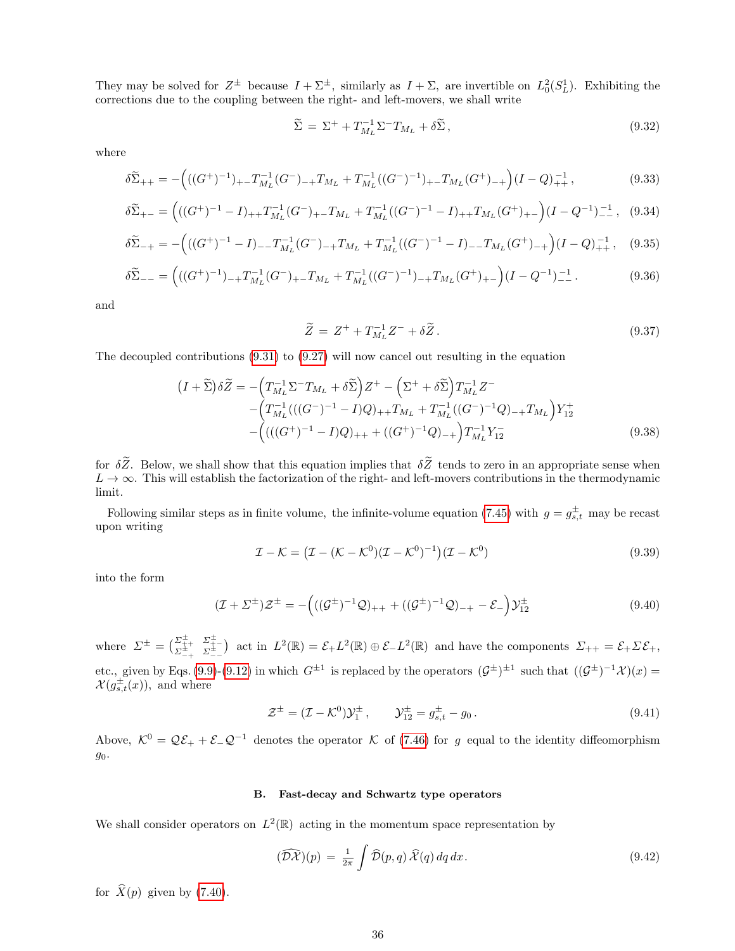They may be solved for  $Z^{\pm}$  because  $I + \Sigma^{\pm}$ , similarly as  $I + \Sigma$ , are invertible on  $L_0^2(S_L^1)$ . Exhibiting the corrections due to the coupling between the right- and left-movers, we shall write

<span id="page-35-4"></span>
$$
\widetilde{\Sigma} = \Sigma^+ + T_{M_L}^{-1} \Sigma^- T_{M_L} + \delta \widetilde{\Sigma}, \qquad (9.32)
$$

where

<span id="page-35-3"></span>
$$
\delta \widetilde{\Sigma}_{++} = -\Big( ((G^+)^{-1})_{+-} T_{M_L}^{-1} (G^-)_{-+} T_{M_L} + T_{M_L}^{-1} ((G^-)^{-1})_{+-} T_{M_L} (G^+)_{-+} \Big) (I - Q)_{++}^{-1} ,\tag{9.33}
$$

$$
\delta \widetilde{\Sigma}_{+-} = \left( ((G^+)^{-1} - I)_{++} T_{M_L}^{-1} (G^-)_{+-} T_{M_L} + T_{M_L}^{-1} ((G^-)^{-1} - I)_{++} T_{M_L} (G^+)_{+-} \right) (I - Q^{-1})_{--}^{-1}, \tag{9.34}
$$

$$
\delta \widetilde{\Sigma}_{-+} = -\Big( ((G^+)^{-1} - I)_{--} T_{M_L}^{-1} (G^-)_{-+} T_{M_L} + T_{M_L}^{-1} ((G^-)^{-1} - I)_{--} T_{M_L} (G^+)_{-+} \Big) (I - Q)_{++}^{-1}, \quad (9.35)
$$

$$
\delta \widetilde{\Sigma}_{--} = \left( ((G^+)^{-1})_{-+} T_{M_L}^{-1} (G^-)_{+-} T_{M_L} + T_{M_L}^{-1} ((G^-)^{-1})_{-+} T_{M_L} (G^+)_{+-} \right) (I - Q^{-1})_{--}^{-1}.
$$
\n(9.36)

and

<span id="page-35-1"></span>
$$
\widetilde{Z} = Z^+ + T_{M_L}^{-1} Z^- + \delta \widetilde{Z} \,. \tag{9.37}
$$

The decoupled contributions [\(9.31\)](#page-34-3) to [\(9.27\)](#page-34-1) will now cancel out resulting in the equation

<span id="page-35-2"></span>
$$
(I + \tilde{\Sigma})\delta\tilde{Z} = -\left(T_{M_L}^{-1}\Sigma^{-}T_{M_L} + \delta\tilde{\Sigma}\right)Z^+ - \left(\Sigma^+ + \delta\tilde{\Sigma}\right)T_{M_L}^{-1}Z^- - \left(T_{M_L}^{-1}(((G^-)^{-1} - I)Q)_{++}T_{M_L} + T_{M_L}^{-1}((G^-)^{-1}Q)_{-+}T_{M_L}\right)Y_{12}^+ - \left(((G^+)^{-1} - I)Q_{++} + ((G^+)^{-1}Q)_{-+}\right)T_{M_L}^{-1}Y_{12}^- \tag{9.38}
$$

for  $\delta \tilde{Z}$ . Below, we shall show that this equation implies that  $\delta \tilde{Z}$  tends to zero in an appropriate sense when  $L \to \infty$ . This will establish the factorization of the right- and left-movers contributions in the thermodynamic limit.

Following similar steps as in finite volume, the infinite-volume equation [\(7.45\)](#page-28-1) with  $g = g_{s,t}^{\pm}$  may be recast upon writing

$$
\mathcal{I} - \mathcal{K} = \left(\mathcal{I} - (\mathcal{K} - \mathcal{K}^0)(\mathcal{I} - \mathcal{K}^0)^{-1}\right)(\mathcal{I} - \mathcal{K}^0) \tag{9.39}
$$

into the form

<span id="page-35-0"></span>
$$
(\mathcal{I} + \Sigma^{\pm})\mathcal{Z}^{\pm} = -\left(((\mathcal{G}^{\pm})^{-1}\mathcal{Q})_{++} + ((\mathcal{G}^{\pm})^{-1}\mathcal{Q})_{-+} - \mathcal{E}_{-}\right)\mathcal{Y}_{12}^{\pm}
$$
(9.40)

where  $\Sigma^{\pm} = \begin{pmatrix} \Sigma_{++}^{\pm} & \Sigma_{+-}^{\pm} \\ \Sigma_{-+}^{\pm} & \Sigma_{--}^{\pm} \end{pmatrix}$  act in  $L^2(\mathbb{R}) = \mathcal{E}_+ L^2(\mathbb{R}) \oplus \mathcal{E}_- L^2(\mathbb{R})$  and have the components  $\Sigma_{++} = \mathcal{E}_+ \Sigma \mathcal{E}_+,$ etc., given by Eqs. [\(9.9\)](#page-33-3)-[\(9.12\)](#page-33-3) in which  $G^{\pm 1}$  is replaced by the operators  $(G^{\pm})^{\pm 1}$  such that  $((G^{\pm})^{-1}\mathcal{X})(x)$  $\mathcal{X}(g_{s,t}^{\pm}(x))$ , and where

$$
\mathcal{Z}^{\pm} = (\mathcal{I} - \mathcal{K}^0) \mathcal{Y}_1^{\pm} , \qquad \mathcal{Y}_{12}^{\pm} = g_{s,t}^{\pm} - g_0 . \tag{9.41}
$$

Above,  $\mathcal{K}^0 = \mathcal{Q}\mathcal{E}_+ + \mathcal{E}_-\mathcal{Q}^{-1}$  denotes the operator  $\mathcal K$  of [\(7.46\)](#page-28-3) for g equal to the identity diffeomorphism  $g_0$ .

## <span id="page-35-5"></span>B. Fast-decay and Schwartz type operators

We shall consider operators on  $L^2(\mathbb{R})$  acting in the momentum space representation by

$$
(\widehat{\mathcal{D}\mathcal{X}})(p) = \frac{1}{2\pi} \int \widehat{\mathcal{D}}(p,q) \,\widehat{\mathcal{X}}(q) \,dq \,dx. \tag{9.42}
$$

for  $\hat{X}(p)$  given by [\(7.40\)](#page-27-4).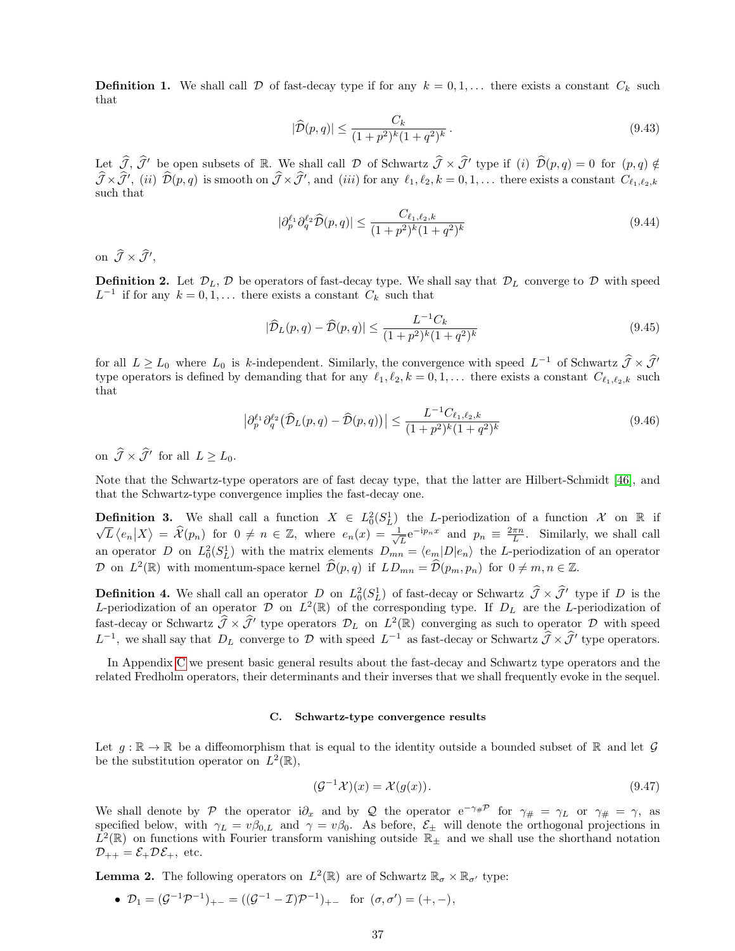**Definition 1.** We shall call  $D$  of fast-decay type if for any  $k = 0, 1, \ldots$  there exists a constant  $C_k$  such that

<span id="page-36-1"></span>
$$
|\hat{\mathcal{D}}(p,q)| \le \frac{C_k}{(1+p^2)^k (1+q^2)^k} \,. \tag{9.43}
$$

Let  $\hat{\mathcal{J}}, \hat{\mathcal{J}}'$  be open subsets of R. We shall call  $\mathcal D$  of Schwartz  $\hat{\mathcal{J}} \times \hat{\mathcal{J}}'$  type if (i)  $\hat{\mathcal{D}}(p,q) = 0$  for  $(p,q) \notin \hat{\mathcal{J}}$  $\widehat{\mathcal{J}} \times \widehat{\mathcal{J}}'$ , (ii)  $\widehat{\mathcal{D}}(p,q)$  is smooth on  $\widehat{\mathcal{J}} \times \widehat{\mathcal{J}}'$ , and (iii) for any  $\ell_1, \ell_2, k = 0, 1, \ldots$  there exists a constant  $C_{\ell_1, \ell_2, k}$ such that

$$
|\partial_p^{\ell_1} \partial_q^{\ell_2} \widehat{\mathcal{D}}(p,q)| \le \frac{C_{\ell_1,\ell_2,k}}{(1+p^2)^k (1+q^2)^k} \tag{9.44}
$$

on  $\widehat{\mathcal{J}} \times \widehat{\mathcal{J}}'$ ,

**Definition 2.** Let  $\mathcal{D}_L$ ,  $\mathcal{D}$  be operators of fast-decay type. We shall say that  $\mathcal{D}_L$  converge to  $\mathcal{D}$  with speed  $L^{-1}$  if for any  $k = 0, 1, \ldots$  there exists a constant  $C_k$  such that

$$
|\hat{\mathcal{D}}_L(p,q) - \hat{\mathcal{D}}(p,q)| \le \frac{L^{-1}C_k}{(1+p^2)^k(1+q^2)^k}
$$
\n(9.45)

for all  $L \geq L_0$  where  $L_0$  is k-independent. Similarly, the convergence with speed  $L^{-1}$  of Schwartz  $\hat{\mathcal{J}} \times \hat{\mathcal{J}}'$ type operators is defined by demanding that for any  $\ell_1, \ell_2, k = 0, 1, \ldots$  there exists a constant  $C_{\ell_1, \ell_2, k}$  such that

$$
\left| \partial_p^{\ell_1} \partial_q^{\ell_2} \left( \widehat{\mathcal{D}}_L(p, q) - \widehat{\mathcal{D}}(p, q) \right) \right| \le \frac{L^{-1} C_{\ell_1, \ell_2, k}}{(1 + p^2)^k (1 + q^2)^k} \tag{9.46}
$$

on  $\widehat{\mathcal{J}} \times \widehat{\mathcal{J}}'$  for all  $L \geq L_0$ .

Note that the Schwartz-type operators are of fast decay type, that the latter are Hilbert-Schmidt [\[46\]](#page-59-11), and that the Schwartz-type convergence implies the fast-decay one.

**Definition 3.** We shall call a function  $X \in L_0^2(S_L^1)$  the L-periodization of a function  $\mathcal X$  on  $\mathbb R$  if  $\overline{L}\langle e_n|X\rangle = \hat{\mathcal{X}}(p_n)$  for  $0 \neq n \in \mathbb{Z}$ , where  $e_n(x) = \frac{1}{\sqrt{2}}$  $\overline{\mathcal{L}}e^{-ip_nx}$  and  $p_n \equiv \frac{2\pi n}{L}$ . Similarly, we shall call an operator D on  $L_0^2(S_L^1)$  with the matrix elements  $D_{mn} = \langle e_m|D|e_n\rangle$  the L-periodization of an operator D on  $L^2(\mathbb{R})$  with momentum-space kernel  $\widehat{\mathcal{D}}(p,q)$  if  $LD_{mn} = \widehat{\mathcal{D}}(p_m, p_n)$  for  $0 \neq m, n \in \mathbb{Z}$ .

**Definition 4.** We shall call an operator D on  $L_0^2(S_L^1)$  of fast-decay or Schwartz  $\hat{\mathcal{J}} \times \hat{\mathcal{J}}'$  type if D is the L-periodization of an operator  $\mathcal{D}$  on  $L^2(\mathbb{R})$  of the corresponding type. If  $D_L$  are the L-periodization of fast-decay or Schwartz  $\hat{\mathcal{J}} \times \hat{\mathcal{J}}'$  type operators  $\mathcal{D}_L$  on  $L^2(\mathbb{R})$  converging as such to operator  $\mathcal{D}$  with speed  $L^{-1}$ , we shall say that  $D_L$  converge to  $\mathcal D$  with speed  $L^{-1}$  as fast-decay or Schwartz  $\widehat{\mathcal{J}} \times \widehat{\mathcal{J}}'$  type operators.

In Appendix [C](#page-45-0) we present basic general results about the fast-decay and Schwartz type operators and the related Fredholm operators, their determinants and their inverses that we shall frequently evoke in the sequel.

#### <span id="page-36-0"></span>C. Schwartz-type convergence results

Let  $g : \mathbb{R} \to \mathbb{R}$  be a diffeomorphism that is equal to the identity outside a bounded subset of  $\mathbb{R}$  and let  $\mathcal{G}$ be the substitution operator on  $L^2(\mathbb{R}),$ 

$$
(\mathcal{G}^{-1}\mathcal{X})(x) = \mathcal{X}(g(x)).
$$
\n(9.47)

We shall denote by P the operator i $\partial_x$  and by Q the operator  $e^{-\gamma}$  for  $\gamma_{\#} = \gamma_L$  or  $\gamma_{\#} = \gamma$ , as specified below, with  $\gamma_L = v\beta_{0,L}$  and  $\gamma = v\beta_0$ . As before,  $\mathcal{E}_\pm$  will denote the orthogonal projections in  $\hat{L}^2(\mathbb{R})$  on functions with Fourier transform vanishing outside  $\mathbb{R}_{\pm}$  and we shall use the shorthand notation  $\mathcal{D}_{++} = \mathcal{E}_+ \mathcal{D} \mathcal{E}_+,$  etc.

**Lemma 2.** The following operators on  $L^2(\mathbb{R})$  are of Schwartz  $\mathbb{R}_{\sigma} \times \mathbb{R}_{\sigma'}$  type:

•  $\mathcal{D}_1 = (\mathcal{G}^{-1}\mathcal{P}^{-1})_{+-} = ((\mathcal{G}^{-1} - \mathcal{I})\mathcal{P}^{-1})_{+-}$  for  $(\sigma, \sigma') = (+, -),$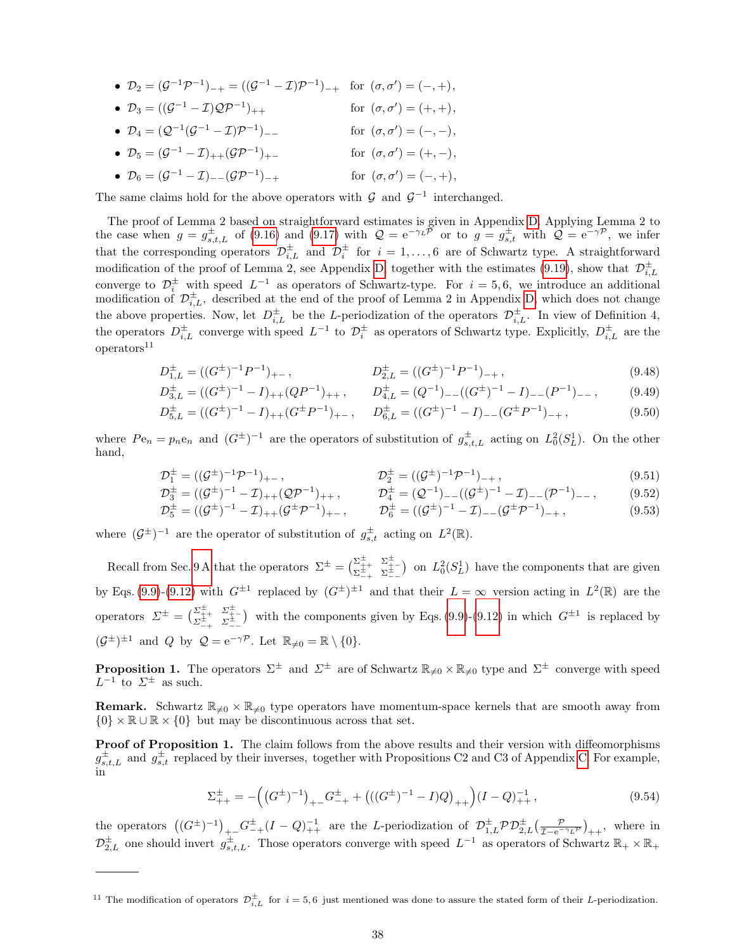- $\mathcal{D}_2 = (\mathcal{G}^{-1}\mathcal{P}^{-1})_{-+} = ((\mathcal{G}^{-1} \mathcal{I})\mathcal{P}^{-1})_{-+}$  for  $(\sigma, \sigma') = (-, +),$
- $\mathcal{D}_3 = ((\mathcal{G}^{-1} \mathcal{I})\mathcal{Q}\mathcal{P}^{-1})$ )<sub>++</sub> for  $(\sigma, \sigma') = (+, +),$
- $\bullet$   $\mathcal{D}_4 = (\mathcal{Q}^{-1}(\mathcal{G}^{-1} \mathcal{I})\mathcal{P}^{-1}$ )<sub>--</sub> for  $(σ, σ') = (−, -),$
- $D_5 = (\mathcal{G}^{-1} \mathcal{I})_{++}(\mathcal{G}\mathcal{P}^{-1})$ )<sub>+−</sub> for  $(σ, σ') = (+, -),$  $\bullet$   $\mathcal{D}_6 = (\mathcal{G}^{-1} - \mathcal{I})_{--}(\mathcal{G}\mathcal{P}^{-1})$  $)_{-+}$  for  $(\sigma, \sigma') = (-, +),$
- The same claims hold for the above operators with  $\mathcal G$  and  $\mathcal G^{-1}$  interchanged.

The proof of Lemma 2 based on straightforward estimates is given in Appendix [D.](#page-52-0) Applying Lemma 2 to the case when  $g = g_{s,t,L}^{\pm}$  of [\(9.16\)](#page-33-4) and [\(9.17\)](#page-33-4) with  $\mathcal{Q} = e^{-\gamma L \tilde{\mathcal{P}}}$  or to  $g = g_{s,t}^{\pm}$  with  $\mathcal{Q} = e^{-\gamma \mathcal{P}}$ , we infer that the corresponding operators  $\mathcal{D}_{i,L}^{\pm}$  and  $\mathcal{D}_{i}^{\pm}$  for  $i=1,\ldots,6$  are of Schwartz type. A straightforward modification of the proof of Lemma 2, see Appendix [D,](#page-52-0) together with the estimates [\(9.19\)](#page-34-4), show that  $\mathcal{D}^{\pm}_{i,L}$ converge to  $\mathcal{D}_i^{\pm}$  with speed  $L^{-1}$  as operators of Schwartz-type. For  $i = 5, 6$ , we introduce an additional modification of  $\mathcal{D}_{i,L}^{\pm}$ , described at the end of the proof of Lemma 2 in Appendix [D,](#page-52-0) which does not change the above properties. Now, let  $D_{i,L}^{\pm}$  be the L-periodization of the operators  $\mathcal{D}_{i,L}^{\pm}$ . In view of Definition 4, the operators  $D_{i,L}^{\pm}$  converge with speed  $L^{-1}$  to  $\mathcal{D}_i^{\pm}$  as operators of Schwartz type. Explicitly,  $D_{i,L}^{\pm}$  are the  $overators<sup>11</sup>$ 

$$
D_{1,L}^{\pm} = ((G^{\pm})^{-1}P^{-1})_{+-}, \qquad D_{2,L}^{\pm} = ((G^{\pm})^{-1}P^{-1})_{-+}, \qquad (9.48)
$$

$$
D_{3,L}^{\pm} = ((G^{\pm})^{-1} - I)_{++} (QP^{-1})_{++}, \qquad D_{4,L}^{\pm} = (Q^{-1})_{--} ((G^{\pm})^{-1} - I)_{--} (P^{-1})_{--}, \tag{9.49}
$$

$$
D_{5,L}^{\pm} = ((G^{\pm})^{-1} - I)_{++}(G^{\pm}P^{-1})_{+-}, \qquad D_{6,L}^{\pm} = ((G^{\pm})^{-1} - I)_{--}(G^{\pm}P^{-1})_{-+}, \tag{9.50}
$$

where  $Pe_n = p_n e_n$  and  $(G^{\pm})^{-1}$  are the operators of substitution of  $g_{s,t,L}^{\pm}$  acting on  $L_0^2(S_L^1)$ . On the other hand,

$$
\mathcal{D}_1^{\pm} = ((\mathcal{G}^{\pm})^{-1} \mathcal{P}^{-1})_{+-}, \qquad \mathcal{D}_2^{\pm} = ((\mathcal{G}^{\pm})^{-1} \mathcal{P}^{-1})_{-+}, \qquad (9.51)
$$

$$
\mathcal{D}_3^{\pm} = ((\mathcal{G}^{\pm})^{-1} - \mathcal{I})_{++} (\mathcal{Q}\mathcal{P}^{-1})_{++}, \qquad \mathcal{D}_4^{\pm} = (\mathcal{Q}^{-1})_{--} ((\mathcal{G}^{\pm})^{-1} - \mathcal{I})_{--} (\mathcal{P}^{-1})_{--}, \qquad (9.52)
$$

$$
\mathcal{D}_5^{\pm} = ((\mathcal{G}^{\pm})^{-1} - \mathcal{I})_{++} (\mathcal{G}^{\pm} \mathcal{P}^{-1})_{+-}, \qquad \mathcal{D}_6^{\pm} = ((\mathcal{G}^{\pm})^{-1} - \mathcal{I})_{--} (\mathcal{G}^{\pm} \mathcal{P}^{-1})_{-+}, \qquad (9.53)
$$

where  $(\mathcal{G}^{\pm})^{-1}$  are the operator of substitution of  $g_{s,t}^{\pm}$  acting on  $L^{2}(\mathbb{R})$ .

Recall from Sec. [9 A](#page-32-6) that the operators  $\Sigma^{\pm} = \begin{pmatrix} \Sigma_{++}^{\pm} & \Sigma_{+-}^{\pm} \\ \Sigma_{-+}^{\pm} & \Sigma_{--}^{\pm} \end{pmatrix}$  on  $L_0^2(S_L^1)$  have the components that are given by Eqs. [\(9.9\)](#page-33-3)-[\(9.12\)](#page-33-3) with  $G^{\pm 1}$  replaced by  $(G^{\pm})^{\pm 1}$  and that their  $L = \infty$  version acting in  $L^2(\mathbb{R})$  are the operators  $\Sigma^{\pm} = \begin{pmatrix} \Sigma_{++}^{\pm} & \Sigma_{+-}^{\pm} \\ \Sigma_{-+}^{\pm} & \Sigma_{--}^{\pm} \end{pmatrix}$  with the components given by Eqs. [\(9.9\)](#page-33-3)-[\(9.12\)](#page-33-3) in which  $G^{\pm 1}$  is replaced by  $(\mathcal{G}^{\pm})^{\pm 1}$  and Q by  $\mathcal{Q} = e^{-\gamma \mathcal{P}}$ . Let  $\mathbb{R}_{\neq 0} = \mathbb{R} \setminus \{0\}.$ 

**Proposition 1.** The operators  $\Sigma^{\pm}$  and  $\Sigma^{\pm}$  are of Schwartz  $\mathbb{R}_{\neq 0} \times \mathbb{R}_{\neq 0}$  type and  $\Sigma^{\pm}$  converge with speed  $L^{-1}$  to  $\Sigma^{\pm}$  as such.

**Remark.** Schwartz  $\mathbb{R}_{\neq0} \times \mathbb{R}_{\neq0}$  type operators have momentum-space kernels that are smooth away from  ${0} \times \mathbb{R} \cup \mathbb{R} \times {0}$  but may be discontinuous across that set.

Proof of Proposition 1. The claim follows from the above results and their version with diffeomorphisms  $g_{s,t,L}^{\pm}$  and  $g_{s,t}^{\pm}$  replaced by their inverses, together with Propositions C2 and C3 of Appendix [C.](#page-45-0) For example, in

$$
\Sigma_{++}^{\pm} = -\left( (G^{\pm})^{-1} \right)_{+-} G_{-+}^{\pm} + \left( ((G^{\pm})^{-1} - I)Q \right)_{++} \left( (I - Q)_{++}^{-1} \right), \tag{9.54}
$$

the operators  $((G^{\pm})^{-1})_{+-}G^{\pm}_{-+}(I-Q)^{-1}_{++}$  are the L-periodization of  $\mathcal{D}^{\pm}_{1,L}\mathcal{P}\mathcal{D}^{\pm}_{2,L}(\frac{\mathcal{P}}{I-e^{-\gamma_L\mathcal{P}}})_{++}$ , where in  $\mathcal{D}_{2,L}^{\pm}$  one should invert  $g_{s,t,L}^{\pm}$ . Those operators converge with speed  $L^{-1}$  as operators of Schwartz  $\mathbb{R}_+ \times \mathbb{R}_+$ 

<sup>&</sup>lt;sup>11</sup> The modification of operators  $\mathcal{D}_{i,L}^{\pm}$  for  $i=5,6$  just mentioned was done to assure the stated form of their L-periodization.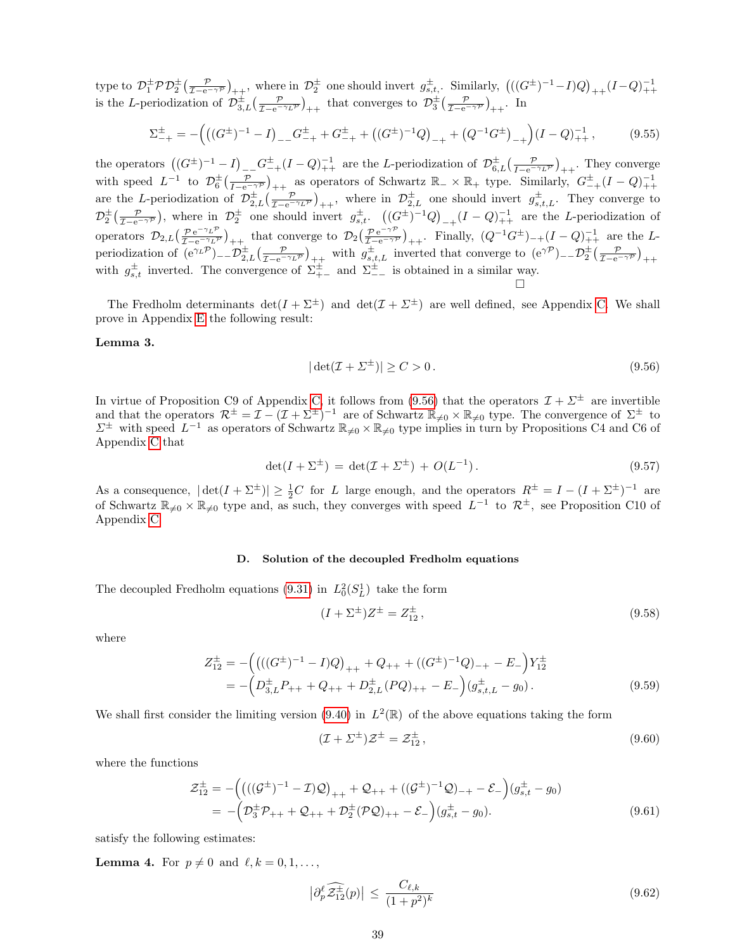type to  $\mathcal{D}_1^{\pm} \mathcal{P} \mathcal{D}_2^{\pm} \left( \frac{\mathcal{P}}{\mathcal{I}-e^{-\gamma \mathcal{P}}} \right)_{++}$ , where in  $\mathcal{D}_2^{\pm}$  one should invert  $g_{s,t}^{\pm}$ . Similarly,  $\left( \left( (G^{\pm})^{-1} - I \right) Q \right)_{++} (I - Q)_{++}^{-1}$ is the L-periodization of  $\mathcal{D}_{3,L}^{\pm}(\frac{\mathcal{P}}{I-e^{-\gamma_L \mathcal{P}}})_{++}$  that converges to  $\mathcal{D}_{3}^{\pm}(\frac{\mathcal{P}}{I-e^{-\gamma_{\mathcal{P}}}})_{++}$ . In

$$
\Sigma_{-+}^{\pm} = -\Big( \big( (G^{\pm})^{-1} - I \big)_{--} G^{\pm}_{-+} + G^{\pm}_{-+} + \big( (G^{\pm})^{-1} Q \big)_{-+} + \big( Q^{-1} G^{\pm} \big)_{-+} \Big) (I - Q)_{++}^{-1} ,\tag{9.55}
$$

the operators  $((G^{\pm})^{-1} - I)_{--} G^{\pm}_{-+}(I - Q)_{++}^{-1}$  are the L-periodization of  $\mathcal{D}^{\pm}_{6,L}(\frac{\mathcal{P}}{I - e^{-\gamma_L \mathcal{P}}})_{++}$ . They converge with speed  $L^{-1}$  to  $\mathcal{D}_6^{\pm}(\frac{\mathcal{P}}{I-e^{-\gamma \mathcal{P}}})_{++}$  as operators of Schwartz  $\mathbb{R}_-\times\mathbb{R}_+$  type. Similarly,  $G_{-+}^{\pm}(I-Q)_{++}^{-1}$ are the L-periodization of  $\mathcal{D}_{2,L}^{\pm}(\frac{\mathcal{P}}{\mathcal{I}-e^{-\gamma_L \mathcal{P}}})_{++}$ , where in  $\mathcal{D}_{2,L}^{\pm}$  one should invert  $g_{s,t,L}^{\pm}$ . They converge to  $\mathcal{D}_{2}^{\pm}\left(\frac{\mathcal{P}}{\mathcal{I}-e^{-\gamma\mathcal{P}}}\right)$ , where in  $\mathcal{D}_{2}^{\pm}$  one should invert  $g_{s,t}^{\pm}$ .  $\left((G^{\pm})^{-1}Q\right)_{-+}(I-Q)^{-1}_{++}$  are the *L*-periodization of operators  $\mathcal{D}_{2,L}(\frac{\mathcal{P}e^{-\gamma_L \mathcal{P}}}{\tau_{-e^{-\gamma_L \mathcal{P}}}})$  $\frac{\mathcal{P} e^{-\gamma_L \mathcal{P}}}{\mathcal{I}-e^{-\gamma_L \mathcal{P}}}$  + that converge to  $\mathcal{D}_2(\frac{\mathcal{P} e^{-\gamma \mathcal{P}}}{\mathcal{I}-e^{-\gamma \mathcal{P}}})$  $\frac{\mathcal{P} e^{-\gamma \mathcal{P}}}{\mathcal{I}-e^{-\gamma \mathcal{P}}}$ <sub>++</sub>. Finally,  $(Q^{-1}G^{\pm})_{-+}(I-Q)_{++}^{-1}$  are the Lperiodization of  $(e^{\gamma_L \mathcal{P}})$ <sub>--</sub> $\mathcal{D}_{2,L}^{\pm}(\frac{\mathcal{P}}{I-e^{-\gamma_L \mathcal{P}}})_{++}$  with  $g_{s,t,L}^{\pm}$  inverted that converge to  $(e^{\gamma \mathcal{P}})$ <sub>--</sub> $\mathcal{D}_2^{\pm}(\frac{\mathcal{P}}{I-e^{-\gamma \mathcal{P}}})_{++}$ with  $g_{s,t}^{\pm}$  inverted. The convergence of  $\Sigma_{+-}^{\pm}$  and  $\Sigma_{--}^{\pm}$  is obtained in a similar way.

The Fredholm determinants  $\det(I + \Sigma^{\pm})$  and  $\det(\mathcal{I} + \Sigma^{\pm})$  are well defined, see Appendix [C.](#page-45-0) We shall prove in Appendix [E](#page-54-0) the following result:

## Lemma 3.

<span id="page-38-0"></span>
$$
|\det(\mathcal{I} + \Sigma^{\pm})| \ge C > 0. \tag{9.56}
$$

In virtue of Proposition C9 of Appendix [C,](#page-45-0) it follows from [\(9.56\)](#page-38-0) that the operators  $\mathcal{I} + \Sigma^{\pm}$  are invertible and that the operators  $\mathcal{R}^{\pm} = \mathcal{I} - (\mathcal{I} + \Sigma^{\pm})^{-1}$  are of Schwartz  $\mathbb{R}_{\neq 0} \times \mathbb{R}_{\neq 0}$  type. The convergence of  $\Sigma^{\pm}$  to  $\Sigma^{\pm}$  with speed  $L^{-1}$  as operators of Schwartz  $\mathbb{R}_{\neq 0} \times \mathbb{R}_{\neq 0}$  type implies in turn by Propositions C4 and C6 of Appendix [C](#page-45-0) that

$$
\det(I + \Sigma^{\pm}) = \det(\mathcal{I} + \Sigma^{\pm}) + O(L^{-1}). \tag{9.57}
$$

As a consequence,  $|\det(I + \Sigma^{\pm})| \ge \frac{1}{2}C$  for L large enough, and the operators  $R^{\pm} = I - (I + \Sigma^{\pm})^{-1}$  are of Schwartz  $\mathbb{R}_{\neq 0} \times \mathbb{R}_{\neq 0}$  type and, as such, they converges with speed  $L^{-1}$  to  $\mathcal{R}^{\pm}$ , see Proposition C10 of Appendix [C.](#page-45-0)

#### D. Solution of the decoupled Fredholm equations

The decoupled Fredholm equations [\(9.31\)](#page-34-3) in  $L_0^2(S_L^1)$  take the form

<span id="page-38-2"></span>
$$
(I + \Sigma^{\pm})Z^{\pm} = Z_{12}^{\pm} , \qquad (9.58)
$$

where

$$
Z_{12}^{\pm} = -\left( \left( ((G^{\pm})^{-1} - I)Q \right)_{++} + Q_{++} + ((G^{\pm})^{-1}Q)_{-+} - E_{-} \right) Y_{12}^{\pm}
$$
  
= -\left( D\_{3,L}^{\pm} P\_{++} + Q\_{++} + D\_{2,L}^{\pm} (PQ)\_{++} - E\_{-} \right) (g\_{s,t,L}^{\pm} - g\_{0}). \tag{9.59}

We shall first consider the limiting version [\(9.40\)](#page-35-0) in  $L^2(\mathbb{R})$  of the above equations taking the form

<span id="page-38-1"></span>
$$
(\mathcal{I} + \Sigma^{\pm})\mathcal{Z}^{\pm} = \mathcal{Z}_{12}^{\pm},\tag{9.60}
$$

where the functions

$$
\mathcal{Z}_{12}^{\pm} = -\Big(\big(((\mathcal{G}^{\pm})^{-1} - \mathcal{I})\mathcal{Q}\big)_{++} + \mathcal{Q}_{++} + \big((\mathcal{G}^{\pm})^{-1}\mathcal{Q}\big)_{-+} - \mathcal{E}_{-}\Big)(g_{s,t}^{\pm} - g_{0})
$$
  
= -\Big(\mathcal{D}\_{3}^{\pm}\mathcal{P}\_{++} + \mathcal{Q}\_{++} + \mathcal{D}\_{2}^{\pm}(\mathcal{P}\mathcal{Q})\_{++} - \mathcal{E}\_{-}\Big)(g\_{s,t}^{\pm} - g\_{0}). \tag{9.61}

satisfy the following estimates:

**Lemma 4.** For  $p \neq 0$  and  $\ell, k = 0, 1, \ldots$ ,

$$
\left|\partial_p^{\ell}\widehat{\mathcal{Z}_{12}^{\pm}}(p)\right| \le \frac{C_{\ell,k}}{(1+p^2)^k} \tag{9.62}
$$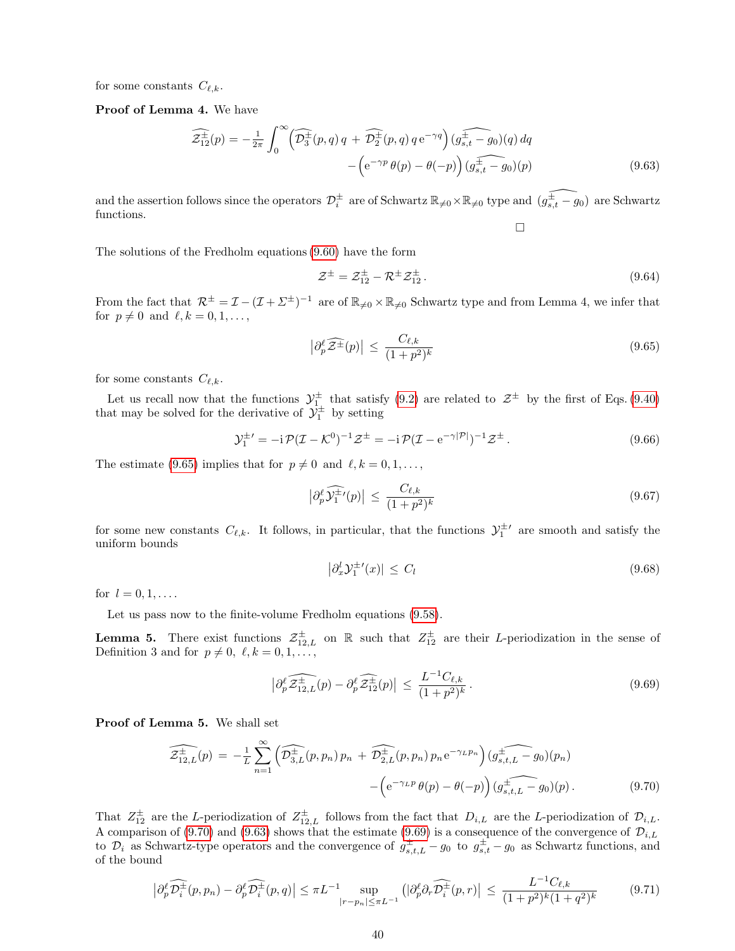for some constants  $C_{\ell,k}$ .

## Proof of Lemma 4. We have

<span id="page-39-2"></span>
$$
\widehat{\mathcal{Z}_{12}^{\pm}}(p) = -\frac{1}{2\pi} \int_0^{\infty} \left( \widehat{\mathcal{D}_3^{\pm}}(p,q) q + \widehat{\mathcal{D}_2^{\pm}}(p,q) q e^{-\gamma q} \right) \widehat{\left(g_{s,t}^{\pm} - g_0\right)}(q) dq - \left( e^{-\gamma p} \theta(p) - \theta(-p) \right) \widehat{\left(g_{s,t}^{\pm} - g_0\right)}(p) \tag{9.63}
$$

and the assertion follows since the operators  $\mathcal{D}_i^{\pm}$  are of Schwartz  $\mathbb{R}_{\neq 0} \times \mathbb{R}_{\neq 0}$  type and  $(\widehat{g_{s,t}^+ - g_0})$  are Schwartz functions.  $\Box$ 

The solutions of the Fredholm equations [\(9.60\)](#page-38-1) have the form

$$
\mathcal{Z}^{\pm} = \mathcal{Z}_{12}^{\pm} - \mathcal{R}^{\pm} \mathcal{Z}_{12}^{\pm}.
$$
\n
$$
(9.64)
$$

From the fact that  $\mathcal{R}^{\pm} = \mathcal{I} - (\mathcal{I} + \Sigma^{\pm})^{-1}$  are of  $\mathbb{R}_{\neq 0} \times \mathbb{R}_{\neq 0}$  Schwartz type and from Lemma 4, we infer that for  $p \neq 0$  and  $\ell, k = 0, 1, \ldots$ ,

<span id="page-39-0"></span>
$$
\left| \partial_p^{\ell} \widehat{\mathcal{Z}^{\pm}}(p) \right| \le \frac{C_{\ell,k}}{(1+p^2)^k} \tag{9.65}
$$

for some constants  $C_{\ell,k}$ .

Let us recall now that the functions  $\mathcal{Y}^{\pm}_{1}$  that satisfy [\(9.2\)](#page-32-3) are related to  $\mathcal{Z}^{\pm}$  by the first of Eqs. [\(9.40\)](#page-35-0) that may be solved for the derivative of  $\mathcal{Y}_1^{\pm}$  by setting

$$
\mathcal{Y}_1^{\pm'} = -i \mathcal{P} (\mathcal{I} - \mathcal{K}^0)^{-1} \mathcal{Z}^{\pm} = -i \mathcal{P} (\mathcal{I} - e^{-\gamma |\mathcal{P}|})^{-1} \mathcal{Z}^{\pm} \,. \tag{9.66}
$$

The estimate [\(9.65\)](#page-39-0) implies that for  $p \neq 0$  and  $\ell, k = 0, 1, \ldots$ ,

<span id="page-39-4"></span>
$$
\left|\partial_p^{\ell}\widehat{\mathcal{Y}_1^{\pm}}(p)\right| \le \frac{C_{\ell,k}}{(1+p^2)^k} \tag{9.67}
$$

for some new constants  $C_{\ell,k}$ . It follows, in particular, that the functions  $\mathcal{Y}_1^{\pm\prime}$  are smooth and satisfy the uniform bounds

$$
\left|\partial_x^l \mathcal{Y}_1^{\pm \prime}(x)\right| \le C_l \tag{9.68}
$$

for  $l = 0, 1, \ldots$ .

Let us pass now to the finite-volume Fredholm equations [\(9.58\)](#page-38-2).

**Lemma 5.** There exist functions  $\mathcal{Z}_{12,L}^{\pm}$  on R such that  $Z_{12}^{\pm}$  are their L-periodization in the sense of Definition 3 and for  $p \neq 0, \ell, k = 0, 1, \ldots$ ,

<span id="page-39-3"></span>
$$
\left|\partial_p^{\ell}\widehat{\mathcal{Z}_{12,L}^{\pm}}(p) - \partial_p^{\ell}\widehat{\mathcal{Z}_{12}^{\pm}}(p)\right| \le \frac{L^{-1}C_{\ell,k}}{(1+p^2)^k}.
$$
\n(9.69)

Proof of Lemma 5. We shall set

<span id="page-39-1"></span>
$$
\widehat{\mathcal{Z}_{12,L}^{\pm}(p)} = -\frac{1}{L} \sum_{n=1}^{\infty} \left( \widehat{\mathcal{D}_{3,L}^{\pm}(p,p_n) p_n} + \widehat{\mathcal{D}_{2,L}^{\pm}(p,p_n) p_n e^{-\gamma_L p_n}} \right) \widehat{\mathcal{Q}_{s,t,L}^{\pm} - g_0}(p_n) - \left( e^{-\gamma_L p} \theta(p) - \theta(-p) \right) \widehat{\mathcal{Q}_{s,t,L}^{\pm} - g_0}(p). \tag{9.70}
$$

That  $Z_{12}^{\pm}$  are the L-periodization of  $Z_{12,L}^{\pm}$  follows from the fact that  $D_{i,L}$  are the L-periodization of  $\mathcal{D}_{i,L}$ . A comparison of [\(9.70\)](#page-39-1) and [\(9.63\)](#page-39-2) shows that the estimate [\(9.69\)](#page-39-3) is a consequence of the convergence of  $\mathcal{D}_{i,L}$ to  $\mathcal{D}_i$  as Schwartz-type operators and the convergence of  $g_{s,t,L}^{\pm} - g_0$  to  $g_{s,t}^{\pm} - g_0$  as Schwartz functions, and of the bound

$$
\left|\partial_p^{\ell}\widehat{\mathcal{D}_i^{\pm}}(p,p_n) - \partial_p^{\ell}\widehat{\mathcal{D}_i^{\pm}}(p,q)\right| \le \pi L^{-1} \sup_{|r-p_n| \le \pi L^{-1}} \left(|\partial_p^{\ell}\partial_r\widehat{\mathcal{D}_i^{\pm}}(p,r)\right) \le \frac{L^{-1}C_{\ell,k}}{(1+p^2)^k(1+q^2)^k} \tag{9.71}
$$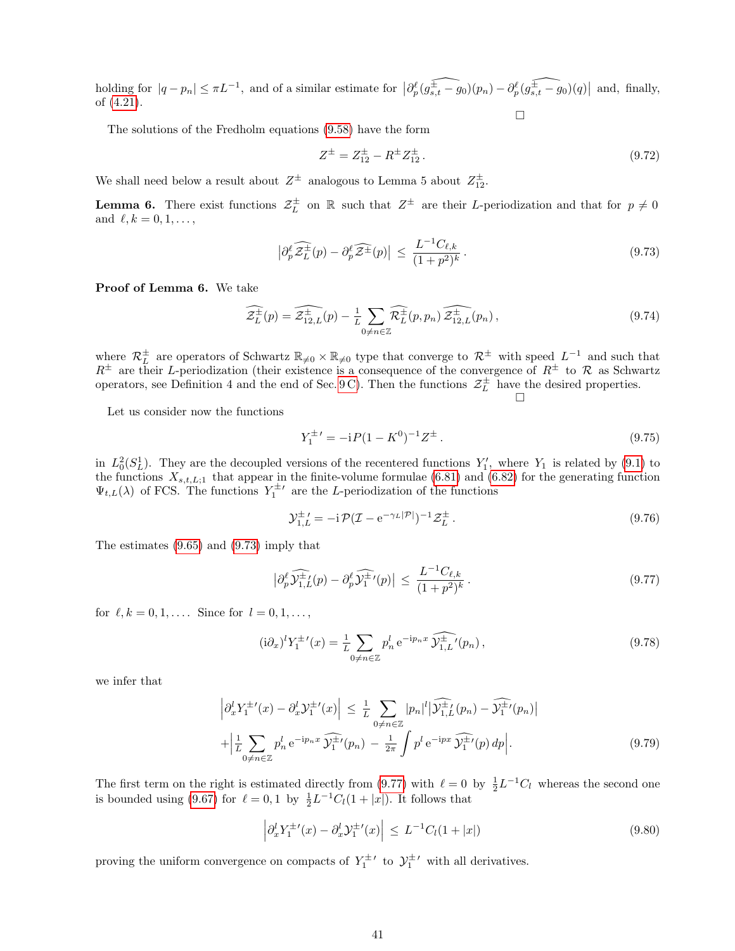holding for  $|q - p_n| \leq \pi L^{-1}$ , and of a similar estimate for  $\left| \frac{\partial \ell}{\partial s,t} - g_0(p_n) - \frac{\partial \ell}{\partial s,t} - g_0(q) \right|$  and, finally, of [\(4.21\)](#page-9-5).  $\Box$ 

The solutions of the Fredholm equations [\(9.58\)](#page-38-2) have the form

$$
Z^{\pm} = Z_{12}^{\pm} - R^{\pm} Z_{12}^{\pm} . \tag{9.72}
$$

We shall need below a result about  $Z^{\pm}$  analogous to Lemma 5 about  $Z_{12}^{\pm}$ .

**Lemma 6.** There exist functions  $\mathcal{Z}_L^{\pm}$  on R such that  $Z^{\pm}$  are their L-periodization and that for  $p \neq 0$ and  $\ell, k = 0, 1, \ldots,$ 

<span id="page-40-0"></span>
$$
\left|\partial_p^{\ell}\widehat{\mathcal{Z}_L^{\pm}}(p) - \partial_p^{\ell}\widehat{\mathcal{Z}^{\pm}}(p)\right| \le \frac{L^{-1}C_{\ell,k}}{(1+p^2)^k}.
$$
\n(9.73)

Proof of Lemma 6. We take

$$
\widehat{\mathcal{Z}_L^{\pm}}(p) = \widehat{\mathcal{Z}_{12,L}^{\pm}}(p) - \frac{1}{L} \sum_{0 \neq n \in \mathbb{Z}} \widehat{\mathcal{R}_L^{\pm}}(p, p_n) \widehat{\mathcal{Z}_{12,L}^{\pm}}(p_n) , \qquad (9.74)
$$

where  $\mathcal{R}_L^{\pm}$  are operators of Schwartz  $\mathbb{R}_{\neq 0} \times \mathbb{R}_{\neq 0}$  type that converge to  $\mathcal{R}^{\pm}$  with speed  $L^{-1}$  and such that  $R^{\pm}$  are their L-periodization (their existence is a consequence of the convergence of  $R^{\pm}$  to  $\mathcal{R}$  as Schwartz operators, see Definition 4 and the end of Sec. [9 C\)](#page-36-0). Then the functions  $\mathcal{Z}_L^{\pm}$  have the desired properties.  $\Box$ 

Let us consider now the functions

<span id="page-40-2"></span>
$$
Y_1^{\pm'} = -iP(1 - K^0)^{-1}Z^{\pm}.
$$
\n(9.75)

in  $L_0^2(S_L^1)$ . They are the decoupled versions of the recentered functions  $Y'_1$ , where  $Y_1$  is related by [\(9.1\)](#page-32-2) to the functions  $X_{s,t,L;1}$  that appear in the finite-volume formulae [\(6.81\)](#page-23-3) and [\(6.82\)](#page-23-5) for the generating function  $\Psi_{t,L}(\lambda)$  of FCS. The functions  $Y_1^{\pm}$  are the L-periodization of the functions

$$
\mathcal{Y}_{1,L}^{\pm'} = -i \mathcal{P} (\mathcal{I} - e^{-\gamma_L |\mathcal{P}|})^{-1} \mathcal{Z}_L^{\pm} \,. \tag{9.76}
$$

The estimates [\(9.65\)](#page-39-0) and [\(9.73\)](#page-40-0) imply that

<span id="page-40-1"></span>
$$
\left|\partial_p^{\ell}\widehat{\mathcal{Y}_{1,L}^{\pm}}(p) - \partial_p^{\ell}\widehat{\mathcal{Y}_1^{\pm}}'(p)\right| \le \frac{L^{-1}C_{\ell,k}}{(1+p^2)^k}.
$$
\n(9.77)

for  $\ell, k = 0, 1, \ldots$ . Since for  $l = 0, 1, \ldots$ ,

$$
(\mathrm{i}\partial_x)^l Y_1^{\pm \prime}(x) = \frac{1}{L} \sum_{0 \neq n \in \mathbb{Z}} p_n^l \, \mathrm{e}^{-\mathrm{i} p_n x} \, \widehat{\mathcal{Y}_{1,L}^{\pm \prime}}(p_n) \,, \tag{9.78}
$$

we infer that

$$
\left| \partial_x^l Y_1^{\pm \prime}(x) - \partial_x^l \mathcal{Y}_1^{\pm \prime}(x) \right| \leq \frac{1}{L} \sum_{0 \neq n \in \mathbb{Z}} |p_n|^l \left| \widehat{\mathcal{Y}_{1,L}^{\pm}}(p_n) - \widehat{\mathcal{Y}_1^{\pm \prime}}(p_n) \right|
$$
  
+ 
$$
\left| \frac{1}{L} \sum_{0 \neq n \in \mathbb{Z}} p_n^l e^{-ip_n x} \widehat{\mathcal{Y}_1^{\pm \prime}}(p_n) - \frac{1}{2\pi} \int p^l e^{-ipx} \widehat{\mathcal{Y}_1^{\pm \prime}}(p) dp \right|.
$$
 (9.79)

The first term on the right is estimated directly from [\(9.77\)](#page-40-1) with  $\ell = 0$  by  $\frac{1}{2}L^{-1}C_l$  whereas the second one is bounded using [\(9.67\)](#page-39-4) for  $\ell = 0, 1$  by  $\frac{1}{2}L^{-1}C_l(1+|x|)$ . It follows that

<span id="page-40-3"></span>
$$
\left| \partial_x^l Y_1^{\pm \prime}(x) - \partial_x^l \mathcal{Y}_1^{\pm \prime}(x) \right| \le L^{-1} C_l (1 + |x|)
$$
\n(9.80)

proving the uniform convergence on compacts of  $Y_1^{\pm}{}'$  to  $\mathcal{Y}_1^{\pm}{}'$  with all derivatives.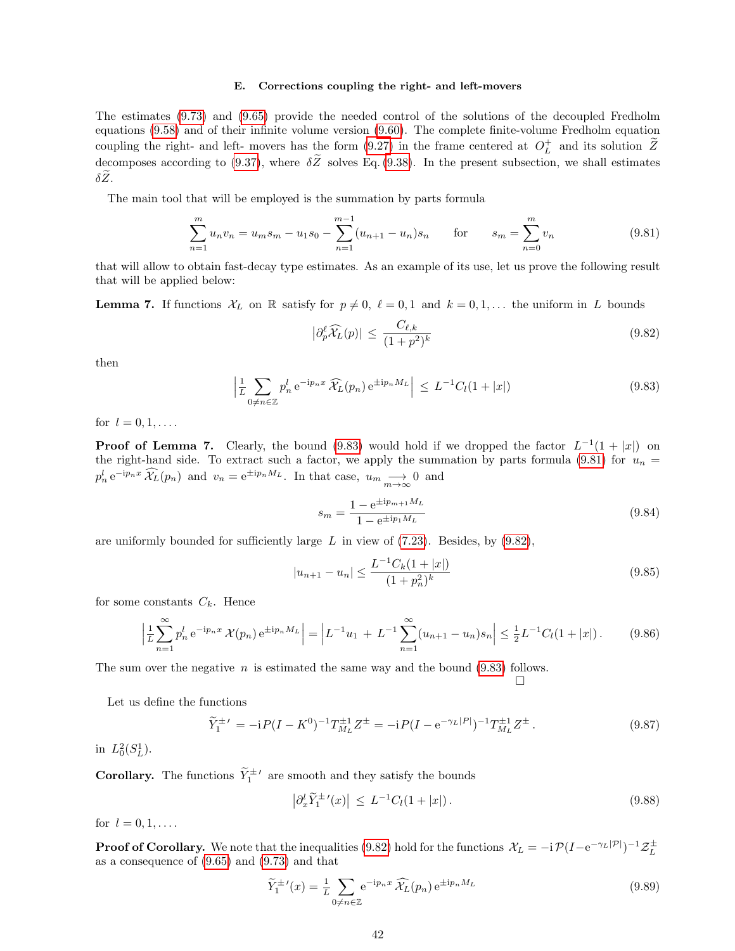## E. Corrections coupling the right- and left-movers

The estimates [\(9.73\)](#page-40-0) and [\(9.65\)](#page-39-0) provide the needed control of the solutions of the decoupled Fredholm equations [\(9.58\)](#page-38-2) and of their infinite volume version [\(9.60\)](#page-38-1). The complete finite-volume Fredholm equation coupling the right- and left- movers has the form [\(9.27\)](#page-34-1) in the frame centered at  $O_L^+$  and its solution  $\tilde{Z}$ decomposes according to [\(9.37\)](#page-35-1), where  $\delta\tilde{Z}$  solves Eq. [\(9.38\)](#page-35-2). In the present subsection, we shall estimates  $\delta \widetilde Z$ .

The main tool that will be employed is the summation by parts formula

<span id="page-41-1"></span>
$$
\sum_{n=1}^{m} u_n v_n = u_m s_m - u_1 s_0 - \sum_{n=1}^{m-1} (u_{n+1} - u_n) s_n \quad \text{for} \quad s_m = \sum_{n=0}^{m} v_n \tag{9.81}
$$

that will allow to obtain fast-decay type estimates. As an example of its use, let us prove the following result that will be applied below:

**Lemma 7.** If functions  $\mathcal{X}_L$  on R satisfy for  $p \neq 0$ ,  $\ell = 0, 1$  and  $k = 0, 1, \ldots$  the uniform in L bounds

<span id="page-41-2"></span>
$$
\left|\partial_p^{\ell}\widehat{\mathcal{X}}_L(p)\right| \le \frac{C_{\ell,k}}{(1+p^2)^k} \tag{9.82}
$$

then

<span id="page-41-0"></span>
$$
\left|\frac{1}{L}\sum_{0\neq n\in\mathbb{Z}}p_n^l e^{-ip_nx}\widehat{\mathcal{X}}_L(p_n) e^{\pm ip_nM_L}\right| \leq L^{-1}C_l(1+|x|)
$$
\n(9.83)

for  $l = 0, 1, \ldots$ .

**Proof of Lemma 7.** Clearly, the bound [\(9.83\)](#page-41-0) would hold if we dropped the factor  $L^{-1}(1+|x|)$  on the right-hand side. To extract such a factor, we apply the summation by parts formula [\(9.81\)](#page-41-1) for  $u_n =$  $p_n^l e^{-ip_n x} \widehat{\mathcal{X}}_L(p_n)$  and  $v_n = e^{\pm ip_n M_L}$ . In that case,  $u_m \longrightarrow 0$  and

$$
s_m = \frac{1 - e^{\pm ip_m + 1M_L}}{1 - e^{\pm ip_1M_L}}
$$
\n(9.84)

 $\Box$ 

are uniformly bounded for sufficiently large  $L$  in view of [\(7.23\)](#page-25-10). Besides, by [\(9.82\)](#page-41-2),

$$
|u_{n+1} - u_n| \le \frac{L^{-1}C_k(1+|x|)}{(1+p_n^2)^k} \tag{9.85}
$$

for some constants  $C_k$ . Hence

$$
\left| \frac{1}{L} \sum_{n=1}^{\infty} p_n^l e^{-ip_n x} \mathcal{X}(p_n) e^{\pm ip_n M_L} \right| = \left| L^{-1} u_1 + L^{-1} \sum_{n=1}^{\infty} (u_{n+1} - u_n) s_n \right| \le \frac{1}{2} L^{-1} C_l (1+|x|).
$$
 (9.86)

The sum over the negative  $n$  is estimated the same way and the bound [\(9.83\)](#page-41-0) follows.

Let us define the functions

<span id="page-41-4"></span>
$$
\widetilde{Y}_1^{\pm \prime} = -i P (I - K^0)^{-1} T_{M_L}^{\pm 1} Z^{\pm} = -i P (I - e^{-\gamma_L |P|})^{-1} T_{M_L}^{\pm 1} Z^{\pm}.
$$
\n(9.87)

in  $L_0^2(S_L^1)$ .

**Corollary.** The functions  $\widetilde{Y}_1^{\pm}$  are smooth and they satisfy the bounds

<span id="page-41-3"></span>
$$
\left| \partial_x^l \widetilde{Y}_1^{\pm \prime}(x) \right| \le L^{-1} C_l (1+|x|). \tag{9.88}
$$

for  $l = 0, 1, \ldots$ .

**Proof of Corollary.** We note that the inequalities [\(9.82\)](#page-41-2) hold for the functions  $\mathcal{X}_L = -i \mathcal{P}(I - e^{-\gamma_L |\mathcal{P}|})^{-1} \mathcal{Z}_L^{\pm}$ as a consequence of [\(9.65\)](#page-39-0) and [\(9.73\)](#page-40-0) and that

$$
\widetilde{Y}_{1}^{\pm \prime}(x) = \frac{1}{L} \sum_{0 \neq n \in \mathbb{Z}} e^{-ip_{n}x} \widehat{\mathcal{X}}_{L}(p_{n}) e^{\pm ip_{n}M_{L}}
$$
\n(9.89)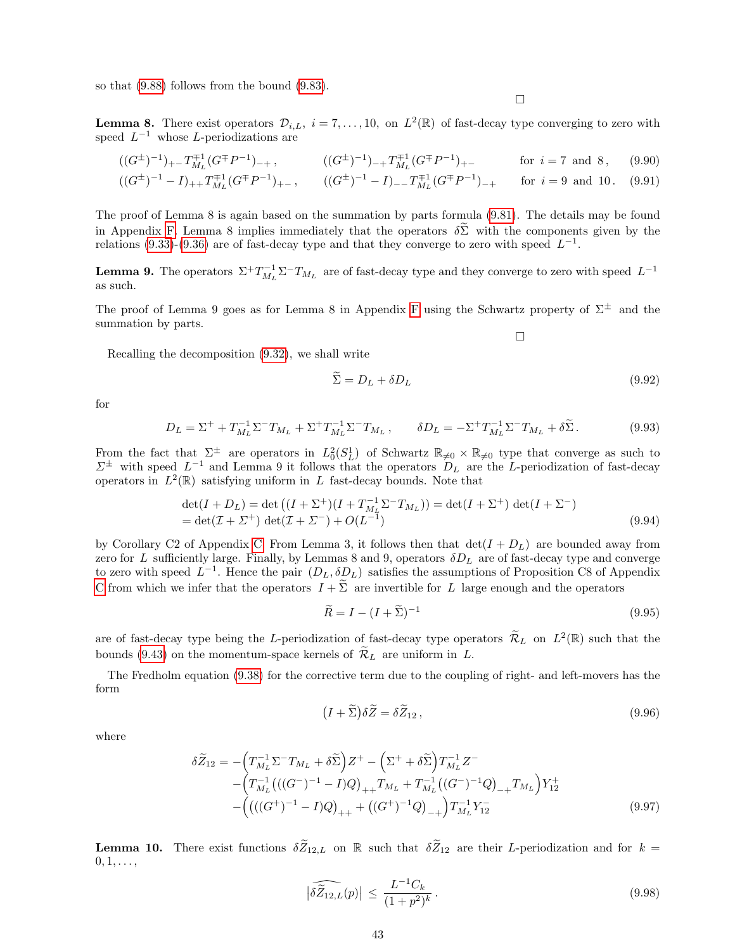so that [\(9.88\)](#page-41-3) follows from the bound [\(9.83\)](#page-41-0).

 $\Box$ 

**Lemma 8.** There exist operators  $\mathcal{D}_{i,L}$ ,  $i = 7, \ldots, 10$ , on  $L^2(\mathbb{R})$  of fast-decay type converging to zero with speed  $L^{-1}$  whose L-periodizations are

$$
((G^{\pm})^{-1})_{+-}T_{M_L}^{\mp 1}(G^{\mp}P^{-1})_{-+}, \qquad ((G^{\pm})^{-1})_{-+}T_{M_L}^{\mp 1}(G^{\mp}P^{-1})_{+-} \qquad \text{for } i = 7 \text{ and } 8, \qquad (9.90)
$$

$$
((G^{\pm})^{-1} - I)_{++} T_{M_L}^{\mp 1} (G^{\mp} P^{-1})_{+-}, \qquad ((G^{\pm})^{-1} - I)_{--} T_{M_L}^{\mp 1} (G^{\mp} P^{-1})_{-+} \qquad \text{for } i = 9 \text{ and } 10. \tag{9.91}
$$

The proof of Lemma 8 is again based on the summation by parts formula [\(9.81\)](#page-41-1). The details may be found in Appendix [F.](#page-57-0) Lemma 8 implies immediately that the operators  $\delta \Sigma$  with the components given by the relations [\(9.33\)](#page-35-3)-[\(9.36\)](#page-35-3) are of fast-decay type and that they converge to zero with speed  $L^{-1}$ .

**Lemma 9.** The operators  $\Sigma^+ T_{M_L}^{-1} \Sigma^- T_{M_L}$  are of fast-decay type and they converge to zero with speed  $L^{-1}$ as such.

The proof of Lemma 9 goes as for Lemma 8 in Appendix [F](#page-57-0) using the Schwartz property of  $\Sigma^{\pm}$  and the summation by parts.

Recalling the decomposition [\(9.32\)](#page-35-4), we shall write

$$
\Sigma = D_L + \delta D_L \tag{9.92}
$$

 $\Box$ 

for

$$
D_L = \Sigma^+ + T_{M_L}^{-1} \Sigma^- T_{M_L} + \Sigma^+ T_{M_L}^{-1} \Sigma^- T_{M_L}, \qquad \delta D_L = -\Sigma^+ T_{M_L}^{-1} \Sigma^- T_{M_L} + \delta \widetilde{\Sigma}.
$$
 (9.93)

From the fact that  $\Sigma^{\pm}$  are operators in  $L_0^2(S_L^1)$  of Schwartz  $\mathbb{R}_{\neq 0} \times \mathbb{R}_{\neq 0}$  type that converge as such to  $\Sigma^{\pm}$  with speed  $L^{-1}$  and Lemma 9 it follows that the operators  $D_L$  are the L-periodization of fast-decay operators in  $L^2(\mathbb{R})$  satisfying uniform in L fast-decay bounds. Note that

$$
\det(I + D_L) = \det((I + \Sigma^+)(I + T_{M_L}^{-1} \Sigma^- T_{M_L})) = \det(I + \Sigma^+) \det(I + \Sigma^-)
$$
  
= 
$$
\det(\mathcal{I} + \Sigma^+) \det(\mathcal{I} + \Sigma^-) + O(L^{-1})
$$
 (9.94)

by Corollary C2 of Appendix [C.](#page-45-0) From Lemma 3, it follows then that  $\det(I + D_L)$  are bounded away from zero for L sufficiently large. Finally, by Lemmas 8 and 9, operators  $\delta D_L$  are of fast-decay type and converge to zero with speed  $L^{-1}$ . Hence the pair  $(D_L, \delta D_L)$  satisfies the assumptions of Proposition C8 of Appendix [C](#page-45-0) from which we infer that the operators  $I + \tilde{\Sigma}$  are invertible for L large enough and the operators

$$
\widetilde{R} = I - (I + \widetilde{\Sigma})^{-1} \tag{9.95}
$$

are of fast-decay type being the L-periodization of fast-decay type operators  $\widetilde{\mathcal{R}}_L$  on  $L^2(\mathbb{R})$  such that the bounds [\(9.43\)](#page-36-1) on the momentum-space kernels of  $\tilde{\mathcal{R}}_L$  are uniform in L.

The Fredholm equation [\(9.38\)](#page-35-2) for the corrective term due to the coupling of right- and left-movers has the form

<span id="page-42-0"></span>
$$
(I + \tilde{\Sigma})\delta\tilde{Z} = \delta\tilde{Z}_{12},\tag{9.96}
$$

where

$$
\delta \widetilde{Z}_{12} = -\left( T_{M_L}^{-1} \Sigma^{-} T_{M_L} + \delta \widetilde{\Sigma} \right) Z^+ - \left( \Sigma^+ + \delta \widetilde{\Sigma} \right) T_{M_L}^{-1} Z^- - \left( T_{M_L}^{-1} \left( ((G^-)^{-1} - I) Q \right)_{++} T_{M_L} + T_{M_L}^{-1} \left( (G^-)^{-1} Q \right)_{-+} T_{M_L} \right) Y_{12}^+ - \left( \left( ((G^+)^{-1} - I) Q \right)_{++} + \left( (G^+)^{-1} Q \right)_{-+} \right) T_{M_L}^{-1} Y_{12}^- \tag{9.97}
$$

**Lemma 10.** There exist functions  $\delta \widetilde{Z}_{12,L}$  on R such that  $\delta \widetilde{Z}_{12}$  are their L-periodization and for  $k =$  $0, 1, \ldots,$ 

$$
\left|\widehat{\delta Z_{12,L}}(p)\right| \le \frac{L^{-1}C_k}{(1+p^2)^k}.
$$
\n(9.98)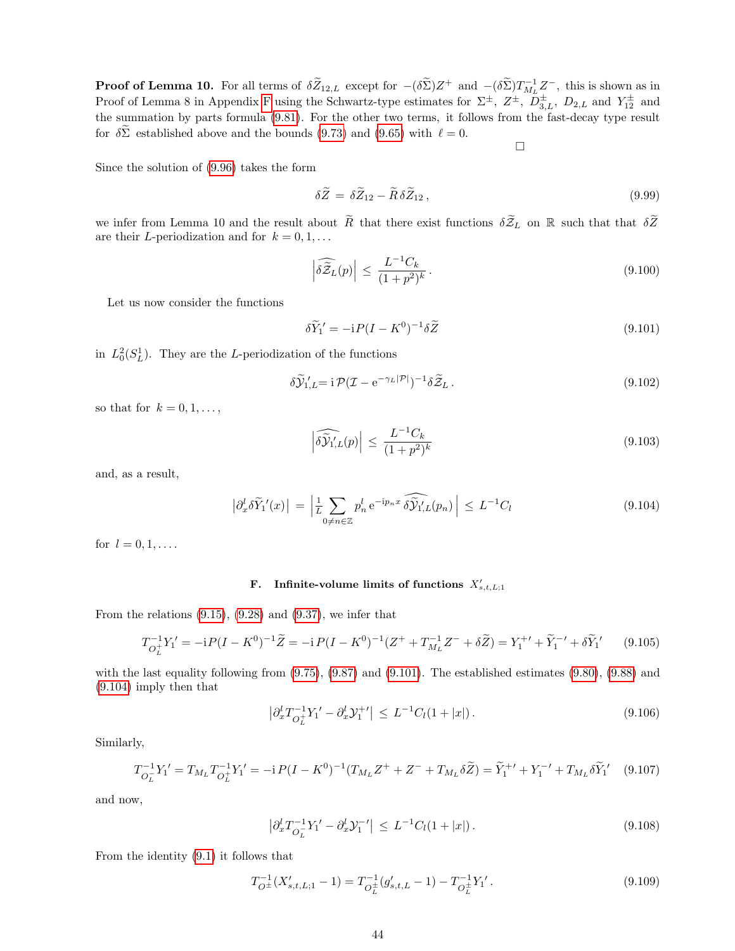**Proof of Lemma 10.** For all terms of  $\delta \widetilde{Z}_{12,L}$  except for  $-(\delta \widetilde{\Sigma})Z^+$  and  $-(\delta \widetilde{\Sigma})T^{-1}_{ML}Z^-$ , this is shown as in Proof of Lemma 8 in Appendix [F](#page-57-0) using the Schwartz-type estimates for  $\Sigma^{\pm}$ ,  $Z^{\pm}$ ,  $\overline{D}_{3,L}^{\pm}$ ,  $D_{2,L}$  and  $Y_{12}^{\pm}$  and the summation by parts formula [\(9.81\)](#page-41-1). For the other two terms, it follows from the fast-decay type result for  $\delta \Sigma$  established above and the bounds [\(9.73\)](#page-40-0) and [\(9.65\)](#page-39-0) with  $\ell = 0$ .  $\Box$ 

Since the solution of [\(9.96\)](#page-42-0) takes the form

$$
\delta \widetilde{Z} = \delta \widetilde{Z}_{12} - \widetilde{R} \delta \widetilde{Z}_{12} , \qquad (9.99)
$$

we infer from Lemma 10 and the result about  $\widetilde{R}$  that there exist functions  $\delta \widetilde{Z}_L$  on R such that that  $\delta \widetilde{Z}$ are their L-periodization and for  $k = 0, 1, \ldots$ 

$$
\left| \widehat{\delta \mathcal{Z}}_L(p) \right| \le \frac{L^{-1} C_k}{(1+p^2)^k} \,. \tag{9.100}
$$

Let us now consider the functions

<span id="page-43-0"></span>
$$
\delta \widetilde{Y}_1' = -i P (I - K^0)^{-1} \delta \widetilde{Z}
$$
\n(9.101)

in  $L_0^2(S_L^1)$ . They are the L-periodization of the functions

$$
\delta \widetilde{\mathcal{Y}}_{1,L} = i \mathcal{P} (\mathcal{I} - e^{-\gamma_L |\mathcal{P}|})^{-1} \delta \widetilde{\mathcal{Z}}_L. \tag{9.102}
$$

so that for  $k = 0, 1, \ldots$ ,

$$
\left| \widehat{\delta \mathcal{Y}}_{1,L}'(p) \right| \le \frac{L^{-1} C_k}{(1+p^2)^k} \tag{9.103}
$$

and, as a result,

<span id="page-43-1"></span>
$$
\left| \partial_x^l \delta \widetilde{Y}_1'(x) \right| \, = \, \left| \frac{1}{L} \sum_{0 \neq n \in \mathbb{Z}} p_n^l \, \mathrm{e}^{-\mathrm{i} p_n x} \, \widehat{\delta \mathcal{Y}_1'}(p_n) \right| \, \leq \, L^{-1} C_l \tag{9.104}
$$

for  $l = 0, 1, \ldots$ .

## F. Infinite-volume limits of functions  $X'_{s,t,L;1}$

From the relations  $(9.15)$ ,  $(9.28)$  and  $(9.37)$ , we infer that

$$
T_{O_L^+}^{-1}Y_1' = -iP(I - K^0)^{-1}\widetilde{Z} = -iP(I - K^0)^{-1}(Z^+ + T_{M_L}^{-1}Z^- + \delta\widetilde{Z}) = Y_1^{+'} + \widetilde{Y}_1^{-'} + \delta\widetilde{Y}_1' \tag{9.105}
$$

with the last equality following from [\(9.75\)](#page-40-2), [\(9.87\)](#page-41-4) and [\(9.101\)](#page-43-0). The established estimates [\(9.80\)](#page-40-3), [\(9.88\)](#page-41-3) and [\(9.104\)](#page-43-1) imply then that

$$
\left| \partial_x^l T_{O_L^+}^{-1} Y_l' - \partial_x^l Y_1^{+'} \right| \le L^{-1} C_l (1 + |x|). \tag{9.106}
$$

Similarly,

$$
T_{O_L^-}^{-1}Y_1' = T_{M_L}T_{O_L^+}^{-1}Y_1' = -iP(I - K^0)^{-1}(T_{M_L}Z^+ + Z^- + T_{M_L}\delta\tilde{Z}) = \tilde{Y}_1^{+'} + Y_1^{-'} + T_{M_L}\delta\tilde{Y}_1' \tag{9.107}
$$

and now,

$$
\left|\partial_x^l T_{O_L}^{-1} Y_1' - \partial_x^l \mathcal{Y}_1^{-\prime}\right| \le L^{-1} C_l (1+|x|). \tag{9.108}
$$

From the identity [\(9.1\)](#page-32-2) it follows that

$$
T_{O^{\pm}}^{-1}(X'_{s,t,L;1} - 1) = T_{O^{\pm}_L}^{-1}(g'_{s,t,L} - 1) - T_{O^{\pm}_L}^{-1}Y_1'.
$$
\n(9.109)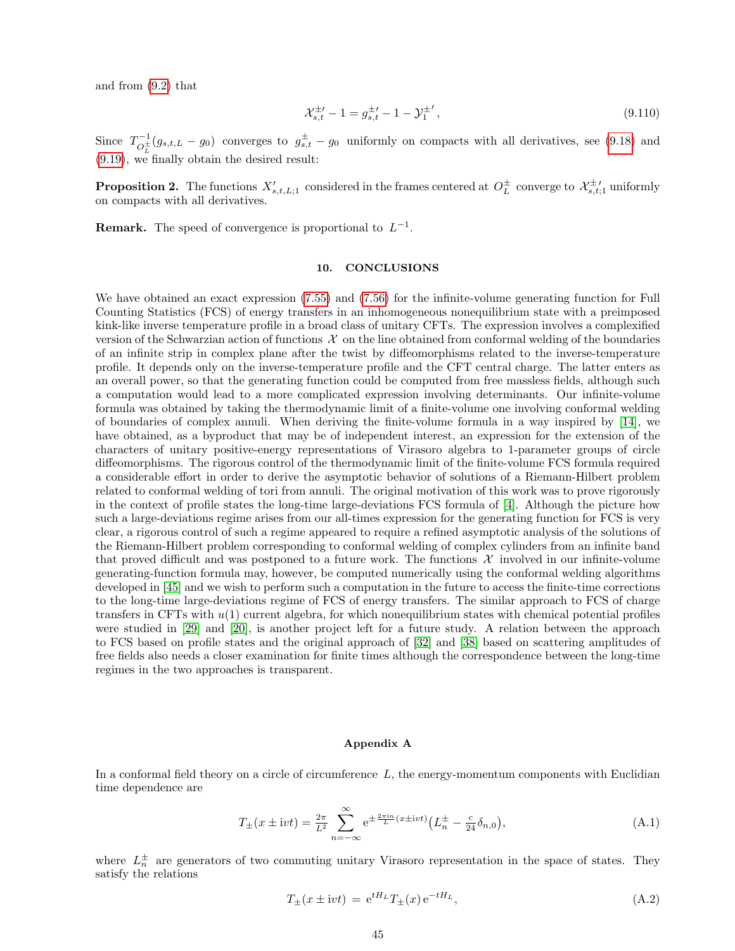and from [\(9.2\)](#page-32-3) that

$$
\mathcal{X}_{s,t}^{\pm \prime} - 1 = g_{s,t}^{\pm \prime} - 1 - \mathcal{Y}_1^{\pm \prime},\tag{9.110}
$$

Since  $T_{\alpha}^{-1}$  $\sigma_L^{-1}(g_{s,t,L} - g_0)$  converges to  $g_{s,t}^{\pm} - g_0$  uniformly on compacts with all derivatives, see [\(9.18\)](#page-34-0) and [\(9.19\)](#page-34-4), we finally obtain the desired result:

**Proposition 2.** The functions  $X'_{s,t,L;1}$  considered in the frames centered at  $O_L^{\pm}$  converge to  $\mathcal{X}^{\pm}_{s,t;1}$  uniformly on compacts with all derivatives.

**Remark.** The speed of convergence is proportional to  $L^{-1}$ .

## <span id="page-44-0"></span>10. CONCLUSIONS

We have obtained an exact expression [\(7.55\)](#page-29-3) and [\(7.56\)](#page-29-4) for the infinite-volume generating function for Full Counting Statistics (FCS) of energy transfers in an inhomogeneous nonequilibrium state with a preimposed kink-like inverse temperature profile in a broad class of unitary CFTs. The expression involves a complexified version of the Schwarzian action of functions  $\mathcal X$  on the line obtained from conformal welding of the boundaries of an infinite strip in complex plane after the twist by diffeomorphisms related to the inverse-temperature profile. It depends only on the inverse-temperature profile and the CFT central charge. The latter enters as an overall power, so that the generating function could be computed from free massless fields, although such a computation would lead to a more complicated expression involving determinants. Our infinite-volume formula was obtained by taking the thermodynamic limit of a finite-volume one involving conformal welding of boundaries of complex annuli. When deriving the finite-volume formula in a way inspired by [\[14\]](#page-58-8), we have obtained, as a byproduct that may be of independent interest, an expression for the extension of the characters of unitary positive-energy representations of Virasoro algebra to 1-parameter groups of circle diffeomorphisms. The rigorous control of the thermodynamic limit of the finite-volume FCS formula required a considerable effort in order to derive the asymptotic behavior of solutions of a Riemann-Hilbert problem related to conformal welding of tori from annuli. The original motivation of this work was to prove rigorously in the context of profile states the long-time large-deviations FCS formula of [\[4\]](#page-58-10). Although the picture how such a large-deviations regime arises from our all-times expression for the generating function for FCS is very clear, a rigorous control of such a regime appeared to require a refined asymptotic analysis of the solutions of the Riemann-Hilbert problem corresponding to conformal welding of complex cylinders from an infinite band that proved difficult and was postponed to a future work. The functions  $\mathcal X$  involved in our infinite-volume generating-function formula may, however, be computed numerically using the conformal welding algorithms developed in [\[45\]](#page-59-4) and we wish to perform such a computation in the future to access the finite-time corrections to the long-time large-deviations regime of FCS of energy transfers. The similar approach to FCS of charge transfers in CFTs with  $u(1)$  current algebra, for which nonequilibrium states with chemical potential profiles were studied in [\[29\]](#page-58-34) and [\[20\]](#page-58-4), is another project left for a future study. A relation between the approach to FCS based on profile states and the original approach of [\[32\]](#page-58-5) and [\[38\]](#page-59-1) based on scattering amplitudes of free fields also needs a closer examination for finite times although the correspondence between the long-time regimes in the two approaches is transparent.

#### <span id="page-44-1"></span>Appendix A

In a conformal field theory on a circle of circumference  $L$ , the energy-momentum components with Euclidian time dependence are

$$
T_{\pm}(x \pm \mathrm{i}v t) = \frac{2\pi}{L^2} \sum_{n=-\infty}^{\infty} e^{\pm \frac{2\pi \mathrm{i}n}{L} (x \pm \mathrm{i}v t)} \left( L_n^{\pm} - \frac{c}{24} \delta_{n,0} \right),\tag{A.1}
$$

where  $L_n^{\pm}$  are generators of two commuting unitary Virasoro representation in the space of states. They satisfy the relations

$$
T_{\pm}(x \pm \mathrm{i}v t) = e^{tH_L} T_{\pm}(x) e^{-tH_L}, \tag{A.2}
$$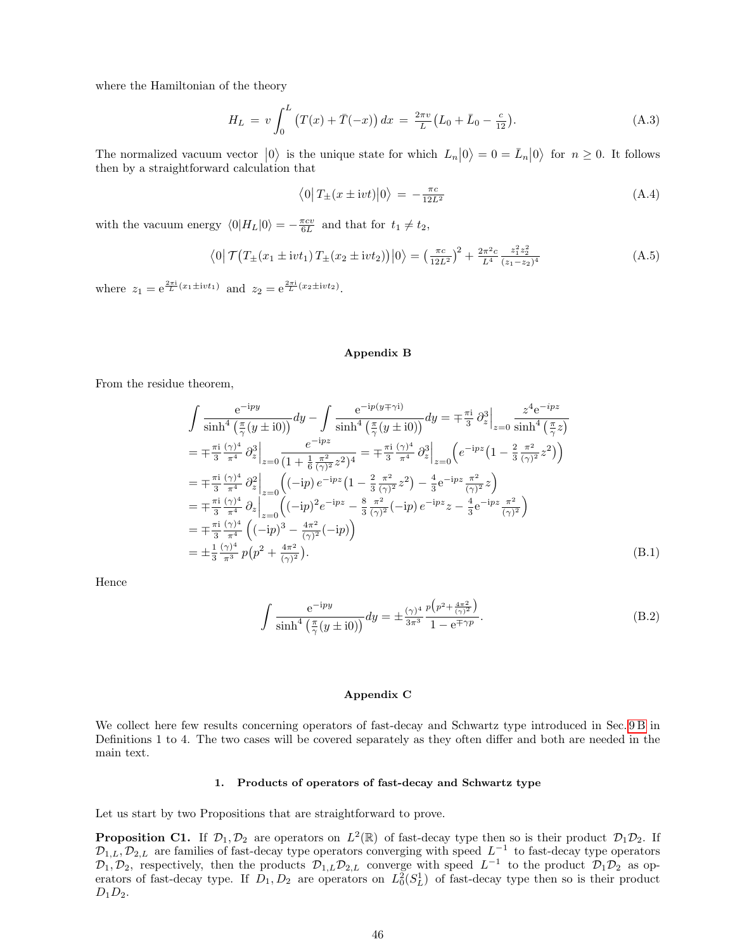where the Hamiltonian of the theory

$$
H_L = v \int_0^L (T(x) + \bar{T}(-x)) dx = \frac{2\pi v}{L} (L_0 + \bar{L}_0 - \frac{c}{12}).
$$
 (A.3)

The normalized vacuum vector  $|0\rangle$  is the unique state for which  $L_n|0\rangle = 0 = \bar{L}_n|0\rangle$  for  $n \geq 0$ . It follows then by a straightforward calculation that

$$
\langle 0|T_{\pm}(x \pm \mathrm{i}v t)|0\rangle = -\frac{\pi c}{12L^2} \tag{A.4}
$$

with the vacuum energy  $\langle 0|H_L|0\rangle = -\frac{\pi cv}{6L}$  and that for  $t_1 \neq t_2$ ,

$$
\langle 0| \mathcal{T} (T_{\pm}(x_1 \pm \mathrm{i} vt_1) T_{\pm}(x_2 \pm \mathrm{i} vt_2)) |0\rangle = \left(\frac{\pi c}{12L^2}\right)^2 + \frac{2\pi^2 c}{L^4} \frac{z_1^2 z_2^2}{(z_1 - z_2)^4}
$$
(A.5)

where  $z_1 = e^{\frac{2\pi i}{L}(x_1 \pm ivt_1)}$  and  $z_2 = e^{\frac{2\pi i}{L}(x_2 \pm ivt_2)}$ .

## <span id="page-45-1"></span>Appendix B

From the residue theorem,

$$
\int \frac{e^{-ipy}}{\sinh^4(\frac{\pi}{\gamma}(y\pm i0))} dy - \int \frac{e^{-ip(y\mp\gamma i)}}{\sinh^4(\frac{\pi}{\gamma}(y\pm i0))} dy = \mp \frac{\pi i}{3} \partial_z^3 \Big|_{z=0} \frac{z^4 e^{-ipz}}{\sinh^4(\frac{\pi}{\gamma}z)}
$$
  
\n
$$
= \mp \frac{\pi i}{3} \frac{(\gamma)^4}{\pi^4} \partial_z^3 \Big|_{z=0} \frac{e^{-ipz}}{(1 + \frac{1}{6} \frac{\pi^2}{(\gamma)^2} z^2)^4} = \mp \frac{\pi i}{3} \frac{(\gamma)^4}{\pi^4} \partial_z^3 \Big|_{z=0} \left( e^{-ipz} (1 - \frac{2}{3} \frac{\pi^2}{(\gamma)^2} z^2) \right)
$$
  
\n
$$
= \mp \frac{\pi i}{3} \frac{(\gamma)^4}{\pi^4} \partial_z^2 \Big|_{z=0} \left( (-ip) e^{-ipz} (1 - \frac{2}{3} \frac{\pi^2}{(\gamma)^2} z^2) - \frac{4}{3} e^{-ipz} \frac{\pi^2}{(\gamma)^2} z \right)
$$
  
\n
$$
= \mp \frac{\pi i}{3} \frac{(\gamma)^4}{\pi^4} \partial_z \Big|_{z=0} \left( (-ip)^2 e^{-ipz} - \frac{8}{3} \frac{\pi^2}{(\gamma)^2} (-ip) e^{-ipz} z - \frac{4}{3} e^{-ipz} \frac{\pi^2}{(\gamma)^2} \right)
$$
  
\n
$$
= \mp \frac{\pi i}{3} \frac{(\gamma)^4}{\pi^4} \left( (-ip)^3 - \frac{4\pi^2}{(\gamma)^2} (-ip) \right)
$$
  
\n
$$
= \pm \frac{1}{3} \frac{(\gamma)^4}{\pi^3} p(p^2 + \frac{4\pi^2}{(\gamma)^2}).
$$
 (B.1)

Hence

<span id="page-45-2"></span>
$$
\int \frac{e^{-ipy}}{\sinh^4\left(\frac{\pi}{\gamma}(y\pm i0)\right)} dy = \pm \frac{(\gamma)^4}{3\pi^3} \frac{p\left(p^2 + \frac{4\pi^2}{(\gamma)^2}\right)}{1 - e^{\mp \gamma p}}.
$$
\n(B.2)

## <span id="page-45-0"></span>Appendix C

We collect here few results concerning operators of fast-decay and Schwartz type introduced in Sec. [9 B](#page-35-5) in Definitions 1 to 4. The two cases will be covered separately as they often differ and both are needed in the main text.

### 1. Products of operators of fast-decay and Schwartz type

Let us start by two Propositions that are straightforward to prove.

**Proposition C1.** If  $\mathcal{D}_1, \mathcal{D}_2$  are operators on  $L^2(\mathbb{R})$  of fast-decay type then so is their product  $\mathcal{D}_1\mathcal{D}_2$ . If  $\mathcal{D}_{1,L}, \mathcal{D}_{2,L}$  are families of fast-decay type operators converging with speed  $L^{-1}$  to fast-decay type operators  $\mathcal{D}_1, \mathcal{D}_2$ , respectively, then the products  $\mathcal{D}_{1,L}\mathcal{D}_{2,L}$  converge with speed  $L^{-1}$  to the product  $\mathcal{D}_1\mathcal{D}_2$  as operators of fast-decay type. If  $D_1, D_2$  are operators on  $L_0^2(S_L^1)$  of fast-decay type then so is their product  $D_1D_2$ .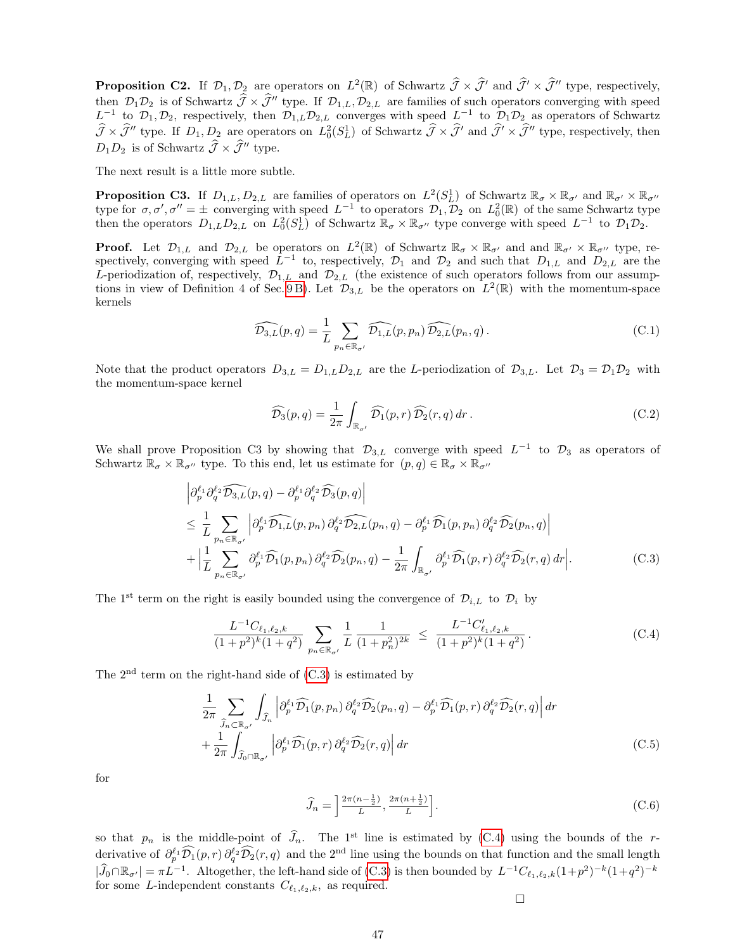**Proposition C2.** If  $\mathcal{D}_1, \mathcal{D}_2$  are operators on  $L^2(\mathbb{R})$  of Schwartz  $\widehat{\mathcal{J}} \times \widehat{\mathcal{J}}'$  and  $\widehat{\mathcal{J}}' \times \widehat{\mathcal{J}}''$  type, respectively, then  $\mathcal{D}_1 \mathcal{D}_2$  is of Schwartz  $\widehat{\mathcal{J}} \times \widehat{\mathcal{J}}''$  type. If  $\mathcal{D}_{1,L}, \mathcal{D}_{2,L}$  are families of such operators converging with speed  $L^{-1}$  to  $\mathcal{D}_1, \mathcal{D}_2$ , respectively, then  $\mathcal{D}_{1,L} \mathcal{D}_{2,L}$  converge  $\widehat{\mathcal{J}} \times \widehat{\mathcal{J}}''$  type. If  $D_1, D_2$  are operators on  $L^2_0(S^1_L)$  of Schwartz  $\widehat{\mathcal{J}} \times \widehat{\mathcal{J}}'$  and  $\widehat{\mathcal{J}}' \times \widehat{\mathcal{J}}''$  type, respectively, then  $D_1D_2$  is of Schwartz  $\widehat{\mathcal{J}} \times \widehat{\mathcal{J}}''$  type.

The next result is a little more subtle.

**Proposition C3.** If  $D_{1,L}, D_{2,L}$  are families of operators on  $L^2(S_L^1)$  of Schwartz  $\mathbb{R}_{\sigma} \times \mathbb{R}_{\sigma}$  and  $\mathbb{R}_{\sigma'} \times \mathbb{R}_{\sigma''}$ type for  $\sigma, \sigma', \sigma'' = \pm$  converging with speed  $L^{-1}$  to operators  $\mathcal{D}_1, \mathcal{D}_2$  on  $L_0^2(\mathbb{R})$  of the same Schwartz type then the operators  $D_{1,L}D_{2,L}$  on  $L_0^2(S_L^1)$  of Schwartz  $\mathbb{R}_{\sigma}\times\mathbb{R}_{\sigma}$  type converge with speed  $L^{-1}$  to  $\mathcal{D}_1\mathcal{D}_2$ .

**Proof.** Let  $\mathcal{D}_{1,L}$  and  $\mathcal{D}_{2,L}$  be operators on  $L^2(\mathbb{R})$  of Schwartz  $\mathbb{R}_{\sigma} \times \mathbb{R}_{\sigma'}$  and and  $\mathbb{R}_{\sigma'} \times \mathbb{R}_{\sigma''}$  type, respectively, converging with speed  $L^{-1}$  to, respectively,  $\mathcal{D}_1$  and  $\mathcal{D}_2$  and such that  $D_{1,L}$  and  $D_{2,L}$  are the L-periodization of, respectively,  $\mathcal{D}_{1,L}$  and  $\mathcal{D}_{2,L}$  (the existence of such operators follows from our assumptions in view of Definition 4 of Sec. 9B). Let  $\mathcal{D}_{3,L}$  be the operators on  $L^2(\mathbb{R})$  with the momentum-space kernels

$$
\widehat{\mathcal{D}_{3,L}}(p,q) = \frac{1}{L} \sum_{p_n \in \mathbb{R}_{\sigma'}} \widehat{\mathcal{D}_{1,L}}(p,p_n) \widehat{\mathcal{D}_{2,L}}(p_n,q).
$$
 (C.1)

Note that the product operators  $D_{3,L} = D_{1,L}D_{2,L}$  are the L-periodization of  $\mathcal{D}_{3,L}$ . Let  $\mathcal{D}_3 = \mathcal{D}_1\mathcal{D}_2$  with the momentum-space kernel

$$
\widehat{\mathcal{D}_3}(p,q) = \frac{1}{2\pi} \int_{\mathbb{R}_{\sigma'}} \widehat{\mathcal{D}_1}(p,r) \widehat{\mathcal{D}_2}(r,q) dr.
$$
\n(C.2)

We shall prove Proposition C3 by showing that  $\mathcal{D}_{3,L}$  converge with speed  $L^{-1}$  to  $\mathcal{D}_3$  as operators of Schwartz  $\mathbb{R}_{\sigma} \times \mathbb{R}_{\sigma}$  type. To this end, let us estimate for  $(p, q) \in \mathbb{R}_{\sigma} \times \mathbb{R}_{\sigma}$ 

<span id="page-46-0"></span>
$$
\left| \partial_p^{\ell_1} \partial_q^{\ell_2} \widehat{\mathcal{D}_{3,L}}(p,q) - \partial_p^{\ell_1} \partial_q^{\ell_2} \widehat{\mathcal{D}_{3}}(p,q) \right|
$$
\n
$$
\leq \frac{1}{L} \sum_{p_n \in \mathbb{R}_{\sigma'}} \left| \partial_p^{\ell_1} \widehat{\mathcal{D}_{1,L}}(p,p_n) \partial_q^{\ell_2} \widehat{\mathcal{D}_{2,L}}(p_n,q) - \partial_p^{\ell_1} \widehat{\mathcal{D}_1}(p,p_n) \partial_q^{\ell_2} \widehat{\mathcal{D}_2}(p_n,q) \right|
$$
\n
$$
+ \left| \frac{1}{L} \sum_{p_n \in \mathbb{R}_{\sigma'}} \partial_p^{\ell_1} \widehat{\mathcal{D}_1}(p,p_n) \partial_q^{\ell_2} \widehat{\mathcal{D}_2}(p_n,q) - \frac{1}{2\pi} \int_{\mathbb{R}_{\sigma'}} \partial_p^{\ell_1} \widehat{\mathcal{D}_1}(p,r) \partial_q^{\ell_2} \widehat{\mathcal{D}_2}(r,q) \, dr \right|. \tag{C.3}
$$

The 1<sup>st</sup> term on the right is easily bounded using the convergence of  $\mathcal{D}_{i,L}$  to  $\mathcal{D}_i$  by

<span id="page-46-1"></span>
$$
\frac{L^{-1}C_{\ell_1,\ell_2,k}}{(1+p^2)^k(1+q^2)} \sum_{p_n \in \mathbb{R}_{\sigma'}} \frac{1}{L} \frac{1}{(1+p_n^2)^{2k}} \le \frac{L^{-1}C'_{\ell_1,\ell_2,k}}{(1+p^2)^k(1+q^2)}.
$$
 (C.4)

The  $2<sup>nd</sup>$  term on the right-hand side of  $(C.3)$  is estimated by

$$
\frac{1}{2\pi} \sum_{\widehat{J}_n \subset \mathbb{R}_{\sigma'}} \int_{\widehat{J}_n} \left| \partial_p^{\ell_1} \widehat{\mathcal{D}_1}(p, p_n) \partial_q^{\ell_2} \widehat{\mathcal{D}_2}(p_n, q) - \partial_p^{\ell_1} \widehat{\mathcal{D}_1}(p, r) \partial_q^{\ell_2} \widehat{\mathcal{D}_2}(r, q) \right| dr + \frac{1}{2\pi} \int_{\widehat{J}_0 \cap \mathbb{R}_{\sigma'}} \left| \partial_p^{\ell_1} \widehat{\mathcal{D}_1}(p, r) \partial_q^{\ell_2} \widehat{\mathcal{D}_2}(r, q) \right| dr
$$
\n(C.5)

for

<span id="page-46-2"></span>
$$
\widehat{J}_n = \left[\frac{2\pi(n-\frac{1}{2})}{L}, \frac{2\pi(n+\frac{1}{2})}{L}\right].\tag{C.6}
$$

so that  $p_n$  is the middle-point of  $\hat{J}_n$ . The 1<sup>st</sup> line is estimated by [\(C.4\)](#page-46-1) using the bounds of the rderivative of  $\partial_p^{\ell_1} \widehat{\mathcal{D}_1}(p,r) \partial_q^{\ell_2} \widehat{\mathcal{D}_2}(r,q)$  and the 2<sup>nd</sup> line using the bounds on that function and the small length  $|\widehat{J}_0 \cap \mathbb{R}_{\sigma'}| = \pi L^{-1}$ . Altogether, the left-hand side of [\(C.3\)](#page-46-0) is then bounded by  $L^{-1}C_{\ell_1,\ell_2,k}(1+p^2)^{-k}(1+q^2)^{-k}$ for some L-independent constants  $C_{\ell_1,\ell_2,k}$ , as required.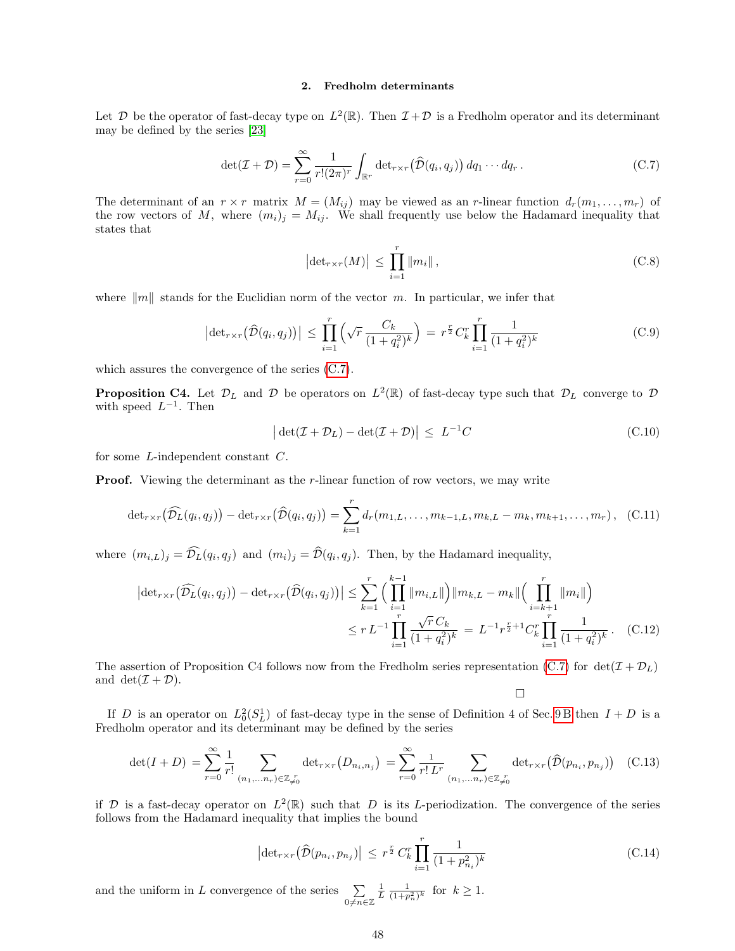## 2. Fredholm determinants

Let D be the operator of fast-decay type on  $L^2(\mathbb{R})$ . Then  $\mathcal{I}+\mathcal{D}$  is a Fredholm operator and its determinant may be defined by the series [\[23\]](#page-58-35)

<span id="page-47-0"></span>
$$
\det(\mathcal{I} + \mathcal{D}) = \sum_{r=0}^{\infty} \frac{1}{r!(2\pi)^r} \int_{\mathbb{R}^r} \det_{r \times r} (\widehat{\mathcal{D}}(q_i, q_j)) \, dq_1 \cdots dq_r \,. \tag{C.7}
$$

The determinant of an  $r \times r$  matrix  $M = (M_{ij})$  may be viewed as an r-linear function  $d_r(m_1, \ldots, m_r)$  of the row vectors of M, where  $(m_i)_j = M_{ij}$ . We shall frequently use below the Hadamard inequality that states that

$$
\left|\det_{r \times r}(M)\right| \le \prod_{i=1}^{r} \|m_i\|,
$$
\n(C.8)

where  $\|m\|$  stands for the Euclidian norm of the vector m. In particular, we infer that

$$
\left| \det_{r \times r} \left( \widehat{\mathcal{D}}(q_i, q_j) \right) \right| \leq \prod_{i=1}^r \left( \sqrt{r} \, \frac{C_k}{(1+q_i^2)^k} \right) = r^{\frac{r}{2}} C_k^r \prod_{i=1}^r \frac{1}{(1+q_i^2)^k}
$$
\n(C.9)

which assures the convergence of the series [\(C.7\)](#page-47-0).

**Proposition C4.** Let  $\mathcal{D}_L$  and  $\mathcal{D}$  be operators on  $L^2(\mathbb{R})$  of fast-decay type such that  $\mathcal{D}_L$  converge to  $\mathcal{D}$ with speed  $L^{-1}$ . Then

$$
\left| \det(\mathcal{I} + \mathcal{D}_L) - \det(\mathcal{I} + \mathcal{D}) \right| \leq L^{-1}C \tag{C.10}
$$

for some L-independent constant C.

**Proof.** Viewing the determinant as the r-linear function of row vectors, we may write

$$
\det_{r \times r} (\widehat{\mathcal{D}_L}(q_i, q_j)) - \det_{r \times r} (\widehat{\mathcal{D}}(q_i, q_j)) = \sum_{k=1}^r d_r(m_{1,L}, \dots, m_{k-1,L}, m_{k,L} - m_k, m_{k+1}, \dots, m_r), \quad (C.11)
$$

where  $(m_{i,L})_j = \mathcal{D}_L(q_i, q_j)$  and  $(m_i)_j = \mathcal{D}(q_i, q_j)$ . Then, by the Hadamard inequality,

$$
\left| \det_{r \times r} (\widehat{\mathcal{D}_L}(q_i, q_j)) - \det_{r \times r} (\widehat{\mathcal{D}}(q_i, q_j)) \right| \leq \sum_{k=1}^r \Big( \prod_{i=1}^{k-1} \|m_{i,L}\| \Big) \|m_{k,L} - m_k\| \Big( \prod_{i=k+1}^r \|m_i\| \Big) \leq r L^{-1} \prod_{i=1}^r \frac{\sqrt{r} C_k}{(1 + q_i^2)^k} = L^{-1} r^{\frac{r}{2} + 1} C_k^r \prod_{i=1}^r \frac{1}{(1 + q_i^2)^k} . \tag{C.12}
$$

The assertion of Proposition C4 follows now from the Fredholm series representation [\(C.7\)](#page-47-0) for  $det(\mathcal{I} + \mathcal{D}_L)$ and  $\det(\mathcal{I} + \mathcal{D})$ .

 $\Box$ 

If D is an operator on  $L_0^2(S_L^1)$  of fast-decay type in the sense of Definition 4 of Sec. [9 B](#page-35-5) then  $I+D$  is a Fredholm operator and its determinant may be defined by the series

$$
\det(I+D) = \sum_{r=0}^{\infty} \frac{1}{r!} \sum_{(n_1, \dots, n_r) \in \mathbb{Z}_{\neq 0}} \det_{r \times r} (D_{n_i, n_j}) = \sum_{r=0}^{\infty} \frac{1}{r! L^r} \sum_{(n_1, \dots, n_r) \in \mathbb{Z}_{\neq 0}} \det_{r \times r} (\widehat{\mathcal{D}}(p_{n_i}, p_{n_j}))
$$
(C.13)

if D is a fast-decay operator on  $L^2(\mathbb{R})$  such that D is its L-periodization. The convergence of the series follows from the Hadamard inequality that implies the bound

$$
\left| \det_{r \times r} \left( \widehat{\mathcal{D}}(p_{n_i}, p_{n_j}) \right) \right| \leq r^{\frac{r}{2}} C_k^r \prod_{i=1}^r \frac{1}{(1 + p_{n_i}^2)^k} \tag{C.14}
$$

and the uniform in L convergence of the series  $\sum$ 0≠ $\overline{n}$ ∈Z  $\frac{1}{L} \frac{1}{(1+p_n^2)^k}$  for  $k \ge 1$ .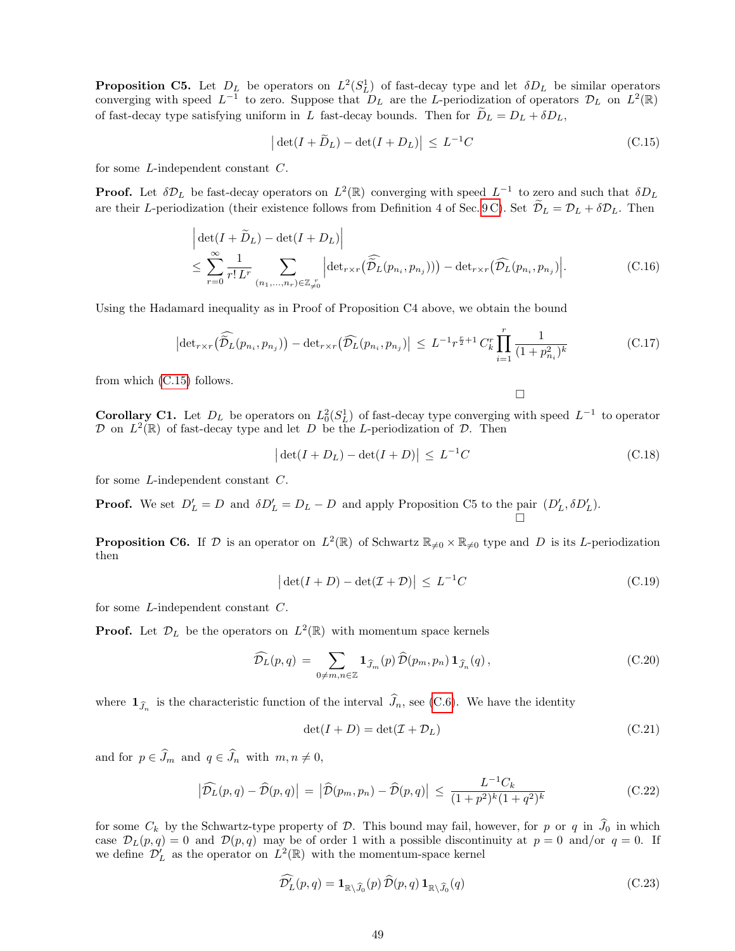**Proposition C5.** Let  $D_L$  be operators on  $L^2(S_L^1)$  of fast-decay type and let  $\delta D_L$  be similar operators converging with speed  $L^{-1}$  to zero. Suppose that  $D_L$  are the L-periodization of operators  $D_L$  on  $L^2(\mathbb{R})$ of fast-decay type satisfying uniform in L fast-decay bounds. Then for  $\tilde{D}_L = D_L + \delta D_L$ ,

<span id="page-48-0"></span>
$$
\left| \det(I + \widetilde{D}_L) - \det(I + D_L) \right| \le L^{-1}C \tag{C.15}
$$

for some L-independent constant C.

**Proof.** Let  $\delta \mathcal{D}_L$  be fast-decay operators on  $L^2(\mathbb{R})$  converging with speed  $L^{-1}$  to zero and such that  $\delta D_L$ are their L-periodization (their existence follows from Definition 4 of Sec. [9 C\)](#page-36-0). Set  $\tilde{\mathcal{D}}_L = \mathcal{D}_L + \delta \mathcal{D}_L$ . Then

$$
\left| \det(I + \widetilde{D}_L) - \det(I + D_L) \right|
$$
\n
$$
\leq \sum_{r=0}^{\infty} \frac{1}{r! L^r} \sum_{(n_1, \dots, n_r) \in \mathbb{Z}_{\neq 0}^r} \left| \det_{r \times r} (\widehat{\widetilde{D}_L}(p_{n_i}, p_{n_j})) \right| - \det_{r \times r} (\widehat{\mathcal{D}_L}(p_{n_i}, p_{n_j})) \right|.
$$
\n(C.16)

Using the Hadamard inequality as in Proof of Proposition C4 above, we obtain the bound

$$
\left| \det_{r \times r} \left( \widehat{\tilde{\mathcal{D}}}_{L}(p_{n_i}, p_{n_j}) \right) - \det_{r \times r} \left( \widehat{\mathcal{D}}_{L}(p_{n_i}, p_{n_j}) \right| \leq L^{-1} r^{\frac{r}{2}+1} C_k^r \prod_{i=1}^r \frac{1}{(1 + p_{n_i}^2)^k}
$$
(C.17)

from which [\(C.15\)](#page-48-0) follows.

 $\Box$ 

**Corollary C1.** Let  $D_L$  be operators on  $L_0^2(S_L^1)$  of fast-decay type converging with speed  $L^{-1}$  to operator  $\mathcal D$  on  $L^2(\mathbb R)$  of fast-decay type and let D be the L-periodization of  $\mathcal D$ . Then

$$
\left| \det(I + D_L) - \det(I + D) \right| \le L^{-1}C \tag{C.18}
$$

for some L-independent constant C.

**Proof.** We set  $D'_L = D$  and  $\delta D'_L = D_L - D$  and apply Proposition C5 to the pair  $(D'_L, \delta D'_L)$ . Ò

**Proposition C6.** If D is an operator on  $L^2(\mathbb{R})$  of Schwartz  $\mathbb{R}_{\neq 0} \times \mathbb{R}_{\neq 0}$  type and D is its L-periodization then

<span id="page-48-2"></span>
$$
\left| \det(I+D) - \det(\mathcal{I}+\mathcal{D}) \right| \le L^{-1}C \tag{C.19}
$$

for some L-independent constant C.

**Proof.** Let  $\mathcal{D}_L$  be the operators on  $L^2(\mathbb{R})$  with momentum space kernels

$$
\widehat{\mathcal{D}_L}(p,q) = \sum_{0 \neq m,n \in \mathbb{Z}} \mathbf{1}_{\widehat{J}_m}(p) \widehat{\mathcal{D}}(p_m, p_n) \mathbf{1}_{\widehat{J}_n}(q), \qquad (C.20)
$$

where  $\mathbf{1}_{\widehat{J}_n}$  is the characteristic function of the interval  $J_n$ , see [\(C.6\)](#page-46-2). We have the identity

$$
\det(I+D) = \det(\mathcal{I} + \mathcal{D}_L) \tag{C.21}
$$

and for  $p \in \widehat{J}_m$  and  $q \in \widehat{J}_n$  with  $m, n \neq 0$ ,

<span id="page-48-1"></span>
$$
\left|\widehat{\mathcal{D}_L}(p,q)-\widehat{\mathcal{D}}(p,q)\right| = \left|\widehat{\mathcal{D}}(p_m,p_n)-\widehat{\mathcal{D}}(p,q)\right| \le \frac{L^{-1}C_k}{(1+p^2)^k(1+q^2)^k}
$$
(C.22)

for some  $C_k$  by the Schwartz-type property of  $\mathcal D$ . This bound may fail, however, for p or q in  $\widehat{J}_0$  in which case  $\mathcal{D}_L(p,q) = 0$  and  $\mathcal{D}(p,q)$  may be of order 1 with a possible discontinuity at  $p = 0$  and/or  $q = 0$ . If we define  $\mathcal{D}'_L$  as the operator on  $\mathcal{L}^2(\mathbb{R})$  with the momentum-space kernel

$$
\widehat{\mathcal{D}'_L}(p,q) = \mathbf{1}_{\mathbb{R}\setminus\widehat{J}_0}(p)\,\widehat{\mathcal{D}}(p,q)\,\mathbf{1}_{\mathbb{R}\setminus\widehat{J}_0}(q) \tag{C.23}
$$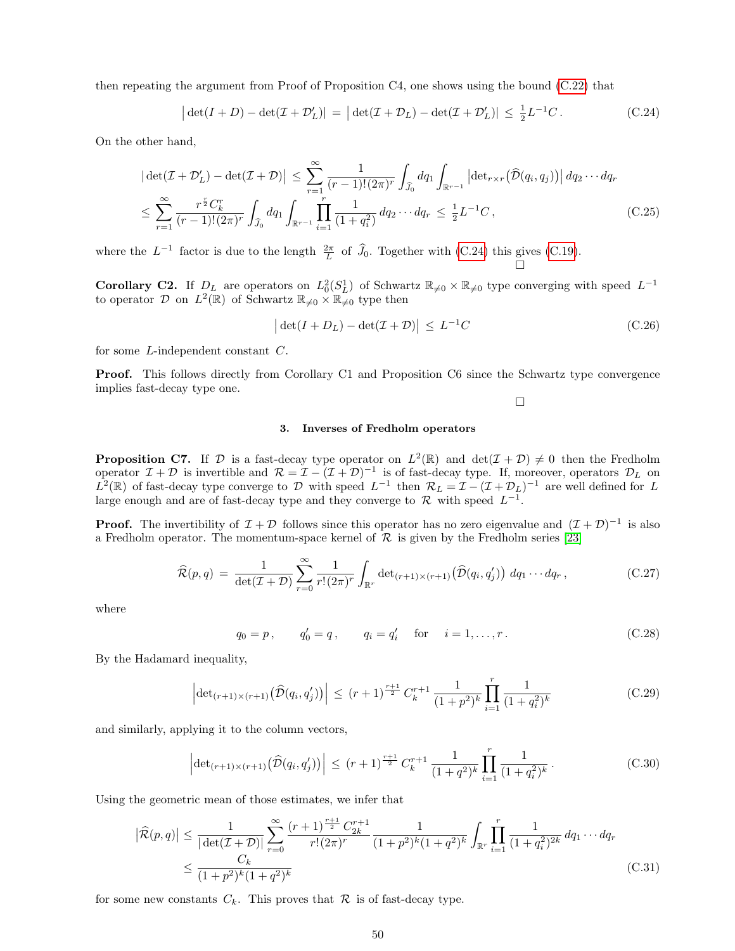then repeating the argument from Proof of Proposition C4, one shows using the bound [\(C.22\)](#page-48-1) that

<span id="page-49-0"></span>
$$
\left| \det(I+D) - \det(\mathcal{I} + \mathcal{D}'_L) \right| = \left| \det(\mathcal{I} + \mathcal{D}_L) - \det(\mathcal{I} + \mathcal{D}'_L) \right| \le \frac{1}{2} L^{-1} C. \tag{C.24}
$$

On the other hand,

$$
\left| \det(\mathcal{I} + \mathcal{D}'_{L}) - \det(\mathcal{I} + \mathcal{D}) \right| \leq \sum_{r=1}^{\infty} \frac{1}{(r-1)!(2\pi)^r} \int_{\widehat{J}_0} dq_1 \int_{\mathbb{R}^{r-1}} \left| \det_{r \times r}(\widehat{\mathcal{D}}(q_i, q_j)) \right| dq_2 \cdots dq_r
$$
  

$$
\leq \sum_{r=1}^{\infty} \frac{r^{\frac{r}{2}} C_k^r}{(r-1)!(2\pi)^r} \int_{\widehat{J}_0} dq_1 \int_{\mathbb{R}^{r-1}} \prod_{i=1}^r \frac{1}{(1+q_i^2)} dq_2 \cdots dq_r \leq \frac{1}{2} L^{-1} C,
$$
 (C.25)

where the  $L^{-1}$  factor is due to the length  $\frac{2\pi}{L}$  of  $\widehat{J}_0$ . Together with [\(C.24\)](#page-49-0) this gives [\(C.19\)](#page-48-2).

**Corollary C2.** If  $D_L$  are operators on  $L_0^2(S_L^1)$  of Schwartz  $\mathbb{R}_{\neq 0} \times \mathbb{R}_{\neq 0}$  type converging with speed  $L^{-1}$ to operator D on  $L^2(\mathbb{R})$  of Schwartz  $\mathbb{R}_{\neq 0} \times \mathbb{R}_{\neq 0}$  type then

$$
\left| \det(I + D_L) - \det(\mathcal{I} + \mathcal{D}) \right| \le L^{-1}C \tag{C.26}
$$

for some L-independent constant C.

**Proof.** This follows directly from Corollary C1 and Proposition C6 since the Schwartz type convergence implies fast-decay type one.

 $\Box$ 

### 3. Inverses of Fredholm operators

**Proposition C7.** If D is a fast-decay type operator on  $L^2(\mathbb{R})$  and  $\det(\mathcal{I} + \mathcal{D}) \neq 0$  then the Fredholm operator  $\mathcal{I} + \mathcal{D}$  is invertible and  $\mathcal{R} = \mathcal{I} - (\mathcal{I} + \mathcal{D})^{-1}$  is of fast-decay type. If, moreover, operators  $\mathcal{D}_L$  on  $\hat{L}^2(\mathbb{R})$  of fast-decay type converge to D with speed  $L^{-1}$  then  $\mathcal{R}_L = \mathcal{I} - (\mathcal{I} + \mathcal{D}_L)^{-1}$  are well defined for L large enough and are of fast-decay type and they converge to  $\mathcal{R}$  with speed  $L^{-1}$ .

**Proof.** The invertibility of  $\mathcal{I} + \mathcal{D}$  follows since this operator has no zero eigenvalue and  $(\mathcal{I} + \mathcal{D})^{-1}$  is also a Fredholm operator. The momentum-space kernel of  $\mathcal R$  is given by the Fredholm series [\[23\]](#page-58-35)

<span id="page-49-1"></span>
$$
\widehat{\mathcal{R}}(p,q) = \frac{1}{\det(\mathcal{I} + \mathcal{D})} \sum_{r=0}^{\infty} \frac{1}{r!(2\pi)^r} \int_{\mathbb{R}^r} \det_{(r+1)\times(r+1)}(\widehat{\mathcal{D}}(q_i, q_j')) \, dq_1 \cdots dq_r , \qquad (C.27)
$$

where

<span id="page-49-2"></span>
$$
q_0 = p
$$
,  $q'_0 = q$ ,  $q_i = q'_i$  for  $i = 1,...,r$ . (C.28)

By the Hadamard inequality,

$$
\left| \det_{(r+1)\times(r+1)} \left( \widehat{\mathcal{D}}(q_i, q_j') \right) \right| \le (r+1)^{\frac{r+1}{2}} C_k^{r+1} \frac{1}{(1+p^2)^k} \prod_{i=1}^r \frac{1}{(1+q_i^2)^k}
$$
(C.29)

and similarly, applying it to the column vectors,

$$
\left| \det_{(r+1)\times(r+1)} \left( \widehat{\mathcal{D}}(q_i, q_j') \right) \right| \le (r+1)^{\frac{r+1}{2}} C_k^{r+1} \frac{1}{(1+q^2)^k} \prod_{i=1}^r \frac{1}{(1+q_i^2)^k} . \tag{C.30}
$$

Using the geometric mean of those estimates, we infer that

$$
\left| \widehat{\mathcal{R}}(p,q) \right| \leq \frac{1}{|\det(\mathcal{I} + \mathcal{D})|} \sum_{r=0}^{\infty} \frac{(r+1)^{\frac{r+1}{2}} C_{2k}^{r+1}}{r!(2\pi)^r} \frac{1}{(1+p^2)^k (1+q^2)^k} \int_{\mathbb{R}^r} \prod_{i=1}^r \frac{1}{(1+q_i^2)^{2k}} dq_1 \cdots dq_r
$$
  
 
$$
\leq \frac{C_k}{(1+p^2)^k (1+q^2)^k} \tag{C.31}
$$

for some new constants  $C_k$ . This proves that  $\mathcal R$  is of fast-decay type.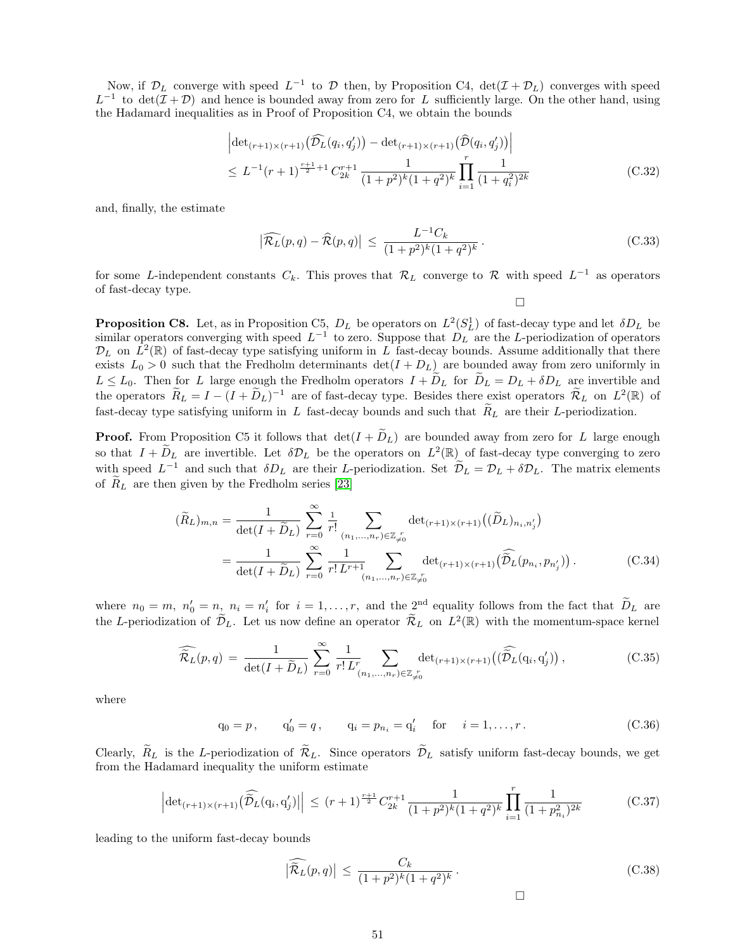Now, if  $\mathcal{D}_L$  converge with speed  $L^{-1}$  to  $\mathcal D$  then, by Proposition C4,  $\det(\mathcal{I} + \mathcal{D}_L)$  converges with speed  $L^{-1}$  to  $\det(\mathcal{I} + \mathcal{D})$  and hence is bounded away from zero for L sufficiently large. On the other hand, using the Hadamard inequalities as in Proof of Proposition C4, we obtain the bounds

$$
\left| \det_{(r+1)\times(r+1)}(\widehat{\mathcal{D}_L}(q_i, q'_j)) - \det_{(r+1)\times(r+1)}(\widehat{\mathcal{D}}(q_i, q'_j)) \right|
$$
  
 
$$
\leq L^{-1}(r+1)^{\frac{r+1}{2}+1} C_{2k}^{r+1} \frac{1}{(1+p^2)^k (1+q^2)^k} \prod_{i=1}^r \frac{1}{(1+q_i^2)^{2k}}
$$
(C.32)

and, finally, the estimate

$$
\left|\widehat{\mathcal{R}_L}(p,q)-\widehat{\mathcal{R}}(p,q)\right| \le \frac{L^{-1}C_k}{(1+p^2)^k(1+q^2)^k}.
$$
\n(C.33)

for some L-independent constants  $C_k$ . This proves that  $\mathcal{R}_L$  converge to  $\mathcal R$  with speed  $L^{-1}$  as operators of fast-decay type.

 $\Box$ 

**Proposition C8.** Let, as in Proposition C5,  $D_L$  be operators on  $L^2(S_L^1)$  of fast-decay type and let  $\delta D_L$  be similar operators converging with speed  $L^{-1}$  to zero. Suppose that  $D_L$  are the L-periodization of operators  $\mathcal{D}_L$  on  $\hat{L}^2(\mathbb{R})$  of fast-decay type satisfying uniform in  $\hat{L}$  fast-decay bounds. Assume additionally that there exists  $L_0 > 0$  such that the Fredholm determinants  $\det(I + D_L)$  are bounded away from zero uniformly in  $L \leq L_0$ . Then for L large enough the Fredholm operators  $I + D_L$  for  $D_L = D_L + \delta D_L$  are invertible and the operators  $\widetilde{R}_L = I - (I + \widetilde{D}_L)^{-1}$  are of fast-decay type. Besides there exist operators  $\widetilde{R}_L$  on  $L^2(\mathbb{R})$  of fast-decay type satisfying uniform in L fast-decay bounds and such that  $R_L$  are their L-periodization.

**Proof.** From Proposition C5 it follows that  $det(I + \tilde{D}_L)$  are bounded away from zero for L large enough so that  $I + \widetilde{D}_L$  are invertible. Let  $\delta \mathcal{D}_L$  be the operators on  $L^2(\mathbb{R})$  of fast-decay type converging to zero with speed  $L^{-1}$  and such that  $\delta D_L$  are their L-periodization. Set  $\tilde{\mathcal{D}}_L = \mathcal{D}_L + \delta \mathcal{D}_L$ . The matrix elements of  $R_L$  are then given by the Fredholm series [\[23\]](#page-58-35)

<span id="page-50-0"></span>
$$
(\widetilde{R}_L)_{m,n} = \frac{1}{\det(I + \widetilde{D}_L)} \sum_{r=0}^{\infty} \frac{1}{r!} \sum_{(n_1, \dots, n_r) \in \mathbb{Z}_{\neq 0}^r} \det_{(r+1) \times (r+1)} ((\widetilde{D}_L)_{n_i, n'_j})
$$
  
= 
$$
\frac{1}{\det(I + \widetilde{D}_L)} \sum_{r=0}^{\infty} \frac{1}{r! L^{r+1}} \sum_{(n_1, \dots, n_r) \in \mathbb{Z}_{\neq 0}^r} \det_{(r+1) \times (r+1)} (\widehat{\mathcal{D}}_L(p_{n_i}, p_{n'_j})).
$$
 (C.34)

where  $n_0 = m$ ,  $n'_0 = n$ ,  $n_i = n'_i$  for  $i = 1, ..., r$ , and the  $2^{\text{nd}}$  equality follows from the fact that  $\widetilde{D}_L$  are the L-periodization of  $\tilde{\mathcal{D}}_L$ . Let us now define an operator  $\tilde{\mathcal{R}}_L$  on  $L^2(\mathbb{R})$  with the momentum-space kernel

<span id="page-50-1"></span>
$$
\widehat{\widetilde{\mathcal{R}}_L}(p,q) = \frac{1}{\det(I+\widetilde{D}_L)} \sum_{r=0}^{\infty} \frac{1}{r! L^r} \sum_{(n_1,\ldots,n_r) \in \mathbb{Z}_{\neq 0}^r} \det_{(r+1)\times(r+1)}\left(\widehat{\widetilde{\mathcal{D}}_L}(\mathbf{q}_i,\mathbf{q}'_j)\right),\tag{C.35}
$$

where

$$
q_0 = p
$$
,  $q'_0 = q$ ,  $q_i = p_{n_i} = q'_i$  for  $i = 1,...,r$ . (C.36)

Clearly,  $\widetilde{R}_L$  is the L-periodization of  $\widetilde{\mathcal{R}}_L$ . Since operators  $\widetilde{\mathcal{D}}_L$  satisfy uniform fast-decay bounds, we get from the Hadamard inequality the uniform estimate

$$
\left| \det_{(r+1)\times(r+1)} \left( \widehat{\tilde{\mathcal{D}}}_L(\mathbf{q}_i, \mathbf{q}'_j) \right) \right| \le (r+1)^{\frac{r+1}{2}} C_{2k}^{r+1} \frac{1}{(1+p^2)^k (1+q^2)^k} \prod_{i=1}^r \frac{1}{(1+p_{n_i}^2)^{2k}} \tag{C.37}
$$

leading to the uniform fast-decay bounds

$$
\left|\widehat{\tilde{\mathcal{R}}_L}(p,q)\right| \le \frac{C_k}{(1+p^2)^k (1+q^2)^k}.
$$
\n(C.38)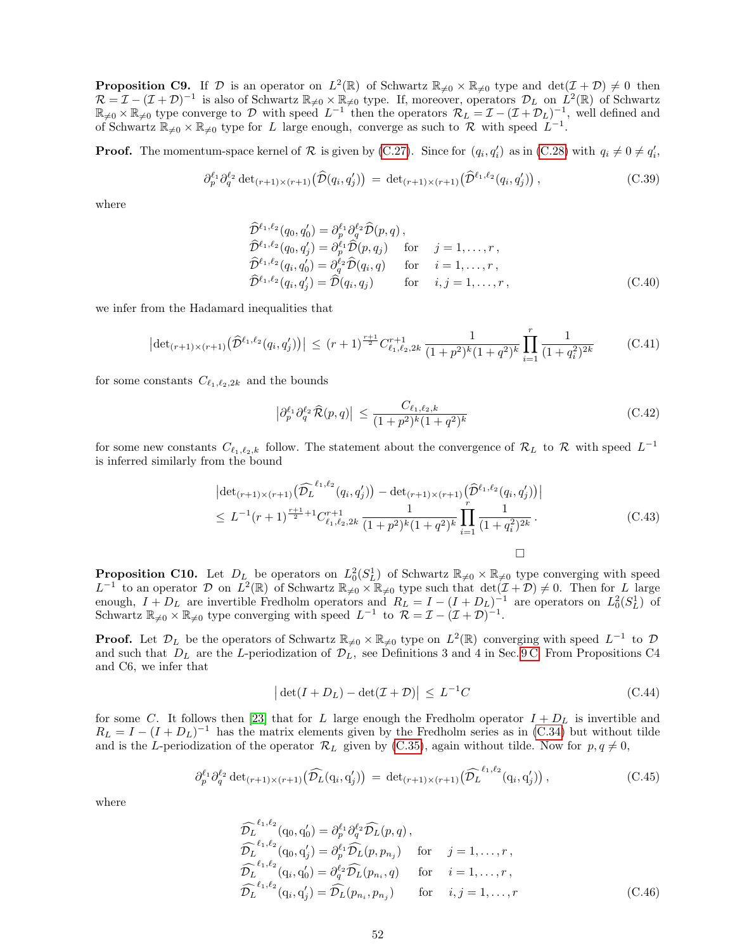**Proposition C9.** If  $\mathcal{D}$  is an operator on  $L^2(\mathbb{R})$  of Schwartz  $\mathbb{R}_{\neq 0} \times \mathbb{R}_{\neq 0}$  type and  $\det(\mathcal{I} + \mathcal{D}) \neq 0$  then  $\mathcal{R} = \mathcal{I} - (\mathcal{I} + \mathcal{D})^{-1}$  is also of Schwartz  $\mathbb{R}_{\neq 0} \times \mathbb{R}_{\neq 0}$  type. If, moreover, operators  $\mathcal{D}_L$  on  $\hat{L}^2(\mathbb{R})$  of Schwartz  $\mathbb{R}_{\neq 0} \times \mathbb{R}_{\neq 0}$  type converge to D with speed  $L^{-1}$  then the operators  $\mathcal{R}_L = \mathcal{I} - (\mathcal{I} + \mathcal{D}_L)^{-1}$ , well defined and of Schwartz  $\mathbb{R}_{\neq 0} \times \mathbb{R}_{\neq 0}$  type for L large enough, converge as such to R with speed  $L^{-1}$ .

**Proof.** The momentum-space kernel of  $\mathcal{R}$  is given by [\(C.27\)](#page-49-1). Since for  $(q_i, q'_i)$  as in [\(C.28\)](#page-49-2) with  $q_i \neq 0 \neq q'_i$ ,

$$
\partial_p^{\ell_1} \partial_q^{\ell_2} \det_{(r+1)\times(r+1)} \left(\widehat{\mathcal{D}}(q_i, q_j')\right) \, = \, \det_{(r+1)\times(r+1)} \left(\widehat{\mathcal{D}}^{\ell_1, \ell_2}(q_i, q_j')\right),\tag{C.39}
$$

where

$$
\hat{\mathcal{D}}^{\ell_1, \ell_2}(q_0, q'_0) = \partial_p^{\ell_1} \partial_q^{\ell_2} \hat{\mathcal{D}}(p, q) ,\n\hat{\mathcal{D}}^{\ell_1, \ell_2}(q_0, q'_j) = \partial_p^{\ell_1} \hat{\mathcal{D}}(p, q_j) \quad \text{for} \quad j = 1, ..., r ,\n\hat{\mathcal{D}}^{\ell_1, \ell_2}(q_i, q'_0) = \partial_q^{\ell_2} \hat{\mathcal{D}}(q_i, q) \quad \text{for} \quad i = 1, ..., r ,\n\hat{\mathcal{D}}^{\ell_1, \ell_2}(q_i, q'_j) = \hat{\mathcal{D}}(q_i, q_j) \quad \text{for} \quad i, j = 1, ..., r ,
$$
\n(C.40)

we infer from the Hadamard inequalities that

$$
\left| \det_{(r+1)\times(r+1)} \left( \widehat{\mathcal{D}}^{\ell_1,\ell_2}(q_i, q_j') \right) \right| \le (r+1)^{\frac{r+1}{2}} C_{\ell_1,\ell_2,2k}^{r+1} \frac{1}{(1+p^2)^k (1+q^2)^k} \prod_{i=1}^r \frac{1}{(1+q_i^2)^{2k}} \tag{C.41}
$$

for some constants  $C_{\ell_1,\ell_2,2k}$  and the bounds

$$
\left| \partial_p^{\ell_1} \partial_q^{\ell_2} \widehat{\mathcal{R}}(p,q) \right| \le \frac{C_{\ell_1,\ell_2,k}}{(1+p^2)^k (1+q^2)^k} \tag{C.42}
$$

for some new constants  $C_{\ell_1,\ell_2,k}$  follow. The statement about the convergence of  $\mathcal{R}_L$  to  $\mathcal{R}$  with speed  $L^{-1}$ is inferred similarly from the bound

<span id="page-51-1"></span>
$$
\left| \det_{(r+1)\times(r+1)} \left( \widehat{\mathcal{D}_{L}}^{\ell_{1},\ell_{2}}(q_{i}, q_{j}') \right) - \det_{(r+1)\times(r+1)} \left( \widehat{\mathcal{D}}^{\ell_{1},\ell_{2}}(q_{i}, q_{j}') \right) \right| \leq L^{-1}(r+1)^{\frac{r+1}{2}+1} C_{\ell_{1},\ell_{2},2k}^{r+1} \frac{1}{(1+p^{2})^{k}(1+q^{2})^{k}} \prod_{i=1}^{r} \frac{1}{(1+q_{i}^{2})^{2k}}.
$$
\n(C.43)

**Proposition C10.** Let  $D_{L}$  be operators on  $L_0^2(S_L^1)$  of Schwartz  $\mathbb{R}_{\neq 0} \times \mathbb{R}_{\neq 0}$  type converging with speed  $L^{-1}$  to an operator  $\mathcal D$  on  $\overline{L^2(\mathbb R)}$  of Schwartz  $\mathbb R_{\neq 0} \times \mathbb R_{\neq 0}$  type such that  $\det(\mathcal I + \mathcal D) \neq 0$ . Then for L large enough,  $I + D_L$  are invertible Fredholm operators and  $R_L = I - (I + D_L)^{-1}$  are operators on  $L_0^2(S_L^1)$  of Schwartz  $\mathbb{R}_{\neq 0} \times \mathbb{R}_{\neq 0}$  type converging with speed  $L^{-1}$  to  $\overline{\mathcal{R}} = \mathcal{I} - (\mathcal{I} + \mathcal{D})^{-1}$ .

**Proof.** Let  $\mathcal{D}_L$  be the operators of Schwartz  $\mathbb{R}_{\neq 0} \times \mathbb{R}_{\neq 0}$  type on  $L^2(\mathbb{R})$  converging with speed  $L^{-1}$  to  $\mathcal D$ and such that  $D_L$  are the L-periodization of  $\mathcal{D}_L$ , see Definitions 3 and 4 in Sec. [9 C.](#page-36-0) From Propositions C4 and C6, we infer that

<span id="page-51-0"></span>
$$
\left| \det(I + D_L) - \det(\mathcal{I} + \mathcal{D}) \right| \le L^{-1}C \tag{C.44}
$$

for some C. It follows then [\[23\]](#page-58-35) that for L large enough the Fredholm operator  $I + D_L$  is invertible and  $R_L = I - (I + D_L)^{-1}$  has the matrix elements given by the Fredholm series as in [\(C.34\)](#page-50-0) but without tilde and is the L-periodization of the operator  $\mathcal{R}_L$  given by [\(C.35\)](#page-50-1), again without tilde. Now for  $p, q \neq 0$ ,

$$
\partial_p^{\ell_1} \partial_q^{\ell_2} \det_{(r+1)\times(r+1)} \left( \widehat{\mathcal{D}_L}(q_i, q_j') \right) \, = \, \det_{(r+1)\times(r+1)} \left( \widehat{\mathcal{D}_L}^{\ell_1, \ell_2}(q_i, q_j') \right), \tag{C.45}
$$

where

$$
\widehat{\mathcal{D}}_L^{\ell_1,\ell_2}(\mathbf{q}_0,\mathbf{q}'_0) = \partial_p^{\ell_1} \partial_q^{\ell_2} \widehat{\mathcal{D}}_L(p,q),
$$
\n
$$
\widehat{\mathcal{D}}_L^{\ell_1,\ell_2}(\mathbf{q}_0,\mathbf{q}'_j) = \partial_p^{\ell_1} \widehat{\mathcal{D}}_L(p,p_{n_j}) \quad \text{for} \quad j = 1,\ldots,r,
$$
\n
$$
\widehat{\mathcal{D}}_L^{\ell_1,\ell_2}(\mathbf{q}_i,\mathbf{q}'_0) = \partial_q^{\ell_2} \widehat{\mathcal{D}}_L(p_{n_i},q) \quad \text{for} \quad i = 1,\ldots,r,
$$
\n
$$
\widehat{\mathcal{D}}_L^{\ell_1,\ell_2}(\mathbf{q}_i,\mathbf{q}'_j) = \widehat{\mathcal{D}}_L(p_{n_i},p_{n_j}) \quad \text{for} \quad i,j = 1,\ldots,r
$$
\n(C.46)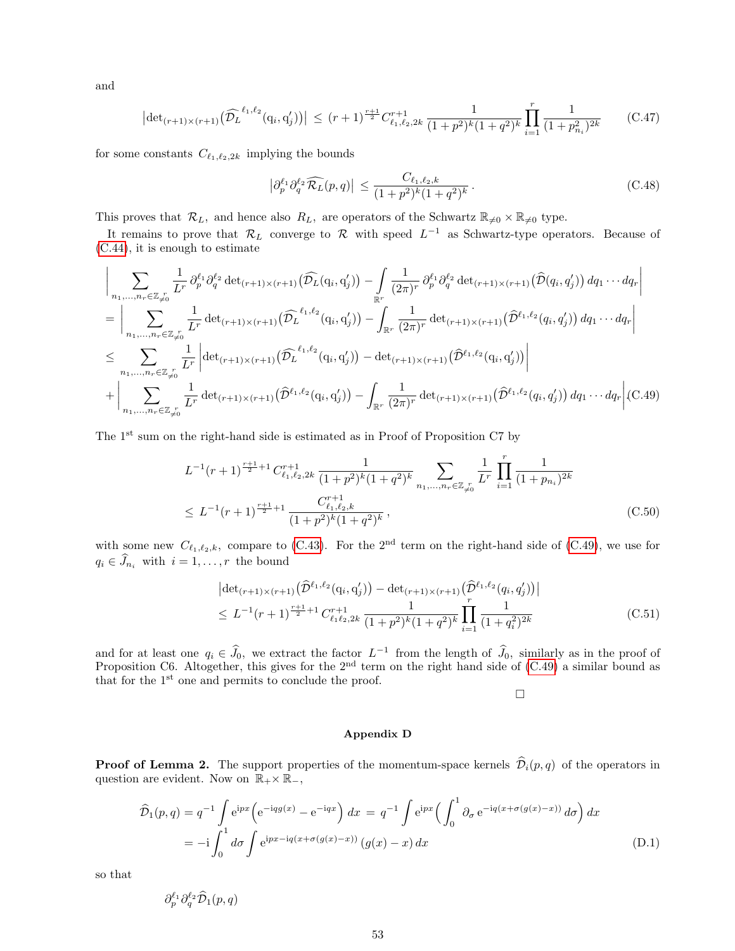and

$$
\left| \det_{(r+1)\times(r+1)} \left( \widehat{\mathcal{D}_{L}}^{\ell_{1},\ell_{2}}(q_{i}, q_{j}') \right) \right| \leq (r+1)^{\frac{r+1}{2}} C_{\ell_{1},\ell_{2},2k}^{r+1} \frac{1}{(1+p^{2})^{k}(1+q^{2})^{k}} \prod_{i=1}^{r} \frac{1}{(1+p_{n_{i}}^{2})^{2k}} \qquad (C.47)
$$

for some constants  $C_{\ell_1,\ell_2,2k}$  implying the bounds

$$
\left|\partial_p^{\ell_1}\partial_q^{\ell_2}\widehat{\mathcal{R}_L}(p,q)\right| \le \frac{C_{\ell_1,\ell_2,k}}{(1+p^2)^k(1+q^2)^k}.
$$
\n(C.48)

This proves that  $\mathcal{R}_L$ , and hence also  $R_L$ , are operators of the Schwartz  $\mathbb{R}_{\neq0}\times\mathbb{R}_{\neq0}$  type.

It remains to prove that  $\mathcal{R}_L$  converge to  $\mathcal R$  with speed  $L^{-1}$  as Schwartz-type operators. Because of [\(C.44\)](#page-51-0), it is enough to estimate

<span id="page-52-1"></span>
$$
\left| \sum_{n_1, \dots, n_r \in \mathbb{Z}_{\neq 0}^r} \frac{1}{L^r} \partial_p^{\ell_1} \partial_q^{\ell_2} \det_{(r+1) \times (r+1)} (\widehat{\mathcal{D}_L}(q_i, q'_j)) - \int_{\mathbb{R}^r} \frac{1}{(2\pi)^r} \partial_p^{\ell_1} \partial_q^{\ell_2} \det_{(r+1) \times (r+1)} (\widehat{\mathcal{D}}(q_i, q'_j)) dq_1 \cdots dq_r \right|
$$
\n
$$
= \left| \sum_{n_1, \dots, n_r \in \mathbb{Z}_{\neq 0}^r} \frac{1}{L^r} \det_{(r+1) \times (r+1)} (\widehat{\mathcal{D}_L}^{\ell_1, \ell_2}(q_i, q'_j)) - \int_{\mathbb{R}^r} \frac{1}{(2\pi)^r} \det_{(r+1) \times (r+1)} (\widehat{\mathcal{D}}^{\ell_1, \ell_2}(q_i, q'_j)) dq_1 \cdots dq_r \right|
$$
\n
$$
\leq \sum_{n_1, \dots, n_r \in \mathbb{Z}_{\neq 0}^r} \frac{1}{L^r} \left| \det_{(r+1) \times (r+1)} (\widehat{\mathcal{D}_L}^{\ell_1, \ell_2}(q_i, q'_j)) - \det_{(r+1) \times (r+1)} (\widehat{\mathcal{D}}^{\ell_1, \ell_2}(q_i, q'_j)) \right|
$$
\n
$$
+ \left| \sum_{n_1, \dots, n_r \in \mathbb{Z}_{\neq 0}^r} \frac{1}{L^r} \det_{(r+1) \times (r+1)} (\widehat{\mathcal{D}}^{\ell_1, \ell_2}(q_i, q'_j)) - \int_{\mathbb{R}^r} \frac{1}{(2\pi)^r} \det_{(r+1) \times (r+1)} (\widehat{\mathcal{D}}^{\ell_1, \ell_2}(q_i, q'_j)) dq_1 \cdots dq_r \right| (C.49)
$$

The 1st sum on the right-hand side is estimated as in Proof of Proposition C7 by

$$
L^{-1}(r+1)^{\frac{r+1}{2}+1} C_{\ell_1,\ell_2,2k}^{r+1} \frac{1}{(1+p^2)^k (1+q^2)^k} \sum_{n_1,\ldots,n_r \in \mathbb{Z}_{\neq 0}^r} \frac{1}{L^r} \prod_{i=1}^r \frac{1}{(1+p_{n_i})^{2k}}
$$
  
 
$$
\leq L^{-1}(r+1)^{\frac{r+1}{2}+1} \frac{C_{\ell_1,\ell_2,k}^{r+1}}{(1+p^2)^k (1+q^2)^k}, \tag{C.50}
$$

with some new  $C_{\ell_1,\ell_2,k}$ , compare to [\(C.43\)](#page-51-1). For the 2<sup>nd</sup> term on the right-hand side of [\(C.49\)](#page-52-1), we use for  $q_i \in \hat{J}_{n_i}$  with  $i = 1, \ldots, r$  the bound

$$
\left| \det_{(r+1)\times(r+1)} \left( \widehat{\mathcal{D}}^{\ell_1,\ell_2}(\mathbf{q}_i, \mathbf{q}'_j) \right) - \det_{(r+1)\times(r+1)} \left( \widehat{\mathcal{D}}^{\ell_1,\ell_2}(\mathbf{q}_i, \mathbf{q}'_j) \right) \right| \leq L^{-1}(r+1)^{\frac{r+1}{2}+1} C_{\ell_1\ell_2,2k}^{r+1} \frac{1}{(1+p^2)^k (1+q^2)^k} \prod_{i=1}^r \frac{1}{(1+q_i^2)^{2k}} \tag{C.51}
$$

and for at least one  $q_i \in \widehat{J}_0$ , we extract the factor  $L^{-1}$  from the length of  $\widehat{J}_0$ , similarly as in the proof of Proposition C6. Altogether, this gives for the 2<sup>nd</sup> term on the right hand side of [\(C.49\)](#page-52-1) a simi that for the  $1<sup>st</sup>$  one and permits to conclude the proof.

 $\Box$ 

## <span id="page-52-0"></span>Appendix D

**Proof of Lemma 2.** The support properties of the momentum-space kernels  $\hat{\mathcal{D}}_i(p,q)$  of the operators in question are evident. Now on  $\mathbb{R}_+ \times \mathbb{R}_-,$ 

$$
\hat{\mathcal{D}}_1(p,q) = q^{-1} \int e^{ipx} \left( e^{-iqg(x)} - e^{-iqx} \right) dx = q^{-1} \int e^{ipx} \left( \int_0^1 \partial_\sigma e^{-iq(x + \sigma(g(x) - x))} d\sigma \right) dx
$$

$$
= -i \int_0^1 d\sigma \int e^{ipx - iq(x + \sigma(g(x) - x))} (g(x) - x) dx \tag{D.1}
$$

so that

<span id="page-52-2"></span>
$$
\partial^{\ell_1}_p\partial^{\ell_2}_q\widehat{\mathcal{D}}_1(p,q)
$$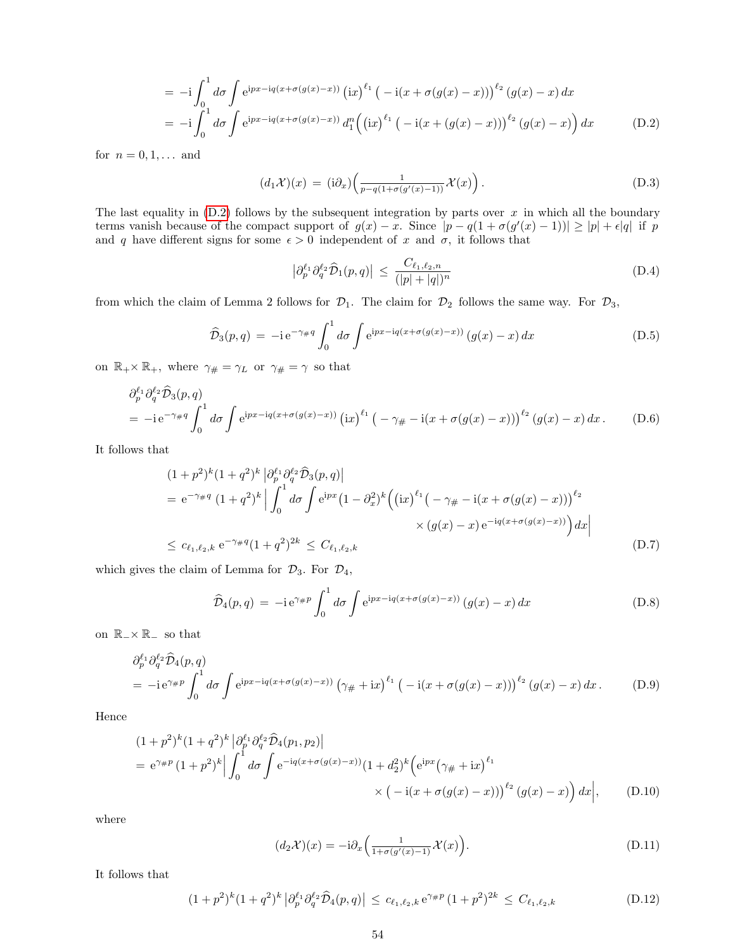$$
= -i \int_0^1 d\sigma \int e^{ipx - iq(x + \sigma(g(x) - x))} (ix)^{\ell_1} (-i(x + \sigma(g(x) - x)))^{\ell_2} (g(x) - x) dx
$$
  

$$
= -i \int_0^1 d\sigma \int e^{ipx - iq(x + \sigma(g(x) - x))} d_1^n ((ix)^{\ell_1} (-i(x + (g(x) - x)))^{\ell_2} (g(x) - x)) dx
$$
(D.2)

for  $n = 0, 1, ...$  and

$$
(d_1 \mathcal{X})(x) = (i\partial_x) \left( \frac{1}{p - q(1 + \sigma(g'(x) - 1))} \mathcal{X}(x) \right). \tag{D.3}
$$

The last equality in  $(D.2)$  follows by the subsequent integration by parts over x in which all the boundary terms vanish because of the compact support of  $g(x) - x$ . Since  $|p - q(1 + \sigma(g'(x) - 1))| \ge |p| + \epsilon |q|$  if p and q have different signs for some  $\epsilon > 0$  independent of x and  $\sigma$ , it follows that

$$
\left|\partial_p^{\ell_1}\partial_q^{\ell_2}\widehat{\mathcal{D}}_1(p,q)\right| \le \frac{C_{\ell_1,\ell_2,n}}{(|p|+|q|)^n} \tag{D.4}
$$

from which the claim of Lemma 2 follows for  $\mathcal{D}_1$ . The claim for  $\mathcal{D}_2$  follows the same way. For  $\mathcal{D}_3$ ,

$$
\widehat{\mathcal{D}}_3(p,q) = -i e^{-\gamma_{\#}q} \int_0^1 d\sigma \int e^{ipx - iq(x + \sigma(g(x) - x))} (g(x) - x) dx \tag{D.5}
$$

on  $\mathbb{R}_+ \times \mathbb{R}_+$ , where  $\gamma_{\#} = \gamma_L$  or  $\gamma_{\#} = \gamma$  so that

$$
\partial_p^{\ell_1} \partial_q^{\ell_2} \widehat{\mathcal{D}}_3(p,q)
$$
  
= -i e^{-\gamma \# q} \int\_0^1 d\sigma \int e^{ipx - iq(x + \sigma(g(x) - x))} (ix)^{\ell\_1} \left( -\gamma \# -i(x + \sigma(g(x) - x)) \right)^{\ell\_2} (g(x) - x) dx. \tag{D.6}

It follows that

$$
(1+p^2)^k (1+q^2)^k |\partial_p^{\ell_1} \partial_q^{\ell_2} \hat{\mathcal{D}}_3(p,q)|
$$
  
=  $e^{-\gamma_{\#}q} (1+q^2)^k |\int_0^1 d\sigma \int e^{ipx} (1-\partial_x^2)^k ((ix)^{\ell_1} (-\gamma_{\#} - i(x + \sigma(g(x) - x)))^{\ell_2}$   
 $\times (g(x) - x) e^{-iq(x+\sigma(g(x) - x))}) dx$   
 $\leq c_{\ell_1,\ell_2,k} e^{-\gamma_{\#}q} (1+q^2)^{2k} \leq C_{\ell_1,\ell_2,k}$  (D.7)

which gives the claim of Lemma for  $\mathcal{D}_3$ . For  $\mathcal{D}_4$ ,

$$
\widehat{\mathcal{D}}_4(p,q) = -i e^{\gamma \#p} \int_0^1 d\sigma \int e^{ipx - iq(x + \sigma(g(x) - x))} (g(x) - x) dx \tag{D.8}
$$

on R−× R<sup>−</sup> so that

$$
\partial_p^{\ell_1} \partial_q^{\ell_2} \widehat{\mathcal{D}}_4(p,q)
$$
  
=  $-i e^{\gamma \# p} \int_0^1 d\sigma \int e^{ipx - iq(x + \sigma(g(x) - x))} (\gamma \# + ix)^{\ell_1} (-i(x + \sigma(g(x) - x)))^{\ell_2} (g(x) - x) dx.$  (D.9)

Hence

$$
(1+p^2)^k (1+q^2)^k |\partial_p^{\ell_1} \partial_q^{\ell_2} \hat{\mathcal{D}}_4(p_1, p_2)|
$$
  
=  $e^{\gamma \#p} (1+p^2)^k |\int_0^1 d\sigma \int e^{-iq(x+\sigma(g(x)-x))} (1+d_2^2)^k (e^{ipx} (\gamma \# + ix)^{\ell_1})$   

$$
\times (-i(x+\sigma(g(x)-x)))^{\ell_2} (g(x)-x)) dx |,
$$
 (D.10)

where

$$
(d_2\mathcal{X})(x) = -\mathrm{i}\partial_x \left(\frac{1}{1+\sigma(g'(x)-1)}\mathcal{X}(x)\right). \tag{D.11}
$$

It follows that

$$
(1+p^2)^k (1+q^2)^k |\partial_p^{\ell_1} \partial_q^{\ell_2} \hat{\mathcal{D}}_4(p,q)| \leq c_{\ell_1,\ell_2,k} e^{\gamma \# p} (1+p^2)^{2k} \leq C_{\ell_1,\ell_2,k}
$$
 (D.12)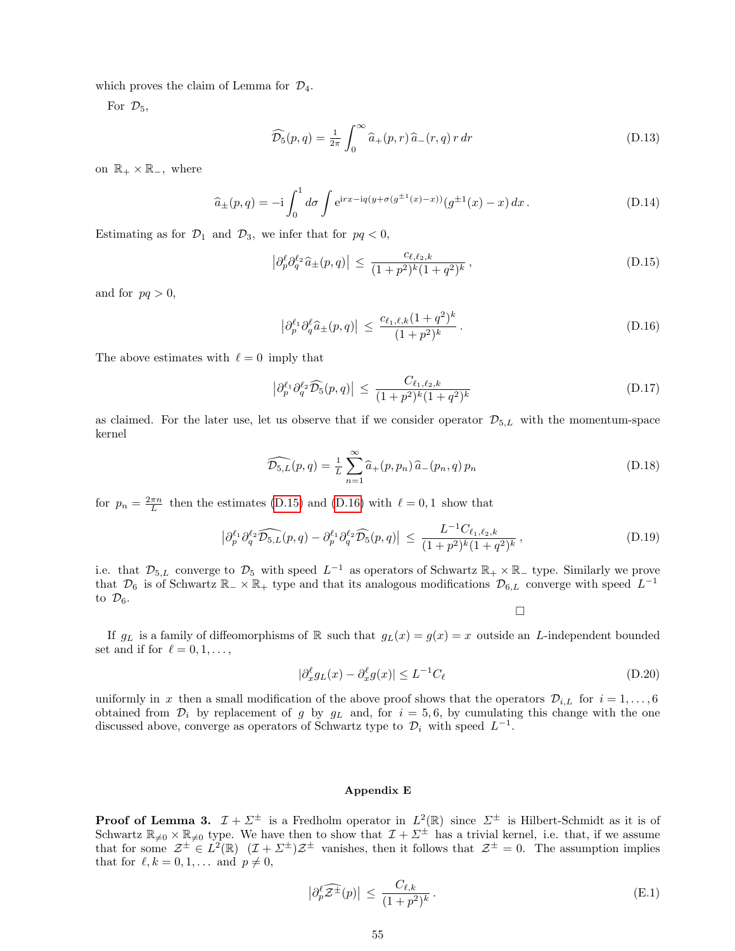which proves the claim of Lemma for  $\mathcal{D}_4$ .

For  $\mathcal{D}_5$ ,

$$
\widehat{\mathcal{D}_5}(p,q) = \frac{1}{2\pi} \int_0^\infty \widehat{a}_+(p,r) \widehat{a}_-(r,q) \, r \, dr \tag{D.13}
$$

on  $\mathbb{R}_+ \times \mathbb{R}_-$ , where

<span id="page-54-3"></span>
$$
\hat{a}_{\pm}(p,q) = -i \int_0^1 d\sigma \int e^{irx - iq(y + \sigma(g^{\pm 1}(x) - x))} (g^{\pm 1}(x) - x) dx.
$$
 (D.14)

Estimating as for  $\mathcal{D}_1$  and  $\mathcal{D}_3$ , we infer that for  $pq < 0$ ,

<span id="page-54-1"></span>
$$
\left|\partial_p^{\ell}\partial_q^{\ell_2}\hat{a}_{\pm}(p,q)\right| \le \frac{c_{\ell,\ell_2,k}}{(1+p^2)^k(1+q^2)^k},\tag{D.15}
$$

and for  $pq > 0$ ,

<span id="page-54-2"></span>
$$
\left|\partial_p^{\ell_1}\partial_q^{\ell}\hat{a}_{\pm}(p,q)\right| \le \frac{c_{\ell_1,\ell,k}(1+q^2)^k}{(1+p^2)^k} \,. \tag{D.16}
$$

The above estimates with  $\ell = 0$  imply that

$$
\left| \partial_p^{\ell_1} \partial_q^{\ell_2} \widehat{\mathcal{D}_5}(p,q) \right| \le \frac{C_{\ell_1,\ell_2,k}}{(1+p^2)^k (1+q^2)^k} \tag{D.17}
$$

as claimed. For the later use, let us observe that if we consider operator  $\mathcal{D}_{5,L}$  with the momentum-space kernel

$$
\widehat{\mathcal{D}_{5,L}}(p,q) = \frac{1}{L} \sum_{n=1}^{\infty} \widehat{a}_{+}(p,p_n) \widehat{a}_{-}(p_n,q) p_n
$$
\n(D.18)

for  $p_n = \frac{2\pi n}{L}$  then the estimates [\(D.15\)](#page-54-1) and [\(D.16\)](#page-54-2) with  $\ell = 0, 1$  show that

$$
\left|\partial_p^{\ell_1} \partial_q^{\ell_2} \widehat{\mathcal{D}_{5,L}}(p,q) - \partial_p^{\ell_1} \partial_q^{\ell_2} \widehat{\mathcal{D}_{5}}(p,q)\right| \le \frac{L^{-1}C_{\ell_1,\ell_2,k}}{(1+p^2)^k (1+q^2)^k},\tag{D.19}
$$

i.e. that  $\mathcal{D}_{5,L}$  converge to  $\mathcal{D}_5$  with speed  $L^{-1}$  as operators of Schwartz  $\mathbb{R}_+ \times \mathbb{R}_-$  type. Similarly we prove that  $\mathcal{D}_6$  is of Schwartz  $\mathbb{R}_-\times\mathbb{R}_+$  type and that its analogous modifications  $\mathcal{D}_{6,L}$  converge with speed  $L^{-1}$ to  $\mathcal{D}_6$ .

 $\Box$ 

If  $g_L$  is a family of diffeomorphisms of R such that  $g_L(x) = g(x) = x$  outside an L-independent bounded set and if for  $\ell = 0, 1, \ldots$ ,

$$
|\partial_x^{\ell} g_L(x) - \partial_x^{\ell} g(x)| \le L^{-1} C_{\ell}
$$
\n(D.20)

uniformly in x then a small modification of the above proof shows that the operators  $\mathcal{D}_{i,L}$  for  $i = 1, \ldots, 6$ obtained from  $\mathcal{D}_i$  by replacement of g by  $g_L$  and, for  $i = 5, 6$ , by cumulating this change with the one discussed above, converge as operators of Schwartz type to  $\mathcal{D}_i$  with speed  $L^{-1}$ .

#### <span id="page-54-0"></span>Appendix E

**Proof of Lemma 3.**  $\mathcal{I} + \Sigma^{\pm}$  is a Fredholm operator in  $L^2(\mathbb{R})$  since  $\Sigma^{\pm}$  is Hilbert-Schmidt as it is of Schwartz  $\mathbb{R}_{\neq0}\times\mathbb{R}_{\neq0}$  type. We have then to show that  $\mathcal{I} + \Sigma^{\pm}$  has a trivial kernel, i.e. that, if we assume that for some  $\mathcal{Z}^{\pm} \in L^2(\mathbb{R})$   $(\mathcal{I} + \Sigma^{\pm})\mathcal{Z}^{\pm}$  vanishes, then it follows that  $\mathcal{Z}^{\pm} = 0$ . The assumption implies that for  $\ell, k = 0, 1, \ldots$  and  $p \neq 0$ ,

$$
\left|\partial_p^{\ell}\widehat{\mathcal{Z}^{\pm}}(p)\right| \le \frac{C_{\ell,k}}{(1+p^2)^k} \,. \tag{E.1}
$$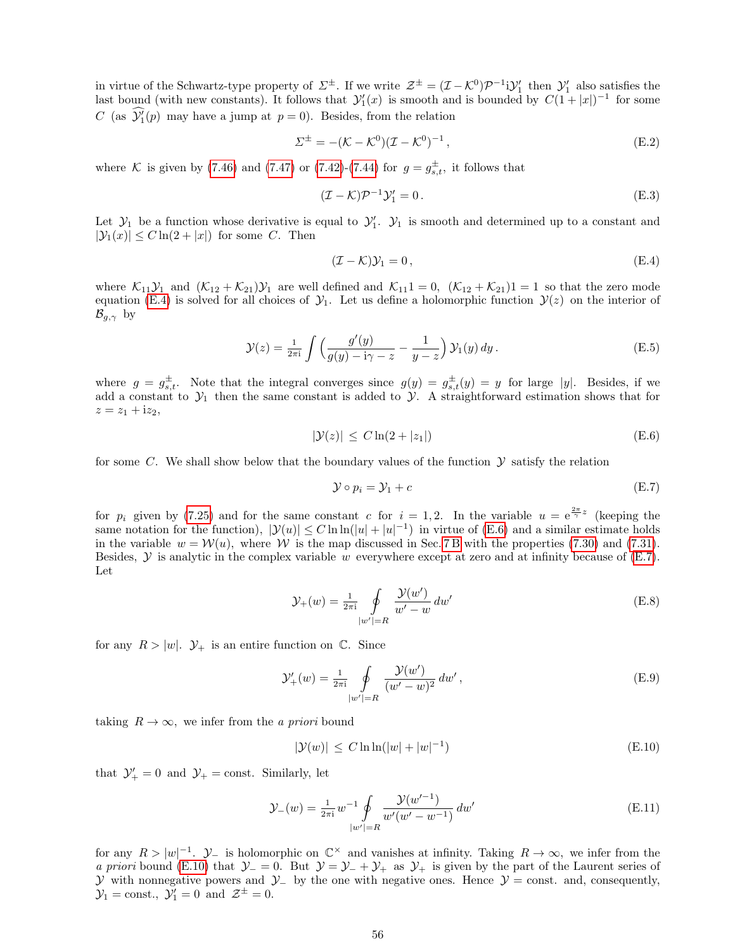in virtue of the Schwartz-type property of  $\Sigma^{\pm}$ . If we write  $\mathcal{Z}^{\pm} = (\mathcal{I} - \mathcal{K}^0)\mathcal{P}^{-1}i\mathcal{Y}'_1$  then  $\mathcal{Y}'_1$  also satisfies the last bound (with new constants). It follows that  $\mathcal{Y}'_1(x)$  is smooth and is bounded by  $C(1+|x|)^{-1}$  for some C (as  $\mathcal{Y}'_1(p)$  may have a jump at  $p = 0$ ). Besides, from the relation

$$
\Sigma^{\pm} = -(\mathcal{K} - \mathcal{K}^{0})(\mathcal{I} - \mathcal{K}^{0})^{-1},
$$
\n(E.2)

where K is given by [\(7.46\)](#page-28-3) and [\(7.47\)](#page-28-4) or [\(7.42\)](#page-28-5)-[\(7.44\)](#page-28-5) for  $g = g_{s,t}^{\pm}$ , it follows that

$$
(\mathcal{I} - \mathcal{K})\mathcal{P}^{-1}\mathcal{Y}'_1 = 0.
$$
 (E.3)

Let  $\mathcal{Y}_1$  be a function whose derivative is equal to  $\mathcal{Y}_1'$ .  $\mathcal{Y}_1$  is smooth and determined up to a constant and  $|\mathcal{Y}_1(x)| \leq C \ln(2+|x|)$  for some C. Then

<span id="page-55-0"></span>
$$
(\mathcal{I} - \mathcal{K})\mathcal{Y}_1 = 0, \tag{E.4}
$$

where  $\mathcal{K}_{11}\mathcal{Y}_1$  and  $(\mathcal{K}_{12} + \mathcal{K}_{21})\mathcal{Y}_1$  are well defined and  $\mathcal{K}_{11}1 = 0$ ,  $(\mathcal{K}_{12} + \mathcal{K}_{21})1 = 1$  so that the zero mode equation [\(E.4\)](#page-55-0) is solved for all choices of  $\mathcal{Y}_1$ . Let us define a holomorphic function  $\mathcal{Y}(z)$  on the interior of  $\mathcal{B}_{q,\gamma}$  by

$$
\mathcal{Y}(z) = \frac{1}{2\pi i} \int \left( \frac{g'(y)}{g(y) - i\gamma - z} - \frac{1}{y - z} \right) \mathcal{Y}_1(y) dy.
$$
 (E.5)

where  $g = g_{s,t}^{\pm}$ . Note that the integral converges since  $g(y) = g_{s,t}^{\pm}(y) = y$  for large |y|. Besides, if we add a constant to  $\mathcal{Y}_1$  then the same constant is added to  $\mathcal{Y}_1$ . A straightforward estimation shows that for  $z = z_1 + i z_2,$ 

<span id="page-55-1"></span>
$$
|\mathcal{Y}(z)| \le C \ln(2 + |z_1|) \tag{E.6}
$$

for some C. We shall show below that the boundary values of the function  $\mathcal Y$  satisfy the relation

<span id="page-55-2"></span>
$$
\mathcal{Y} \circ p_i = \mathcal{Y}_1 + c \tag{E.7}
$$

for  $p_i$  given by [\(7.25\)](#page-26-4) and for the same constant c for  $i = 1, 2$ . In the variable  $u = e^{\frac{2\pi}{\gamma}z}$  (keeping the same notation for the function),  $|\mathcal{Y}(u)| \leq C \ln \ln(|u| + |u|^{-1})$  in virtue of [\(E.6\)](#page-55-1) and a similar estimate holds in the variable  $w = \mathcal{W}(u)$ , where W is the map discussed in Sec. 7B with the properties [\(7.30\)](#page-27-5) and [\(7.31\)](#page-27-0). Besides,  $\mathcal Y$  is analytic in the complex variable w everywhere except at zero and at infinity because of [\(E.7\)](#page-55-2). Let

$$
\mathcal{Y}_{+}(w) = \frac{1}{2\pi i} \oint \frac{\mathcal{Y}(w')}{w' - w} dw' \tag{E.8}
$$

for any  $R > |w|$ .  $\mathcal{Y}_+$  is an entire function on  $\mathbb{C}$ . Since

$$
\mathcal{Y}'_+(w) = \frac{1}{2\pi i} \oint_{|w'|=R} \frac{\mathcal{Y}(w')}{(w'-w)^2} dw', \tag{E.9}
$$

taking  $R \to \infty$ , we infer from the *a priori* bound

<span id="page-55-3"></span>
$$
|\mathcal{Y}(w)| \le C \ln \ln(|w| + |w|^{-1}) \tag{E.10}
$$

that  $\mathcal{Y}'_+ = 0$  and  $\mathcal{Y}_+ = \text{const.}$  Similarly, let

$$
\mathcal{Y}_{-}(w) = \frac{1}{2\pi i} w^{-1} \oint_{|w'|=R} \frac{\mathcal{Y}(w'^{-1})}{w'(w'-w^{-1})} dw' \tag{E.11}
$$

for any  $R > |w|^{-1}$ .  $\mathcal{Y}_-$  is holomorphic on  $\mathbb{C}^\times$  and vanishes at infinity. Taking  $R \to \infty$ , we infer from the a priori bound [\(E.10\)](#page-55-3) that  $\mathcal{Y}_- = 0$ . But  $\mathcal{Y} = \mathcal{Y}_- + \mathcal{Y}_+$  as  $\mathcal{Y}_+$  is given by the part of the Laurent series of y with nonnegative powers and  $\mathcal{Y}_-$  by the one with negative ones. Hence  $\mathcal{Y} = \text{const.}$  and, consequently,  $\mathcal{Y}_1 = \text{const.}, \ \mathcal{Y}_1' = 0 \text{ and } \mathcal{Z}^{\pm} = 0.$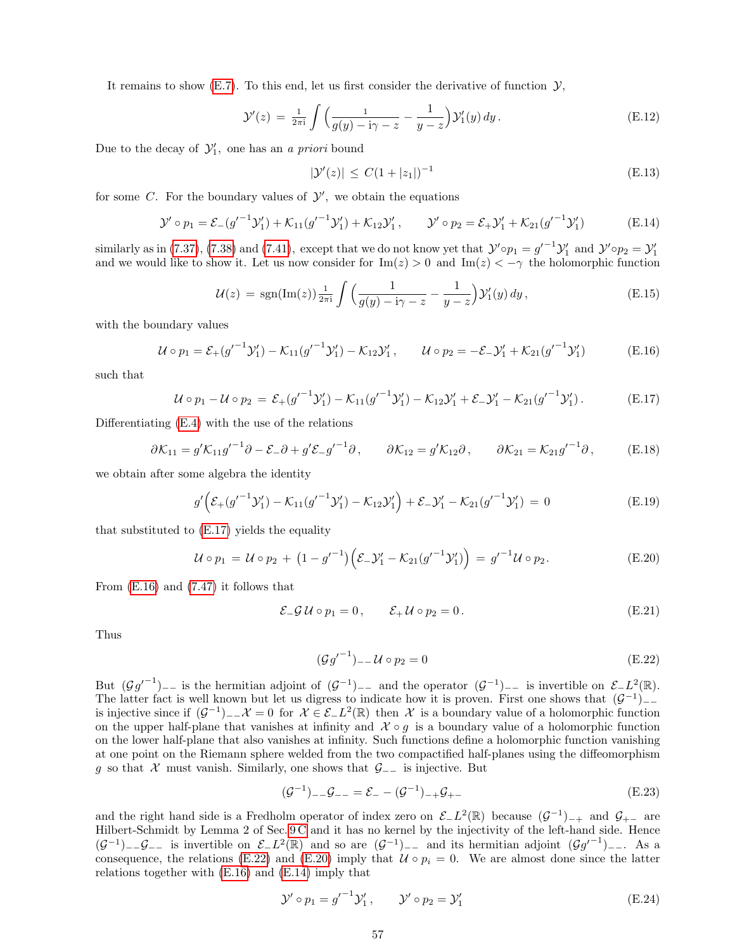It remains to show [\(E.7\)](#page-55-2). To this end, let us first consider the derivative of function  $\mathcal{Y}$ ,

$$
\mathcal{Y}'(z) = \frac{1}{2\pi i} \int \left( \frac{1}{g(y) - i\gamma - z} - \frac{1}{y - z} \right) \mathcal{Y}'_1(y) dy.
$$
 (E.12)

Due to the decay of  $\mathcal{Y}'_1$ , one has an a priori bound

<span id="page-56-5"></span>
$$
|\mathcal{Y}'(z)| \le C(1+|z_1|)^{-1} \tag{E.13}
$$

for some C. For the boundary values of  $\mathcal{Y}'$ , we obtain the equations

<span id="page-56-4"></span>
$$
\mathcal{Y}' \circ p_1 = \mathcal{E}_{-}(g'^{-1}\mathcal{Y}'_1) + \mathcal{K}_{11}(g'^{-1}\mathcal{Y}'_1) + \mathcal{K}_{12}\mathcal{Y}'_1, \qquad \mathcal{Y}' \circ p_2 = \mathcal{E}_{+}\mathcal{Y}'_1 + \mathcal{K}_{21}(g'^{-1}\mathcal{Y}'_1)
$$
(E.14)

similarly as in [\(7.37\)](#page-27-6), [\(7.38\)](#page-27-6) and [\(7.41\)](#page-27-2), except that we do not know yet that  $\mathcal{Y}' \circ p_1 = g'^{-1} \mathcal{Y}'_1$  and  $\mathcal{Y}' \circ p_2 = \mathcal{Y}'_1$ <br>and we would like to show it. Let us now consider for  $\text{Im}(z) > 0$  and  $\text{Im}(z) < -\gamma$  th

$$
\mathcal{U}(z) = \text{sgn}(\text{Im}(z)) \frac{1}{2\pi i} \int \left( \frac{1}{g(y) - i\gamma - z} - \frac{1}{y - z} \right) \mathcal{Y}'_1(y) \, dy \,, \tag{E.15}
$$

with the boundary values

<span id="page-56-1"></span>
$$
\mathcal{U} \circ p_1 = \mathcal{E}_+(g'^{-1}\mathcal{Y}'_1) - \mathcal{K}_{11}(g'^{-1}\mathcal{Y}'_1) - \mathcal{K}_{12}\mathcal{Y}'_1, \qquad \mathcal{U} \circ p_2 = -\mathcal{E}_-\mathcal{Y}'_1 + \mathcal{K}_{21}(g'^{-1}\mathcal{Y}'_1)
$$
(E.16)

such that

<span id="page-56-0"></span>
$$
\mathcal{U} \circ p_1 - \mathcal{U} \circ p_2 = \mathcal{E}_+(g'^{-1}\mathcal{Y}'_1) - \mathcal{K}_{11}(g'^{-1}\mathcal{Y}'_1) - \mathcal{K}_{12}\mathcal{Y}'_1 + \mathcal{E}_-\mathcal{Y}'_1 - \mathcal{K}_{21}(g'^{-1}\mathcal{Y}'_1).
$$
 (E.17)

Differentiating [\(E.4\)](#page-55-0) with the use of the relations

$$
\partial \mathcal{K}_{11} = g' \mathcal{K}_{11} g'^{-1} \partial - \mathcal{E}_- \partial + g' \mathcal{E}_- g'^{-1} \partial, \qquad \partial \mathcal{K}_{12} = g' \mathcal{K}_{12} \partial, \qquad \partial \mathcal{K}_{21} = \mathcal{K}_{21} g'^{-1} \partial, \qquad (E.18)
$$

we obtain after some algebra the identity

$$
g'\left(\mathcal{E}_{+}(g'^{-1}\mathcal{Y}'_{1}) - \mathcal{K}_{11}(g'^{-1}\mathcal{Y}'_{1}) - \mathcal{K}_{12}\mathcal{Y}'_{1}\right) + \mathcal{E}_{-}\mathcal{Y}'_{1} - \mathcal{K}_{21}(g'^{-1}\mathcal{Y}'_{1}) = 0
$$
\n(E.19)

that substituted to [\(E.17\)](#page-56-0) yields the equality

<span id="page-56-3"></span>
$$
\mathcal{U} \circ p_1 = \mathcal{U} \circ p_2 + (1 - {g'}^{-1}) \Big( \mathcal{E} - \mathcal{Y}'_1 - \mathcal{K}_{21} ({g'}^{-1} \mathcal{Y}'_1) \Big) = g'^{-1} \mathcal{U} \circ p_2.
$$
 (E.20)

From [\(E.16\)](#page-56-1) and [\(7.47\)](#page-28-4) it follows that

$$
\mathcal{E}_{-}\mathcal{G} \mathcal{U} \circ p_{1} = 0, \qquad \mathcal{E}_{+} \mathcal{U} \circ p_{2} = 0. \tag{E.21}
$$

Thus

<span id="page-56-2"></span>
$$
(\mathcal{G}g'^{-1})_{--}\mathcal{U}\circ p_2=0\tag{E.22}
$$

But  $(\mathcal{G}g'^{-1})_{--}$  is the hermitian adjoint of  $(\mathcal{G}^{-1})_{--}$  and the operator  $(\mathcal{G}^{-1})_{--}$  is invertible on  $\mathcal{E}_-L^2(\mathbb{R})$ . The latter fact is well known but let us digress to indicate how it is proven. First one shows that  $(\mathcal{G}^{-1})$ is injective since if  $(G^{-1})$ <sub>−−</sub> $\mathcal{X} = 0$  for  $\mathcal{X} \in \mathcal{E}$ − $L^2(\mathbb{R})$  then  $\mathcal{X}$  is a boundary value of a holomorphic function on the upper half-plane that vanishes at infinity and  $\mathcal{X} \circ g$  is a boundary value of a holomorphic function on the lower half-plane that also vanishes at infinity. Such functions define a holomorphic function vanishing at one point on the Riemann sphere welded from the two compactified half-planes using the diffeomorphism g so that  $\mathcal X$  must vanish. Similarly, one shows that  $\mathcal G_{-}$  is injective. But

$$
(\mathcal{G}^{-1})_{--}\mathcal{G}_{--} = \mathcal{E}_{-} - (\mathcal{G}^{-1})_{-+}\mathcal{G}_{+-}
$$
\n(E.23)

and the right hand side is a Fredholm operator of index zero on  $\mathcal{E}_L L^2(\mathbb{R})$  because  $(\mathcal{G}^{-1})_{-+}$  and  $\mathcal{G}_{+-}$  are Hilbert-Schmidt by Lemma 2 of Sec. [9 C](#page-36-0) and it has no kernel by the injectivity of the left-hand side. Hence  $(\mathcal{G}^{-1})$ - $\mathcal{G}$ - is invertible on  $\mathcal{E}_L L^2(\mathbb{R})$  and so are  $(\mathcal{G}^{-1})$ - and its hermitian adjoint  $(\mathcal{G}g'^{-1})$ - As a consequence, the relations [\(E.22\)](#page-56-2) and [\(E.20\)](#page-56-3) imply that  $\mathcal{U} \circ p_i = 0$ . We are almost done since the latter relations together with [\(E.16\)](#page-56-1) and [\(E.14\)](#page-56-4) imply that

$$
\mathcal{Y}' \circ p_1 = g'^{-1} \mathcal{Y}'_1, \qquad \mathcal{Y}' \circ p_2 = \mathcal{Y}'_1 \tag{E.24}
$$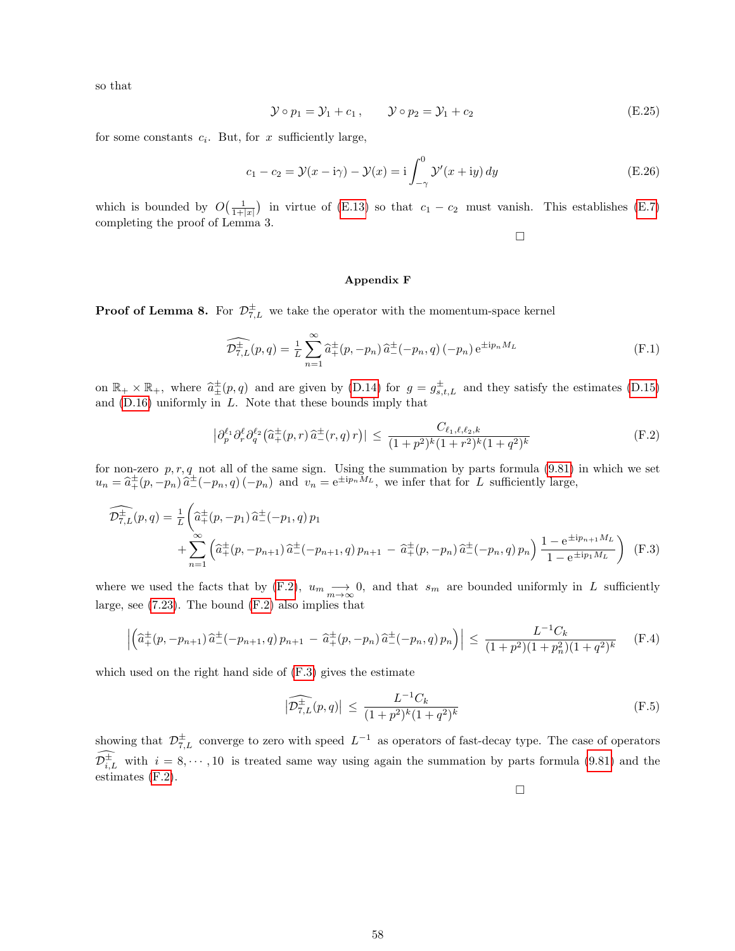so that

$$
\mathcal{Y} \circ p_1 = \mathcal{Y}_1 + c_1, \qquad \mathcal{Y} \circ p_2 = \mathcal{Y}_1 + c_2 \tag{E.25}
$$

for some constants  $c_i$ . But, for x sufficiently large,

$$
c_1 - c_2 = \mathcal{Y}(x - i\gamma) - \mathcal{Y}(x) = i \int_{-\gamma}^{0} \mathcal{Y}'(x + iy) dy
$$
 (E.26)

which is bounded by  $O(\frac{1}{1+|x|})$  in virtue of [\(E.13\)](#page-56-5) so that  $c_1 - c_2$  must vanish. This establishes [\(E.7\)](#page-55-2) completing the proof of Lemma 3.

 $\Box$ 

## <span id="page-57-0"></span>Appendix F

**Proof of Lemma 8.** For  $\mathcal{D}_{7,L}^{\pm}$  we take the operator with the momentum-space kernel

$$
\widehat{\mathcal{D}_{7,L}^{\pm}}(p,q) = \frac{1}{L} \sum_{n=1}^{\infty} \widehat{a}_{+}^{\pm}(p,-p_n) \,\widehat{a}_{-}^{\pm}(-p_n,q) \,(-p_n) \,\mathrm{e}^{\pm i p_n M_L} \tag{F.1}
$$

on  $\mathbb{R}_+ \times \mathbb{R}_+$ , where  $\hat{a}^{\pm}_{\pm}(p,q)$  and are given by [\(D.14\)](#page-54-3) for  $g = g^{\pm}_{s,t,L}$  and they satisfy the estimates [\(D.15\)](#page-54-1) and  $(D.16)$  uniformly in  $L$ . Note that these bounds imply that

<span id="page-57-1"></span>
$$
\left| \partial_p^{\ell_1} \partial_r^{\ell} \partial_q^{\ell_2} \left( \hat{a}_+^{\pm}(p,r) \, \hat{a}_-^{\pm}(r,q) \, r \right) \right| \le \frac{C_{\ell_1,\ell,\ell_2,k}}{(1+p^2)^k (1+r^2)^k (1+q^2)^k} \tag{F.2}
$$

for non-zero  $p, r, q$  not all of the same sign. Using the summation by parts formula [\(9.81\)](#page-41-1) in which we set  $u_n = \hat{a}^{\pm}_+(p, -p_n)\hat{a}^{\pm}_-(-p_n, q) (-p_n)$  and  $v_n = e^{\pm ip_nM_L}$ , we infer that for L sufficiently large,

<span id="page-57-2"></span>
$$
\widehat{\mathcal{D}^{\pm}_{7,L}}(p,q) = \frac{1}{L} \left( \widehat{a}^{\pm}_{+}(p,-p_{1}) \, \widehat{a}^{\pm}_{-}(-p_{1},q) \, p_{1} \right) + \sum_{n=1}^{\infty} \left( \widehat{a}^{\pm}_{+}(p,-p_{n+1}) \, \widehat{a}^{\pm}_{-}(-p_{n+1},q) \, p_{n+1} \right) - \widehat{a}^{\pm}_{+}(p,-p_{n}) \, \widehat{a}^{\pm}_{-}(-p_{n},q) \, p_{n} \right) \frac{1 - e^{\pm ip_{n+1}M_{L}}}{1 - e^{\pm ip_{1}M_{L}}} \right) \tag{F.3}
$$

where we used the facts that by [\(F.2\)](#page-57-1),  $u_m \longrightarrow 0$ , and that  $s_m$  are bounded uniformly in L sufficiently large, see [\(7.23\)](#page-25-10). The bound [\(F.2\)](#page-57-1) also implies that

$$
\left| \left( \hat{a}_{+}^{\pm}(p, -p_{n+1}) \hat{a}_{-}^{\pm}(-p_{n+1}, q) p_{n+1} - \hat{a}_{+}^{\pm}(p, -p_{n}) \hat{a}_{-}^{\pm}(-p_{n}, q) p_{n} \right) \right| \leq \frac{L^{-1}C_{k}}{(1+p^{2})(1+p_{n}^{2})(1+q^{2})^{k}} \quad (F.4)
$$

which used on the right hand side of [\(F.3\)](#page-57-2) gives the estimate

$$
\left| \widehat{\mathcal{D}_{7,L}^{\pm}}(p,q) \right| \le \frac{L^{-1}C_k}{(1+p^2)^k(1+q^2)^k} \tag{F.5}
$$

showing that  $\mathcal{D}_{7,L}^{\pm}$  converge to zero with speed  $L^{-1}$  as operators of fast-decay type. The case of operators  $\mathcal{D}_{i,L}^{\pm}$  with  $i = 8, \dots, 10$  is treated same way using again the summation by parts formula [\(9.81\)](#page-41-1) and the estimates [\(F.2\)](#page-57-1).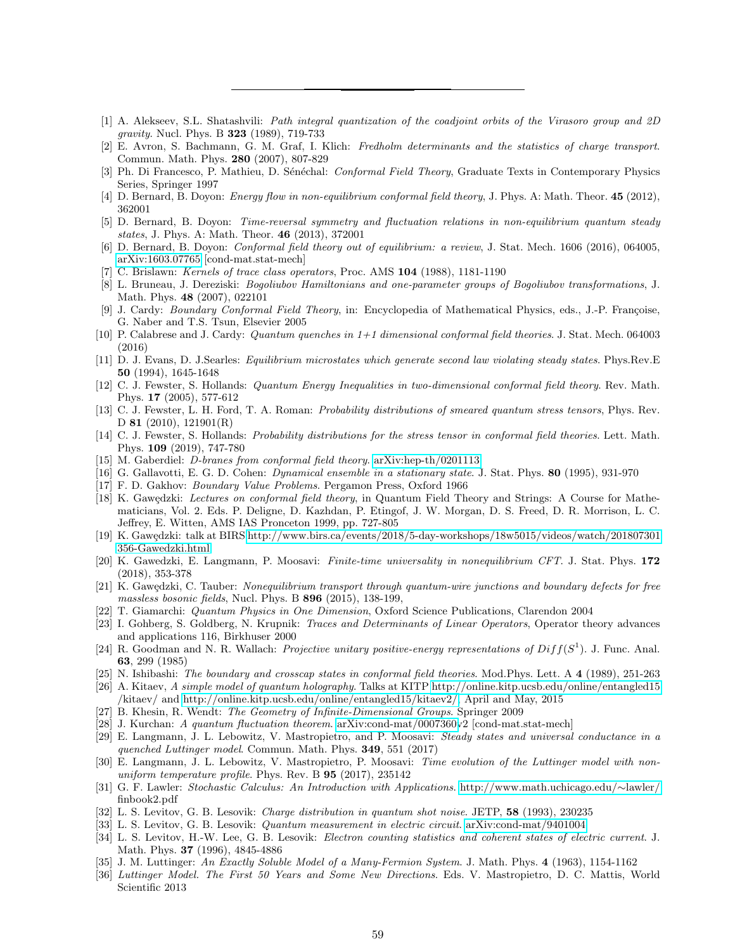- <span id="page-58-11"></span>[1] A. Alekseev, S.L. Shatashvili: Path integral quantization of the coadjoint orbits of the Virasoro group and 2D gravity. Nucl. Phys. B 323 (1989), 719-733
- <span id="page-58-6"></span>[2] E. Avron, S. Bachmann, G. M. Graf, I. Klich: Fredholm determinants and the statistics of charge transport. Commun. Math. Phys. 280 (2007), 807-829
- <span id="page-58-29"></span>Ph. Di Francesco, P. Mathieu, D. Sénéchal: Conformal Field Theory, Graduate Texts in Contemporary Physics Series, Springer 1997
- <span id="page-58-10"></span>[4] D. Bernard, B. Doyon: *Energy flow in non-equilibrium conformal field theory*, J. Phys. A: Math. Theor. **45** (2012), 362001
- <span id="page-58-24"></span>[5] D. Bernard, B. Doyon: Time-reversal symmetry and fluctuation relations in non-equilibrium quantum steady states, J. Phys. A: Math. Theor. 46 (2013), 372001
- <span id="page-58-1"></span>[6] D. Bernard, B. Doyon: Conformal field theory out of equilibrium: a review, J. Stat. Mech. 1606 (2016), 064005, [arXiv:1603.07765](http://arxiv.org/abs/1603.07765) [cond-mat.stat-mech]
- <span id="page-58-28"></span>C. Brislawn: Kernels of trace class operators, Proc. AMS 104 (1988), 1181-1190
- <span id="page-58-26"></span>[8] L. Bruneau, J. Dereziski: Bogoliubov Hamiltonians and one-parameter groups of Bogoliubov transformations, J. Math. Phys. 48 (2007), 022101
- <span id="page-58-19"></span>[9] J. Cardy: Boundary Conformal Field Theory, in: Encyclopedia of Mathematical Physics, eds., J.-P. Françoise, G. Naber and T.S. Tsun, Elsevier 2005
- <span id="page-58-0"></span>[10] P. Calabrese and J. Cardy: Quantum quenches in 1+1 dimensional conformal field theories. J. Stat. Mech. 064003 (2016)
- <span id="page-58-22"></span>[11] D. J. Evans, D. J.Searles: Equilibrium microstates which generate second law violating steady states. Phys.Rev.E 50 (1994), 1645-1648
- <span id="page-58-14"></span>[12] C. J. Fewster, S. Hollands: Quantum Energy Inequalities in two-dimensional conformal field theory. Rev. Math. Phys. 17 (2005), 577-612
- <span id="page-58-25"></span>[13] C. J. Fewster, L. H. Ford, T. A. Roman: Probability distributions of smeared quantum stress tensors, Phys. Rev. D **81** (2010), 121901(R)
- <span id="page-58-8"></span>[14] C. J. Fewster, S. Hollands: Probability distributions for the stress tensor in conformal field theories. Lett. Math. Phys. 109 (2019), 747-780
- <span id="page-58-20"></span>[15] M. Gaberdiel: *D-branes from conformal field theory*. [arXiv:hep-th/0201113](http://arxiv.org/abs/hep-th/0201113)
- <span id="page-58-32"></span>[16] G. Gallavotti, E. G. D. Cohen: Dynamical ensemble in a stationary state. J. Stat. Phys. 80 (1995), 931-970
- <span id="page-58-27"></span>[17] F. D. Gakhov: Boundary Value Problems. Pergamon Press, Oxford 1966
- <span id="page-58-30"></span>[18] K. Gawędzki: Lectures on conformal field theory, in Quantum Field Theory and Strings: A Course for Mathematicians, Vol. 2. Eds. P. Deligne, D. Kazhdan, P. Etingof, J. W. Morgan, D. S. Freed, D. R. Morrison, L. C. Jeffrey, E. Witten, AMS IAS Pronceton 1999, pp. 727-805
- <span id="page-58-9"></span>[19] K. Gawędzki: talk at BIRS [http://www.birs.ca/events/2018/5-day-workshops/18w5015/videos/watch/201807301](http://www.birs.ca/events/2018/5-day-workshops/18w5015/videos/watch/201807301\penalty -\@M 356-Gawedzki.html) [356-Gawedzki.html](http://www.birs.ca/events/2018/5-day-workshops/18w5015/videos/watch/201807301\penalty -\@M 356-Gawedzki.html)
- <span id="page-58-4"></span>[20] K. Gawedzki, E. Langmann, P. Moosavi: Finite-time universality in nonequilibrium CFT. J. Stat. Phys. 172 (2018), 353-378
- <span id="page-58-21"></span>[21] K. Gawędzki, C. Tauber: Nonequilibrium transport through quantum-wire junctions and boundary defects for free massless bosonic fields, Nucl. Phys. B 896 (2015), 138-199,
- <span id="page-58-16"></span>[22] T. Giamarchi: Quantum Physics in One Dimension, Oxford Science Publications, Clarendon 2004
- <span id="page-58-35"></span>[23] I. Gohberg, S. Goldberg, N. Krupnik: Traces and Determinants of Linear Operators, Operator theory advances and applications 116, Birkhuser 2000
- <span id="page-58-13"></span>[24] R. Goodman and N. R. Wallach: *Projective unitary positive-energy representations of*  $Diff(S<sup>1</sup>)$ *.* J. Func. Anal. 63, 299 (1985)
- <span id="page-58-18"></span>[25] N. Ishibashi: The boundary and crosscap states in conformal field theories. Mod.Phys. Lett. A 4 (1989), 251-263
- <span id="page-58-12"></span>[26] A. Kitaev, A simple model of quantum holography. Talks at KITP<http://online.kitp.ucsb.edu/online/entangled15> /kitaev/ and [http://online.kitp.ucsb.edu/online/entangled15/kitaev2/,](http://online.kitp.ucsb.edu/online/entangled15/kitaev2/) April and May, 2015
- <span id="page-58-15"></span>[27] B. Khesin, R. Wendt: The Geometry of Infinite-Dimensional Groups. Springer 2009
- <span id="page-58-23"></span>[28] J. Kurchan: A quantum fluctuation theorem. [arXiv:cond-mat/0007360v](http://arxiv.org/abs/cond-mat/0007360)2 [cond-mat.stat-mech]
- <span id="page-58-34"></span>[29] E. Langmann, J. L. Lebowitz, V. Mastropietro, and P. Moosavi: Steady states and universal conductance in a quenched Luttinger model. Commun. Math. Phys. 349, 551 (2017)
- <span id="page-58-2"></span>[30] E. Langmann, J. L. Lebowitz, V. Mastropietro, P. Moosavi: Time evolution of the Luttinger model with nonuniform temperature profile. Phys. Rev. B 95 (2017), 235142
- <span id="page-58-33"></span>[31] G. F. Lawler: Stochastic Calculus: An Introduction with Applications. [http://www.math.uchicago.edu/](http://www.math.uchicago.edu/~lawler/)∼lawler/ finbook2.pdf
- <span id="page-58-5"></span>[32] L. S. Levitov, G. B. Lesovik: Charge distribution in quantum shot noise. JETP, 58 (1993), 230235
- <span id="page-58-31"></span>[33] L. S. Levitov, G. B. Lesovik: Quantum measurement in electric circuit. [arXiv:cond-mat/9401004](http://arxiv.org/abs/cond-mat/9401004)
- <span id="page-58-7"></span>[34] L. S. Levitov, H.-W. Lee, G. B. Lesovik: Electron counting statistics and coherent states of electric current. J. Math. Phys. 37 (1996), 4845-4886
- <span id="page-58-3"></span>[35] J. M. Luttinger: An Exactly Soluble Model of a Many-Fermion System. J. Math. Phys. 4 (1963), 1154-1162
- <span id="page-58-17"></span>[36] Luttinger Model. The First 50 Years and Some New Directions. Eds. V. Mastropietro, D. C. Mattis, World Scientific 2013